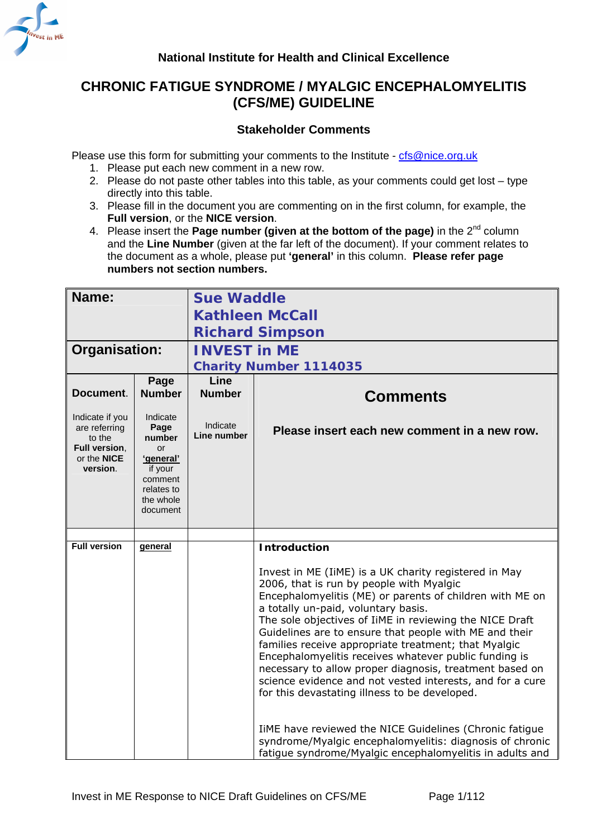<span id="page-0-0"></span>

# **CHRONIC FATIGUE SYNDROME / MYALGIC ENCEPHALOMYELITIS (CFS/ME) GUIDELINE**

## **Stakeholder Comments**

Please use this form for submitting your comments to the Institute - [cfs@nice.org.uk](mailto:cfs@nice.org.uk)

- 1. Please put each new comment in a new row.
- 2. Please do not paste other tables into this table, as your comments could get lost type directly into this table.
- 3. Please fill in the document you are commenting on in the first column, for example, the **Full version**, or the **NICE version**.
- 4. Please insert the **Page number (given at the bottom of the page)** in the 2<sup>nd</sup> column and the **Line Number** (given at the far left of the document). If your comment relates to the document as a whole, please put **'general'** in this column. **Please refer page numbers not section numbers.**

| Name:                                                                                  |                                                                                                            | <b>Sue Waddle</b>       |                                                                                                                                                                                                                                                                                                                                                                                                                                                                                                                                                                                                                     |  |  |
|----------------------------------------------------------------------------------------|------------------------------------------------------------------------------------------------------------|-------------------------|---------------------------------------------------------------------------------------------------------------------------------------------------------------------------------------------------------------------------------------------------------------------------------------------------------------------------------------------------------------------------------------------------------------------------------------------------------------------------------------------------------------------------------------------------------------------------------------------------------------------|--|--|
|                                                                                        |                                                                                                            | <b>Kathleen McCall</b>  |                                                                                                                                                                                                                                                                                                                                                                                                                                                                                                                                                                                                                     |  |  |
|                                                                                        |                                                                                                            | <b>Richard Simpson</b>  |                                                                                                                                                                                                                                                                                                                                                                                                                                                                                                                                                                                                                     |  |  |
| Organisation:                                                                          |                                                                                                            | <b>INVEST in ME</b>     |                                                                                                                                                                                                                                                                                                                                                                                                                                                                                                                                                                                                                     |  |  |
|                                                                                        |                                                                                                            |                         | <b>Charity Number 1114035</b>                                                                                                                                                                                                                                                                                                                                                                                                                                                                                                                                                                                       |  |  |
| Document.                                                                              | Page<br><b>Number</b>                                                                                      | Line<br><b>Number</b>   | <b>Comments</b>                                                                                                                                                                                                                                                                                                                                                                                                                                                                                                                                                                                                     |  |  |
| Indicate if you<br>are referring<br>to the<br>Full version,<br>or the NICE<br>version. | Indicate<br>Page<br>number<br>or<br>'general'<br>if your<br>comment<br>relates to<br>the whole<br>document | Indicate<br>Line number | Please insert each new comment in a new row.                                                                                                                                                                                                                                                                                                                                                                                                                                                                                                                                                                        |  |  |
|                                                                                        |                                                                                                            |                         |                                                                                                                                                                                                                                                                                                                                                                                                                                                                                                                                                                                                                     |  |  |
| <b>Full version</b>                                                                    | general                                                                                                    |                         | <b>Introduction</b>                                                                                                                                                                                                                                                                                                                                                                                                                                                                                                                                                                                                 |  |  |
|                                                                                        |                                                                                                            |                         | Invest in ME (IiME) is a UK charity registered in May<br>2006, that is run by people with Myalgic<br>Encephalomyelitis (ME) or parents of children with ME on<br>a totally un-paid, voluntary basis.<br>The sole objectives of IiME in reviewing the NICE Draft<br>Guidelines are to ensure that people with ME and their<br>families receive appropriate treatment; that Myalgic<br>Encephalomyelitis receives whatever public funding is<br>necessary to allow proper diagnosis, treatment based on<br>science evidence and not vested interests, and for a cure<br>for this devastating illness to be developed. |  |  |
|                                                                                        |                                                                                                            |                         | IiME have reviewed the NICE Guidelines (Chronic fatigue<br>syndrome/Myalgic encephalomyelitis: diagnosis of chronic<br>fatigue syndrome/Myalgic encephalomyelitis in adults and                                                                                                                                                                                                                                                                                                                                                                                                                                     |  |  |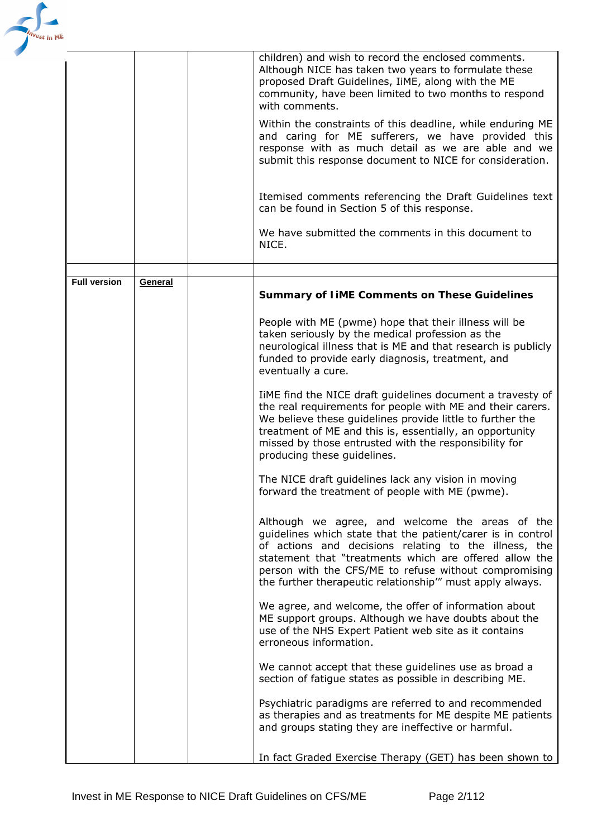

|                     |         | children) and wish to record the enclosed comments.<br>Although NICE has taken two years to formulate these<br>proposed Draft Guidelines, IiME, along with the ME<br>community, have been limited to two months to respond<br>with comments.                                                                                                           |
|---------------------|---------|--------------------------------------------------------------------------------------------------------------------------------------------------------------------------------------------------------------------------------------------------------------------------------------------------------------------------------------------------------|
|                     |         | Within the constraints of this deadline, while enduring ME<br>and caring for ME sufferers, we have provided this<br>response with as much detail as we are able and we<br>submit this response document to NICE for consideration.                                                                                                                     |
|                     |         | Itemised comments referencing the Draft Guidelines text<br>can be found in Section 5 of this response.                                                                                                                                                                                                                                                 |
|                     |         | We have submitted the comments in this document to<br>NICE.                                                                                                                                                                                                                                                                                            |
|                     |         |                                                                                                                                                                                                                                                                                                                                                        |
| <b>Full version</b> | General |                                                                                                                                                                                                                                                                                                                                                        |
|                     |         | <b>Summary of IIME Comments on These Guidelines</b>                                                                                                                                                                                                                                                                                                    |
|                     |         | People with ME (pwme) hope that their illness will be<br>taken seriously by the medical profession as the<br>neurological illness that is ME and that research is publicly<br>funded to provide early diagnosis, treatment, and<br>eventually a cure.                                                                                                  |
|                     |         | TIME find the NICE draft guidelines document a travesty of<br>the real requirements for people with ME and their carers.<br>We believe these guidelines provide little to further the<br>treatment of ME and this is, essentially, an opportunity<br>missed by those entrusted with the responsibility for<br>producing these guidelines.              |
|                     |         | The NICE draft guidelines lack any vision in moving<br>forward the treatment of people with ME (pwme).                                                                                                                                                                                                                                                 |
|                     |         | Although we agree, and welcome the areas of the<br>guidelines which state that the patient/carer is in control<br>of actions and decisions relating to the illness, the<br>statement that "treatments which are offered allow the<br>person with the CFS/ME to refuse without compromising<br>the further therapeutic relationship" must apply always. |
|                     |         | We agree, and welcome, the offer of information about<br>ME support groups. Although we have doubts about the<br>use of the NHS Expert Patient web site as it contains<br>erroneous information.                                                                                                                                                       |
|                     |         | We cannot accept that these guidelines use as broad a<br>section of fatigue states as possible in describing ME.                                                                                                                                                                                                                                       |
|                     |         | Psychiatric paradigms are referred to and recommended<br>as therapies and as treatments for ME despite ME patients<br>and groups stating they are ineffective or harmful.                                                                                                                                                                              |
|                     |         | In fact Graded Exercise Therapy (GET) has been shown to                                                                                                                                                                                                                                                                                                |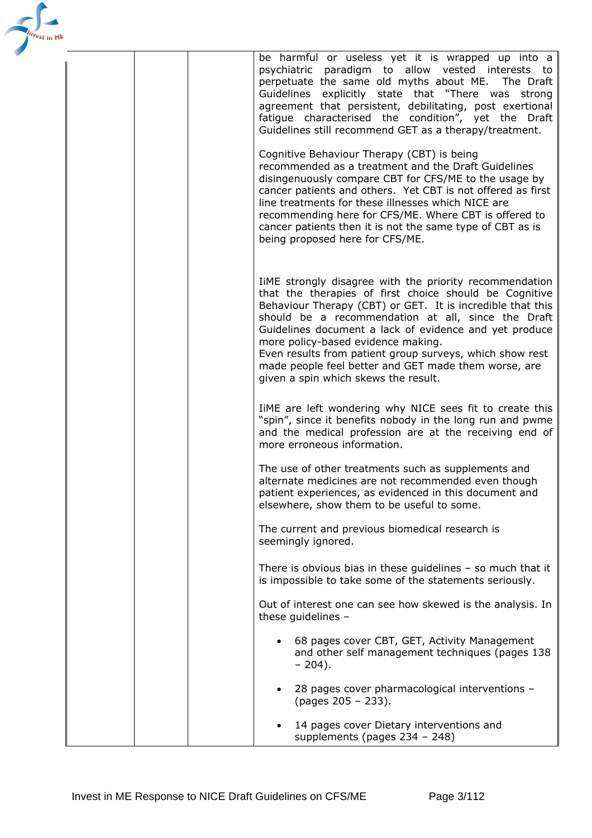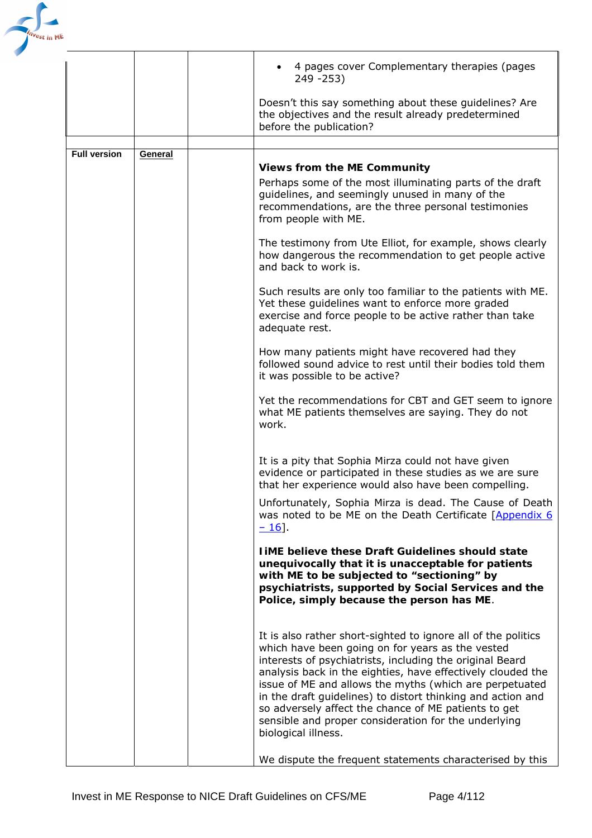

|                     |         | 4 pages cover Complementary therapies (pages<br>249 - 253)                                                                                                                                                                                                                                                                                                                                                                                                                                                    |
|---------------------|---------|---------------------------------------------------------------------------------------------------------------------------------------------------------------------------------------------------------------------------------------------------------------------------------------------------------------------------------------------------------------------------------------------------------------------------------------------------------------------------------------------------------------|
|                     |         | Doesn't this say something about these guidelines? Are<br>the objectives and the result already predetermined<br>before the publication?                                                                                                                                                                                                                                                                                                                                                                      |
|                     |         |                                                                                                                                                                                                                                                                                                                                                                                                                                                                                                               |
| <b>Full version</b> | General | <b>Views from the ME Community</b>                                                                                                                                                                                                                                                                                                                                                                                                                                                                            |
|                     |         | Perhaps some of the most illuminating parts of the draft<br>guidelines, and seemingly unused in many of the<br>recommendations, are the three personal testimonies<br>from people with ME.                                                                                                                                                                                                                                                                                                                    |
|                     |         | The testimony from Ute Elliot, for example, shows clearly<br>how dangerous the recommendation to get people active<br>and back to work is.                                                                                                                                                                                                                                                                                                                                                                    |
|                     |         | Such results are only too familiar to the patients with ME.<br>Yet these guidelines want to enforce more graded<br>exercise and force people to be active rather than take<br>adequate rest.                                                                                                                                                                                                                                                                                                                  |
|                     |         | How many patients might have recovered had they<br>followed sound advice to rest until their bodies told them<br>it was possible to be active?                                                                                                                                                                                                                                                                                                                                                                |
|                     |         | Yet the recommendations for CBT and GET seem to ignore<br>what ME patients themselves are saying. They do not<br>work.                                                                                                                                                                                                                                                                                                                                                                                        |
|                     |         | It is a pity that Sophia Mirza could not have given<br>evidence or participated in these studies as we are sure<br>that her experience would also have been compelling.                                                                                                                                                                                                                                                                                                                                       |
|                     |         | Unfortunately, Sophia Mirza is dead. The Cause of Death<br>was noted to be ME on the Death Certificate [Appendix 6]<br>$-16$ .                                                                                                                                                                                                                                                                                                                                                                                |
|                     |         | <b>TiME believe these Draft Guidelines should state</b><br>unequivocally that it is unacceptable for patients<br>with ME to be subjected to "sectioning" by<br>psychiatrists, supported by Social Services and the<br>Police, simply because the person has ME.                                                                                                                                                                                                                                               |
|                     |         | It is also rather short-sighted to ignore all of the politics<br>which have been going on for years as the vested<br>interests of psychiatrists, including the original Beard<br>analysis back in the eighties, have effectively clouded the<br>issue of ME and allows the myths (which are perpetuated<br>in the draft guidelines) to distort thinking and action and<br>so adversely affect the chance of ME patients to get<br>sensible and proper consideration for the underlying<br>biological illness. |
|                     |         | We dispute the frequent statements characterised by this                                                                                                                                                                                                                                                                                                                                                                                                                                                      |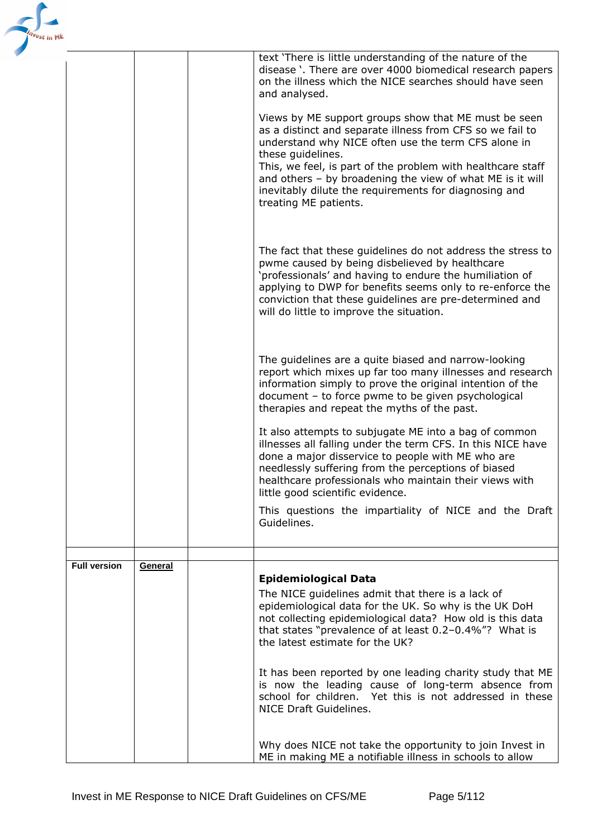| est in ME |                     |         |                                                                                                                                                                                                                                                                                                                                                                                                             |
|-----------|---------------------|---------|-------------------------------------------------------------------------------------------------------------------------------------------------------------------------------------------------------------------------------------------------------------------------------------------------------------------------------------------------------------------------------------------------------------|
|           |                     |         | text 'There is little understanding of the nature of the<br>disease). There are over 4000 biomedical research papers<br>on the illness which the NICE searches should have seen<br>and analysed.                                                                                                                                                                                                            |
|           |                     |         | Views by ME support groups show that ME must be seen<br>as a distinct and separate illness from CFS so we fail to<br>understand why NICE often use the term CFS alone in<br>these guidelines.<br>This, we feel, is part of the problem with healthcare staff<br>and others - by broadening the view of what ME is it will<br>inevitably dilute the requirements for diagnosing and<br>treating ME patients. |
|           |                     |         | The fact that these guidelines do not address the stress to<br>pwme caused by being disbelieved by healthcare<br>'professionals' and having to endure the humiliation of<br>applying to DWP for benefits seems only to re-enforce the<br>conviction that these guidelines are pre-determined and<br>will do little to improve the situation.                                                                |
|           |                     |         | The guidelines are a quite biased and narrow-looking<br>report which mixes up far too many illnesses and research<br>information simply to prove the original intention of the<br>document - to force pwme to be given psychological<br>therapies and repeat the myths of the past.                                                                                                                         |
|           |                     |         | It also attempts to subjugate ME into a bag of common<br>illnesses all falling under the term CFS. In this NICE have<br>done a major disservice to people with ME who are<br>needlessly suffering from the perceptions of biased<br>healthcare professionals who maintain their views with<br>little good scientific evidence.                                                                              |
|           |                     |         | This questions the impartiality of NICE and the Draft<br>Guidelines.                                                                                                                                                                                                                                                                                                                                        |
|           |                     |         |                                                                                                                                                                                                                                                                                                                                                                                                             |
|           | <b>Full version</b> | General | Epidemiological Data<br>The NICE guidelines admit that there is a lack of<br>epidemiological data for the UK. So why is the UK DoH<br>not collecting epidemiological data? How old is this data<br>that states "prevalence of at least 0.2-0.4%"? What is<br>the latest estimate for the UK?                                                                                                                |
|           |                     |         | It has been reported by one leading charity study that ME<br>is now the leading cause of long-term absence from<br>school for children. Yet this is not addressed in these<br>NICE Draft Guidelines.                                                                                                                                                                                                        |
|           |                     |         | Why does NICE not take the opportunity to join Invest in<br>ME in making ME a notifiable illness in schools to allow                                                                                                                                                                                                                                                                                        |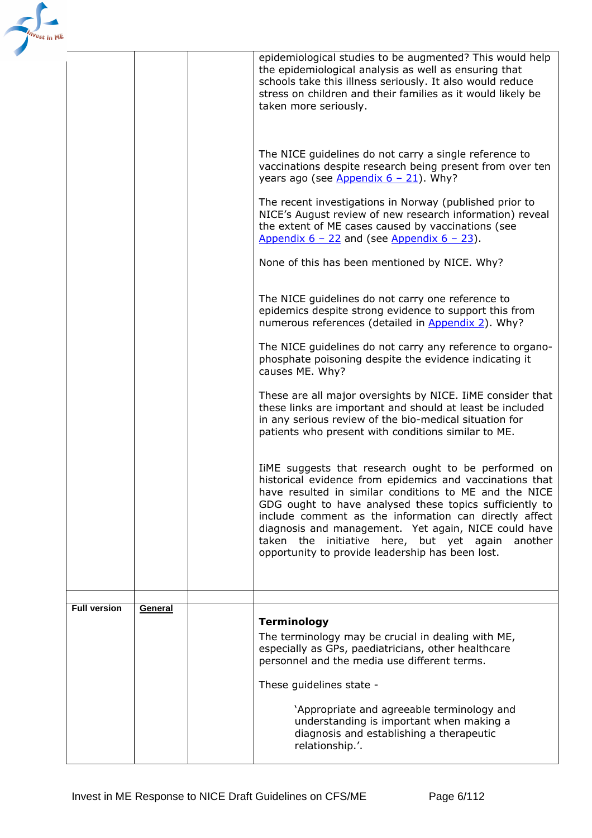| 'est in ME |                     |         |                                                                                                                                                                                                                                                                                                                                                                                                                                                                 |
|------------|---------------------|---------|-----------------------------------------------------------------------------------------------------------------------------------------------------------------------------------------------------------------------------------------------------------------------------------------------------------------------------------------------------------------------------------------------------------------------------------------------------------------|
|            |                     |         | epidemiological studies to be augmented? This would help<br>the epidemiological analysis as well as ensuring that<br>schools take this illness seriously. It also would reduce<br>stress on children and their families as it would likely be<br>taken more seriously.                                                                                                                                                                                          |
|            |                     |         | The NICE guidelines do not carry a single reference to<br>vaccinations despite research being present from over ten<br>years ago (see $\Delta$ ppendix 6 - 21). Why?                                                                                                                                                                                                                                                                                            |
|            |                     |         | The recent investigations in Norway (published prior to<br>NICE's August review of new research information) reveal<br>the extent of ME cases caused by vaccinations (see<br>Appendix $6 - 22$ and (see Appendix $6 - 23$ ).                                                                                                                                                                                                                                    |
|            |                     |         | None of this has been mentioned by NICE. Why?                                                                                                                                                                                                                                                                                                                                                                                                                   |
|            |                     |         | The NICE guidelines do not carry one reference to<br>epidemics despite strong evidence to support this from<br>numerous references (detailed in Appendix 2). Why?                                                                                                                                                                                                                                                                                               |
|            |                     |         | The NICE guidelines do not carry any reference to organo-<br>phosphate poisoning despite the evidence indicating it<br>causes ME. Why?                                                                                                                                                                                                                                                                                                                          |
|            |                     |         | These are all major oversights by NICE. IIME consider that<br>these links are important and should at least be included<br>in any serious review of the bio-medical situation for<br>patients who present with conditions similar to ME.                                                                                                                                                                                                                        |
|            |                     |         | TIME suggests that research ought to be performed on<br>historical evidence from epidemics and vaccinations that<br>have resulted in similar conditions to ME and the NICE<br>GDG ought to have analysed these topics sufficiently to<br>include comment as the information can directly affect<br>diagnosis and management. Yet again, NICE could have<br>taken the initiative here, but yet again another<br>opportunity to provide leadership has been lost. |
|            |                     |         |                                                                                                                                                                                                                                                                                                                                                                                                                                                                 |
|            | <b>Full version</b> | General | <b>Terminology</b><br>The terminology may be crucial in dealing with ME,<br>especially as GPs, paediatricians, other healthcare<br>personnel and the media use different terms.<br>These guidelines state -                                                                                                                                                                                                                                                     |
|            |                     |         | 'Appropriate and agreeable terminology and<br>understanding is important when making a<br>diagnosis and establishing a therapeutic<br>relationship.'.                                                                                                                                                                                                                                                                                                           |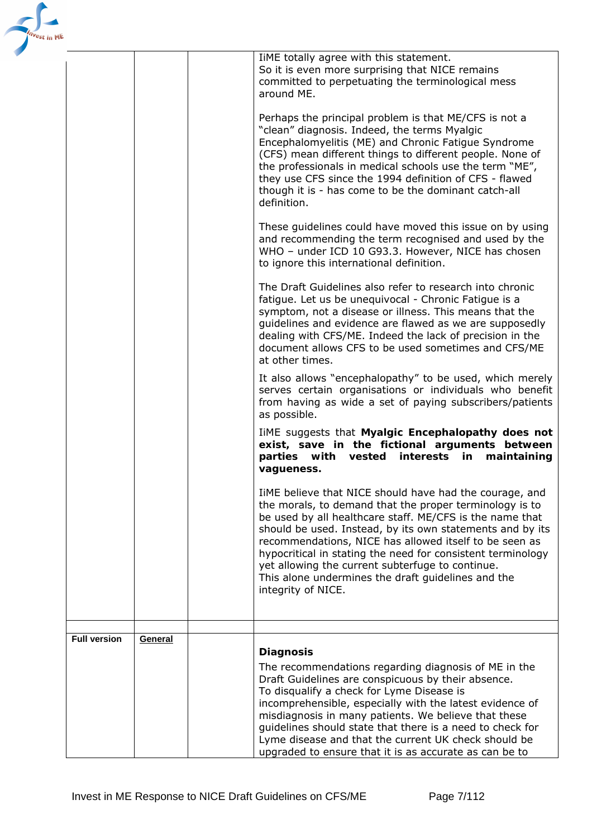| 'est in ME          |         |                                                                                                                                                                                                                                                                                                                                                                                                                                                                                                      |
|---------------------|---------|------------------------------------------------------------------------------------------------------------------------------------------------------------------------------------------------------------------------------------------------------------------------------------------------------------------------------------------------------------------------------------------------------------------------------------------------------------------------------------------------------|
|                     |         | IiME totally agree with this statement.<br>So it is even more surprising that NICE remains<br>committed to perpetuating the terminological mess<br>around ME.                                                                                                                                                                                                                                                                                                                                        |
|                     |         | Perhaps the principal problem is that ME/CFS is not a<br>"clean" diagnosis. Indeed, the terms Myalgic<br>Encephalomyelitis (ME) and Chronic Fatigue Syndrome<br>(CFS) mean different things to different people. None of<br>the professionals in medical schools use the term "ME",<br>they use CFS since the 1994 definition of CFS - flawed<br>though it is - has come to be the dominant catch-all<br>definition.                                                                                 |
|                     |         | These guidelines could have moved this issue on by using<br>and recommending the term recognised and used by the<br>WHO - under ICD 10 G93.3. However, NICE has chosen<br>to ignore this international definition.                                                                                                                                                                                                                                                                                   |
|                     |         | The Draft Guidelines also refer to research into chronic<br>fatigue. Let us be unequivocal - Chronic Fatigue is a<br>symptom, not a disease or illness. This means that the<br>guidelines and evidence are flawed as we are supposedly<br>dealing with CFS/ME. Indeed the lack of precision in the<br>document allows CFS to be used sometimes and CFS/ME<br>at other times.                                                                                                                         |
|                     |         | It also allows "encephalopathy" to be used, which merely<br>serves certain organisations or individuals who benefit<br>from having as wide a set of paying subscribers/patients<br>as possible.                                                                                                                                                                                                                                                                                                      |
|                     |         | TIME suggests that Myalgic Encephalopathy does not<br>exist, save in the fictional arguments between<br>parties with vested<br>interests in<br>maintaining<br>vagueness.                                                                                                                                                                                                                                                                                                                             |
|                     |         | IiME believe that NICE should have had the courage, and<br>the morals, to demand that the proper terminology is to<br>be used by all healthcare staff. ME/CFS is the name that<br>should be used. Instead, by its own statements and by its<br>recommendations, NICE has allowed itself to be seen as<br>hypocritical in stating the need for consistent terminology<br>yet allowing the current subterfuge to continue.<br>This alone undermines the draft guidelines and the<br>integrity of NICE. |
|                     |         |                                                                                                                                                                                                                                                                                                                                                                                                                                                                                                      |
| <b>Full version</b> | General | <b>Diagnosis</b><br>The recommendations regarding diagnosis of ME in the<br>Draft Guidelines are conspicuous by their absence.<br>To disqualify a check for Lyme Disease is<br>incomprehensible, especially with the latest evidence of<br>misdiagnosis in many patients. We believe that these<br>guidelines should state that there is a need to check for<br>Lyme disease and that the current UK check should be<br>upgraded to ensure that it is as accurate as can be to                       |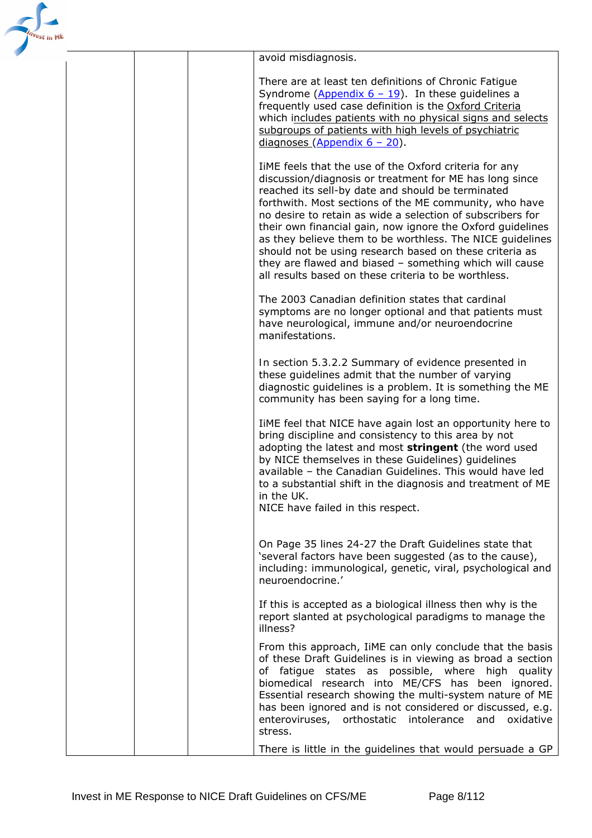

avoid misdiagnosis.

There are at least ten definitions of Chronic Fatigue Syndrome (Appendix  $6 - 19$ ). In these guidelines a frequently used case definition is the [Oxford Criteria](http://www.investinme.org/InfoCentre%20Guidelines.htm) which includes patients with no physical signs and selects subgroups of patients with high levels of psychiatric diagnoses (Appendix 6 – 20).

IiME feels that the use of the Oxford criteria for any discussion/diagnosis or treatment for ME has long since reached its sell-by date and should be terminated forthwith. Most sections of the ME community, who have no desire to retain as wide a selection of subscribers for their own financial gain, now ignore the Oxford guidelines as they believe them to be worthless. The NICE guidelines should not be using research based on these criteria as they are flawed and biased – something which will cause all results based on these criteria to be worthless.

The 2003 Canadian definition states that cardinal symptoms are no longer optional and that patients must have neurological, immune and/or neuroendocrine manifestations.

*In section 5.3.2.2* Summary of evidence presented in these guidelines admit that the number of varying diagnostic guidelines is a problem. It is something the ME community has been saying for a long time.

IiME feel that NICE have again lost an opportunity here to bring discipline and consistency to this area by not adopting the latest and most **stringent** (the word used by NICE themselves in these Guidelines) guidelines available – the Canadian Guidelines. This would have led to a substantial shift in the diagnosis and treatment of ME in the UK.

NICE have failed in this respect.

On Page 35 lines 24-27 the Draft Guidelines state that 'several factors have been suggested (as to the cause), including: immunological, genetic, viral, psychological and neuroendocrine.'

If this is accepted as a biological illness then why is the report slanted at psychological paradigms to manage the illness?

From this approach, IiME can only conclude that the basis of these Draft Guidelines is in viewing as broad a section of fatigue states as possible, where high quality biomedical research into ME/CFS has been ignored. Essential research showing the multi-system nature of ME has been ignored and is not considered or discussed, e.g. enteroviruses, orthostatic intolerance and oxidative stress.

There is little in the guidelines that would persuade a GP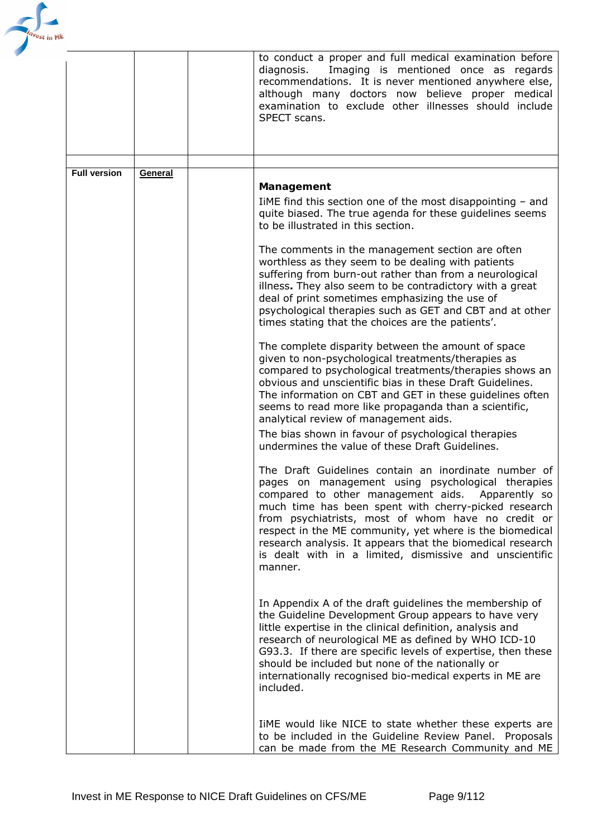

|                     |         | to conduct a proper and full medical examination before<br>Imaging is mentioned once as regards<br>diagnosis.<br>recommendations. It is never mentioned anywhere else,<br>although many doctors now believe proper medical<br>examination to exclude other illnesses should include<br>SPECT scans.                                                                                                                                                                         |
|---------------------|---------|-----------------------------------------------------------------------------------------------------------------------------------------------------------------------------------------------------------------------------------------------------------------------------------------------------------------------------------------------------------------------------------------------------------------------------------------------------------------------------|
|                     |         |                                                                                                                                                                                                                                                                                                                                                                                                                                                                             |
| <b>Full version</b> | General |                                                                                                                                                                                                                                                                                                                                                                                                                                                                             |
|                     |         | Management<br>IIME find this section one of the most disappointing $-$ and<br>quite biased. The true agenda for these guidelines seems<br>to be illustrated in this section.                                                                                                                                                                                                                                                                                                |
|                     |         | The comments in the management section are often<br>worthless as they seem to be dealing with patients<br>suffering from burn-out rather than from a neurological<br>illness. They also seem to be contradictory with a great<br>deal of print sometimes emphasizing the use of<br>psychological therapies such as GET and CBT and at other<br>times stating that the choices are the patients'.                                                                            |
|                     |         | The complete disparity between the amount of space<br>given to non-psychological treatments/therapies as<br>compared to psychological treatments/therapies shows an<br>obvious and unscientific bias in these Draft Guidelines.<br>The information on CBT and GET in these guidelines often<br>seems to read more like propaganda than a scientific,<br>analytical review of management aids.                                                                               |
|                     |         | The bias shown in favour of psychological therapies<br>undermines the value of these Draft Guidelines.                                                                                                                                                                                                                                                                                                                                                                      |
|                     |         | The Draft Guidelines contain an inordinate number of<br>pages on management using psychological therapies<br>compared to other management aids. Apparently so<br>much time has been spent with cherry-picked research<br>from psychiatrists, most of whom have no credit or<br>respect in the ME community, yet where is the biomedical<br>research analysis. It appears that the biomedical research<br>is dealt with in a limited, dismissive and unscientific<br>manner. |
|                     |         | In Appendix A of the draft guidelines the membership of<br>the Guideline Development Group appears to have very<br>little expertise in the clinical definition, analysis and<br>research of neurological ME as defined by WHO ICD-10<br>G93.3. If there are specific levels of expertise, then these<br>should be included but none of the nationally or<br>internationally recognised bio-medical experts in ME are<br>included.                                           |
|                     |         | TIME would like NICE to state whether these experts are<br>to be included in the Guideline Review Panel. Proposals<br>can be made from the ME Research Community and ME                                                                                                                                                                                                                                                                                                     |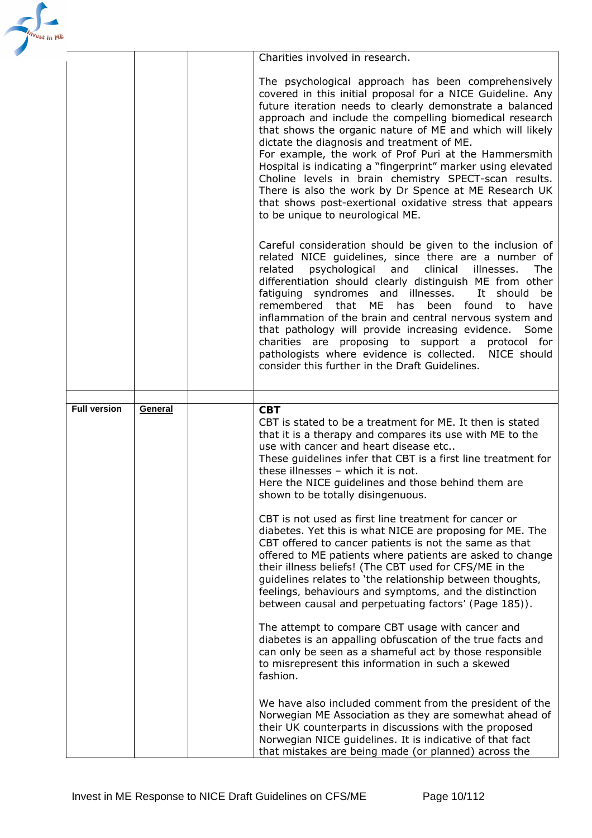| ′est in ME |                     |         |                                                                                                                                                                                                                                                                                                                                                                                                                                                                                                                                                                                                                                                                                                |
|------------|---------------------|---------|------------------------------------------------------------------------------------------------------------------------------------------------------------------------------------------------------------------------------------------------------------------------------------------------------------------------------------------------------------------------------------------------------------------------------------------------------------------------------------------------------------------------------------------------------------------------------------------------------------------------------------------------------------------------------------------------|
|            |                     |         | Charities involved in research.                                                                                                                                                                                                                                                                                                                                                                                                                                                                                                                                                                                                                                                                |
|            |                     |         | The psychological approach has been comprehensively<br>covered in this initial proposal for a NICE Guideline. Any<br>future iteration needs to clearly demonstrate a balanced<br>approach and include the compelling biomedical research<br>that shows the organic nature of ME and which will likely<br>dictate the diagnosis and treatment of ME.<br>For example, the work of Prof Puri at the Hammersmith<br>Hospital is indicating a "fingerprint" marker using elevated<br>Choline levels in brain chemistry SPECT-scan results.<br>There is also the work by Dr Spence at ME Research UK<br>that shows post-exertional oxidative stress that appears<br>to be unique to neurological ME. |
|            |                     |         | Careful consideration should be given to the inclusion of<br>related NICE guidelines, since there are a number of<br>psychological and clinical<br>related<br>illnesses.<br>The<br>differentiation should clearly distinguish ME from other<br>fatiguing syndromes and illnesses.<br>It should<br>be<br>remembered that ME has been found<br>have<br>to<br>inflammation of the brain and central nervous system and<br>that pathology will provide increasing evidence. Some<br>charities are proposing to support a protocol for<br>pathologists where evidence is collected.<br>NICE should<br>consider this further in the Draft Guidelines.                                                |
|            |                     |         |                                                                                                                                                                                                                                                                                                                                                                                                                                                                                                                                                                                                                                                                                                |
|            | <b>Full version</b> | General | <b>CBT</b><br>CBT is stated to be a treatment for ME. It then is stated<br>that it is a therapy and compares its use with ME to the<br>use with cancer and heart disease etc<br>These guidelines infer that CBT is a first line treatment for<br>these illnesses - which it is not.<br>Here the NICE guidelines and those behind them are<br>shown to be totally disingenuous.                                                                                                                                                                                                                                                                                                                 |
|            |                     |         | CBT is not used as first line treatment for cancer or<br>diabetes. Yet this is what NICE are proposing for ME. The<br>CBT offered to cancer patients is not the same as that<br>offered to ME patients where patients are asked to change<br>their illness beliefs! (The CBT used for CFS/ME in the<br>guidelines relates to 'the relationship between thoughts,<br>feelings, behaviours and symptoms, and the distinction<br>between causal and perpetuating factors' (Page 185)).                                                                                                                                                                                                            |
|            |                     |         | The attempt to compare CBT usage with cancer and<br>diabetes is an appalling obfuscation of the true facts and<br>can only be seen as a shameful act by those responsible<br>to misrepresent this information in such a skewed<br>fashion.                                                                                                                                                                                                                                                                                                                                                                                                                                                     |
|            |                     |         | We have also included comment from the president of the<br>Norwegian ME Association as they are somewhat ahead of<br>their UK counterparts in discussions with the proposed<br>Norwegian NICE guidelines. It is indicative of that fact<br>that mistakes are being made (or planned) across the                                                                                                                                                                                                                                                                                                                                                                                                |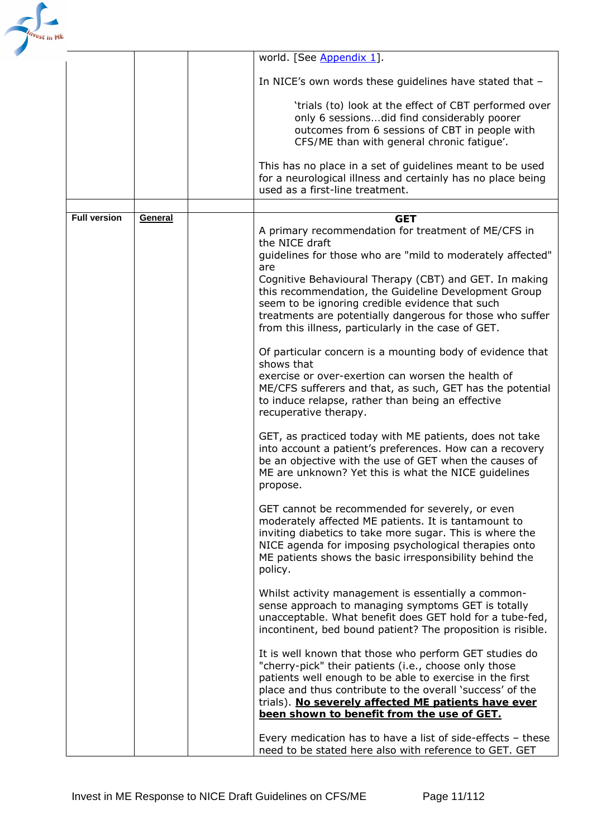

|                     |         | world. [See Appendix 1].                                                                                                |  |
|---------------------|---------|-------------------------------------------------------------------------------------------------------------------------|--|
|                     |         |                                                                                                                         |  |
|                     |         | In NICE's own words these guidelines have stated that -                                                                 |  |
|                     |         | 'trials (to) look at the effect of CBT performed over                                                                   |  |
|                     |         | only 6 sessions did find considerably poorer                                                                            |  |
|                     |         | outcomes from 6 sessions of CBT in people with                                                                          |  |
|                     |         | CFS/ME than with general chronic fatigue'.                                                                              |  |
|                     |         | This has no place in a set of guidelines meant to be used                                                               |  |
|                     |         | for a neurological illness and certainly has no place being                                                             |  |
|                     |         | used as a first-line treatment.                                                                                         |  |
|                     |         |                                                                                                                         |  |
| <b>Full version</b> | General | <b>GET</b>                                                                                                              |  |
|                     |         | A primary recommendation for treatment of ME/CFS in                                                                     |  |
|                     |         | the NICE draft<br>guidelines for those who are "mild to moderately affected"                                            |  |
|                     |         | are                                                                                                                     |  |
|                     |         | Cognitive Behavioural Therapy (CBT) and GET. In making                                                                  |  |
|                     |         | this recommendation, the Guideline Development Group                                                                    |  |
|                     |         | seem to be ignoring credible evidence that such                                                                         |  |
|                     |         | treatments are potentially dangerous for those who suffer                                                               |  |
|                     |         | from this illness, particularly in the case of GET.                                                                     |  |
|                     |         | Of particular concern is a mounting body of evidence that                                                               |  |
|                     |         | shows that                                                                                                              |  |
|                     |         | exercise or over-exertion can worsen the health of                                                                      |  |
|                     |         | ME/CFS sufferers and that, as such, GET has the potential                                                               |  |
|                     |         | to induce relapse, rather than being an effective<br>recuperative therapy.                                              |  |
|                     |         |                                                                                                                         |  |
|                     |         | GET, as practiced today with ME patients, does not take                                                                 |  |
|                     |         | into account a patient's preferences. How can a recovery                                                                |  |
|                     |         | be an objective with the use of GET when the causes of<br>ME are unknown? Yet this is what the NICE guidelines          |  |
|                     |         | propose.                                                                                                                |  |
|                     |         |                                                                                                                         |  |
|                     |         | GET cannot be recommended for severely, or even                                                                         |  |
|                     |         | moderately affected ME patients. It is tantamount to                                                                    |  |
|                     |         | inviting diabetics to take more sugar. This is where the<br>NICE agenda for imposing psychological therapies onto       |  |
|                     |         | ME patients shows the basic irresponsibility behind the                                                                 |  |
|                     |         | policy.                                                                                                                 |  |
|                     |         |                                                                                                                         |  |
|                     |         | Whilst activity management is essentially a common-                                                                     |  |
|                     |         | sense approach to managing symptoms GET is totally<br>unacceptable. What benefit does GET hold for a tube-fed,          |  |
|                     |         | incontinent, bed bound patient? The proposition is risible.                                                             |  |
|                     |         |                                                                                                                         |  |
|                     |         | It is well known that those who perform GET studies do                                                                  |  |
|                     |         | "cherry-pick" their patients (i.e., choose only those                                                                   |  |
|                     |         | patients well enough to be able to exercise in the first<br>place and thus contribute to the overall 'success' of the   |  |
|                     |         | trials). No severely affected ME patients have ever                                                                     |  |
|                     |         | been shown to benefit from the use of GET.                                                                              |  |
|                     |         |                                                                                                                         |  |
|                     |         | Every medication has to have a list of side-effects $-$ these<br>need to be stated here also with reference to GET. GET |  |
|                     |         |                                                                                                                         |  |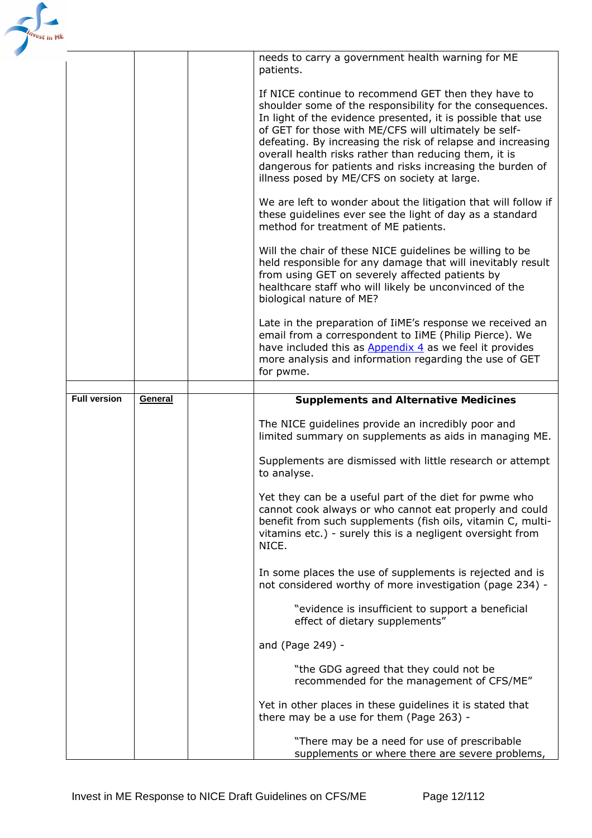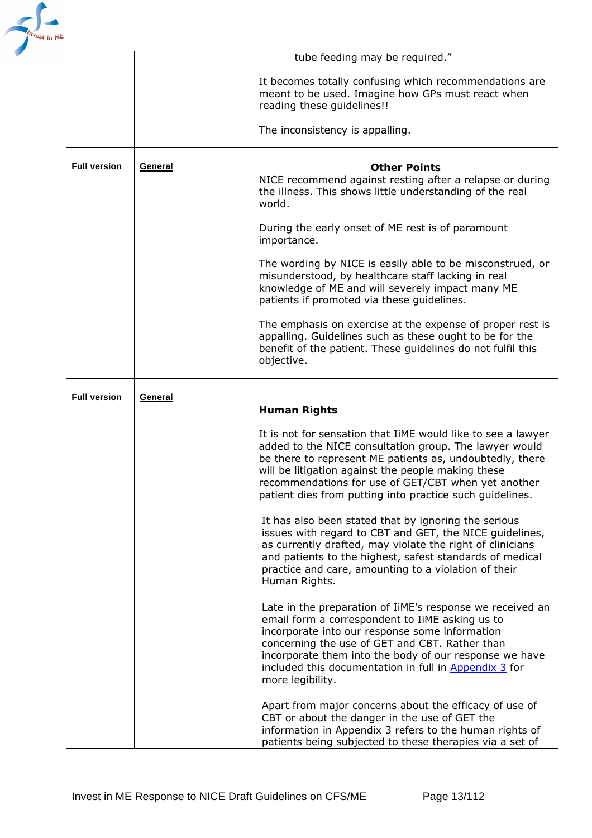

|                     |         | tube feeding may be required."                                                                                                                                                                                                                                                                                                                              |  |  |
|---------------------|---------|-------------------------------------------------------------------------------------------------------------------------------------------------------------------------------------------------------------------------------------------------------------------------------------------------------------------------------------------------------------|--|--|
|                     |         | It becomes totally confusing which recommendations are<br>meant to be used. Imagine how GPs must react when<br>reading these guidelines!!                                                                                                                                                                                                                   |  |  |
|                     |         | The inconsistency is appalling.                                                                                                                                                                                                                                                                                                                             |  |  |
|                     |         |                                                                                                                                                                                                                                                                                                                                                             |  |  |
| <b>Full version</b> | General | <b>Other Points</b><br>NICE recommend against resting after a relapse or during<br>the illness. This shows little understanding of the real<br>world.                                                                                                                                                                                                       |  |  |
|                     |         | During the early onset of ME rest is of paramount<br>importance.                                                                                                                                                                                                                                                                                            |  |  |
|                     |         | The wording by NICE is easily able to be misconstrued, or<br>misunderstood, by healthcare staff lacking in real<br>knowledge of ME and will severely impact many ME<br>patients if promoted via these guidelines.                                                                                                                                           |  |  |
|                     |         | The emphasis on exercise at the expense of proper rest is<br>appalling. Guidelines such as these ought to be for the<br>benefit of the patient. These guidelines do not fulfil this<br>objective.                                                                                                                                                           |  |  |
|                     |         |                                                                                                                                                                                                                                                                                                                                                             |  |  |
| <b>Full version</b> | General | <b>Human Rights</b>                                                                                                                                                                                                                                                                                                                                         |  |  |
|                     |         | It is not for sensation that IIME would like to see a lawyer<br>added to the NICE consultation group. The lawyer would<br>be there to represent ME patients as, undoubtedly, there<br>will be litigation against the people making these<br>recommendations for use of GET/CBT when yet another<br>patient dies from putting into practice such guidelines. |  |  |
|                     |         | It has also been stated that by ignoring the serious<br>issues with regard to CBT and GET, the NICE guidelines,<br>as currently drafted, may violate the right of clinicians<br>and patients to the highest, safest standards of medical<br>practice and care, amounting to a violation of their<br>Human Rights.                                           |  |  |
|                     |         | Late in the preparation of IiME's response we received an<br>email form a correspondent to IiME asking us to<br>incorporate into our response some information<br>concerning the use of GET and CBT. Rather than<br>incorporate them into the body of our response we have<br>included this documentation in full in Appendix 3 for<br>more legibility.     |  |  |
|                     |         | Apart from major concerns about the efficacy of use of<br>CBT or about the danger in the use of GET the<br>information in Appendix 3 refers to the human rights of<br>patients being subjected to these therapies via a set of                                                                                                                              |  |  |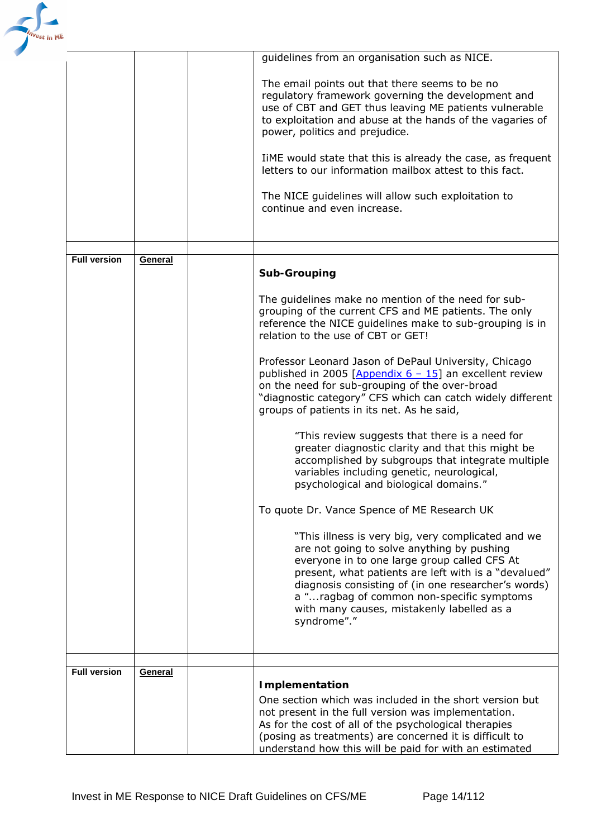

|                     |         | guidelines from an organisation such as NICE.                                      |
|---------------------|---------|------------------------------------------------------------------------------------|
|                     |         |                                                                                    |
|                     |         | The email points out that there seems to be no                                     |
|                     |         | regulatory framework governing the development and                                 |
|                     |         | use of CBT and GET thus leaving ME patients vulnerable                             |
|                     |         | to exploitation and abuse at the hands of the vagaries of                          |
|                     |         | power, politics and prejudice.                                                     |
|                     |         |                                                                                    |
|                     |         | TIME would state that this is already the case, as frequent                        |
|                     |         | letters to our information mailbox attest to this fact.                            |
|                     |         |                                                                                    |
|                     |         | The NICE guidelines will allow such exploitation to<br>continue and even increase. |
|                     |         |                                                                                    |
|                     |         |                                                                                    |
|                     |         |                                                                                    |
| <b>Full version</b> | General |                                                                                    |
|                     |         | Sub-Grouping                                                                       |
|                     |         |                                                                                    |
|                     |         | The guidelines make no mention of the need for sub-                                |
|                     |         | grouping of the current CFS and ME patients. The only                              |
|                     |         | reference the NICE guidelines make to sub-grouping is in                           |
|                     |         | relation to the use of CBT or GET!                                                 |
|                     |         | Professor Leonard Jason of DePaul University, Chicago                              |
|                     |         | published in 2005 [Appendix $6 - 15$ ] an excellent review                         |
|                     |         | on the need for sub-grouping of the over-broad                                     |
|                     |         | "diagnostic category" CFS which can catch widely different                         |
|                     |         | groups of patients in its net. As he said,                                         |
|                     |         |                                                                                    |
|                     |         | "This review suggests that there is a need for                                     |
|                     |         | greater diagnostic clarity and that this might be                                  |
|                     |         | accomplished by subgroups that integrate multiple                                  |
|                     |         | variables including genetic, neurological,                                         |
|                     |         | psychological and biological domains."                                             |
|                     |         |                                                                                    |
|                     |         | To quote Dr. Vance Spence of ME Research UK                                        |
|                     |         | "This illness is very big, very complicated and we                                 |
|                     |         | are not going to solve anything by pushing                                         |
|                     |         | everyone in to one large group called CFS At                                       |
|                     |         | present, what patients are left with is a "devalued"                               |
|                     |         | diagnosis consisting of (in one researcher's words)                                |
|                     |         | a "ragbag of common non-specific symptoms                                          |
|                     |         | with many causes, mistakenly labelled as a                                         |
|                     |         | syndrome"."                                                                        |
|                     |         |                                                                                    |
|                     |         |                                                                                    |
| <b>Full version</b> | General |                                                                                    |
|                     |         | <b>Implementation</b>                                                              |
|                     |         | One section which was included in the short version but                            |
|                     |         | not present in the full version was implementation.                                |
|                     |         | As for the cost of all of the psychological therapies                              |
|                     |         | (posing as treatments) are concerned it is difficult to                            |
|                     |         | understand how this will be paid for with an estimated                             |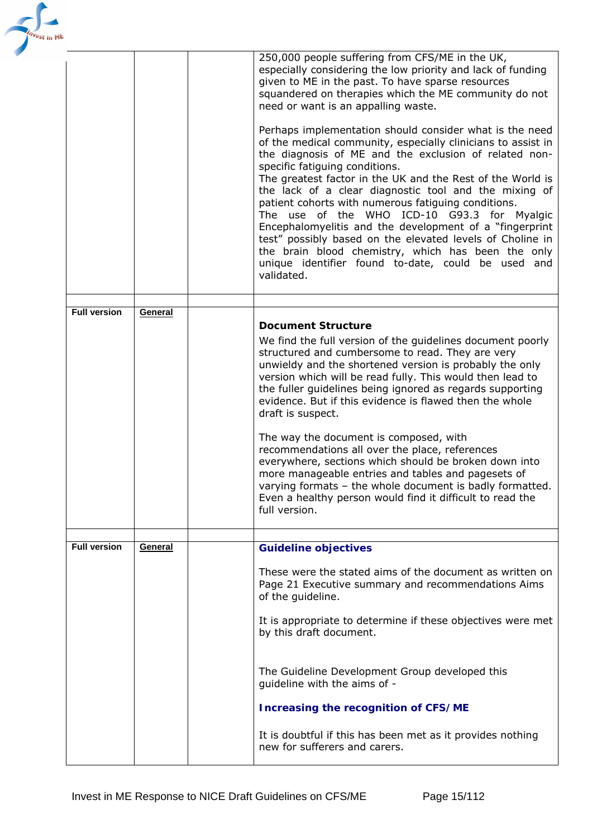| est in ME |                     |         |                                                                                                                                                                                                                                                                                                                                                                                                                                                                                                                                                                                                                                                                                                                                                                                                                                                                                                                                                                          |
|-----------|---------------------|---------|--------------------------------------------------------------------------------------------------------------------------------------------------------------------------------------------------------------------------------------------------------------------------------------------------------------------------------------------------------------------------------------------------------------------------------------------------------------------------------------------------------------------------------------------------------------------------------------------------------------------------------------------------------------------------------------------------------------------------------------------------------------------------------------------------------------------------------------------------------------------------------------------------------------------------------------------------------------------------|
|           |                     |         | 250,000 people suffering from CFS/ME in the UK,<br>especially considering the low priority and lack of funding<br>given to ME in the past. To have sparse resources<br>squandered on therapies which the ME community do not<br>need or want is an appalling waste.<br>Perhaps implementation should consider what is the need<br>of the medical community, especially clinicians to assist in<br>the diagnosis of ME and the exclusion of related non-<br>specific fatiguing conditions.<br>The greatest factor in the UK and the Rest of the World is<br>the lack of a clear diagnostic tool and the mixing of<br>patient cohorts with numerous fatiguing conditions.<br>The use of the WHO ICD-10 G93.3 for Myalgic<br>Encephalomyelitis and the development of a "fingerprint<br>test" possibly based on the elevated levels of Choline in<br>the brain blood chemistry, which has been the only<br>unique identifier found to-date, could be used and<br>validated. |
|           |                     |         |                                                                                                                                                                                                                                                                                                                                                                                                                                                                                                                                                                                                                                                                                                                                                                                                                                                                                                                                                                          |
|           | <b>Full version</b> | General | <b>Document Structure</b><br>We find the full version of the guidelines document poorly<br>structured and cumbersome to read. They are very<br>unwieldy and the shortened version is probably the only<br>version which will be read fully. This would then lead to<br>the fuller guidelines being ignored as regards supporting<br>evidence. But if this evidence is flawed then the whole<br>draft is suspect.<br>The way the document is composed, with<br>recommendations all over the place, references<br>everywhere, sections which should be broken down into<br>more manageable entries and tables and pagesets of<br>varying formats - the whole document is badly formatted.<br>Even a healthy person would find it difficult to read the<br>full version.                                                                                                                                                                                                    |
|           | <b>Full version</b> | General | <b>Guideline objectives</b>                                                                                                                                                                                                                                                                                                                                                                                                                                                                                                                                                                                                                                                                                                                                                                                                                                                                                                                                              |
|           |                     |         | These were the stated aims of the document as written on<br>Page 21 Executive summary and recommendations Aims<br>of the guideline.<br>It is appropriate to determine if these objectives were met<br>by this draft document.                                                                                                                                                                                                                                                                                                                                                                                                                                                                                                                                                                                                                                                                                                                                            |
|           |                     |         | The Guideline Development Group developed this<br>guideline with the aims of -<br><b>Increasing the recognition of CFS/ME</b><br>It is doubtful if this has been met as it provides nothing                                                                                                                                                                                                                                                                                                                                                                                                                                                                                                                                                                                                                                                                                                                                                                              |
|           |                     |         | new for sufferers and carers.                                                                                                                                                                                                                                                                                                                                                                                                                                                                                                                                                                                                                                                                                                                                                                                                                                                                                                                                            |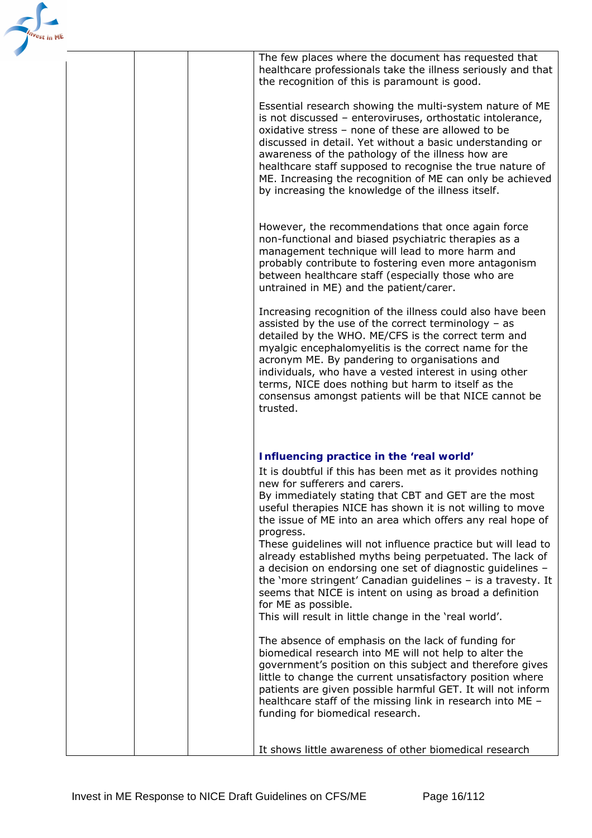

The few places where the document has requested that healthcare professionals take the illness seriously and that the recognition of this is paramount is good.

Essential research showing the multi-system nature of ME is not discussed – enteroviruses, orthostatic intolerance, oxidative stress – none of these are allowed to be discussed in detail. Yet without a basic understanding or awareness of the pathology of the illness how are healthcare staff supposed to recognise the true nature of ME. Increasing the recognition of ME can only be achieved by increasing the knowledge of the illness itself.

However, the recommendations that once again force non-functional and biased psychiatric therapies as a management technique will lead to more harm and probably contribute to fostering even more antagonism between healthcare staff (especially those who are untrained in ME) and the patient/carer.

Increasing recognition of the illness could also have been assisted by the use of the correct terminology – as detailed by the WHO. ME/CFS is the correct term and myalgic encephalomyelitis is the correct name for the acronym ME. By pandering to organisations and individuals, who have a vested interest in using other terms, NICE does nothing but harm to itself as the consensus amongst patients will be that NICE cannot be trusted.

### *Influencing practice in the 'real world'*

It is doubtful if this has been met as it provides nothing new for sufferers and carers. By immediately stating that CBT and GET are the most useful therapies NICE has shown it is not willing to move the issue of ME into an area which offers any real hope of progress. These guidelines will not influence practice but will lead to already established myths being perpetuated. The lack of a decision on endorsing one set of diagnostic guidelines – the '*more stringent*' Canadian guidelines – is a travesty. It seems that NICE is intent on using as broad a definition for ME as possible. This will result in little change in the 'real world'. The absence of emphasis on the lack of funding for biomedical research into ME will not help to alter the government's position on this subject and therefore gives little to change the current unsatisfactory position where patients are given possible harmful GET. It will not inform healthcare staff of the missing link in research into ME –

funding for biomedical research.

It shows little awareness of other biomedical research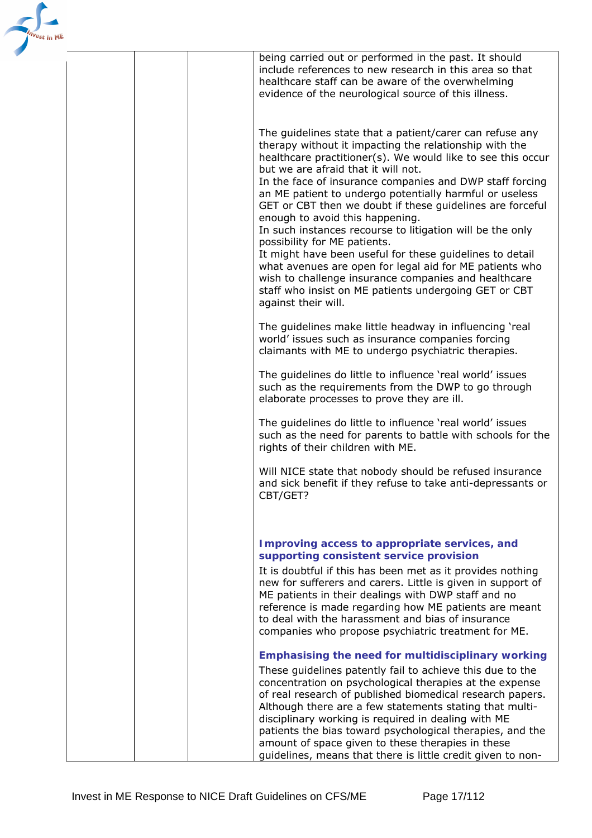

|  | being carried out or performed in the past. It should<br>include references to new research in this area so that<br>healthcare staff can be aware of the overwhelming<br>evidence of the neurological source of this illness.                                                                                                                                                                                                                                                                                                                                                                                                                                                                                                                                                                               |
|--|-------------------------------------------------------------------------------------------------------------------------------------------------------------------------------------------------------------------------------------------------------------------------------------------------------------------------------------------------------------------------------------------------------------------------------------------------------------------------------------------------------------------------------------------------------------------------------------------------------------------------------------------------------------------------------------------------------------------------------------------------------------------------------------------------------------|
|  | The guidelines state that a patient/carer can refuse any<br>therapy without it impacting the relationship with the<br>healthcare practitioner(s). We would like to see this occur<br>but we are afraid that it will not.<br>In the face of insurance companies and DWP staff forcing<br>an ME patient to undergo potentially harmful or useless<br>GET or CBT then we doubt if these guidelines are forceful<br>enough to avoid this happening.<br>In such instances recourse to litigation will be the only<br>possibility for ME patients.<br>It might have been useful for these guidelines to detail<br>what avenues are open for legal aid for ME patients who<br>wish to challenge insurance companies and healthcare<br>staff who insist on ME patients undergoing GET or CBT<br>against their will. |
|  | The guidelines make little headway in influencing 'real<br>world' issues such as insurance companies forcing<br>claimants with ME to undergo psychiatric therapies.                                                                                                                                                                                                                                                                                                                                                                                                                                                                                                                                                                                                                                         |
|  | The guidelines do little to influence 'real world' issues<br>such as the requirements from the DWP to go through<br>elaborate processes to prove they are ill.                                                                                                                                                                                                                                                                                                                                                                                                                                                                                                                                                                                                                                              |
|  | The guidelines do little to influence 'real world' issues<br>such as the need for parents to battle with schools for the<br>rights of their children with ME.                                                                                                                                                                                                                                                                                                                                                                                                                                                                                                                                                                                                                                               |
|  | Will NICE state that nobody should be refused insurance<br>and sick benefit if they refuse to take anti-depressants or<br>CBT/GET?                                                                                                                                                                                                                                                                                                                                                                                                                                                                                                                                                                                                                                                                          |
|  | Improving access to appropriate services, and<br>supporting consistent service provision                                                                                                                                                                                                                                                                                                                                                                                                                                                                                                                                                                                                                                                                                                                    |
|  | It is doubtful if this has been met as it provides nothing<br>new for sufferers and carers. Little is given in support of<br>ME patients in their dealings with DWP staff and no<br>reference is made regarding how ME patients are meant<br>to deal with the harassment and bias of insurance<br>companies who propose psychiatric treatment for ME.                                                                                                                                                                                                                                                                                                                                                                                                                                                       |
|  | <b>Emphasising the need for multidisciplinary working</b><br>These guidelines patently fail to achieve this due to the<br>concentration on psychological therapies at the expense<br>of real research of published biomedical research papers.<br>Although there are a few statements stating that multi-<br>disciplinary working is required in dealing with ME<br>patients the bias toward psychological therapies, and the<br>amount of space given to these therapies in these<br>guidelines, means that there is little credit given to non-                                                                                                                                                                                                                                                           |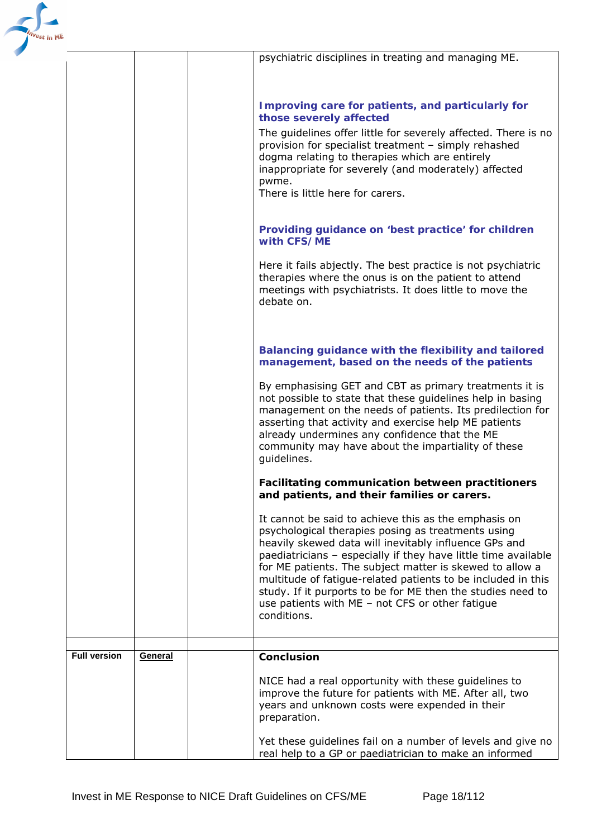

|                     |         | psychiatric disciplines in treating and managing ME.                                                                                                                                                                                                                                                                                                                                                                                                                                               |
|---------------------|---------|----------------------------------------------------------------------------------------------------------------------------------------------------------------------------------------------------------------------------------------------------------------------------------------------------------------------------------------------------------------------------------------------------------------------------------------------------------------------------------------------------|
|                     |         |                                                                                                                                                                                                                                                                                                                                                                                                                                                                                                    |
|                     |         |                                                                                                                                                                                                                                                                                                                                                                                                                                                                                                    |
|                     |         | Improving care for patients, and particularly for<br>those severely affected                                                                                                                                                                                                                                                                                                                                                                                                                       |
|                     |         | The guidelines offer little for severely affected. There is no<br>provision for specialist treatment - simply rehashed<br>dogma relating to therapies which are entirely<br>inappropriate for severely (and moderately) affected<br>pwme.                                                                                                                                                                                                                                                          |
|                     |         | There is little here for carers.                                                                                                                                                                                                                                                                                                                                                                                                                                                                   |
|                     |         | Providing guidance on 'best practice' for children<br>with CFS/ME                                                                                                                                                                                                                                                                                                                                                                                                                                  |
|                     |         | Here it fails abjectly. The best practice is not psychiatric<br>therapies where the onus is on the patient to attend<br>meetings with psychiatrists. It does little to move the<br>debate on.                                                                                                                                                                                                                                                                                                      |
|                     |         | <b>Balancing guidance with the flexibility and tailored</b><br>management, based on the needs of the patients                                                                                                                                                                                                                                                                                                                                                                                      |
|                     |         | By emphasising GET and CBT as primary treatments it is<br>not possible to state that these guidelines help in basing<br>management on the needs of patients. Its predilection for<br>asserting that activity and exercise help ME patients<br>already undermines any confidence that the ME<br>community may have about the impartiality of these<br>guidelines.                                                                                                                                   |
|                     |         | <b>Facilitating communication between practitioners</b><br>and patients, and their families or carers.                                                                                                                                                                                                                                                                                                                                                                                             |
|                     |         | It cannot be said to achieve this as the emphasis on<br>psychological therapies posing as treatments using<br>heavily skewed data will inevitably influence GPs and<br>paediatricians - especially if they have little time available<br>for ME patients. The subject matter is skewed to allow a<br>multitude of fatigue-related patients to be included in this<br>study. If it purports to be for ME then the studies need to<br>use patients with ME - not CFS or other fatigue<br>conditions. |
| <b>Full version</b> | General | <b>Conclusion</b>                                                                                                                                                                                                                                                                                                                                                                                                                                                                                  |
|                     |         |                                                                                                                                                                                                                                                                                                                                                                                                                                                                                                    |
|                     |         | NICE had a real opportunity with these guidelines to<br>improve the future for patients with ME. After all, two<br>years and unknown costs were expended in their<br>preparation.                                                                                                                                                                                                                                                                                                                  |
|                     |         | Yet these guidelines fail on a number of levels and give no<br>real help to a GP or paediatrician to make an informed                                                                                                                                                                                                                                                                                                                                                                              |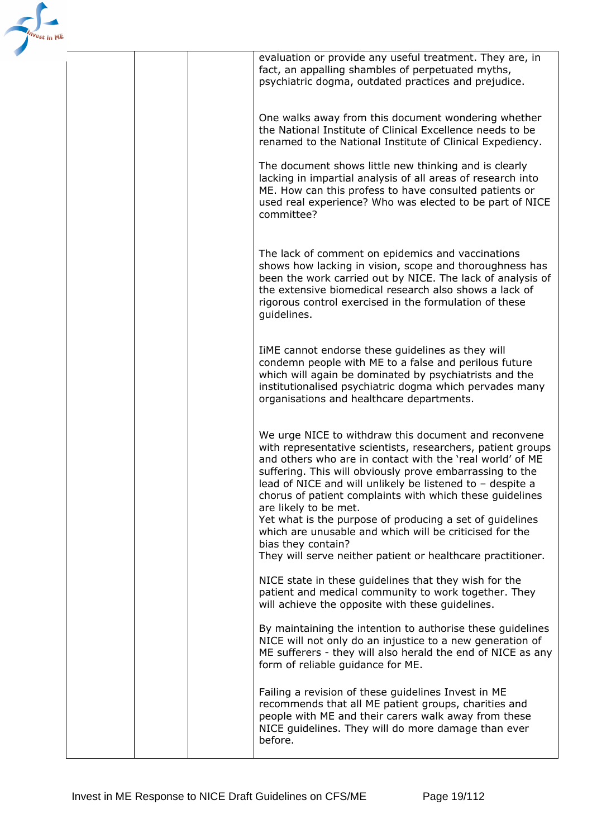

| evaluation or provide any useful treatment. They are, in<br>fact, an appalling shambles of perpetuated myths,<br>psychiatric dogma, outdated practices and prejudice.                                                                                                                                                                                                                                                                                                                                                                                                                                      |
|------------------------------------------------------------------------------------------------------------------------------------------------------------------------------------------------------------------------------------------------------------------------------------------------------------------------------------------------------------------------------------------------------------------------------------------------------------------------------------------------------------------------------------------------------------------------------------------------------------|
| One walks away from this document wondering whether<br>the National Institute of Clinical Excellence needs to be<br>renamed to the National Institute of Clinical Expediency.                                                                                                                                                                                                                                                                                                                                                                                                                              |
| The document shows little new thinking and is clearly<br>lacking in impartial analysis of all areas of research into<br>ME. How can this profess to have consulted patients or<br>used real experience? Who was elected to be part of NICE<br>committee?                                                                                                                                                                                                                                                                                                                                                   |
| The lack of comment on epidemics and vaccinations<br>shows how lacking in vision, scope and thoroughness has<br>been the work carried out by NICE. The lack of analysis of<br>the extensive biomedical research also shows a lack of<br>rigorous control exercised in the formulation of these<br>guidelines.                                                                                                                                                                                                                                                                                              |
| IiME cannot endorse these guidelines as they will<br>condemn people with ME to a false and perilous future<br>which will again be dominated by psychiatrists and the<br>institutionalised psychiatric dogma which pervades many<br>organisations and healthcare departments.                                                                                                                                                                                                                                                                                                                               |
| We urge NICE to withdraw this document and reconvene<br>with representative scientists, researchers, patient groups<br>and others who are in contact with the 'real world' of ME<br>suffering. This will obviously prove embarrassing to the<br>lead of NICE and will unlikely be listened to - despite a<br>chorus of patient complaints with which these guidelines<br>are likely to be met.<br>Yet what is the purpose of producing a set of guidelines<br>which are unusable and which will be criticised for the<br>bias they contain?<br>They will serve neither patient or healthcare practitioner. |
| NICE state in these guidelines that they wish for the<br>patient and medical community to work together. They<br>will achieve the opposite with these guidelines.                                                                                                                                                                                                                                                                                                                                                                                                                                          |
| By maintaining the intention to authorise these guidelines<br>NICE will not only do an injustice to a new generation of<br>ME sufferers - they will also herald the end of NICE as any<br>form of reliable guidance for ME.                                                                                                                                                                                                                                                                                                                                                                                |
| Failing a revision of these guidelines Invest in ME<br>recommends that all ME patient groups, charities and<br>people with ME and their carers walk away from these<br>NICE guidelines. They will do more damage than ever<br>before.                                                                                                                                                                                                                                                                                                                                                                      |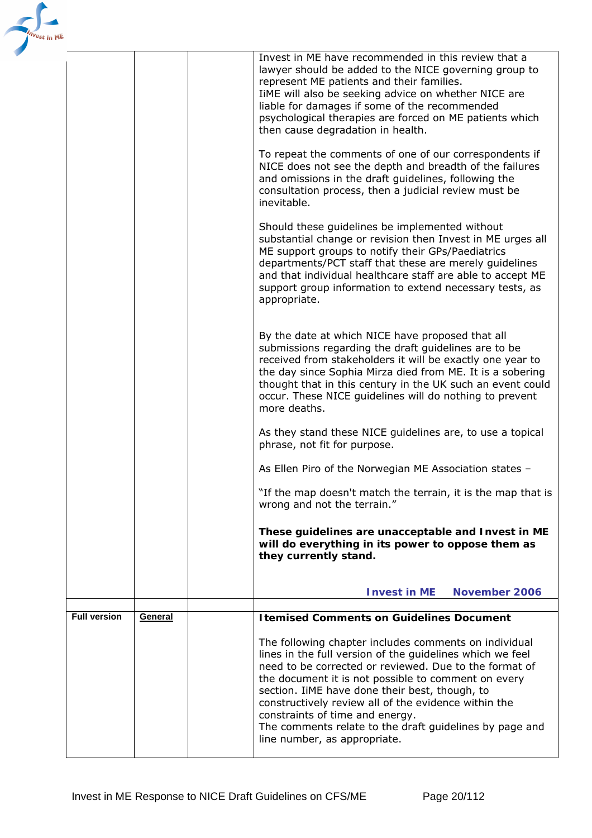| <b>ME</b> |                     |         |                                                                                                                                                                                                                                                                                                                                                                                                                                                                                                                                                 |
|-----------|---------------------|---------|-------------------------------------------------------------------------------------------------------------------------------------------------------------------------------------------------------------------------------------------------------------------------------------------------------------------------------------------------------------------------------------------------------------------------------------------------------------------------------------------------------------------------------------------------|
|           |                     |         | Invest in ME have recommended in this review that a<br>lawyer should be added to the NICE governing group to<br>represent ME patients and their families.<br>IiME will also be seeking advice on whether NICE are<br>liable for damages if some of the recommended<br>psychological therapies are forced on ME patients which<br>then cause degradation in health.<br>To repeat the comments of one of our correspondents if<br>NICE does not see the depth and breadth of the failures<br>and omissions in the draft guidelines, following the |
|           |                     |         | consultation process, then a judicial review must be<br>inevitable.                                                                                                                                                                                                                                                                                                                                                                                                                                                                             |
|           |                     |         | Should these guidelines be implemented without<br>substantial change or revision then Invest in ME urges all<br>ME support groups to notify their GPs/Paediatrics<br>departments/PCT staff that these are merely guidelines<br>and that individual healthcare staff are able to accept ME<br>support group information to extend necessary tests, as<br>appropriate.                                                                                                                                                                            |
|           |                     |         | By the date at which NICE have proposed that all<br>submissions regarding the draft guidelines are to be<br>received from stakeholders it will be exactly one year to<br>the day since Sophia Mirza died from ME. It is a sobering<br>thought that in this century in the UK such an event could<br>occur. These NICE guidelines will do nothing to prevent<br>more deaths.                                                                                                                                                                     |
|           |                     |         | As they stand these NICE guidelines are, to use a topical<br>phrase, not fit for purpose.                                                                                                                                                                                                                                                                                                                                                                                                                                                       |
|           |                     |         | As Ellen Piro of the Norwegian ME Association states -                                                                                                                                                                                                                                                                                                                                                                                                                                                                                          |
|           |                     |         | "If the map doesn't match the terrain, it is the map that is<br>wrong and not the terrain."                                                                                                                                                                                                                                                                                                                                                                                                                                                     |
|           |                     |         | These guidelines are unacceptable and Invest in ME<br>will do everything in its power to oppose them as<br>they currently stand.                                                                                                                                                                                                                                                                                                                                                                                                                |
|           |                     |         | November 2006<br><b>Invest in ME</b>                                                                                                                                                                                                                                                                                                                                                                                                                                                                                                            |
|           | <b>Full version</b> | General | <b>Itemised Comments on Guidelines Document</b>                                                                                                                                                                                                                                                                                                                                                                                                                                                                                                 |
|           |                     |         | The following chapter includes comments on individual<br>lines in the full version of the guidelines which we feel<br>need to be corrected or reviewed. Due to the format of<br>the document it is not possible to comment on every<br>section. IiME have done their best, though, to<br>constructively review all of the evidence within the<br>constraints of time and energy.<br>The comments relate to the draft guidelines by page and<br>line number, as appropriate.                                                                     |
|           |                     |         |                                                                                                                                                                                                                                                                                                                                                                                                                                                                                                                                                 |

 $\mathbf{r}$ 

'est ir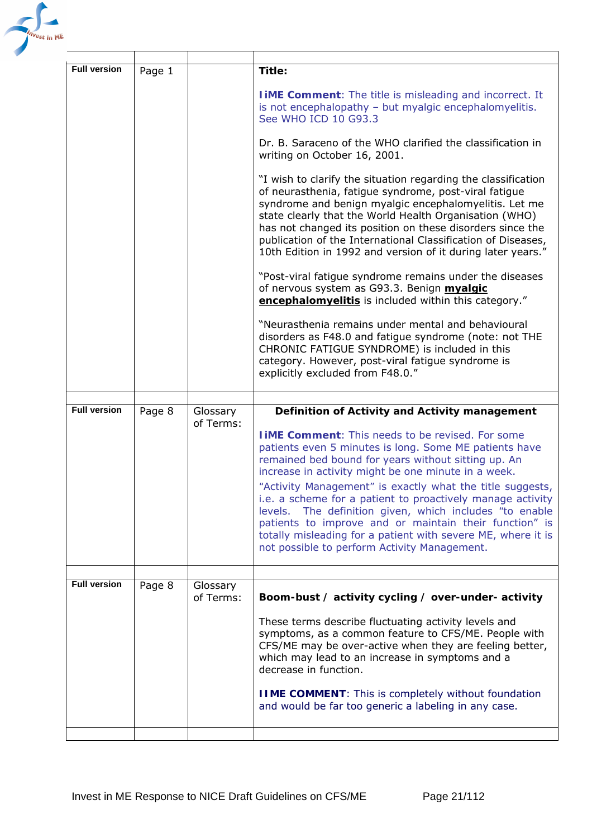

| <b>Full version</b> | Page 1 |                       | Title:                                                                                                                                                                                                                                                                                                                                                                                                                                |
|---------------------|--------|-----------------------|---------------------------------------------------------------------------------------------------------------------------------------------------------------------------------------------------------------------------------------------------------------------------------------------------------------------------------------------------------------------------------------------------------------------------------------|
|                     |        |                       | <b>I IME Comment:</b> The title is misleading and incorrect. It<br>is not encephalopathy - but myalgic encephalomyelitis.<br>See WHO ICD 10 G93.3                                                                                                                                                                                                                                                                                     |
|                     |        |                       | Dr. B. Saraceno of the WHO clarified the classification in<br>writing on October 16, 2001.                                                                                                                                                                                                                                                                                                                                            |
|                     |        |                       | "I wish to clarify the situation regarding the classification<br>of neurasthenia, fatigue syndrome, post-viral fatigue<br>syndrome and benign myalgic encephalomyelitis. Let me<br>state clearly that the World Health Organisation (WHO)<br>has not changed its position on these disorders since the<br>publication of the International Classification of Diseases,<br>10th Edition in 1992 and version of it during later years." |
|                     |        |                       | "Post-viral fatigue syndrome remains under the diseases<br>of nervous system as G93.3. Benign myalgic<br>encephalomyelitis is included within this category."                                                                                                                                                                                                                                                                         |
|                     |        |                       | "Neurasthenia remains under mental and behavioural<br>disorders as F48.0 and fatigue syndrome (note: not THE<br>CHRONIC FATIGUE SYNDROME) is included in this<br>category. However, post-viral fatigue syndrome is<br>explicitly excluded from F48.0."                                                                                                                                                                                |
|                     |        |                       |                                                                                                                                                                                                                                                                                                                                                                                                                                       |
|                     |        |                       |                                                                                                                                                                                                                                                                                                                                                                                                                                       |
| <b>Full version</b> | Page 8 | Glossary<br>of Terms: | Definition of Activity and Activity management<br><b>I IME Comment:</b> This needs to be revised. For some<br>patients even 5 minutes is long. Some ME patients have<br>remained bed bound for years without sitting up. An<br>increase in activity might be one minute in a week.<br>"Activity Management" is exactly what the title suggests,<br>i.e. a scheme for a patient to proactively manage activity                         |
|                     |        |                       | levels. The definition given, which includes "to enable<br>patients to improve and or maintain their function" is<br>totally misleading for a patient with severe ME, where it is<br>not possible to perform Activity Management.                                                                                                                                                                                                     |
|                     |        |                       |                                                                                                                                                                                                                                                                                                                                                                                                                                       |
| <b>Full version</b> | Page 8 | Glossary<br>of Terms: | Boom-bust / activity cycling / over-under- activity<br>These terms describe fluctuating activity levels and<br>symptoms, as a common feature to CFS/ME. People with<br>CFS/ME may be over-active when they are feeling better,<br>which may lead to an increase in symptoms and a<br>decrease in function.<br><b>IIME COMMENT:</b> This is completely without foundation<br>and would be far too generic a labeling in any case.      |
|                     |        |                       |                                                                                                                                                                                                                                                                                                                                                                                                                                       |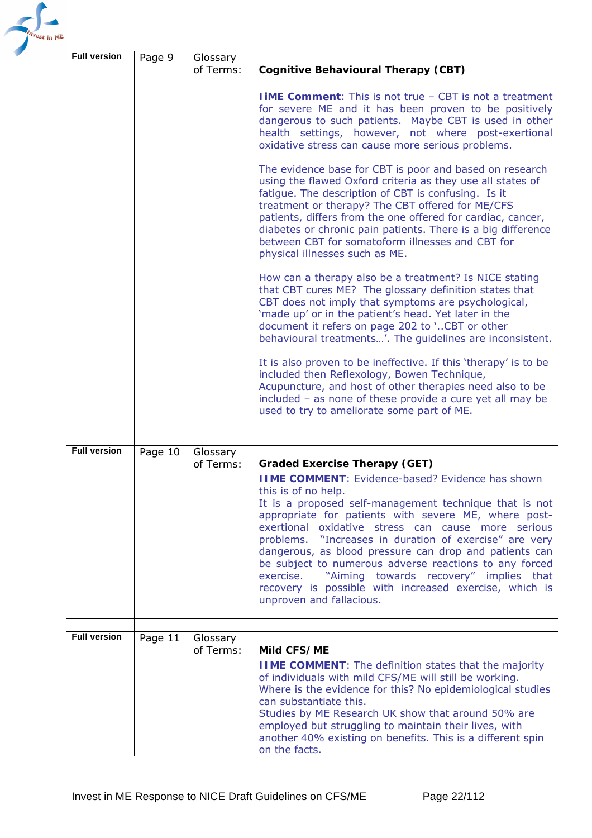

| <b>Full version</b> | Page 9  | Glossary<br>of Terms: | Cognitive Behavioural Therapy (CBT)                                                                                                                                                                                                                                                                                                                                                                                                                                                                                                                                                                                       |
|---------------------|---------|-----------------------|---------------------------------------------------------------------------------------------------------------------------------------------------------------------------------------------------------------------------------------------------------------------------------------------------------------------------------------------------------------------------------------------------------------------------------------------------------------------------------------------------------------------------------------------------------------------------------------------------------------------------|
|                     |         |                       | <b>IIME Comment:</b> This is not true - CBT is not a treatment<br>for severe ME and it has been proven to be positively<br>dangerous to such patients. Maybe CBT is used in other<br>health settings, however, not where post-exertional<br>oxidative stress can cause more serious problems.                                                                                                                                                                                                                                                                                                                             |
|                     |         |                       | The evidence base for CBT is poor and based on research<br>using the flawed Oxford criteria as they use all states of<br>fatigue. The description of CBT is confusing. Is it<br>treatment or therapy? The CBT offered for ME/CFS<br>patients, differs from the one offered for cardiac, cancer,<br>diabetes or chronic pain patients. There is a big difference<br>between CBT for somatoform illnesses and CBT for<br>physical illnesses such as ME.                                                                                                                                                                     |
|                     |         |                       | How can a therapy also be a treatment? Is NICE stating<br>that CBT cures ME? The glossary definition states that<br>CBT does not imply that symptoms are psychological,<br>'made up' or in the patient's head. Yet later in the<br>document it refers on page 202 to 'CBT or other<br>behavioural treatments'. The guidelines are inconsistent.                                                                                                                                                                                                                                                                           |
|                     |         |                       | It is also proven to be ineffective. If this 'therapy' is to be<br>included then Reflexology, Bowen Technique,<br>Acupuncture, and host of other therapies need also to be<br>included - as none of these provide a cure yet all may be<br>used to try to ameliorate some part of ME.                                                                                                                                                                                                                                                                                                                                     |
|                     |         |                       |                                                                                                                                                                                                                                                                                                                                                                                                                                                                                                                                                                                                                           |
| <b>Full version</b> | Page 10 | Glossary<br>of Terms: | <b>Graded Exercise Therapy (GET)</b><br><b>IIME COMMENT: Evidence-based? Evidence has shown</b><br>this is of no help.<br>It is a proposed self-management technique that is not<br>appropriate for patients with severe ME, where post-<br>exertional oxidative stress can cause more serious<br>problems. "Increases in duration of exercise" are very<br>dangerous, as blood pressure can drop and patients can<br>be subject to numerous adverse reactions to any forced<br>"Aiming towards recovery" implies that<br>exercise.<br>recovery is possible with increased exercise, which is<br>unproven and fallacious. |
| <b>Full version</b> | Page 11 | Glossary              |                                                                                                                                                                                                                                                                                                                                                                                                                                                                                                                                                                                                                           |
|                     |         | of Terms:             | Mild CFS/ME<br><b>IIME COMMENT:</b> The definition states that the majority<br>of individuals with mild CFS/ME will still be working.<br>Where is the evidence for this? No epidemiological studies<br>can substantiate this.<br>Studies by ME Research UK show that around 50% are<br>employed but struggling to maintain their lives, with<br>another 40% existing on benefits. This is a different spin<br>on the facts.                                                                                                                                                                                               |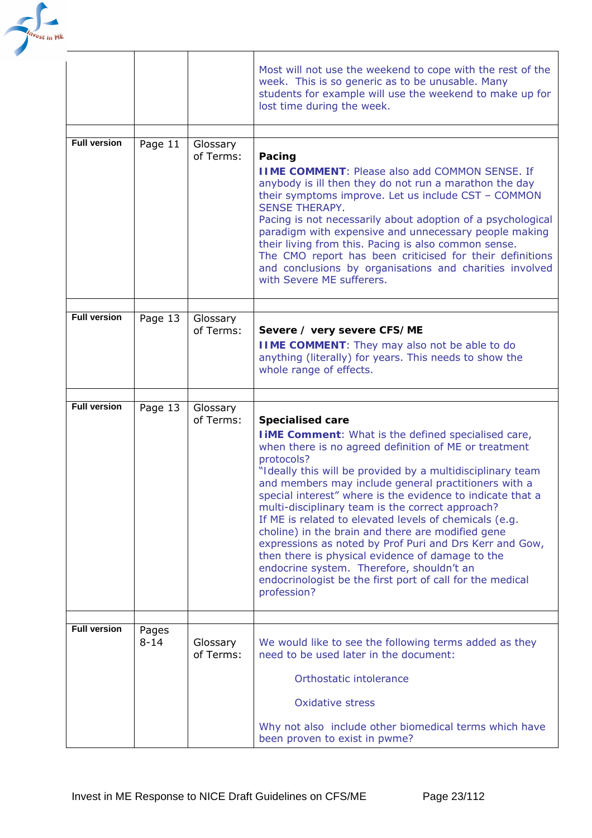

|                     |                   |                       | Most will not use the weekend to cope with the rest of the<br>week. This is so generic as to be unusable. Many<br>students for example will use the weekend to make up for<br>lost time during the week.                                                                                                                                                                                                                                                                                                                                                                                                                                                                                                                                                     |
|---------------------|-------------------|-----------------------|--------------------------------------------------------------------------------------------------------------------------------------------------------------------------------------------------------------------------------------------------------------------------------------------------------------------------------------------------------------------------------------------------------------------------------------------------------------------------------------------------------------------------------------------------------------------------------------------------------------------------------------------------------------------------------------------------------------------------------------------------------------|
| <b>Full version</b> | Page 11           | Glossary<br>of Terms: | Pacing<br><b>IIME COMMENT: Please also add COMMON SENSE. If</b><br>anybody is ill then they do not run a marathon the day<br>their symptoms improve. Let us include CST - COMMON<br><b>SENSE THERAPY.</b><br>Pacing is not necessarily about adoption of a psychological<br>paradigm with expensive and unnecessary people making<br>their living from this. Pacing is also common sense.<br>The CMO report has been criticised for their definitions<br>and conclusions by organisations and charities involved<br>with Severe ME sufferers.                                                                                                                                                                                                                |
| <b>Full version</b> | Page 13           | Glossary<br>of Terms: | Severe / very severe CFS/ME<br><b>IIME COMMENT:</b> They may also not be able to do<br>anything (literally) for years. This needs to show the<br>whole range of effects.                                                                                                                                                                                                                                                                                                                                                                                                                                                                                                                                                                                     |
| <b>Full version</b> | Page 13           | Glossary<br>of Terms: | <b>Specialised care</b><br><b>I iME Comment:</b> What is the defined specialised care,<br>when there is no agreed definition of ME or treatment<br>protocols?<br>"Ideally this will be provided by a multidisciplinary team<br>and members may include general practitioners with a<br>special interest" where is the evidence to indicate that a<br>multi-disciplinary team is the correct approach?<br>If ME is related to elevated levels of chemicals (e.g.<br>choline) in the brain and there are modified gene<br>expressions as noted by Prof Puri and Drs Kerr and Gow,<br>then there is physical evidence of damage to the<br>endocrine system. Therefore, shouldn't an<br>endocrinologist be the first port of call for the medical<br>profession? |
| <b>Full version</b> | Pages<br>$8 - 14$ | Glossary<br>of Terms: | We would like to see the following terms added as they<br>need to be used later in the document:<br>Orthostatic intolerance<br><b>Oxidative stress</b><br>Why not also include other biomedical terms which have<br>been proven to exist in pwme?                                                                                                                                                                                                                                                                                                                                                                                                                                                                                                            |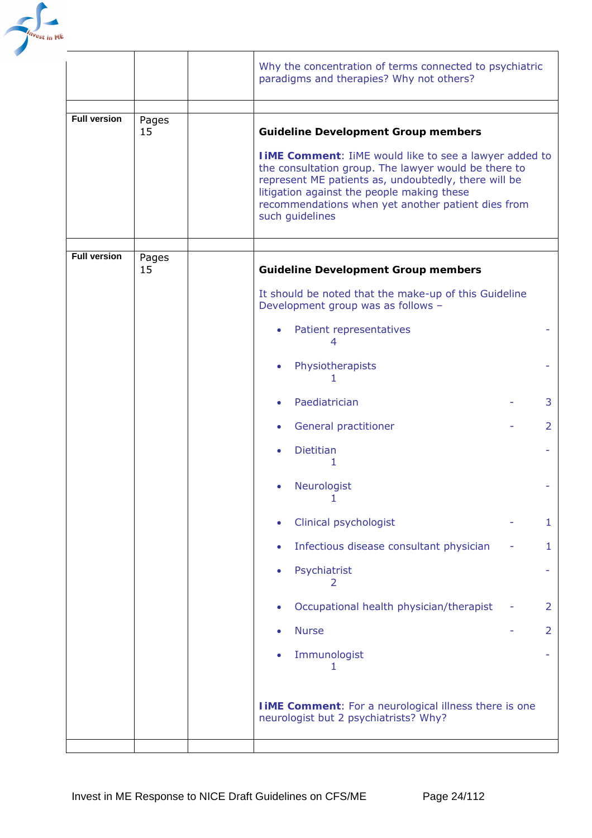

|                     |             | Why the concentration of terms connected to psychiatric<br>paradigms and therapies? Why not others?                                                                                                                                                                                                   |                |
|---------------------|-------------|-------------------------------------------------------------------------------------------------------------------------------------------------------------------------------------------------------------------------------------------------------------------------------------------------------|----------------|
|                     |             |                                                                                                                                                                                                                                                                                                       |                |
| <b>Full version</b> | Pages<br>15 | <b>Guideline Development Group members</b>                                                                                                                                                                                                                                                            |                |
|                     |             | <b>I iME Comment:</b> IiME would like to see a lawyer added to<br>the consultation group. The lawyer would be there to<br>represent ME patients as, undoubtedly, there will be<br>litigation against the people making these<br>recommendations when yet another patient dies from<br>such guidelines |                |
| <b>Full version</b> |             |                                                                                                                                                                                                                                                                                                       |                |
|                     | Pages<br>15 | <b>Guideline Development Group members</b>                                                                                                                                                                                                                                                            |                |
|                     |             | It should be noted that the make-up of this Guideline<br>Development group was as follows -                                                                                                                                                                                                           |                |
|                     |             | Patient representatives<br>$\bullet$<br>4                                                                                                                                                                                                                                                             |                |
|                     |             | Physiotherapists<br>$\bullet$                                                                                                                                                                                                                                                                         |                |
|                     |             | Paediatrician<br>$\bullet$                                                                                                                                                                                                                                                                            | 3              |
|                     |             | General practitioner<br>$\bullet$                                                                                                                                                                                                                                                                     | 2              |
|                     |             | <b>Dietitian</b><br>1                                                                                                                                                                                                                                                                                 |                |
|                     |             | Neurologist                                                                                                                                                                                                                                                                                           |                |
|                     |             | Clinical psychologist                                                                                                                                                                                                                                                                                 | $\mathbf{1}$   |
|                     |             | Infectious disease consultant physician<br>$\bullet$                                                                                                                                                                                                                                                  | $\mathbf{1}$   |
|                     |             | Psychiatrist<br>2                                                                                                                                                                                                                                                                                     |                |
|                     |             | Occupational health physician/therapist                                                                                                                                                                                                                                                               | $\overline{2}$ |
|                     |             | <b>Nurse</b>                                                                                                                                                                                                                                                                                          | $\overline{2}$ |
|                     |             | Immunologist<br>1                                                                                                                                                                                                                                                                                     |                |
|                     |             | <b>I iME Comment:</b> For a neurological illness there is one<br>neurologist but 2 psychiatrists? Why?                                                                                                                                                                                                |                |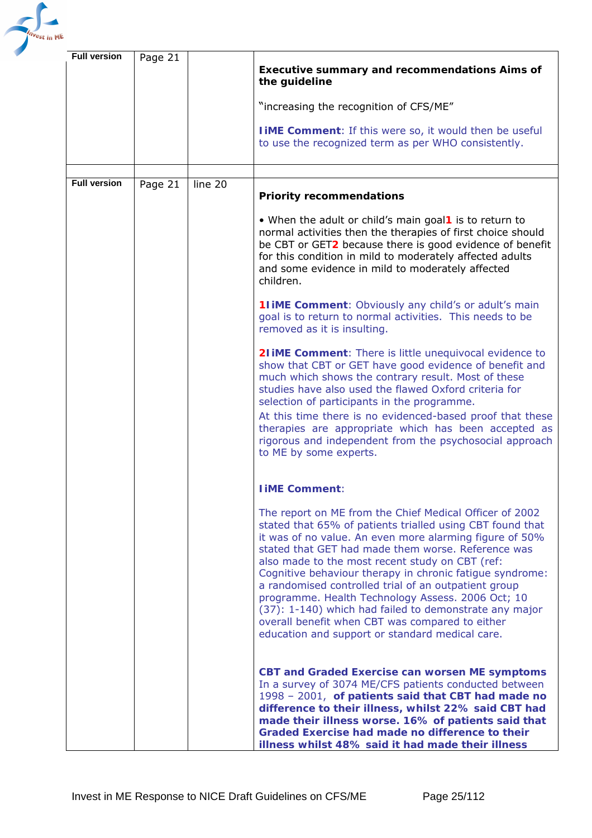

| <b>Full version</b> | Page 21 |         | <b>Executive summary and recommendations Aims of</b><br>the guideline<br>"increasing the recognition of CFS/ME"<br><b>I IME Comment:</b> If this were so, it would then be useful                                                                                                                                                                                                                                                                                                                                                                                                                                                 |
|---------------------|---------|---------|-----------------------------------------------------------------------------------------------------------------------------------------------------------------------------------------------------------------------------------------------------------------------------------------------------------------------------------------------------------------------------------------------------------------------------------------------------------------------------------------------------------------------------------------------------------------------------------------------------------------------------------|
|                     |         |         | to use the recognized term as per WHO consistently.                                                                                                                                                                                                                                                                                                                                                                                                                                                                                                                                                                               |
| <b>Full version</b> | Page 21 | line 20 |                                                                                                                                                                                                                                                                                                                                                                                                                                                                                                                                                                                                                                   |
|                     |         |         | <b>Priority recommendations</b>                                                                                                                                                                                                                                                                                                                                                                                                                                                                                                                                                                                                   |
|                     |         |         | • When the adult or child's main goal1 is to return to<br>normal activities then the therapies of first choice should<br>be CBT or GET2 because there is good evidence of benefit<br>for this condition in mild to moderately affected adults<br>and some evidence in mild to moderately affected<br>children.                                                                                                                                                                                                                                                                                                                    |
|                     |         |         | <b>11 iME Comment:</b> Obviously any child's or adult's main<br>goal is to return to normal activities. This needs to be<br>removed as it is insulting.                                                                                                                                                                                                                                                                                                                                                                                                                                                                           |
|                     |         |         | <b>21 iME Comment:</b> There is little unequivocal evidence to<br>show that CBT or GET have good evidence of benefit and<br>much which shows the contrary result. Most of these<br>studies have also used the flawed Oxford criteria for<br>selection of participants in the programme.<br>At this time there is no evidenced-based proof that these<br>therapies are appropriate which has been accepted as<br>rigorous and independent from the psychosocial approach<br>to ME by some experts.                                                                                                                                 |
|                     |         |         | <b>I iME Comment:</b>                                                                                                                                                                                                                                                                                                                                                                                                                                                                                                                                                                                                             |
|                     |         |         | The report on ME from the Chief Medical Officer of 2002<br>stated that 65% of patients trialled using CBT found that<br>it was of no value. An even more alarming figure of 50%<br>stated that GET had made them worse. Reference was<br>also made to the most recent study on CBT (ref:<br>Cognitive behaviour therapy in chronic fatigue syndrome:<br>a randomised controlled trial of an outpatient group<br>programme. Health Technology Assess. 2006 Oct; 10<br>(37): 1-140) which had failed to demonstrate any major<br>overall benefit when CBT was compared to either<br>education and support or standard medical care. |
|                     |         |         | <b>CBT and Graded Exercise can worsen ME symptoms</b><br>In a survey of 3074 ME/CFS patients conducted between<br>1998 - 2001, of patients said that CBT had made no<br>difference to their illness, whilst 22% said CBT had<br>made their illness worse. 16% of patients said that<br>Graded Exercise had made no difference to their<br>illness whilst 48% said it had made their illness                                                                                                                                                                                                                                       |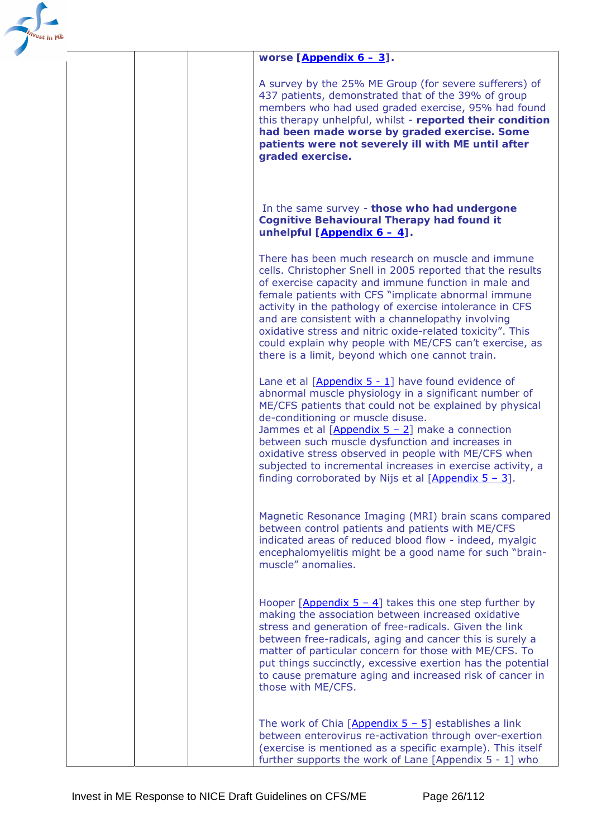

## *worse [\[Appendix 6 – 3](#page-110-0)].*

A survey by the 25% ME Group (for severe sufferers) of 437 patients, demonstrated that of the 39% of group members who had used graded exercise, 95% had found this therapy unhelpful, whilst - *reported their condition had been made worse by graded exercise***.** *Some patients were not severely ill with ME until after graded exercise.* 

#### In the same survey - *those who had undergone Cognitive Behavioural Therapy had found it unhelpful [\[Appendix 6 – 4](#page-110-0)].*

There has been much research on muscle and immune cells. Christopher Snell in 2005 reported that the results of exercise capacity and immune function in male and female patients with CFS "implicate abnormal immune activity in the pathology of exercise intolerance in CFS and are consistent with a channelopathy involving oxidative stress and nitric oxide-related toxicity". This could explain why people with ME/CFS can't exercise, as there is a limit, beyond which one cannot train.

Lane et al [[Appendix 5 - 1](#page-108-0)] have found evidence of abnormal muscle physiology in a significant number of ME/CFS patients that could not be explained by physical de-conditioning or muscle disuse.

Jammes et al  $[Appendix 5 - 2]$  make a connection between such muscle dysfunction and increases in oxidative stress observed in people with ME/CFS when subjected to incremental increases in exercise activity, a finding corroborated by Nijs et al  $[Appendix 5 - 3]$ .

Magnetic Resonance Imaging (MRI) brain scans compared between control patients and patients with ME/CFS indicated areas of reduced blood flow - indeed, myalgic encephalomyelitis might be a good name for such "brainmuscle" anomalies.

Hooper [Appendix  $5 - 4$ ] takes this one step further by making the association between increased oxidative stress and generation of free-radicals. Given the link between free-radicals, aging and cancer this is surely a matter of particular concern for those with ME/CFS. To put things succinctly, excessive exertion has the potential to cause premature aging and increased risk of cancer in those with ME/CFS.

The work of Chia  $[Appendix 5 - 5]$  establishes a link between enterovirus re-activation through over-exertion (exercise is mentioned as a specific example). This itself further supports the work of Lane [Appendix 5 - 1] who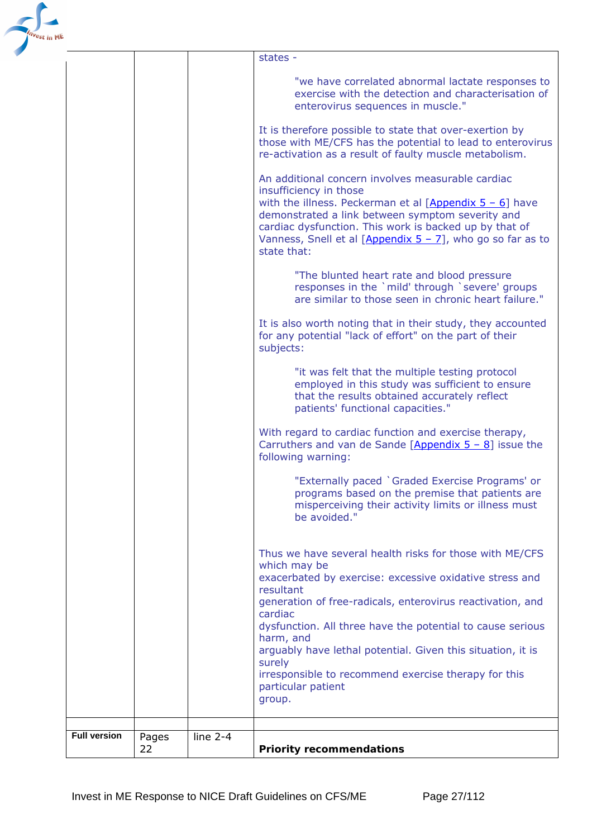

| <b>Full version</b> | Pages<br>22 | line $2-4$ | <b>Priority recommendations</b>                                                                                                                                                                                                                                                                                                        |
|---------------------|-------------|------------|----------------------------------------------------------------------------------------------------------------------------------------------------------------------------------------------------------------------------------------------------------------------------------------------------------------------------------------|
|                     |             |            |                                                                                                                                                                                                                                                                                                                                        |
|                     |             |            | particular patient<br>group.                                                                                                                                                                                                                                                                                                           |
|                     |             |            | surely<br>irresponsible to recommend exercise therapy for this                                                                                                                                                                                                                                                                         |
|                     |             |            | harm, and<br>arguably have lethal potential. Given this situation, it is                                                                                                                                                                                                                                                               |
|                     |             |            | generation of free-radicals, enterovirus reactivation, and<br>cardiac<br>dysfunction. All three have the potential to cause serious                                                                                                                                                                                                    |
|                     |             |            | exacerbated by exercise: excessive oxidative stress and<br>resultant                                                                                                                                                                                                                                                                   |
|                     |             |            | Thus we have several health risks for those with ME/CFS<br>which may be                                                                                                                                                                                                                                                                |
|                     |             |            | "Externally paced `Graded Exercise Programs' or<br>programs based on the premise that patients are<br>misperceiving their activity limits or illness must<br>be avoided."                                                                                                                                                              |
|                     |             |            | With regard to cardiac function and exercise therapy,<br>Carruthers and van de Sande $[Appendix 5 - 8]$ issue the<br>following warning:                                                                                                                                                                                                |
|                     |             |            | "it was felt that the multiple testing protocol<br>employed in this study was sufficient to ensure<br>that the results obtained accurately reflect<br>patients' functional capacities."                                                                                                                                                |
|                     |             |            | It is also worth noting that in their study, they accounted<br>for any potential "lack of effort" on the part of their<br>subjects:                                                                                                                                                                                                    |
|                     |             |            | "The blunted heart rate and blood pressure<br>responses in the `mild' through `severe' groups<br>are similar to those seen in chronic heart failure."                                                                                                                                                                                  |
|                     |             |            | An additional concern involves measurable cardiac<br>insufficiency in those<br>with the illness. Peckerman et al $[Appendix 5 - 6]$ have<br>demonstrated a link between symptom severity and<br>cardiac dysfunction. This work is backed up by that of<br>Vanness, Snell et al $[Appendix 5 - 7]$ , who go so far as to<br>state that: |
|                     |             |            | It is therefore possible to state that over-exertion by<br>those with ME/CFS has the potential to lead to enterovirus<br>re-activation as a result of faulty muscle metabolism.                                                                                                                                                        |
|                     |             |            | "we have correlated abnormal lactate responses to<br>exercise with the detection and characterisation of<br>enterovirus sequences in muscle."                                                                                                                                                                                          |
|                     |             |            | states -                                                                                                                                                                                                                                                                                                                               |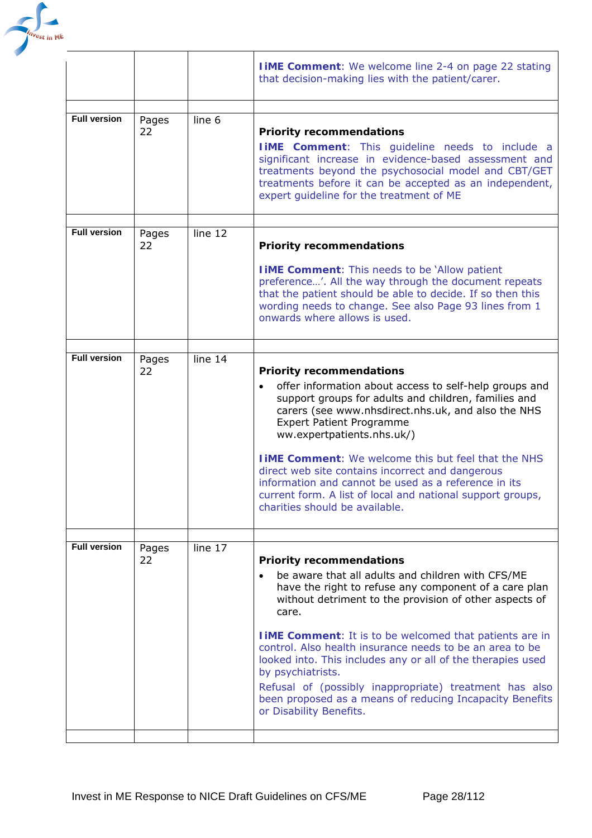

|                     |             |         | <b>IIME Comment:</b> We welcome line 2-4 on page 22 stating<br>that decision-making lies with the patient/carer.                                                                                                                                                                                                                                                                                                                                                                                                                                                                    |
|---------------------|-------------|---------|-------------------------------------------------------------------------------------------------------------------------------------------------------------------------------------------------------------------------------------------------------------------------------------------------------------------------------------------------------------------------------------------------------------------------------------------------------------------------------------------------------------------------------------------------------------------------------------|
|                     |             |         |                                                                                                                                                                                                                                                                                                                                                                                                                                                                                                                                                                                     |
| <b>Full version</b> | Pages<br>22 | line 6  | <b>Priority recommendations</b><br><b>IIME Comment:</b> This guideline needs to include a<br>significant increase in evidence-based assessment and<br>treatments beyond the psychosocial model and CBT/GET<br>treatments before it can be accepted as an independent,<br>expert guideline for the treatment of ME                                                                                                                                                                                                                                                                   |
| <b>Full version</b> | Pages<br>22 | line 12 | <b>Priority recommendations</b>                                                                                                                                                                                                                                                                                                                                                                                                                                                                                                                                                     |
|                     |             |         | <b>I IME Comment:</b> This needs to be 'Allow patient<br>preference'. All the way through the document repeats<br>that the patient should be able to decide. If so then this<br>wording needs to change. See also Page 93 lines from 1<br>onwards where allows is used.                                                                                                                                                                                                                                                                                                             |
|                     |             |         |                                                                                                                                                                                                                                                                                                                                                                                                                                                                                                                                                                                     |
| <b>Full version</b> | Pages<br>22 | line 14 | <b>Priority recommendations</b><br>offer information about access to self-help groups and<br>$\bullet$<br>support groups for adults and children, families and<br>carers (see www.nhsdirect.nhs.uk, and also the NHS<br><b>Expert Patient Programme</b><br>ww.expertpatients.nhs.uk/)<br><b>TIME Comment:</b> We welcome this but feel that the NHS<br>direct web site contains incorrect and dangerous<br>information and cannot be used as a reference in its<br>current form. A list of local and national support groups,<br>charities should be available.                     |
|                     |             |         |                                                                                                                                                                                                                                                                                                                                                                                                                                                                                                                                                                                     |
| <b>Full version</b> | Pages<br>22 | line 17 | <b>Priority recommendations</b><br>be aware that all adults and children with CFS/ME<br>have the right to refuse any component of a care plan<br>without detriment to the provision of other aspects of<br>care.<br><b>IIME Comment:</b> It is to be welcomed that patients are in<br>control. Also health insurance needs to be an area to be<br>looked into. This includes any or all of the therapies used<br>by psychiatrists.<br>Refusal of (possibly inappropriate) treatment has also<br>been proposed as a means of reducing Incapacity Benefits<br>or Disability Benefits. |
|                     |             |         |                                                                                                                                                                                                                                                                                                                                                                                                                                                                                                                                                                                     |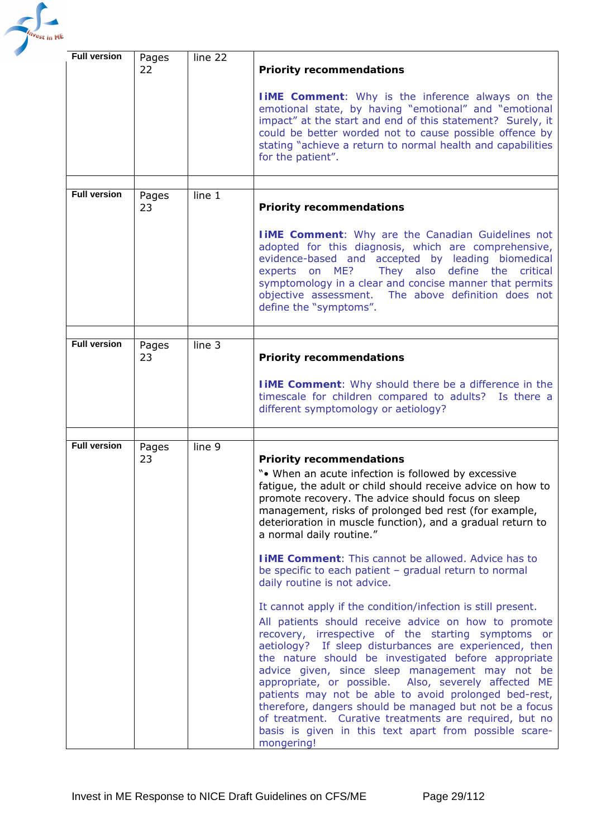

| <b>Full version</b> | Pages<br>22 | line 22 | <b>Priority recommendations</b>                                                                                                                                                                                                                                                                                                                                                                                                                                                                                                                                                                                                                               |
|---------------------|-------------|---------|---------------------------------------------------------------------------------------------------------------------------------------------------------------------------------------------------------------------------------------------------------------------------------------------------------------------------------------------------------------------------------------------------------------------------------------------------------------------------------------------------------------------------------------------------------------------------------------------------------------------------------------------------------------|
|                     |             |         | <b>TIME Comment:</b> Why is the inference always on the<br>emotional state, by having "emotional" and "emotional<br>impact" at the start and end of this statement? Surely, it<br>could be better worded not to cause possible offence by<br>stating "achieve a return to normal health and capabilities<br>for the patient".                                                                                                                                                                                                                                                                                                                                 |
|                     |             |         |                                                                                                                                                                                                                                                                                                                                                                                                                                                                                                                                                                                                                                                               |
| <b>Full version</b> | Pages<br>23 | line 1  | <b>Priority recommendations</b>                                                                                                                                                                                                                                                                                                                                                                                                                                                                                                                                                                                                                               |
|                     |             |         | <b>IIME Comment:</b> Why are the Canadian Guidelines not<br>adopted for this diagnosis, which are comprehensive,<br>evidence-based and accepted by leading biomedical<br>They also define the<br>ME?<br>critical<br>experts<br>on<br>symptomology in a clear and concise manner that permits<br>objective assessment. The above definition does not<br>define the "symptoms".                                                                                                                                                                                                                                                                                 |
|                     |             |         |                                                                                                                                                                                                                                                                                                                                                                                                                                                                                                                                                                                                                                                               |
| <b>Full version</b> | Pages<br>23 | line 3  | <b>Priority recommendations</b>                                                                                                                                                                                                                                                                                                                                                                                                                                                                                                                                                                                                                               |
|                     |             |         | <b>TIME Comment:</b> Why should there be a difference in the<br>timescale for children compared to adults? Is there a<br>different symptomology or aetiology?                                                                                                                                                                                                                                                                                                                                                                                                                                                                                                 |
|                     |             |         |                                                                                                                                                                                                                                                                                                                                                                                                                                                                                                                                                                                                                                                               |
| <b>Full version</b> | Pages<br>23 | line 9  | <b>Priority recommendations</b><br>"• When an acute infection is followed by excessive<br>fatigue, the adult or child should receive advice on how to<br>promote recovery. The advice should focus on sleep<br>management, risks of prolonged bed rest (for example,<br>deterioration in muscle function), and a gradual return to<br>a normal daily routine."                                                                                                                                                                                                                                                                                                |
|                     |             |         | <b>TIME Comment:</b> This cannot be allowed. Advice has to<br>be specific to each patient - gradual return to normal<br>daily routine is not advice.                                                                                                                                                                                                                                                                                                                                                                                                                                                                                                          |
|                     |             |         | It cannot apply if the condition/infection is still present.<br>All patients should receive advice on how to promote<br>recovery, irrespective of the starting symptoms or<br>aetiology? If sleep disturbances are experienced, then<br>the nature should be investigated before appropriate<br>advice given, since sleep management may not be<br>appropriate, or possible. Also, severely affected ME<br>patients may not be able to avoid prolonged bed-rest,<br>therefore, dangers should be managed but not be a focus<br>of treatment. Curative treatments are required, but no<br>basis is given in this text apart from possible scare-<br>mongering! |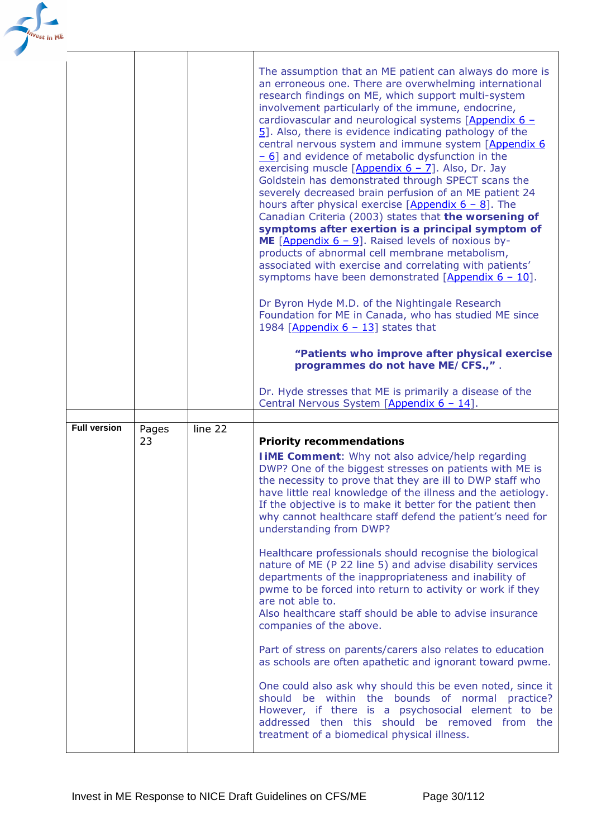| est in ME |                     |       |         |                                                                                                                                                                                                                                                                                                                                                                                                                                                                                                                                                                                                                                                                                                                                                                                                                                                                                                                                                                                                                                                                                                                                                                                                                                                                                                                                                                                                                          |
|-----------|---------------------|-------|---------|--------------------------------------------------------------------------------------------------------------------------------------------------------------------------------------------------------------------------------------------------------------------------------------------------------------------------------------------------------------------------------------------------------------------------------------------------------------------------------------------------------------------------------------------------------------------------------------------------------------------------------------------------------------------------------------------------------------------------------------------------------------------------------------------------------------------------------------------------------------------------------------------------------------------------------------------------------------------------------------------------------------------------------------------------------------------------------------------------------------------------------------------------------------------------------------------------------------------------------------------------------------------------------------------------------------------------------------------------------------------------------------------------------------------------|
|           |                     |       |         | The assumption that an ME patient can always do more is<br>an erroneous one. There are overwhelming international<br>research findings on ME, which support multi-system<br>involvement particularly of the immune, endocrine,<br>cardiovascular and neurological systems $[Appendix 6 -]$<br>$\overline{5}$ . Also, there is evidence indicating pathology of the<br>central nervous system and immune system [Appendix 6<br>$-6$ ] and evidence of metabolic dysfunction in the<br>exercising muscle [Appendix $6 - 7$ ]. Also, Dr. Jay<br>Goldstein has demonstrated through SPECT scans the<br>severely decreased brain perfusion of an ME patient 24<br>hours after physical exercise $[Appendix 6 - 8]$ . The<br>Canadian Criteria (2003) states that the worsening of<br>symptoms after exertion is a principal symptom of<br>ME [Appendix $6 - 9$ ]. Raised levels of noxious by-<br>products of abnormal cell membrane metabolism,<br>associated with exercise and correlating with patients'<br>symptoms have been demonstrated $[\text{Appendix } 6 - 10].$<br>Dr Byron Hyde M.D. of the Nightingale Research<br>Foundation for ME in Canada, who has studied ME since<br>1984 [Appendix $6 - 13$ ] states that<br>"Patients who improve after physical exercise<br>programmes do not have ME/CFS.,".<br>Dr. Hyde stresses that ME is primarily a disease of the<br>Central Nervous System [Appendix 6 - 14]. |
|           | <b>Full version</b> | Pages | line 22 |                                                                                                                                                                                                                                                                                                                                                                                                                                                                                                                                                                                                                                                                                                                                                                                                                                                                                                                                                                                                                                                                                                                                                                                                                                                                                                                                                                                                                          |
|           |                     | 23    |         | <b>Priority recommendations</b><br><b>I IME Comment:</b> Why not also advice/help regarding<br>DWP? One of the biggest stresses on patients with ME is<br>the necessity to prove that they are ill to DWP staff who<br>have little real knowledge of the illness and the aetiology.<br>If the objective is to make it better for the patient then<br>why cannot healthcare staff defend the patient's need for<br>understanding from DWP?<br>Healthcare professionals should recognise the biological                                                                                                                                                                                                                                                                                                                                                                                                                                                                                                                                                                                                                                                                                                                                                                                                                                                                                                                    |
|           |                     |       |         | nature of ME (P 22 line 5) and advise disability services<br>departments of the inappropriateness and inability of<br>pwme to be forced into return to activity or work if they<br>are not able to.<br>Also healthcare staff should be able to advise insurance<br>companies of the above.                                                                                                                                                                                                                                                                                                                                                                                                                                                                                                                                                                                                                                                                                                                                                                                                                                                                                                                                                                                                                                                                                                                               |
|           |                     |       |         | Part of stress on parents/carers also relates to education                                                                                                                                                                                                                                                                                                                                                                                                                                                                                                                                                                                                                                                                                                                                                                                                                                                                                                                                                                                                                                                                                                                                                                                                                                                                                                                                                               |
|           |                     |       |         | as schools are often apathetic and ignorant toward pwme.                                                                                                                                                                                                                                                                                                                                                                                                                                                                                                                                                                                                                                                                                                                                                                                                                                                                                                                                                                                                                                                                                                                                                                                                                                                                                                                                                                 |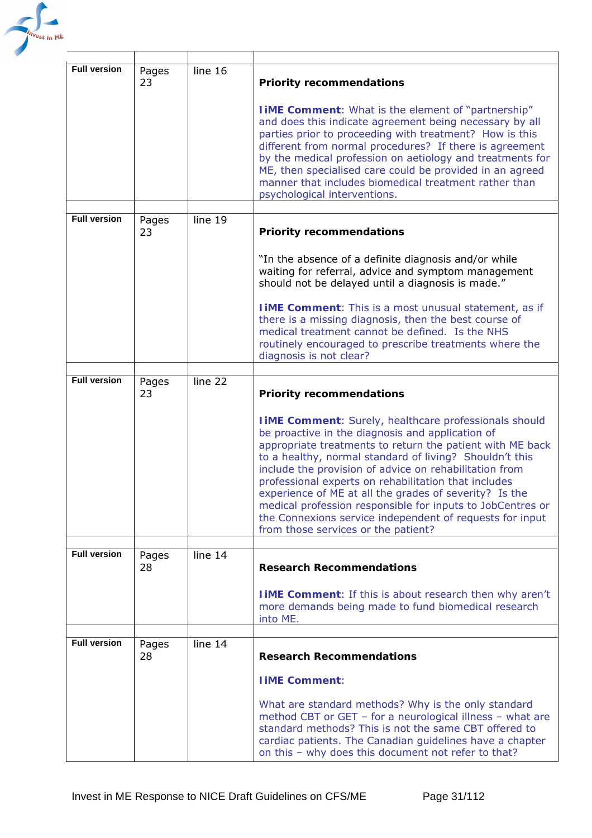

| <b>Full version</b> | Pages<br>23 | line 16                     | <b>Priority recommendations</b>                                                                                                                                                                                                                                                                                                                                                                                                                                                                                                                                                        |
|---------------------|-------------|-----------------------------|----------------------------------------------------------------------------------------------------------------------------------------------------------------------------------------------------------------------------------------------------------------------------------------------------------------------------------------------------------------------------------------------------------------------------------------------------------------------------------------------------------------------------------------------------------------------------------------|
|                     |             |                             | <b>I IME Comment:</b> What is the element of "partnership"<br>and does this indicate agreement being necessary by all<br>parties prior to proceeding with treatment? How is this<br>different from normal procedures? If there is agreement<br>by the medical profession on aetiology and treatments for<br>ME, then specialised care could be provided in an agreed<br>manner that includes biomedical treatment rather than<br>psychological interventions.                                                                                                                          |
| <b>Full version</b> | Pages       | line 19                     |                                                                                                                                                                                                                                                                                                                                                                                                                                                                                                                                                                                        |
|                     | 23          |                             | <b>Priority recommendations</b>                                                                                                                                                                                                                                                                                                                                                                                                                                                                                                                                                        |
|                     |             |                             | "In the absence of a definite diagnosis and/or while<br>waiting for referral, advice and symptom management<br>should not be delayed until a diagnosis is made."                                                                                                                                                                                                                                                                                                                                                                                                                       |
|                     |             |                             | <b>IIME Comment:</b> This is a most unusual statement, as if<br>there is a missing diagnosis, then the best course of<br>medical treatment cannot be defined. Is the NHS<br>routinely encouraged to prescribe treatments where the<br>diagnosis is not clear?                                                                                                                                                                                                                                                                                                                          |
|                     |             |                             |                                                                                                                                                                                                                                                                                                                                                                                                                                                                                                                                                                                        |
| <b>Full version</b> | Pages<br>23 | $\overline{\text{line}}$ 22 | <b>Priority recommendations</b>                                                                                                                                                                                                                                                                                                                                                                                                                                                                                                                                                        |
|                     |             |                             | <b>I iME Comment:</b> Surely, healthcare professionals should<br>be proactive in the diagnosis and application of<br>appropriate treatments to return the patient with ME back<br>to a healthy, normal standard of living? Shouldn't this<br>include the provision of advice on rehabilitation from<br>professional experts on rehabilitation that includes<br>experience of ME at all the grades of severity? Is the<br>medical profession responsible for inputs to JobCentres or<br>the Connexions service independent of requests for input<br>from those services or the patient? |
| <b>Full version</b> |             | line 14                     |                                                                                                                                                                                                                                                                                                                                                                                                                                                                                                                                                                                        |
|                     | Pages<br>28 |                             | <b>Research Recommendations</b><br><b>I IME Comment:</b> If this is about research then why aren't<br>more demands being made to fund biomedical research<br>into ME.                                                                                                                                                                                                                                                                                                                                                                                                                  |
| <b>Full version</b> |             | line 14                     |                                                                                                                                                                                                                                                                                                                                                                                                                                                                                                                                                                                        |
|                     | Pages<br>28 |                             | <b>Research Recommendations</b><br><b>I iME Comment:</b>                                                                                                                                                                                                                                                                                                                                                                                                                                                                                                                               |
|                     |             |                             | What are standard methods? Why is the only standard<br>method CBT or GET - for a neurological illness - what are<br>standard methods? This is not the same CBT offered to<br>cardiac patients. The Canadian guidelines have a chapter<br>on this - why does this document not refer to that?                                                                                                                                                                                                                                                                                           |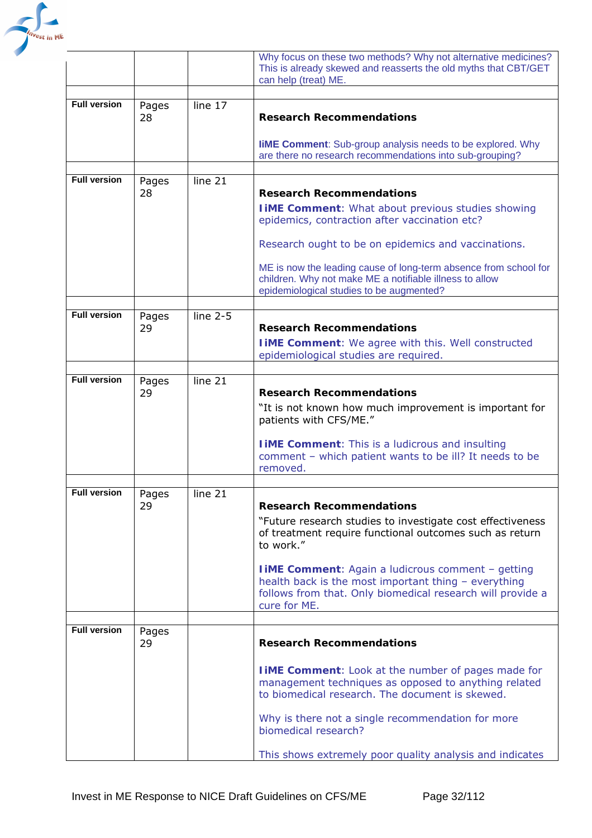

|                     |             |            | Why focus on these two methods? Why not alternative medicines?<br>This is already skewed and reasserts the old myths that CBT/GET<br>can help (treat) ME.                                       |
|---------------------|-------------|------------|-------------------------------------------------------------------------------------------------------------------------------------------------------------------------------------------------|
|                     |             |            |                                                                                                                                                                                                 |
| <b>Full version</b> | Pages<br>28 | line 17    | <b>Research Recommendations</b>                                                                                                                                                                 |
|                     |             |            | <b>IIME Comment:</b> Sub-group analysis needs to be explored. Why<br>are there no research recommendations into sub-grouping?                                                                   |
|                     |             |            |                                                                                                                                                                                                 |
| <b>Full version</b> | Pages<br>28 | line 21    | <b>Research Recommendations</b>                                                                                                                                                                 |
|                     |             |            | <b>TIME Comment:</b> What about previous studies showing<br>epidemics, contraction after vaccination etc?                                                                                       |
|                     |             |            | Research ought to be on epidemics and vaccinations.                                                                                                                                             |
|                     |             |            | ME is now the leading cause of long-term absence from school for<br>children. Why not make ME a notifiable illness to allow<br>epidemiological studies to be augmented?                         |
|                     |             |            |                                                                                                                                                                                                 |
| <b>Full version</b> | Pages<br>29 | line $2-5$ | <b>Research Recommendations</b>                                                                                                                                                                 |
|                     |             |            | <b>I IME Comment:</b> We agree with this. Well constructed<br>epidemiological studies are required.                                                                                             |
|                     |             |            |                                                                                                                                                                                                 |
| <b>Full version</b> | Pages<br>29 | line 21    | <b>Research Recommendations</b>                                                                                                                                                                 |
|                     |             |            | "It is not known how much improvement is important for<br>patients with CFS/ME."                                                                                                                |
|                     |             |            | <b>I iME Comment:</b> This is a ludicrous and insulting<br>comment - which patient wants to be ill? It needs to be<br>removed.                                                                  |
|                     |             |            |                                                                                                                                                                                                 |
| <b>Full version</b> | Pages<br>29 | line 21    | <b>Research Recommendations</b>                                                                                                                                                                 |
|                     |             |            | "Future research studies to investigate cost effectiveness<br>of treatment require functional outcomes such as return<br>to work."                                                              |
|                     |             |            | <b>I iME Comment:</b> Again a ludicrous comment - getting<br>health back is the most important thing - everything<br>follows from that. Only biomedical research will provide a<br>cure for ME. |
|                     |             |            |                                                                                                                                                                                                 |
| <b>Full version</b> | Pages<br>29 |            | <b>Research Recommendations</b>                                                                                                                                                                 |
|                     |             |            | <b>I iME Comment:</b> Look at the number of pages made for<br>management techniques as opposed to anything related<br>to biomedical research. The document is skewed.                           |
|                     |             |            | Why is there not a single recommendation for more<br>biomedical research?                                                                                                                       |
|                     |             |            | This shows extremely poor quality analysis and indicates                                                                                                                                        |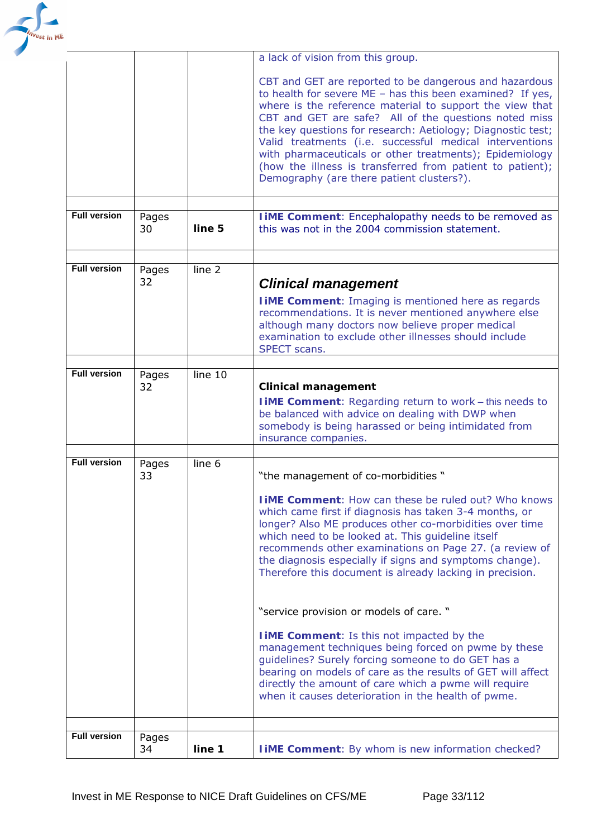

|                     |             |                   | a lack of vision from this group.                                                                                                                                                                                                                                                                                                                                                                                                                                                                                                         |
|---------------------|-------------|-------------------|-------------------------------------------------------------------------------------------------------------------------------------------------------------------------------------------------------------------------------------------------------------------------------------------------------------------------------------------------------------------------------------------------------------------------------------------------------------------------------------------------------------------------------------------|
|                     |             |                   | CBT and GET are reported to be dangerous and hazardous<br>to health for severe $ME - has this been examined? If yes,$<br>where is the reference material to support the view that<br>CBT and GET are safe? All of the questions noted miss<br>the key questions for research: Aetiology; Diagnostic test;<br>Valid treatments (i.e. successful medical interventions<br>with pharmaceuticals or other treatments); Epidemiology<br>(how the illness is transferred from patient to patient);<br>Demography (are there patient clusters?). |
| <b>Full version</b> | Pages<br>30 | line 5            | <b>I iME Comment:</b> Encephalopathy needs to be removed as<br>this was not in the 2004 commission statement.                                                                                                                                                                                                                                                                                                                                                                                                                             |
|                     |             |                   |                                                                                                                                                                                                                                                                                                                                                                                                                                                                                                                                           |
| <b>Full version</b> | Pages<br>32 | line <sub>2</sub> | <b>Clinical management</b><br><b>IIME Comment:</b> Imaging is mentioned here as regards<br>recommendations. It is never mentioned anywhere else<br>although many doctors now believe proper medical<br>examination to exclude other illnesses should include<br>SPECT scans.                                                                                                                                                                                                                                                              |
|                     |             |                   |                                                                                                                                                                                                                                                                                                                                                                                                                                                                                                                                           |
| <b>Full version</b> | Pages<br>32 | line 10           | <b>Clinical management</b><br><b>IIME Comment:</b> Regarding return to work - this needs to<br>be balanced with advice on dealing with DWP when<br>somebody is being harassed or being intimidated from<br>insurance companies.                                                                                                                                                                                                                                                                                                           |
| <b>Full version</b> | Pages       | line 6            |                                                                                                                                                                                                                                                                                                                                                                                                                                                                                                                                           |
|                     | 33          |                   | "the management of co-morbidities"<br><b>IIME Comment: How can these be ruled out? Who knows</b><br>which came first if diagnosis has taken 3-4 months, or<br>longer? Also ME produces other co-morbidities over time<br>which need to be looked at. This guideline itself<br>recommends other examinations on Page 27. (a review of<br>the diagnosis especially if signs and symptoms change).<br>Therefore this document is already lacking in precision.                                                                               |
|                     |             |                   | "service provision or models of care. "                                                                                                                                                                                                                                                                                                                                                                                                                                                                                                   |
|                     |             |                   | <b>TIME Comment:</b> Is this not impacted by the<br>management techniques being forced on pwme by these<br>guidelines? Surely forcing someone to do GET has a<br>bearing on models of care as the results of GET will affect<br>directly the amount of care which a pwme will require<br>when it causes deterioration in the health of pwme.                                                                                                                                                                                              |
|                     |             |                   |                                                                                                                                                                                                                                                                                                                                                                                                                                                                                                                                           |
| <b>Full version</b> | Pages<br>34 | line 1            | <b>I iME Comment:</b> By whom is new information checked?                                                                                                                                                                                                                                                                                                                                                                                                                                                                                 |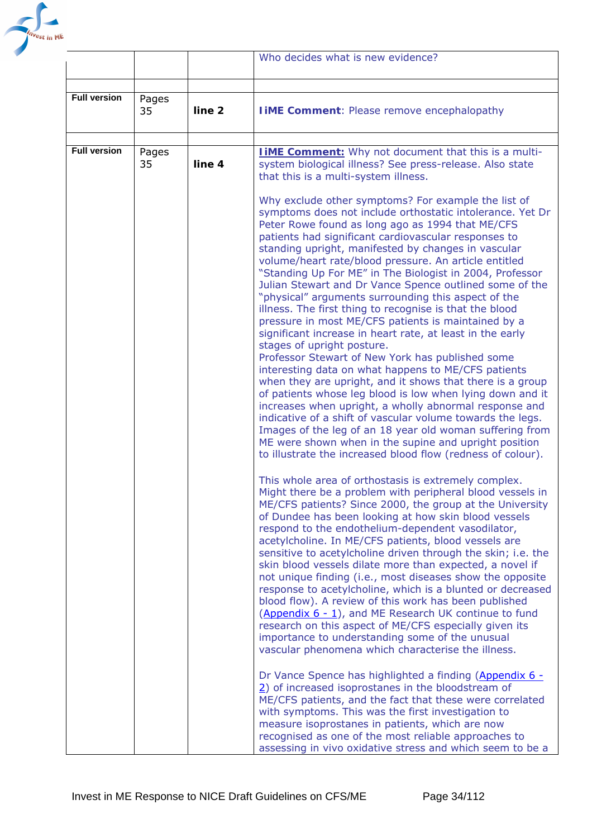

|                     |             |                   | Who decides what is new evidence?                                                                                                                                                                                                                                                                                                                                                                                                                                                                                                                                                                                                                                                                                                                                                                                                                                                                                                                                                                                                                                                                                                                                                                                                                                                                                       |
|---------------------|-------------|-------------------|-------------------------------------------------------------------------------------------------------------------------------------------------------------------------------------------------------------------------------------------------------------------------------------------------------------------------------------------------------------------------------------------------------------------------------------------------------------------------------------------------------------------------------------------------------------------------------------------------------------------------------------------------------------------------------------------------------------------------------------------------------------------------------------------------------------------------------------------------------------------------------------------------------------------------------------------------------------------------------------------------------------------------------------------------------------------------------------------------------------------------------------------------------------------------------------------------------------------------------------------------------------------------------------------------------------------------|
|                     |             |                   |                                                                                                                                                                                                                                                                                                                                                                                                                                                                                                                                                                                                                                                                                                                                                                                                                                                                                                                                                                                                                                                                                                                                                                                                                                                                                                                         |
| <b>Full version</b> | Pages<br>35 | line <sub>2</sub> | <b>I iME Comment: Please remove encephalopathy</b>                                                                                                                                                                                                                                                                                                                                                                                                                                                                                                                                                                                                                                                                                                                                                                                                                                                                                                                                                                                                                                                                                                                                                                                                                                                                      |
|                     |             |                   |                                                                                                                                                                                                                                                                                                                                                                                                                                                                                                                                                                                                                                                                                                                                                                                                                                                                                                                                                                                                                                                                                                                                                                                                                                                                                                                         |
| <b>Full version</b> | Pages<br>35 | line 4            | <b>IIME Comment:</b> Why not document that this is a multi-<br>system biological illness? See press-release. Also state<br>that this is a multi-system illness.<br>Why exclude other symptoms? For example the list of                                                                                                                                                                                                                                                                                                                                                                                                                                                                                                                                                                                                                                                                                                                                                                                                                                                                                                                                                                                                                                                                                                  |
|                     |             |                   | symptoms does not include orthostatic intolerance. Yet Dr<br>Peter Rowe found as long ago as 1994 that ME/CFS<br>patients had significant cardiovascular responses to<br>standing upright, manifested by changes in vascular<br>volume/heart rate/blood pressure. An article entitled<br>"Standing Up For ME" in The Biologist in 2004, Professor<br>Julian Stewart and Dr Vance Spence outlined some of the<br>"physical" arguments surrounding this aspect of the<br>illness. The first thing to recognise is that the blood<br>pressure in most ME/CFS patients is maintained by a<br>significant increase in heart rate, at least in the early<br>stages of upright posture.<br>Professor Stewart of New York has published some<br>interesting data on what happens to ME/CFS patients<br>when they are upright, and it shows that there is a group<br>of patients whose leg blood is low when lying down and it<br>increases when upright, a wholly abnormal response and<br>indicative of a shift of vascular volume towards the legs.<br>Images of the leg of an 18 year old woman suffering from<br>ME were shown when in the supine and upright position<br>to illustrate the increased blood flow (redness of colour).                                                                                       |
|                     |             |                   | This whole area of orthostasis is extremely complex.<br>Might there be a problem with peripheral blood vessels in<br>ME/CFS patients? Since 2000, the group at the University<br>of Dundee has been looking at how skin blood vessels<br>respond to the endothelium-dependent vasodilator,<br>acetylcholine. In ME/CFS patients, blood vessels are<br>sensitive to acetylcholine driven through the skin; i.e. the<br>skin blood vessels dilate more than expected, a novel if<br>not unique finding (i.e., most diseases show the opposite<br>response to acetylcholine, which is a blunted or decreased<br>blood flow). A review of this work has been published<br>(Appendix 6 - 1), and ME Research UK continue to fund<br>research on this aspect of ME/CFS especially given its<br>importance to understanding some of the unusual<br>vascular phenomena which characterise the illness.<br>Dr Vance Spence has highlighted a finding (Appendix 6 -<br>$\overline{2}$ ) of increased isoprostanes in the bloodstream of<br>ME/CFS patients, and the fact that these were correlated<br>with symptoms. This was the first investigation to<br>measure isoprostanes in patients, which are now<br>recognised as one of the most reliable approaches to<br>assessing in vivo oxidative stress and which seem to be a |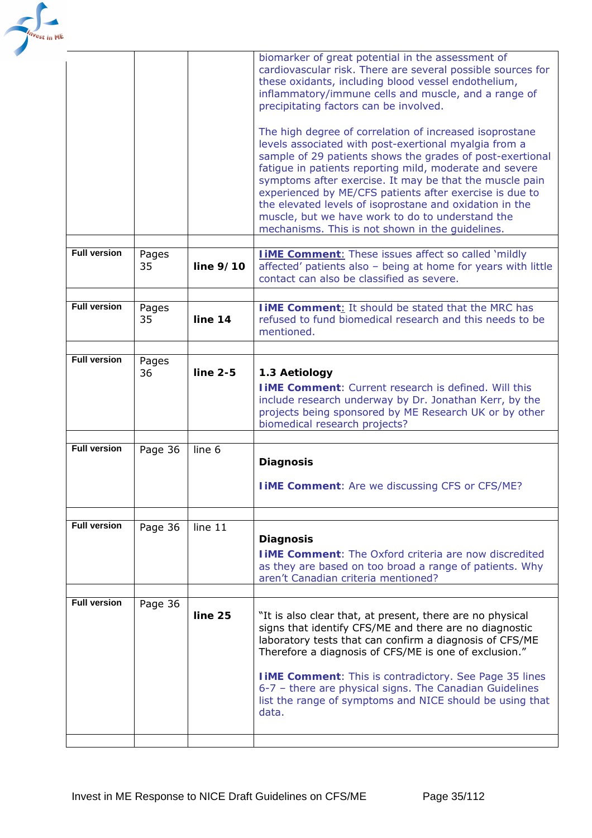

|                     |             |             | biomarker of great potential in the assessment of<br>cardiovascular risk. There are several possible sources for<br>these oxidants, including blood vessel endothelium,<br>inflammatory/immune cells and muscle, and a range of<br>precipitating factors can be involved.                                                                                                                                                                                                                                                         |
|---------------------|-------------|-------------|-----------------------------------------------------------------------------------------------------------------------------------------------------------------------------------------------------------------------------------------------------------------------------------------------------------------------------------------------------------------------------------------------------------------------------------------------------------------------------------------------------------------------------------|
|                     |             |             | The high degree of correlation of increased isoprostane<br>levels associated with post-exertional myalgia from a<br>sample of 29 patients shows the grades of post-exertional<br>fatigue in patients reporting mild, moderate and severe<br>symptoms after exercise. It may be that the muscle pain<br>experienced by ME/CFS patients after exercise is due to<br>the elevated levels of isoprostane and oxidation in the<br>muscle, but we have work to do to understand the<br>mechanisms. This is not shown in the guidelines. |
| <b>Full version</b> | Pages<br>35 | line $9/10$ | <b>IIME Comment:</b> These issues affect so called 'mildly<br>affected' patients also - being at home for years with little<br>contact can also be classified as severe.                                                                                                                                                                                                                                                                                                                                                          |
| <b>Full version</b> | Pages<br>35 | line 14     | <b>TIME Comment:</b> It should be stated that the MRC has<br>refused to fund biomedical research and this needs to be<br>mentioned.                                                                                                                                                                                                                                                                                                                                                                                               |
| <b>Full version</b> | Pages<br>36 | $line 2-5$  | 1.3 Aetiology<br><b>TIME Comment:</b> Current research is defined. Will this<br>include research underway by Dr. Jonathan Kerr, by the<br>projects being sponsored by ME Research UK or by other<br>biomedical research projects?                                                                                                                                                                                                                                                                                                 |
| <b>Full version</b> | Page 36     | line 6      | <b>Diagnosis</b><br><b>I iME Comment:</b> Are we discussing CFS or CFS/ME?                                                                                                                                                                                                                                                                                                                                                                                                                                                        |
| <b>Full version</b> | Page 36     | line 11     | <b>Diagnosis</b><br><b>TIME Comment:</b> The Oxford criteria are now discredited<br>as they are based on too broad a range of patients. Why<br>aren't Canadian criteria mentioned?                                                                                                                                                                                                                                                                                                                                                |
| <b>Full version</b> | Page 36     | line 25     | "It is also clear that, at present, there are no physical<br>signs that identify CFS/ME and there are no diagnostic<br>laboratory tests that can confirm a diagnosis of CFS/ME<br>Therefore a diagnosis of CFS/ME is one of exclusion."<br><b>IIME Comment:</b> This is contradictory. See Page 35 lines<br>6-7 - there are physical signs. The Canadian Guidelines<br>list the range of symptoms and NICE should be using that<br>data.                                                                                          |
|                     |             |             |                                                                                                                                                                                                                                                                                                                                                                                                                                                                                                                                   |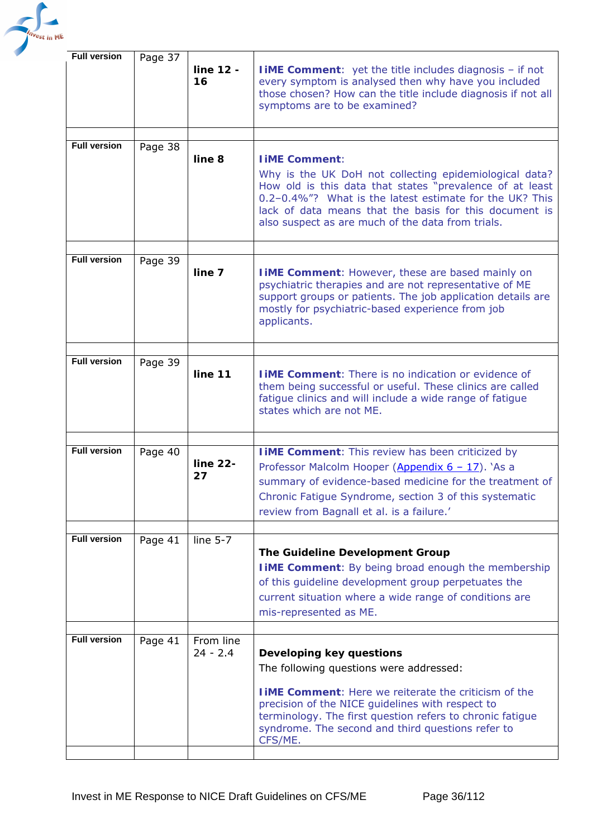

| <b>Full version</b> | Page 37 | line 12 -<br>16 | <b>IIME Comment:</b> yet the title includes diagnosis - if not<br>every symptom is analysed then why have you included<br>those chosen? How can the title include diagnosis if not all<br>symptoms are to be examined?                                                                                              |
|---------------------|---------|-----------------|---------------------------------------------------------------------------------------------------------------------------------------------------------------------------------------------------------------------------------------------------------------------------------------------------------------------|
|                     |         |                 |                                                                                                                                                                                                                                                                                                                     |
| <b>Full version</b> | Page 38 | line 8          | <b>IIME Comment:</b>                                                                                                                                                                                                                                                                                                |
|                     |         |                 | Why is the UK DoH not collecting epidemiological data?<br>How old is this data that states "prevalence of at least<br>0.2-0.4%"? What is the latest estimate for the UK? This<br>lack of data means that the basis for this document is<br>also suspect as are much of the data from trials.                        |
|                     |         |                 |                                                                                                                                                                                                                                                                                                                     |
| <b>Full version</b> | Page 39 | line 7          | <b>IIME Comment: However, these are based mainly on</b><br>psychiatric therapies and are not representative of ME<br>support groups or patients. The job application details are<br>mostly for psychiatric-based experience from job<br>applicants.                                                                 |
|                     |         |                 |                                                                                                                                                                                                                                                                                                                     |
| <b>Full version</b> | Page 39 | line 11         | <b>IIME Comment:</b> There is no indication or evidence of<br>them being successful or useful. These clinics are called<br>fatigue clinics and will include a wide range of fatigue<br>states which are not ME.                                                                                                     |
|                     |         |                 |                                                                                                                                                                                                                                                                                                                     |
| <b>Full version</b> | Page 40 | line 22-<br>27  | <b>I iME Comment:</b> This review has been criticized by<br>Professor Malcolm Hooper (Appendix 6 - 17). `As a<br>summary of evidence-based medicine for the treatment of<br>Chronic Fatigue Syndrome, section 3 of this systematic<br>review from Bagnall et al. is a failure.'                                     |
|                     |         |                 |                                                                                                                                                                                                                                                                                                                     |
| <b>Full version</b> | Page 41 | line $5-7$      | The Guideline Development Group<br><b>I IME Comment:</b> By being broad enough the membership<br>of this guideline development group perpetuates the<br>current situation where a wide range of conditions are<br>mis-represented as ME.                                                                            |
| <b>Full version</b> |         | From line       |                                                                                                                                                                                                                                                                                                                     |
|                     | Page 41 | $24 - 2.4$      | Developing key questions<br>The following questions were addressed:<br><b>IIME Comment:</b> Here we reiterate the criticism of the<br>precision of the NICE guidelines with respect to<br>terminology. The first question refers to chronic fatigue<br>syndrome. The second and third questions refer to<br>CFS/ME. |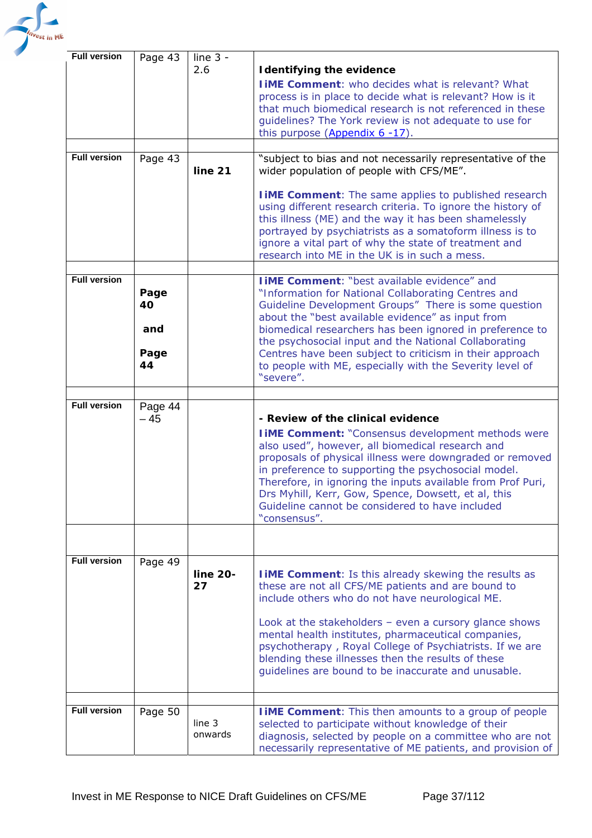

| <b>Full version</b> | Page 43                         | line $3 -$<br>2.6 | <b>Identifying the evidence</b><br><b>I IME Comment:</b> who decides what is relevant? What<br>process is in place to decide what is relevant? How is it<br>that much biomedical research is not referenced in these<br>guidelines? The York review is not adequate to use for<br>this purpose $(Appendix 6 -17)$ .                                                                                                                                                        |
|---------------------|---------------------------------|-------------------|----------------------------------------------------------------------------------------------------------------------------------------------------------------------------------------------------------------------------------------------------------------------------------------------------------------------------------------------------------------------------------------------------------------------------------------------------------------------------|
| <b>Full version</b> | Page 43                         | line 21           | "subject to bias and not necessarily representative of the<br>wider population of people with CFS/ME".<br><b>I iME Comment:</b> The same applies to published research<br>using different research criteria. To ignore the history of<br>this illness (ME) and the way it has been shamelessly<br>portrayed by psychiatrists as a somatoform illness is to<br>ignore a vital part of why the state of treatment and<br>research into ME in the UK is in such a mess.       |
| <b>Full version</b> | Page<br>40<br>and<br>Page<br>44 |                   | I iME Comment: "best available evidence" and<br>"Information for National Collaborating Centres and<br>Guideline Development Groups" There is some question<br>about the "best available evidence" as input from<br>biomedical researchers has been ignored in preference to<br>the psychosocial input and the National Collaborating<br>Centres have been subject to criticism in their approach<br>to people with ME, especially with the Severity level of<br>"severe". |
| <b>Full version</b> | Page 44<br>$-45$                |                   | - Review of the clinical evidence<br><b>I iME Comment: "Consensus development methods were</b><br>also used", however, all biomedical research and<br>proposals of physical illness were downgraded or removed<br>in preference to supporting the psychosocial model.<br>Therefore, in ignoring the inputs available from Prof Puri,<br>Drs Myhill, Kerr, Gow, Spence, Dowsett, et al, this<br>Guideline cannot be considered to have included<br>"consensus".             |
|                     |                                 |                   |                                                                                                                                                                                                                                                                                                                                                                                                                                                                            |
| <b>Full version</b> | Page 49                         | line 20-<br>27    | <b>TIME Comment:</b> Is this already skewing the results as<br>these are not all CFS/ME patients and are bound to<br>include others who do not have neurological ME.<br>Look at the stakeholders $-$ even a cursory glance shows<br>mental health institutes, pharmaceutical companies,<br>psychotherapy, Royal College of Psychiatrists. If we are<br>blending these illnesses then the results of these<br>guidelines are bound to be inaccurate and unusable.           |
|                     |                                 |                   |                                                                                                                                                                                                                                                                                                                                                                                                                                                                            |
| <b>Full version</b> | Page 50                         | line 3<br>onwards | <b>I iME Comment:</b> This then amounts to a group of people<br>selected to participate without knowledge of their<br>diagnosis, selected by people on a committee who are not<br>necessarily representative of ME patients, and provision of                                                                                                                                                                                                                              |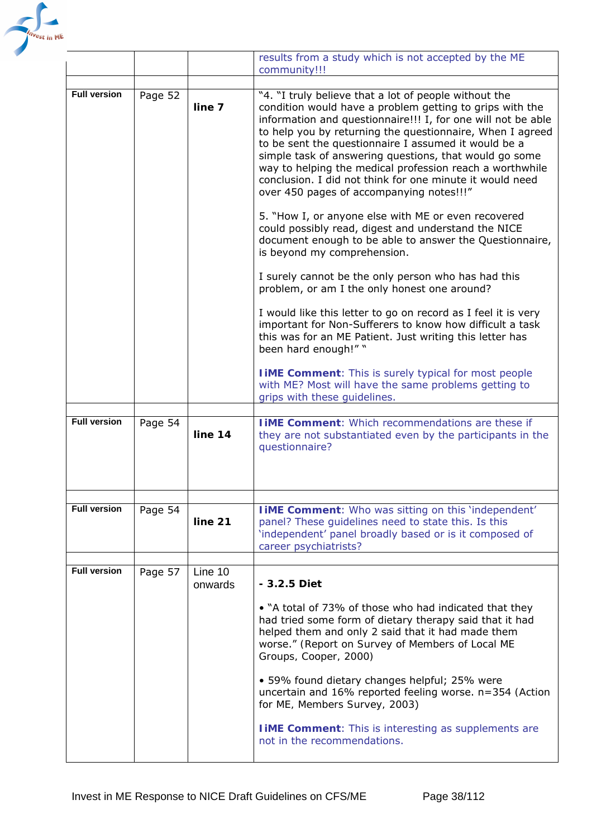

|                     |         |                    | results from a study which is not accepted by the ME<br>community!!!                                                                                                                                                                                                                                                                                                                                                                                                                                                                                                                                                                                                                                                                                                                                                                                                                                                                                                             |
|---------------------|---------|--------------------|----------------------------------------------------------------------------------------------------------------------------------------------------------------------------------------------------------------------------------------------------------------------------------------------------------------------------------------------------------------------------------------------------------------------------------------------------------------------------------------------------------------------------------------------------------------------------------------------------------------------------------------------------------------------------------------------------------------------------------------------------------------------------------------------------------------------------------------------------------------------------------------------------------------------------------------------------------------------------------|
|                     |         |                    |                                                                                                                                                                                                                                                                                                                                                                                                                                                                                                                                                                                                                                                                                                                                                                                                                                                                                                                                                                                  |
| <b>Full version</b> | Page 52 | line 7             | "4. "I truly believe that a lot of people without the<br>condition would have a problem getting to grips with the<br>information and questionnaire!!! I, for one will not be able<br>to help you by returning the questionnaire, When I agreed<br>to be sent the questionnaire I assumed it would be a<br>simple task of answering questions, that would go some<br>way to helping the medical profession reach a worthwhile<br>conclusion. I did not think for one minute it would need<br>over 450 pages of accompanying notes!!!"<br>5. "How I, or anyone else with ME or even recovered<br>could possibly read, digest and understand the NICE<br>document enough to be able to answer the Questionnaire,<br>is beyond my comprehension.<br>I surely cannot be the only person who has had this<br>problem, or am I the only honest one around?<br>I would like this letter to go on record as I feel it is very<br>important for Non-Sufferers to know how difficult a task |
|                     |         |                    | this was for an ME Patient. Just writing this letter has<br>been hard enough!" "                                                                                                                                                                                                                                                                                                                                                                                                                                                                                                                                                                                                                                                                                                                                                                                                                                                                                                 |
|                     |         |                    | <b>I IME Comment:</b> This is surely typical for most people<br>with ME? Most will have the same problems getting to<br>grips with these guidelines.                                                                                                                                                                                                                                                                                                                                                                                                                                                                                                                                                                                                                                                                                                                                                                                                                             |
| <b>Full version</b> | Page 54 |                    | <b>I IME Comment:</b> Which recommendations are these if                                                                                                                                                                                                                                                                                                                                                                                                                                                                                                                                                                                                                                                                                                                                                                                                                                                                                                                         |
|                     |         | line 14            | they are not substantiated even by the participants in the<br>questionnaire?                                                                                                                                                                                                                                                                                                                                                                                                                                                                                                                                                                                                                                                                                                                                                                                                                                                                                                     |
|                     |         |                    |                                                                                                                                                                                                                                                                                                                                                                                                                                                                                                                                                                                                                                                                                                                                                                                                                                                                                                                                                                                  |
| <b>Full version</b> | Page 54 | line 21            | IiME Comment: Who was sitting on this 'independent'<br>panel? These guidelines need to state this. Is this<br>'independent' panel broadly based or is it composed of<br>career psychiatrists?                                                                                                                                                                                                                                                                                                                                                                                                                                                                                                                                                                                                                                                                                                                                                                                    |
| <b>Full version</b> |         |                    |                                                                                                                                                                                                                                                                                                                                                                                                                                                                                                                                                                                                                                                                                                                                                                                                                                                                                                                                                                                  |
|                     | Page 57 | Line 10<br>onwards | - 3.2.5 Diet                                                                                                                                                                                                                                                                                                                                                                                                                                                                                                                                                                                                                                                                                                                                                                                                                                                                                                                                                                     |
|                     |         |                    | • "A total of 73% of those who had indicated that they<br>had tried some form of dietary therapy said that it had<br>helped them and only 2 said that it had made them<br>worse." (Report on Survey of Members of Local ME<br>Groups, Cooper, 2000)                                                                                                                                                                                                                                                                                                                                                                                                                                                                                                                                                                                                                                                                                                                              |
|                     |         |                    | • 59% found dietary changes helpful; 25% were<br>uncertain and 16% reported feeling worse. n=354 (Action<br>for ME, Members Survey, 2003)                                                                                                                                                                                                                                                                                                                                                                                                                                                                                                                                                                                                                                                                                                                                                                                                                                        |
|                     |         |                    | <b>TIME Comment:</b> This is interesting as supplements are<br>not in the recommendations.                                                                                                                                                                                                                                                                                                                                                                                                                                                                                                                                                                                                                                                                                                                                                                                                                                                                                       |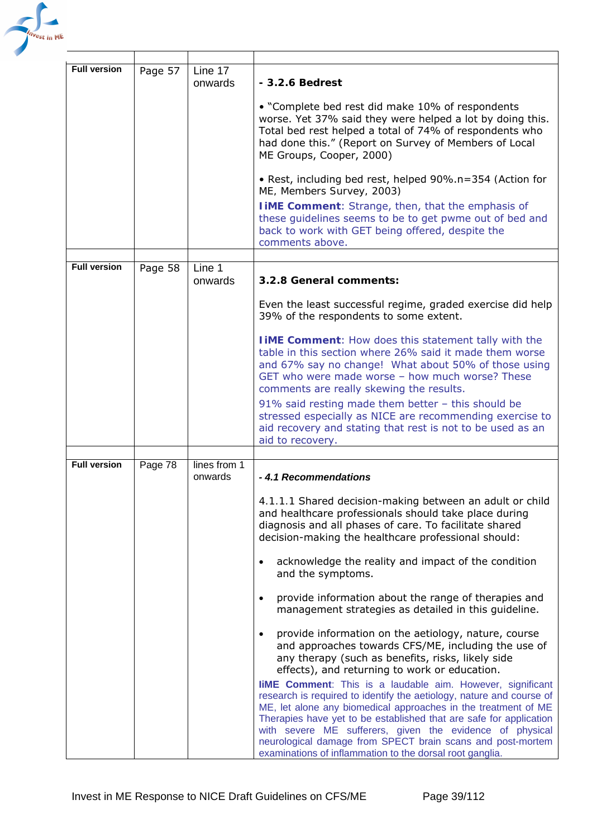

| <b>Full version</b> | Page 57 | Line 17<br>onwards      | $-3.2.6$ Bedrest<br>• "Complete bed rest did make 10% of respondents<br>worse. Yet 37% said they were helped a lot by doing this.<br>Total bed rest helped a total of 74% of respondents who<br>had done this." (Report on Survey of Members of Local<br>ME Groups, Cooper, 2000)<br>• Rest, including bed rest, helped 90%.n=354 (Action for<br>ME, Members Survey, 2003)<br><b>IIME Comment:</b> Strange, then, that the emphasis of<br>these guidelines seems to be to get pwme out of bed and<br>back to work with GET being offered, despite the                                                                                                                                                                                                                                                                                                                                                                                                                                                                                                                                                                                                  |
|---------------------|---------|-------------------------|--------------------------------------------------------------------------------------------------------------------------------------------------------------------------------------------------------------------------------------------------------------------------------------------------------------------------------------------------------------------------------------------------------------------------------------------------------------------------------------------------------------------------------------------------------------------------------------------------------------------------------------------------------------------------------------------------------------------------------------------------------------------------------------------------------------------------------------------------------------------------------------------------------------------------------------------------------------------------------------------------------------------------------------------------------------------------------------------------------------------------------------------------------|
|                     |         |                         | comments above.                                                                                                                                                                                                                                                                                                                                                                                                                                                                                                                                                                                                                                                                                                                                                                                                                                                                                                                                                                                                                                                                                                                                        |
| <b>Full version</b> | Page 58 | Line 1<br>onwards       | 3.2.8 General comments:                                                                                                                                                                                                                                                                                                                                                                                                                                                                                                                                                                                                                                                                                                                                                                                                                                                                                                                                                                                                                                                                                                                                |
|                     |         |                         | Even the least successful regime, graded exercise did help<br>39% of the respondents to some extent.                                                                                                                                                                                                                                                                                                                                                                                                                                                                                                                                                                                                                                                                                                                                                                                                                                                                                                                                                                                                                                                   |
|                     |         |                         | <b>TIME Comment:</b> How does this statement tally with the<br>table in this section where 26% said it made them worse<br>and 67% say no change! What about 50% of those using<br>GET who were made worse - how much worse? These<br>comments are really skewing the results.<br>91% said resting made them better - this should be<br>stressed especially as NICE are recommending exercise to<br>aid recovery and stating that rest is not to be used as an<br>aid to recovery.                                                                                                                                                                                                                                                                                                                                                                                                                                                                                                                                                                                                                                                                      |
|                     |         |                         |                                                                                                                                                                                                                                                                                                                                                                                                                                                                                                                                                                                                                                                                                                                                                                                                                                                                                                                                                                                                                                                                                                                                                        |
| <b>Full version</b> | Page 78 | lines from 1<br>onwards | -4.1 Recommendations<br>4.1.1.1 Shared decision-making between an adult or child<br>and healthcare professionals should take place during<br>diagnosis and all phases of care. To facilitate shared<br>decision-making the healthcare professional should:<br>acknowledge the reality and impact of the condition<br>and the symptoms.<br>provide information about the range of therapies and<br>management strategies as detailed in this guideline.<br>provide information on the aetiology, nature, course<br>and approaches towards CFS/ME, including the use of<br>any therapy (such as benefits, risks, likely side<br>effects), and returning to work or education.<br><b>liME Comment:</b> This is a laudable aim. However, significant<br>research is required to identify the aetiology, nature and course of<br>ME, let alone any biomedical approaches in the treatment of ME<br>Therapies have yet to be established that are safe for application<br>with severe ME sufferers, given the evidence of physical<br>neurological damage from SPECT brain scans and post-mortem<br>examinations of inflammation to the dorsal root ganglia. |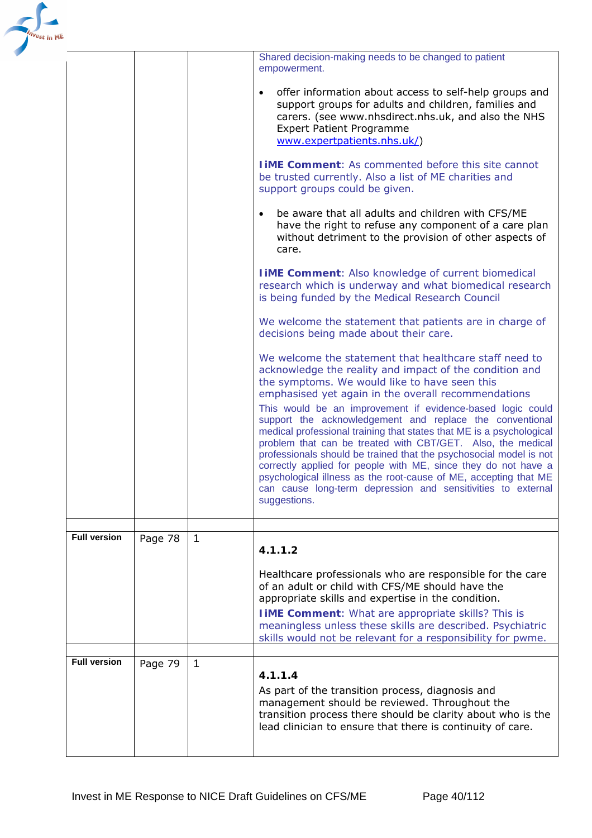| in ME |                     |         |             | Shared decision-making needs to be changed to patient<br>empowerment.<br>offer information about access to self-help groups and<br>$\bullet$<br>support groups for adults and children, families and<br>carers. (see www.nhsdirect.nhs.uk, and also the NHS<br><b>Expert Patient Programme</b><br>www.expertpatients.nhs.uk/)<br><b>TIME Comment:</b> As commented before this site cannot<br>be trusted currently. Also a list of ME charities and<br>support groups could be given.<br>be aware that all adults and children with CFS/ME<br>$\bullet$<br>have the right to refuse any component of a care plan<br>without detriment to the provision of other aspects of<br>care.<br><b>I iME Comment:</b> Also knowledge of current biomedical<br>research which is underway and what biomedical research<br>is being funded by the Medical Research Council<br>We welcome the statement that patients are in charge of<br>decisions being made about their care.<br>We welcome the statement that healthcare staff need to<br>acknowledge the reality and impact of the condition and<br>the symptoms. We would like to have seen this<br>emphasised yet again in the overall recommendations<br>This would be an improvement if evidence-based logic could<br>support the acknowledgement and replace the conventional<br>medical professional training that states that ME is a psychological<br>problem that can be treated with CBT/GET. Also, the medical<br>professionals should be trained that the psychosocial model is not<br>correctly applied for people with ME, since they do not have a<br>psychological illness as the root-cause of ME, accepting that ME<br>can cause long-term depression and sensitivities to external<br>suggestions. |
|-------|---------------------|---------|-------------|----------------------------------------------------------------------------------------------------------------------------------------------------------------------------------------------------------------------------------------------------------------------------------------------------------------------------------------------------------------------------------------------------------------------------------------------------------------------------------------------------------------------------------------------------------------------------------------------------------------------------------------------------------------------------------------------------------------------------------------------------------------------------------------------------------------------------------------------------------------------------------------------------------------------------------------------------------------------------------------------------------------------------------------------------------------------------------------------------------------------------------------------------------------------------------------------------------------------------------------------------------------------------------------------------------------------------------------------------------------------------------------------------------------------------------------------------------------------------------------------------------------------------------------------------------------------------------------------------------------------------------------------------------------------------------------------------------------------------------------------------------------|
|       | <b>Full version</b> | Page 78 | 1           | 4.1.1.2                                                                                                                                                                                                                                                                                                                                                                                                                                                                                                                                                                                                                                                                                                                                                                                                                                                                                                                                                                                                                                                                                                                                                                                                                                                                                                                                                                                                                                                                                                                                                                                                                                                                                                                                                        |
|       |                     |         |             | Healthcare professionals who are responsible for the care<br>of an adult or child with CFS/ME should have the<br>appropriate skills and expertise in the condition.<br><b>I iME Comment:</b> What are appropriate skills? This is<br>meaningless unless these skills are described. Psychiatric<br>skills would not be relevant for a responsibility for pwme.                                                                                                                                                                                                                                                                                                                                                                                                                                                                                                                                                                                                                                                                                                                                                                                                                                                                                                                                                                                                                                                                                                                                                                                                                                                                                                                                                                                                 |
|       | <b>Full version</b> | Page 79 | $\mathbf 1$ | 4.1.1.4<br>As part of the transition process, diagnosis and<br>management should be reviewed. Throughout the<br>transition process there should be clarity about who is the<br>lead clinician to ensure that there is continuity of care.                                                                                                                                                                                                                                                                                                                                                                                                                                                                                                                                                                                                                                                                                                                                                                                                                                                                                                                                                                                                                                                                                                                                                                                                                                                                                                                                                                                                                                                                                                                      |

 $\mathbf{r}$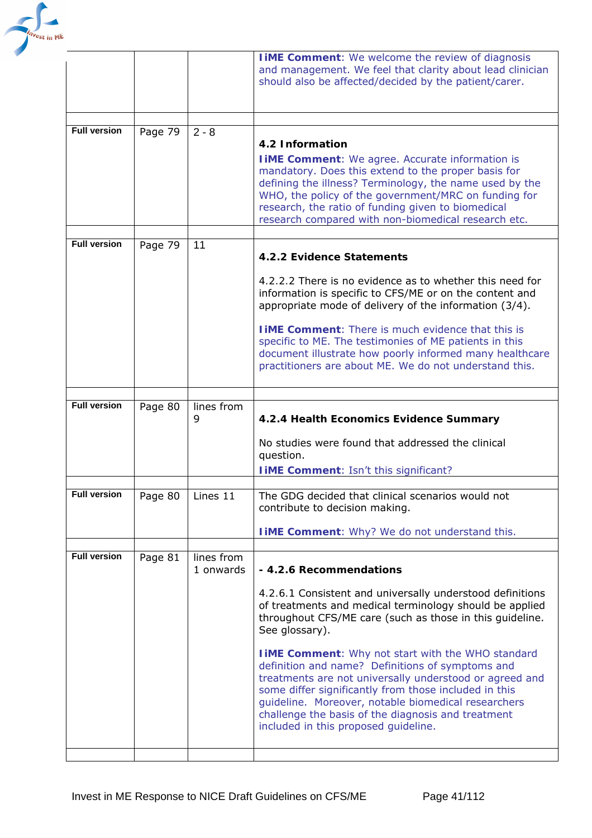

|                     |         |                         | <b>I IME Comment:</b> We welcome the review of diagnosis<br>and management. We feel that clarity about lead clinician<br>should also be affected/decided by the patient/carer.                                                                                                                                                                 |
|---------------------|---------|-------------------------|------------------------------------------------------------------------------------------------------------------------------------------------------------------------------------------------------------------------------------------------------------------------------------------------------------------------------------------------|
| <b>Full version</b> |         |                         |                                                                                                                                                                                                                                                                                                                                                |
|                     | Page 79 | $2 - 8$                 | 4.2 Information                                                                                                                                                                                                                                                                                                                                |
|                     |         |                         | <b>I IME Comment:</b> We agree. Accurate information is<br>mandatory. Does this extend to the proper basis for<br>defining the illness? Terminology, the name used by the<br>WHO, the policy of the government/MRC on funding for<br>research, the ratio of funding given to biomedical<br>research compared with non-biomedical research etc. |
| <b>Full version</b> | Page 79 | 11                      | 4.2.2 Evidence Statements                                                                                                                                                                                                                                                                                                                      |
|                     |         |                         | 4.2.2.2 There is no evidence as to whether this need for<br>information is specific to CFS/ME or on the content and<br>appropriate mode of delivery of the information (3/4).                                                                                                                                                                  |
|                     |         |                         | <b>I IME Comment:</b> There is much evidence that this is<br>specific to ME. The testimonies of ME patients in this<br>document illustrate how poorly informed many healthcare<br>practitioners are about ME. We do not understand this.                                                                                                       |
|                     |         |                         |                                                                                                                                                                                                                                                                                                                                                |
| <b>Full version</b> | Page 80 | lines from<br>9         | 4.2.4 Health Economics Evidence Summary                                                                                                                                                                                                                                                                                                        |
|                     |         |                         | No studies were found that addressed the clinical<br>question.                                                                                                                                                                                                                                                                                 |
|                     |         |                         | <b>I iME Comment: Isn't this significant?</b>                                                                                                                                                                                                                                                                                                  |
| <b>Full version</b> | Page 80 | Lines 11                | The GDG decided that clinical scenarios would not<br>contribute to decision making.                                                                                                                                                                                                                                                            |
|                     |         |                         | <b>I IME Comment:</b> Why? We do not understand this.                                                                                                                                                                                                                                                                                          |
| <b>Full version</b> | Page 81 | lines from<br>1 onwards | - 4.2.6 Recommendations                                                                                                                                                                                                                                                                                                                        |
|                     |         |                         | 4.2.6.1 Consistent and universally understood definitions<br>of treatments and medical terminology should be applied<br>throughout CFS/ME care (such as those in this guideline.<br>See glossary).                                                                                                                                             |
|                     |         |                         | <b>I IME Comment:</b> Why not start with the WHO standard<br>definition and name? Definitions of symptoms and<br>treatments are not universally understood or agreed and<br>some differ significantly from those included in this<br>guideline. Moreover, notable biomedical researchers                                                       |
|                     |         |                         | challenge the basis of the diagnosis and treatment<br>included in this proposed guideline.                                                                                                                                                                                                                                                     |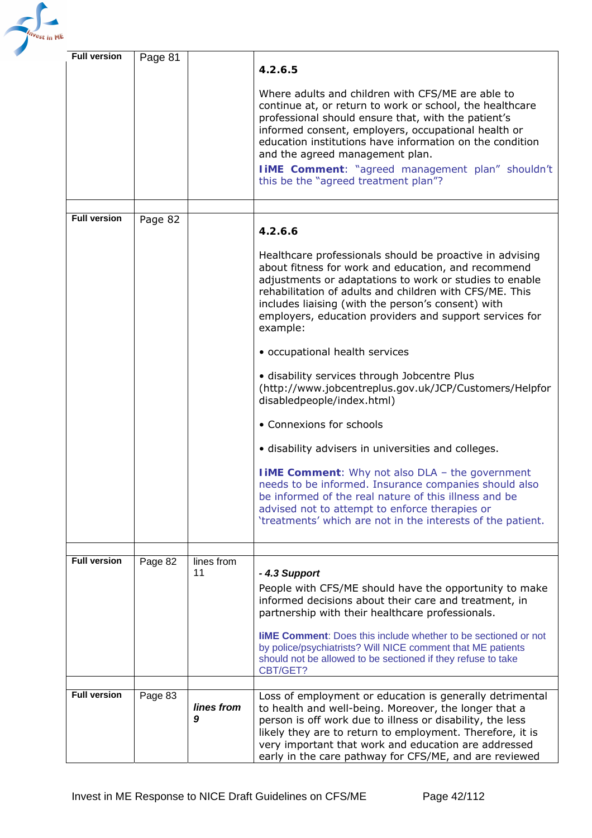

| <b>Full version</b> | Page 81 |                 | 4.2.6.5                                                                                                                                                                                                                                                                                                                                                                                                                       |
|---------------------|---------|-----------------|-------------------------------------------------------------------------------------------------------------------------------------------------------------------------------------------------------------------------------------------------------------------------------------------------------------------------------------------------------------------------------------------------------------------------------|
|                     |         |                 | Where adults and children with CFS/ME are able to<br>continue at, or return to work or school, the healthcare<br>professional should ensure that, with the patient's<br>informed consent, employers, occupational health or<br>education institutions have information on the condition<br>and the agreed management plan.<br><b>IIME Comment:</b> "agreed management plan" shouldn't<br>this be the "agreed treatment plan"? |
|                     |         |                 |                                                                                                                                                                                                                                                                                                                                                                                                                               |
| <b>Full version</b> | Page 82 |                 | 4.2.6.6                                                                                                                                                                                                                                                                                                                                                                                                                       |
|                     |         |                 | Healthcare professionals should be proactive in advising<br>about fitness for work and education, and recommend<br>adjustments or adaptations to work or studies to enable<br>rehabilitation of adults and children with CFS/ME. This<br>includes liaising (with the person's consent) with<br>employers, education providers and support services for<br>example:                                                            |
|                     |         |                 | • occupational health services                                                                                                                                                                                                                                                                                                                                                                                                |
|                     |         |                 | · disability services through Jobcentre Plus<br>(http://www.jobcentreplus.gov.uk/JCP/Customers/Helpfor<br>disabledpeople/index.html)                                                                                                                                                                                                                                                                                          |
|                     |         |                 | • Connexions for schools                                                                                                                                                                                                                                                                                                                                                                                                      |
|                     |         |                 | · disability advisers in universities and colleges.                                                                                                                                                                                                                                                                                                                                                                           |
|                     |         |                 | <b>I iME Comment:</b> Why not also DLA - the government<br>needs to be informed. Insurance companies should also<br>be informed of the real nature of this illness and be<br>advised not to attempt to enforce therapies or<br>'treatments' which are not in the interests of the patient.                                                                                                                                    |
| <b>Full version</b> | Page 82 | lines from      |                                                                                                                                                                                                                                                                                                                                                                                                                               |
|                     |         | 11              | -4.3 Support<br>People with CFS/ME should have the opportunity to make<br>informed decisions about their care and treatment, in<br>partnership with their healthcare professionals.<br><b>IIME Comment:</b> Does this include whether to be sectioned or not<br>by police/psychiatrists? Will NICE comment that ME patients<br>should not be allowed to be sectioned if they refuse to take<br>CBT/GET?                       |
| <b>Full version</b> | Page 83 |                 | Loss of employment or education is generally detrimental                                                                                                                                                                                                                                                                                                                                                                      |
|                     |         | lines from<br>9 | to health and well-being. Moreover, the longer that a<br>person is off work due to illness or disability, the less<br>likely they are to return to employment. Therefore, it is<br>very important that work and education are addressed<br>early in the care pathway for CFS/ME, and are reviewed                                                                                                                             |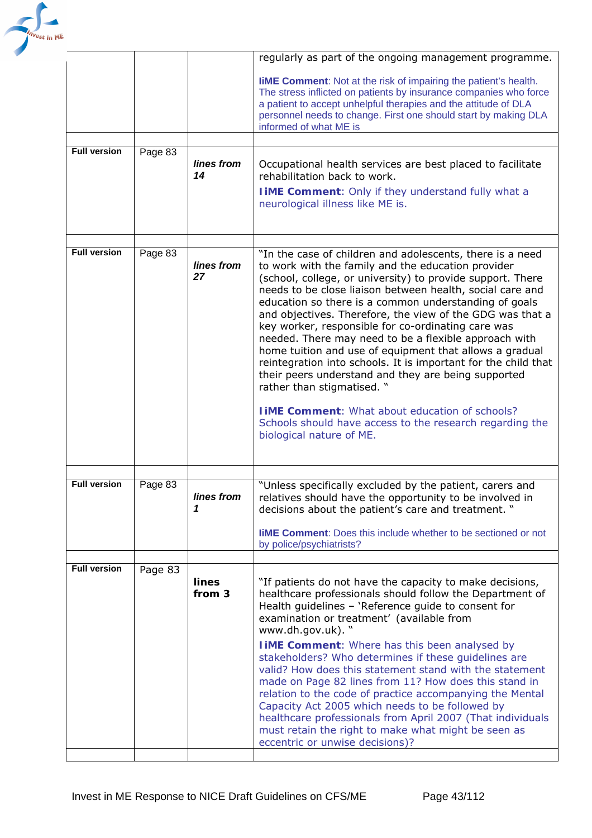

|                     |         |                  | regularly as part of the ongoing management programme.                                                                                                                                                                                                                                                                                                                                                                                                                                                                                                                                                                                                                                                                                                                                                                                              |
|---------------------|---------|------------------|-----------------------------------------------------------------------------------------------------------------------------------------------------------------------------------------------------------------------------------------------------------------------------------------------------------------------------------------------------------------------------------------------------------------------------------------------------------------------------------------------------------------------------------------------------------------------------------------------------------------------------------------------------------------------------------------------------------------------------------------------------------------------------------------------------------------------------------------------------|
|                     |         |                  | <b>IIME Comment:</b> Not at the risk of impairing the patient's health.<br>The stress inflicted on patients by insurance companies who force<br>a patient to accept unhelpful therapies and the attitude of DLA<br>personnel needs to change. First one should start by making DLA<br>informed of what ME is                                                                                                                                                                                                                                                                                                                                                                                                                                                                                                                                        |
| <b>Full version</b> | Page 83 |                  |                                                                                                                                                                                                                                                                                                                                                                                                                                                                                                                                                                                                                                                                                                                                                                                                                                                     |
|                     |         | lines from<br>14 | Occupational health services are best placed to facilitate<br>rehabilitation back to work.<br><b>I iME Comment:</b> Only if they understand fully what a<br>neurological illness like ME is.                                                                                                                                                                                                                                                                                                                                                                                                                                                                                                                                                                                                                                                        |
|                     |         |                  |                                                                                                                                                                                                                                                                                                                                                                                                                                                                                                                                                                                                                                                                                                                                                                                                                                                     |
| <b>Full version</b> | Page 83 | lines from<br>27 | "In the case of children and adolescents, there is a need<br>to work with the family and the education provider<br>(school, college, or university) to provide support. There<br>needs to be close liaison between health, social care and<br>education so there is a common understanding of goals<br>and objectives. Therefore, the view of the GDG was that a<br>key worker, responsible for co-ordinating care was<br>needed. There may need to be a flexible approach with<br>home tuition and use of equipment that allows a gradual<br>reintegration into schools. It is important for the child that<br>their peers understand and they are being supported<br>rather than stigmatised. "<br><b>I IME Comment:</b> What about education of schools?<br>Schools should have access to the research regarding the<br>biological nature of ME. |
| <b>Full version</b> | Page 83 | lines from<br>1  | "Unless specifically excluded by the patient, carers and<br>relatives should have the opportunity to be involved in<br>decisions about the patient's care and treatment. "<br><b>IIME Comment:</b> Does this include whether to be sectioned or not<br>by police/psychiatrists?                                                                                                                                                                                                                                                                                                                                                                                                                                                                                                                                                                     |
|                     |         |                  |                                                                                                                                                                                                                                                                                                                                                                                                                                                                                                                                                                                                                                                                                                                                                                                                                                                     |
| <b>Full version</b> | Page 83 | lines<br>from 3  | "If patients do not have the capacity to make decisions,<br>healthcare professionals should follow the Department of<br>Health guidelines - 'Reference guide to consent for<br>examination or treatment' (available from<br>www.dh.gov.uk). "<br><b>I iME Comment:</b> Where has this been analysed by<br>stakeholders? Who determines if these guidelines are<br>valid? How does this statement stand with the statement<br>made on Page 82 lines from 11? How does this stand in<br>relation to the code of practice accompanying the Mental<br>Capacity Act 2005 which needs to be followed by<br>healthcare professionals from April 2007 (That individuals<br>must retain the right to make what might be seen as<br>eccentric or unwise decisions)?                                                                                           |
|                     |         |                  |                                                                                                                                                                                                                                                                                                                                                                                                                                                                                                                                                                                                                                                                                                                                                                                                                                                     |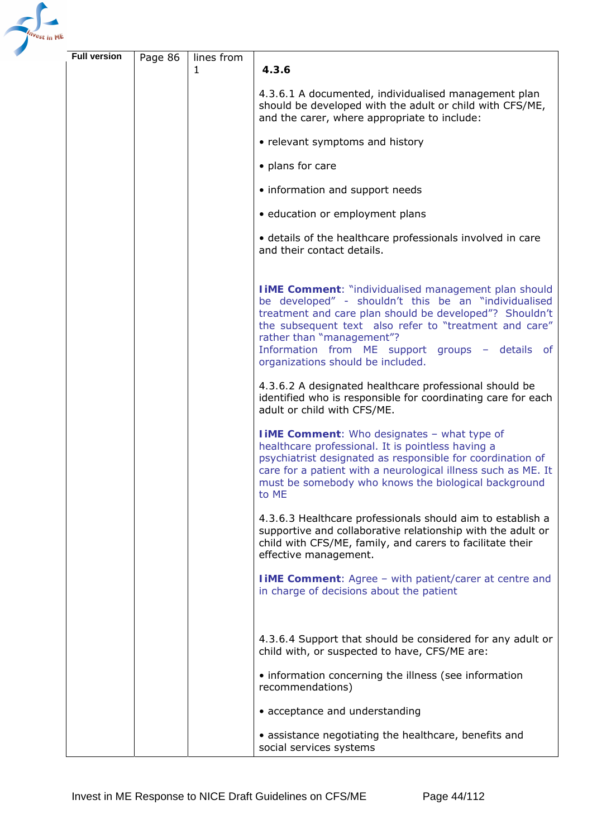

| <b>Full version</b> | Page 86 | lines from |                                                                                                                                                                                                                                                                                                                                                                |
|---------------------|---------|------------|----------------------------------------------------------------------------------------------------------------------------------------------------------------------------------------------------------------------------------------------------------------------------------------------------------------------------------------------------------------|
|                     |         | 1          | 4.3.6                                                                                                                                                                                                                                                                                                                                                          |
|                     |         |            | 4.3.6.1 A documented, individualised management plan<br>should be developed with the adult or child with CFS/ME,<br>and the carer, where appropriate to include:                                                                                                                                                                                               |
|                     |         |            | • relevant symptoms and history                                                                                                                                                                                                                                                                                                                                |
|                     |         |            | • plans for care                                                                                                                                                                                                                                                                                                                                               |
|                     |         |            | • information and support needs                                                                                                                                                                                                                                                                                                                                |
|                     |         |            | · education or employment plans                                                                                                                                                                                                                                                                                                                                |
|                     |         |            | • details of the healthcare professionals involved in care<br>and their contact details.                                                                                                                                                                                                                                                                       |
|                     |         |            | <b>I iME Comment:</b> "individualised management plan should<br>be developed" - shouldn't this be an "individualised<br>treatment and care plan should be developed"? Shouldn't<br>the subsequent text also refer to "treatment and care"<br>rather than "management"?<br>Information from ME support groups - details of<br>organizations should be included. |
|                     |         |            | 4.3.6.2 A designated healthcare professional should be<br>identified who is responsible for coordinating care for each<br>adult or child with CFS/ME.                                                                                                                                                                                                          |
|                     |         |            | <b>I iME Comment:</b> Who designates - what type of<br>healthcare professional. It is pointless having a<br>psychiatrist designated as responsible for coordination of<br>care for a patient with a neurological illness such as ME. It<br>must be somebody who knows the biological background<br>to ME                                                       |
|                     |         |            | 4.3.6.3 Healthcare professionals should aim to establish a<br>supportive and collaborative relationship with the adult or<br>child with CFS/ME, family, and carers to facilitate their<br>effective management.                                                                                                                                                |
|                     |         |            | <b>I iME Comment:</b> Agree - with patient/carer at centre and<br>in charge of decisions about the patient                                                                                                                                                                                                                                                     |
|                     |         |            | 4.3.6.4 Support that should be considered for any adult or<br>child with, or suspected to have, CFS/ME are:                                                                                                                                                                                                                                                    |
|                     |         |            | • information concerning the illness (see information<br>recommendations)                                                                                                                                                                                                                                                                                      |
|                     |         |            | • acceptance and understanding                                                                                                                                                                                                                                                                                                                                 |
|                     |         |            | · assistance negotiating the healthcare, benefits and<br>social services systems                                                                                                                                                                                                                                                                               |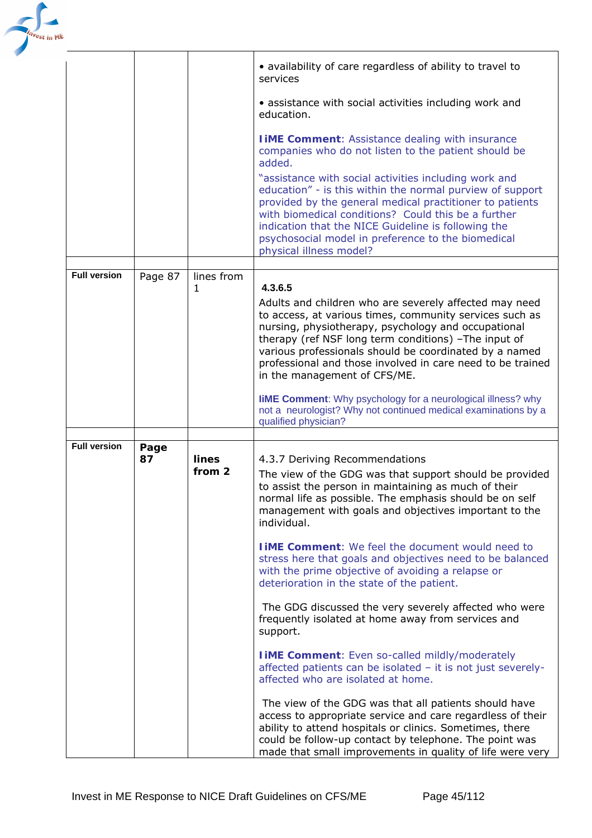

|                     |            |                 | • availability of care regardless of ability to travel to<br>services                                                                                                                                                                                                                                                                                                                                                                                             |
|---------------------|------------|-----------------|-------------------------------------------------------------------------------------------------------------------------------------------------------------------------------------------------------------------------------------------------------------------------------------------------------------------------------------------------------------------------------------------------------------------------------------------------------------------|
|                     |            |                 | • assistance with social activities including work and<br>education.                                                                                                                                                                                                                                                                                                                                                                                              |
|                     |            |                 | <b>I iME Comment: Assistance dealing with insurance</b><br>companies who do not listen to the patient should be<br>added.                                                                                                                                                                                                                                                                                                                                         |
|                     |            |                 | "assistance with social activities including work and<br>education" - is this within the normal purview of support<br>provided by the general medical practitioner to patients<br>with biomedical conditions? Could this be a further<br>indication that the NICE Guideline is following the<br>psychosocial model in preference to the biomedical<br>physical illness model?                                                                                     |
| <b>Full version</b> | Page 87    | lines from      |                                                                                                                                                                                                                                                                                                                                                                                                                                                                   |
|                     |            | 1               | 4.3.6.5<br>Adults and children who are severely affected may need<br>to access, at various times, community services such as<br>nursing, physiotherapy, psychology and occupational<br>therapy (ref NSF long term conditions) -The input of<br>various professionals should be coordinated by a named<br>professional and those involved in care need to be trained<br>in the management of CFS/ME.                                                               |
|                     |            |                 | <b>liME Comment:</b> Why psychology for a neurological illness? why<br>not a neurologist? Why not continued medical examinations by a<br>qualified physician?                                                                                                                                                                                                                                                                                                     |
| <b>Full version</b> |            |                 |                                                                                                                                                                                                                                                                                                                                                                                                                                                                   |
|                     | Page<br>87 | lines<br>from 2 | 4.3.7 Deriving Recommendations<br>The view of the GDG was that support should be provided<br>to assist the person in maintaining as much of their<br>normal life as possible. The emphasis should be on self<br>management with goals and objectives important to the<br>individual.<br><b>LIME Comment:</b> We feel the document would need to<br>stress here that goals and objectives need to be balanced<br>with the prime objective of avoiding a relapse or |
|                     |            |                 | deterioration in the state of the patient.<br>The GDG discussed the very severely affected who were<br>frequently isolated at home away from services and                                                                                                                                                                                                                                                                                                         |
|                     |            |                 | support.                                                                                                                                                                                                                                                                                                                                                                                                                                                          |
|                     |            |                 | <b>I iME Comment:</b> Even so-called mildly/moderately<br>affected patients can be isolated - it is not just severely-<br>affected who are isolated at home.                                                                                                                                                                                                                                                                                                      |
|                     |            |                 | The view of the GDG was that all patients should have<br>access to appropriate service and care regardless of their<br>ability to attend hospitals or clinics. Sometimes, there<br>could be follow-up contact by telephone. The point was<br>made that small improvements in quality of life were very                                                                                                                                                            |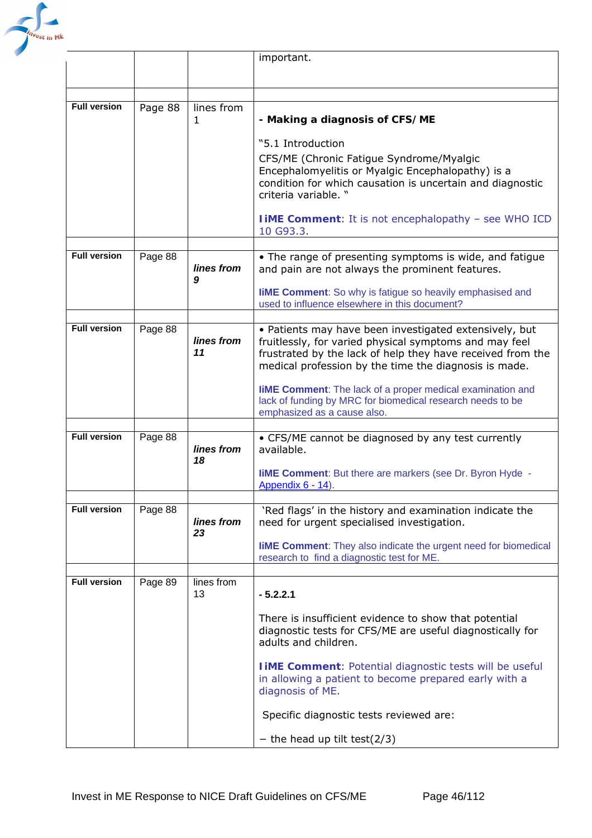

|                     |         |                  | important.                                                                                                                                                                                                                              |
|---------------------|---------|------------------|-----------------------------------------------------------------------------------------------------------------------------------------------------------------------------------------------------------------------------------------|
|                     |         |                  |                                                                                                                                                                                                                                         |
|                     |         |                  |                                                                                                                                                                                                                                         |
| <b>Full version</b> | Page 88 | lines from<br>1  | - Making a diagnosis of CFS/ME                                                                                                                                                                                                          |
|                     |         |                  | "5.1 Introduction                                                                                                                                                                                                                       |
|                     |         |                  | CFS/ME (Chronic Fatigue Syndrome/Myalgic<br>Encephalomyelitis or Myalgic Encephalopathy) is a<br>condition for which causation is uncertain and diagnostic<br>criteria variable. "                                                      |
|                     |         |                  | <b>I iME Comment:</b> It is not encephalopathy - see WHO ICD<br>10 G93.3.                                                                                                                                                               |
|                     |         |                  |                                                                                                                                                                                                                                         |
| <b>Full version</b> | Page 88 | lines from<br>9  | • The range of presenting symptoms is wide, and fatigue<br>and pain are not always the prominent features.                                                                                                                              |
|                     |         |                  | <b>liME Comment:</b> So why is fatigue so heavily emphasised and<br>used to influence elsewhere in this document?                                                                                                                       |
|                     |         |                  |                                                                                                                                                                                                                                         |
| <b>Full version</b> | Page 88 | lines from<br>11 | • Patients may have been investigated extensively, but<br>fruitlessly, for varied physical symptoms and may feel<br>frustrated by the lack of help they have received from the<br>medical profession by the time the diagnosis is made. |
|                     |         |                  | <b>liME Comment:</b> The lack of a proper medical examination and<br>lack of funding by MRC for biomedical research needs to be<br>emphasized as a cause also.                                                                          |
| <b>Full version</b> |         |                  |                                                                                                                                                                                                                                         |
|                     | Page 88 | lines from<br>18 | • CFS/ME cannot be diagnosed by any test currently<br>available.                                                                                                                                                                        |
|                     |         |                  | <b>liME Comment:</b> But there are markers (see Dr. Byron Hyde -<br>Appendix 6 - 14).                                                                                                                                                   |
| <b>Full version</b> | Page 88 | lines from       | 'Red flags' in the history and examination indicate the<br>need for urgent specialised investigation.                                                                                                                                   |
|                     |         | 23               | <b>liME Comment:</b> They also indicate the urgent need for biomedical<br>research to find a diagnostic test for ME.                                                                                                                    |
| <b>Full version</b> | Page 89 | lines from<br>13 | $-5.2.2.1$                                                                                                                                                                                                                              |
|                     |         |                  |                                                                                                                                                                                                                                         |
|                     |         |                  | There is insufficient evidence to show that potential<br>diagnostic tests for CFS/ME are useful diagnostically for<br>adults and children.                                                                                              |
|                     |         |                  | <b>IIME Comment: Potential diagnostic tests will be useful</b><br>in allowing a patient to become prepared early with a<br>diagnosis of ME.                                                                                             |
|                     |         |                  | Specific diagnostic tests reviewed are:                                                                                                                                                                                                 |
|                     |         |                  | - the head up tilt test( $2/3$ )                                                                                                                                                                                                        |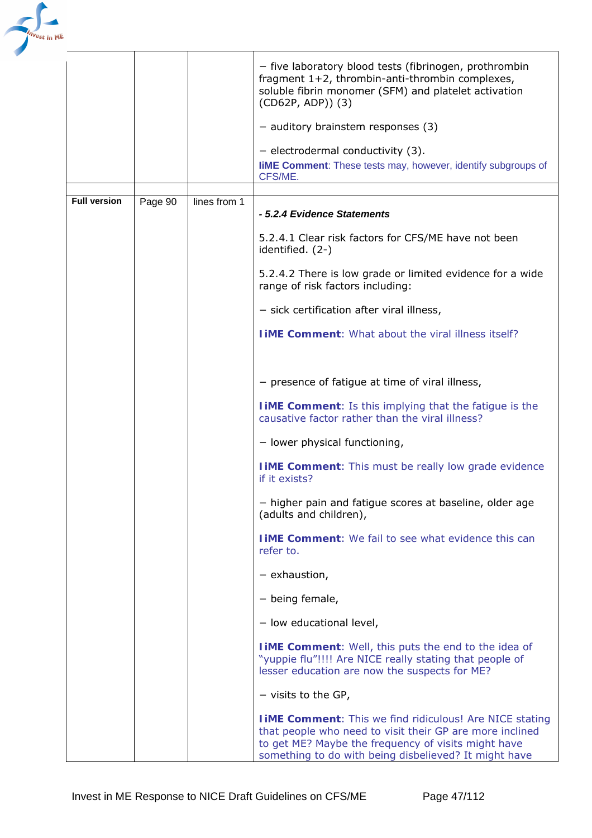

|                     |         |              | - five laboratory blood tests (fibrinogen, prothrombin<br>fragment 1+2, thrombin-anti-thrombin complexes,<br>soluble fibrin monomer (SFM) and platelet activation<br>(CD62P, ADP)) (3)<br>$-$ auditory brainstem responses (3)<br>$-$ electrodermal conductivity (3).<br><b>liME Comment:</b> These tests may, however, identify subgroups of<br>CFS/ME. |
|---------------------|---------|--------------|----------------------------------------------------------------------------------------------------------------------------------------------------------------------------------------------------------------------------------------------------------------------------------------------------------------------------------------------------------|
|                     |         |              |                                                                                                                                                                                                                                                                                                                                                          |
| <b>Full version</b> | Page 90 | lines from 1 | - 5.2.4 Evidence Statements                                                                                                                                                                                                                                                                                                                              |
|                     |         |              | 5.2.4.1 Clear risk factors for CFS/ME have not been<br>identified. (2-)                                                                                                                                                                                                                                                                                  |
|                     |         |              | 5.2.4.2 There is low grade or limited evidence for a wide<br>range of risk factors including:                                                                                                                                                                                                                                                            |
|                     |         |              | $-$ sick certification after viral illness,                                                                                                                                                                                                                                                                                                              |
|                     |         |              | <b>TIME Comment:</b> What about the viral illness itself?                                                                                                                                                                                                                                                                                                |
|                     |         |              |                                                                                                                                                                                                                                                                                                                                                          |
|                     |         |              | - presence of fatigue at time of viral illness,                                                                                                                                                                                                                                                                                                          |
|                     |         |              | <b>TIME Comment:</b> Is this implying that the fatigue is the<br>causative factor rather than the viral illness?                                                                                                                                                                                                                                         |
|                     |         |              | - lower physical functioning,                                                                                                                                                                                                                                                                                                                            |
|                     |         |              | <b>I IME Comment:</b> This must be really low grade evidence<br>if it exists?                                                                                                                                                                                                                                                                            |
|                     |         |              | - higher pain and fatigue scores at baseline, older age<br>(adults and children),                                                                                                                                                                                                                                                                        |
|                     |         |              | <b>TIME Comment:</b> We fail to see what evidence this can<br>refer to.                                                                                                                                                                                                                                                                                  |
|                     |         |              | $-$ exhaustion,                                                                                                                                                                                                                                                                                                                                          |
|                     |         |              | - being female,                                                                                                                                                                                                                                                                                                                                          |
|                     |         |              | - low educational level,                                                                                                                                                                                                                                                                                                                                 |
|                     |         |              | <b>TIME Comment:</b> Well, this puts the end to the idea of<br>"yuppie flu"!!!! Are NICE really stating that people of<br>lesser education are now the suspects for ME?                                                                                                                                                                                  |
|                     |         |              | $-$ visits to the GP,                                                                                                                                                                                                                                                                                                                                    |
|                     |         |              | <b>I iME Comment:</b> This we find ridiculous! Are NICE stating<br>that people who need to visit their GP are more inclined<br>to get ME? Maybe the frequency of visits might have<br>something to do with being disbelieved? It might have                                                                                                              |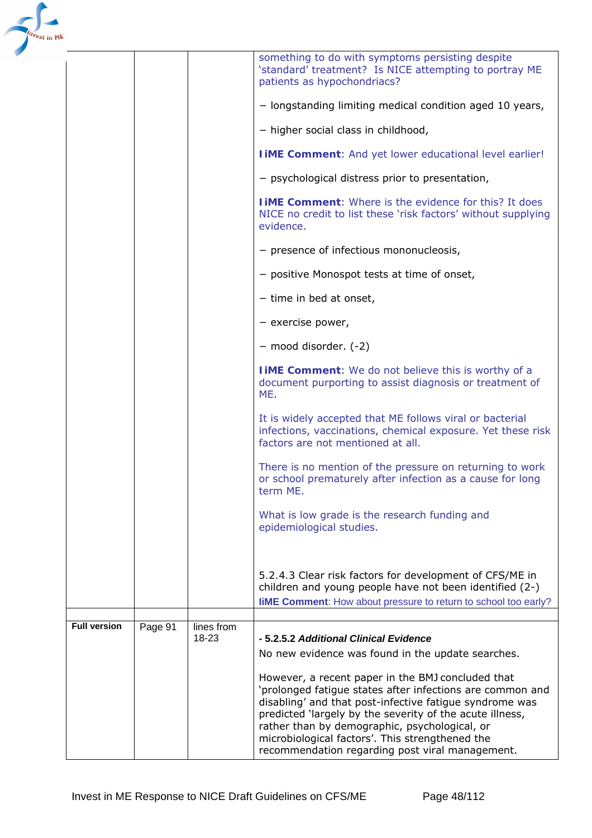| <b>Full version</b> | Page 91 | lines from<br>18-23 | -5.2.5.2 Additional Clinical Evidence<br>No new evidence was found in the update searches.<br>However, a recent paper in the BMJ concluded that<br>'prolonged fatigue states after infections are common and<br>disabling' and that post-infective fatigue syndrome was<br>predicted 'largely by the severity of the acute illness, |
|---------------------|---------|---------------------|-------------------------------------------------------------------------------------------------------------------------------------------------------------------------------------------------------------------------------------------------------------------------------------------------------------------------------------|
|                     |         |                     | 5.2.4.3 Clear risk factors for development of CFS/ME in<br>children and young people have not been identified (2-)<br><b>liME Comment:</b> How about pressure to return to school too early?                                                                                                                                        |
|                     |         |                     | What is low grade is the research funding and<br>epidemiological studies.                                                                                                                                                                                                                                                           |
|                     |         |                     | There is no mention of the pressure on returning to work<br>or school prematurely after infection as a cause for long<br>term ME.                                                                                                                                                                                                   |
|                     |         |                     | It is widely accepted that ME follows viral or bacterial<br>infections, vaccinations, chemical exposure. Yet these risk<br>factors are not mentioned at all.                                                                                                                                                                        |
|                     |         |                     | I iME Comment: We do not believe this is worthy of a<br>document purporting to assist diagnosis or treatment of<br>ME.                                                                                                                                                                                                              |
|                     |         |                     | - mood disorder. (-2)                                                                                                                                                                                                                                                                                                               |
|                     |         |                     | - exercise power,                                                                                                                                                                                                                                                                                                                   |
|                     |         |                     | - time in bed at onset,                                                                                                                                                                                                                                                                                                             |
|                     |         |                     | - positive Monospot tests at time of onset,                                                                                                                                                                                                                                                                                         |
|                     |         |                     | - presence of infectious mononucleosis,                                                                                                                                                                                                                                                                                             |
|                     |         |                     | <b>TIME Comment:</b> Where is the evidence for this? It does<br>NICE no credit to list these 'risk factors' without supplying<br>evidence.                                                                                                                                                                                          |
|                     |         |                     | - psychological distress prior to presentation,                                                                                                                                                                                                                                                                                     |
|                     |         |                     | <b>I iME Comment:</b> And yet lower educational level earlier!                                                                                                                                                                                                                                                                      |
|                     |         |                     | - higher social class in childhood,                                                                                                                                                                                                                                                                                                 |
|                     |         |                     | patients as hypochondriacs?<br>- longstanding limiting medical condition aged 10 years,                                                                                                                                                                                                                                             |
|                     |         |                     | something to do with symptoms persisting despite<br>'standard' treatment? Is NICE attempting to portray ME                                                                                                                                                                                                                          |

rather than by demographic, psychological, or microbiological factors'. This strengthened the recommendation regarding post viral management.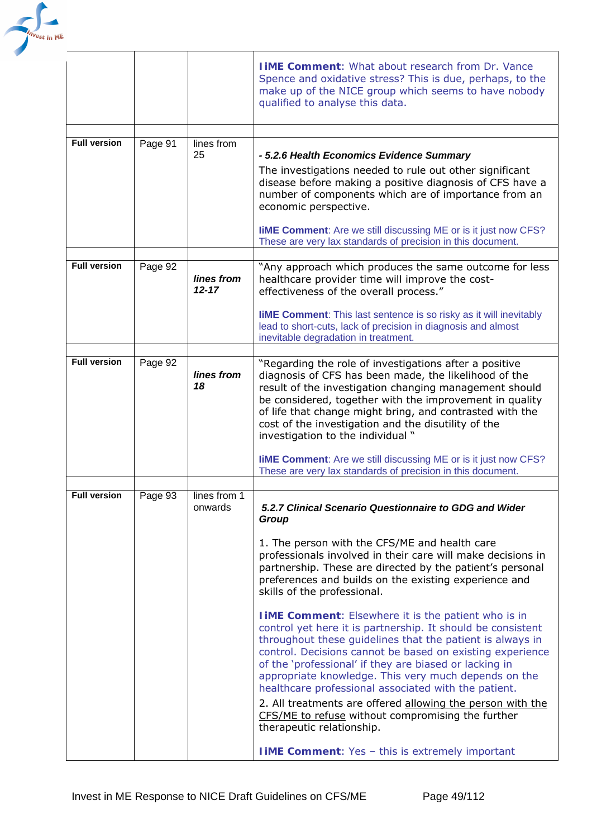

|                     |         |                         | <b>TIME Comment:</b> What about research from Dr. Vance<br>Spence and oxidative stress? This is due, perhaps, to the<br>make up of the NICE group which seems to have nobody<br>qualified to analyse this data.                                                                                                                                                                                                                |
|---------------------|---------|-------------------------|--------------------------------------------------------------------------------------------------------------------------------------------------------------------------------------------------------------------------------------------------------------------------------------------------------------------------------------------------------------------------------------------------------------------------------|
|                     |         |                         |                                                                                                                                                                                                                                                                                                                                                                                                                                |
| <b>Full version</b> | Page 91 | lines from<br>25        | - 5.2.6 Health Economics Evidence Summary<br>The investigations needed to rule out other significant<br>disease before making a positive diagnosis of CFS have a<br>number of components which are of importance from an<br>economic perspective.<br><b>IIME Comment:</b> Are we still discussing ME or is it just now CFS?<br>These are very lax standards of precision in this document.                                     |
|                     |         |                         |                                                                                                                                                                                                                                                                                                                                                                                                                                |
| <b>Full version</b> | Page 92 | lines from<br>$12 - 17$ | "Any approach which produces the same outcome for less<br>healthcare provider time will improve the cost-<br>effectiveness of the overall process."<br><b>liME Comment:</b> This last sentence is so risky as it will inevitably                                                                                                                                                                                               |
|                     |         |                         | lead to short-cuts, lack of precision in diagnosis and almost<br>inevitable degradation in treatment.                                                                                                                                                                                                                                                                                                                          |
|                     |         |                         |                                                                                                                                                                                                                                                                                                                                                                                                                                |
| <b>Full version</b> | Page 92 | lines from<br>18        | "Regarding the role of investigations after a positive<br>diagnosis of CFS has been made, the likelihood of the<br>result of the investigation changing management should<br>be considered, together with the improvement in quality<br>of life that change might bring, and contrasted with the<br>cost of the investigation and the disutility of the<br>investigation to the individual "                                   |
|                     |         |                         | <b>liME Comment:</b> Are we still discussing ME or is it just now CFS?<br>These are very lax standards of precision in this document.                                                                                                                                                                                                                                                                                          |
|                     |         |                         |                                                                                                                                                                                                                                                                                                                                                                                                                                |
| <b>Full version</b> | Page 93 | lines from 1<br>onwards | 5.2.7 Clinical Scenario Questionnaire to GDG and Wider<br>Group                                                                                                                                                                                                                                                                                                                                                                |
|                     |         |                         | 1. The person with the CFS/ME and health care<br>professionals involved in their care will make decisions in<br>partnership. These are directed by the patient's personal<br>preferences and builds on the existing experience and<br>skills of the professional.                                                                                                                                                              |
|                     |         |                         | <b>I IME Comment:</b> Elsewhere it is the patient who is in<br>control yet here it is partnership. It should be consistent<br>throughout these guidelines that the patient is always in<br>control. Decisions cannot be based on existing experience<br>of the 'professional' if they are biased or lacking in<br>appropriate knowledge. This very much depends on the<br>healthcare professional associated with the patient. |
|                     |         |                         | 2. All treatments are offered allowing the person with the<br>CFS/ME to refuse without compromising the further<br>therapeutic relationship.                                                                                                                                                                                                                                                                                   |
|                     |         |                         | <b>I iME Comment:</b> Yes - this is extremely important                                                                                                                                                                                                                                                                                                                                                                        |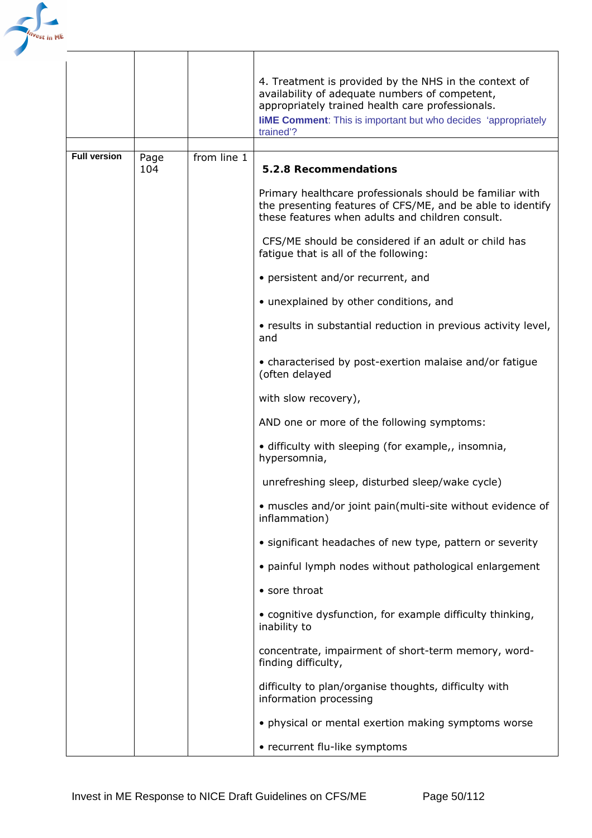

|                     |      |             | 4. Treatment is provided by the NHS in the context of<br>availability of adequate numbers of competent,<br>appropriately trained health care professionals.<br><b>liME Comment:</b> This is important but who decides 'appropriately<br>trained'? |
|---------------------|------|-------------|---------------------------------------------------------------------------------------------------------------------------------------------------------------------------------------------------------------------------------------------------|
| <b>Full version</b> | Page | from line 1 |                                                                                                                                                                                                                                                   |
|                     | 104  |             | 5.2.8 Recommendations                                                                                                                                                                                                                             |
|                     |      |             | Primary healthcare professionals should be familiar with<br>the presenting features of CFS/ME, and be able to identify<br>these features when adults and children consult.                                                                        |
|                     |      |             | CFS/ME should be considered if an adult or child has<br>fatigue that is all of the following:                                                                                                                                                     |
|                     |      |             | • persistent and/or recurrent, and                                                                                                                                                                                                                |
|                     |      |             | • unexplained by other conditions, and                                                                                                                                                                                                            |
|                     |      |             | • results in substantial reduction in previous activity level,<br>and                                                                                                                                                                             |
|                     |      |             | • characterised by post-exertion malaise and/or fatigue<br>(often delayed                                                                                                                                                                         |
|                     |      |             | with slow recovery),                                                                                                                                                                                                                              |
|                     |      |             | AND one or more of the following symptoms:                                                                                                                                                                                                        |
|                     |      |             | · difficulty with sleeping (for example,, insomnia,<br>hypersomnia,                                                                                                                                                                               |
|                     |      |             | unrefreshing sleep, disturbed sleep/wake cycle)                                                                                                                                                                                                   |
|                     |      |             | · muscles and/or joint pain(multi-site without evidence of<br>inflammation)                                                                                                                                                                       |
|                     |      |             | • significant headaches of new type, pattern or severity                                                                                                                                                                                          |
|                     |      |             | • painful lymph nodes without pathological enlargement                                                                                                                                                                                            |
|                     |      |             | • sore throat                                                                                                                                                                                                                                     |
|                     |      |             | • cognitive dysfunction, for example difficulty thinking,<br>inability to                                                                                                                                                                         |
|                     |      |             | concentrate, impairment of short-term memory, word-<br>finding difficulty,                                                                                                                                                                        |
|                     |      |             | difficulty to plan/organise thoughts, difficulty with<br>information processing                                                                                                                                                                   |
|                     |      |             | • physical or mental exertion making symptoms worse                                                                                                                                                                                               |
|                     |      |             | • recurrent flu-like symptoms                                                                                                                                                                                                                     |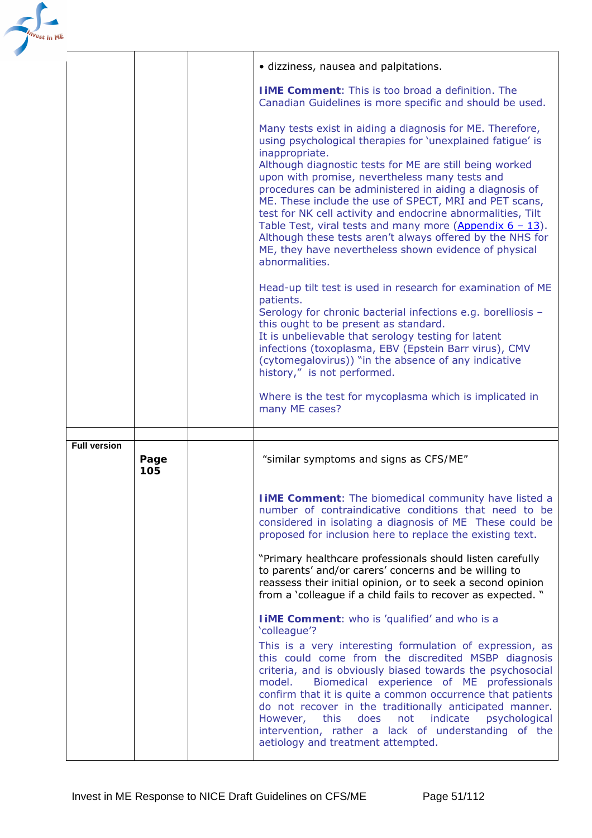| <sup>est</sup> in M¢ |                     |             |                                                                                                                                                                                                                                                                                                                                                                                                                                                                                                                                                                                                                                                   |
|----------------------|---------------------|-------------|---------------------------------------------------------------------------------------------------------------------------------------------------------------------------------------------------------------------------------------------------------------------------------------------------------------------------------------------------------------------------------------------------------------------------------------------------------------------------------------------------------------------------------------------------------------------------------------------------------------------------------------------------|
|                      |                     |             | · dizziness, nausea and palpitations.                                                                                                                                                                                                                                                                                                                                                                                                                                                                                                                                                                                                             |
|                      |                     |             | <b>TIME Comment:</b> This is too broad a definition. The<br>Canadian Guidelines is more specific and should be used.                                                                                                                                                                                                                                                                                                                                                                                                                                                                                                                              |
|                      |                     |             | Many tests exist in aiding a diagnosis for ME. Therefore,<br>using psychological therapies for 'unexplained fatigue' is<br>inappropriate.<br>Although diagnostic tests for ME are still being worked<br>upon with promise, nevertheless many tests and<br>procedures can be administered in aiding a diagnosis of<br>ME. These include the use of SPECT, MRI and PET scans,<br>test for NK cell activity and endocrine abnormalities, Tilt<br>Table Test, viral tests and many more (Appendix $6 - 13$ ).<br>Although these tests aren't always offered by the NHS for<br>ME, they have nevertheless shown evidence of physical<br>abnormalities. |
|                      |                     |             | Head-up tilt test is used in research for examination of ME<br>patients.<br>Serology for chronic bacterial infections e.g. borelliosis -<br>this ought to be present as standard.<br>It is unbelievable that serology testing for latent<br>infections (toxoplasma, EBV (Epstein Barr virus), CMV<br>(cytomegalovirus)) "in the absence of any indicative<br>history," is not performed.                                                                                                                                                                                                                                                          |
|                      |                     |             | Where is the test for mycoplasma which is implicated in<br>many ME cases?                                                                                                                                                                                                                                                                                                                                                                                                                                                                                                                                                                         |
|                      |                     |             |                                                                                                                                                                                                                                                                                                                                                                                                                                                                                                                                                                                                                                                   |
|                      | <b>Full version</b> | Page<br>105 | "similar symptoms and signs as CFS/ME"                                                                                                                                                                                                                                                                                                                                                                                                                                                                                                                                                                                                            |
|                      |                     |             | <b>I iME Comment:</b> The biomedical community have listed a<br>number of contraindicative conditions that need to be<br>considered in isolating a diagnosis of ME These could be<br>proposed for inclusion here to replace the existing text.                                                                                                                                                                                                                                                                                                                                                                                                    |
|                      |                     |             | "Primary healthcare professionals should listen carefully<br>to parents' and/or carers' concerns and be willing to<br>reassess their initial opinion, or to seek a second opinion<br>from a 'colleague if a child fails to recover as expected. "                                                                                                                                                                                                                                                                                                                                                                                                 |
|                      |                     |             | <b>IIME Comment:</b> who is 'qualified' and who is a<br>'colleague'?                                                                                                                                                                                                                                                                                                                                                                                                                                                                                                                                                                              |
|                      |                     |             | This is a very interesting formulation of expression, as<br>this could come from the discredited MSBP diagnosis<br>criteria, and is obviously biased towards the psychosocial<br>Biomedical experience of ME professionals<br>model.<br>confirm that it is quite a common occurrence that patients<br>do not recover in the traditionally anticipated manner.<br>does<br>not indicate<br>psychological<br>However,<br>this<br>intervention, rather a lack of understanding of the<br>aetiology and treatment attempted.                                                                                                                           |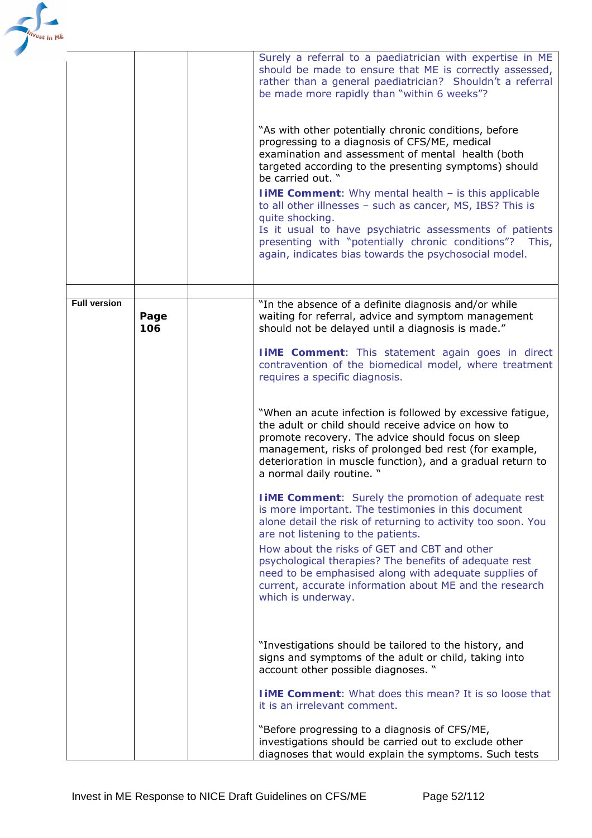| est in ME           |             |                                                                                                                                                                                                                                                                                                                                                                                                                                                                                                                                                                                                                                                                                                                                                                                                                                                                                                                                   |
|---------------------|-------------|-----------------------------------------------------------------------------------------------------------------------------------------------------------------------------------------------------------------------------------------------------------------------------------------------------------------------------------------------------------------------------------------------------------------------------------------------------------------------------------------------------------------------------------------------------------------------------------------------------------------------------------------------------------------------------------------------------------------------------------------------------------------------------------------------------------------------------------------------------------------------------------------------------------------------------------|
|                     |             | Surely a referral to a paediatrician with expertise in ME<br>should be made to ensure that ME is correctly assessed,<br>rather than a general paediatrician? Shouldn't a referral<br>be made more rapidly than "within 6 weeks"?                                                                                                                                                                                                                                                                                                                                                                                                                                                                                                                                                                                                                                                                                                  |
|                     |             | "As with other potentially chronic conditions, before<br>progressing to a diagnosis of CFS/ME, medical<br>examination and assessment of mental health (both<br>targeted according to the presenting symptoms) should<br>be carried out. "<br><b>I IME Comment:</b> Why mental health - is this applicable<br>to all other illnesses - such as cancer, MS, IBS? This is<br>quite shocking.<br>Is it usual to have psychiatric assessments of patients<br>presenting with "potentially chronic conditions"?<br>This,<br>again, indicates bias towards the psychosocial model.                                                                                                                                                                                                                                                                                                                                                       |
|                     |             |                                                                                                                                                                                                                                                                                                                                                                                                                                                                                                                                                                                                                                                                                                                                                                                                                                                                                                                                   |
| <b>Full version</b> | Page<br>106 | "In the absence of a definite diagnosis and/or while<br>waiting for referral, advice and symptom management<br>should not be delayed until a diagnosis is made."<br><b>TIME Comment:</b> This statement again goes in direct<br>contravention of the biomedical model, where treatment<br>requires a specific diagnosis.<br>"When an acute infection is followed by excessive fatigue,<br>the adult or child should receive advice on how to<br>promote recovery. The advice should focus on sleep<br>management, risks of prolonged bed rest (for example,<br>deterioration in muscle function), and a gradual return to<br>a normal daily routine. "<br><b>IIME Comment:</b> Surely the promotion of adequate rest<br>is more important. The testimonies in this document<br>alone detail the risk of returning to activity too soon. You<br>are not listening to the patients.<br>How about the risks of GET and CBT and other |
|                     |             | psychological therapies? The benefits of adequate rest<br>need to be emphasised along with adequate supplies of<br>current, accurate information about ME and the research<br>which is underway.<br>"Investigations should be tailored to the history, and<br>signs and symptoms of the adult or child, taking into<br>account other possible diagnoses. "<br><b>TIME Comment:</b> What does this mean? It is so loose that<br>it is an irrelevant comment.                                                                                                                                                                                                                                                                                                                                                                                                                                                                       |
|                     |             | "Before progressing to a diagnosis of CFS/ME,<br>investigations should be carried out to exclude other<br>diagnoses that would explain the symptoms. Such tests                                                                                                                                                                                                                                                                                                                                                                                                                                                                                                                                                                                                                                                                                                                                                                   |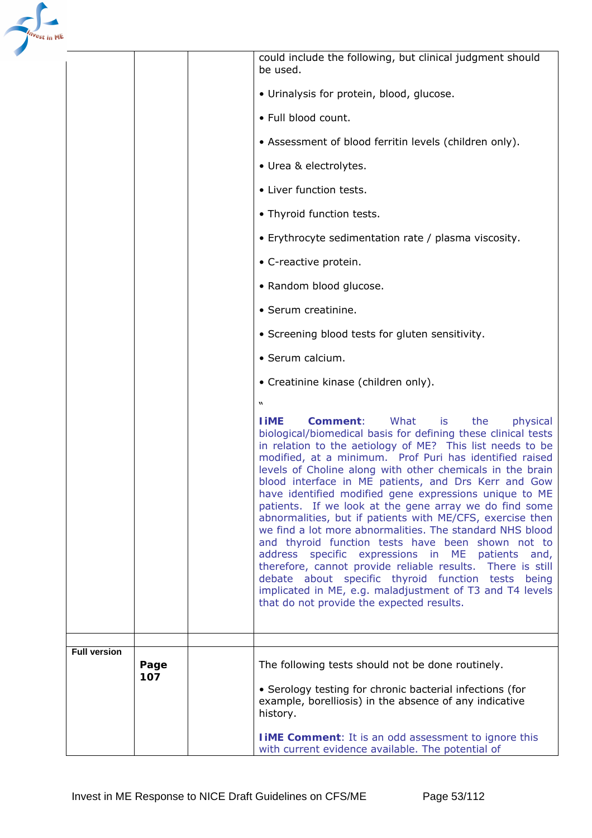

|                     |             | could include the following, but clinical judgment should<br>be used.                                                                                                                                                                                                                                                                                                                                                                                                                                                                                                                                                                                                                                                                                                                                                                                                                                                                                               |
|---------------------|-------------|---------------------------------------------------------------------------------------------------------------------------------------------------------------------------------------------------------------------------------------------------------------------------------------------------------------------------------------------------------------------------------------------------------------------------------------------------------------------------------------------------------------------------------------------------------------------------------------------------------------------------------------------------------------------------------------------------------------------------------------------------------------------------------------------------------------------------------------------------------------------------------------------------------------------------------------------------------------------|
|                     |             | • Urinalysis for protein, blood, glucose.                                                                                                                                                                                                                                                                                                                                                                                                                                                                                                                                                                                                                                                                                                                                                                                                                                                                                                                           |
|                     |             | · Full blood count.                                                                                                                                                                                                                                                                                                                                                                                                                                                                                                                                                                                                                                                                                                                                                                                                                                                                                                                                                 |
|                     |             | • Assessment of blood ferritin levels (children only).                                                                                                                                                                                                                                                                                                                                                                                                                                                                                                                                                                                                                                                                                                                                                                                                                                                                                                              |
|                     |             | • Urea & electrolytes.                                                                                                                                                                                                                                                                                                                                                                                                                                                                                                                                                                                                                                                                                                                                                                                                                                                                                                                                              |
|                     |             | • Liver function tests.                                                                                                                                                                                                                                                                                                                                                                                                                                                                                                                                                                                                                                                                                                                                                                                                                                                                                                                                             |
|                     |             | • Thyroid function tests.                                                                                                                                                                                                                                                                                                                                                                                                                                                                                                                                                                                                                                                                                                                                                                                                                                                                                                                                           |
|                     |             | • Erythrocyte sedimentation rate / plasma viscosity.                                                                                                                                                                                                                                                                                                                                                                                                                                                                                                                                                                                                                                                                                                                                                                                                                                                                                                                |
|                     |             | • C-reactive protein.                                                                                                                                                                                                                                                                                                                                                                                                                                                                                                                                                                                                                                                                                                                                                                                                                                                                                                                                               |
|                     |             | • Random blood glucose.                                                                                                                                                                                                                                                                                                                                                                                                                                                                                                                                                                                                                                                                                                                                                                                                                                                                                                                                             |
|                     |             | · Serum creatinine.                                                                                                                                                                                                                                                                                                                                                                                                                                                                                                                                                                                                                                                                                                                                                                                                                                                                                                                                                 |
|                     |             | • Screening blood tests for gluten sensitivity.                                                                                                                                                                                                                                                                                                                                                                                                                                                                                                                                                                                                                                                                                                                                                                                                                                                                                                                     |
|                     |             | · Serum calcium.                                                                                                                                                                                                                                                                                                                                                                                                                                                                                                                                                                                                                                                                                                                                                                                                                                                                                                                                                    |
|                     |             | • Creatinine kinase (children only).                                                                                                                                                                                                                                                                                                                                                                                                                                                                                                                                                                                                                                                                                                                                                                                                                                                                                                                                |
|                     |             | W                                                                                                                                                                                                                                                                                                                                                                                                                                                                                                                                                                                                                                                                                                                                                                                                                                                                                                                                                                   |
|                     |             | <b>Comment:</b><br>What<br>is<br>the<br>physical<br><b>TIME</b><br>biological/biomedical basis for defining these clinical tests<br>in relation to the aetiology of ME? This list needs to be<br>modified, at a minimum. Prof Puri has identified raised<br>levels of Choline along with other chemicals in the brain<br>blood interface in ME patients, and Drs Kerr and Gow<br>have identified modified gene expressions unique to ME<br>patients. If we look at the gene array we do find some<br>abnormalities, but if patients with ME/CFS, exercise then<br>we find a lot more abnormalities. The standard NHS blood<br>and thyroid function tests have been shown not to<br>address specific expressions in ME patients<br>and,<br>therefore, cannot provide reliable results. There is still<br>debate about specific thyroid function tests being<br>implicated in ME, e.g. maladjustment of T3 and T4 levels<br>that do not provide the expected results. |
| <b>Full version</b> |             |                                                                                                                                                                                                                                                                                                                                                                                                                                                                                                                                                                                                                                                                                                                                                                                                                                                                                                                                                                     |
|                     | Page<br>107 | The following tests should not be done routinely.                                                                                                                                                                                                                                                                                                                                                                                                                                                                                                                                                                                                                                                                                                                                                                                                                                                                                                                   |
|                     |             | • Serology testing for chronic bacterial infections (for<br>example, borelliosis) in the absence of any indicative<br>history.                                                                                                                                                                                                                                                                                                                                                                                                                                                                                                                                                                                                                                                                                                                                                                                                                                      |
|                     |             | <b>IIME Comment:</b> It is an odd assessment to ignore this<br>with current evidence available. The potential of                                                                                                                                                                                                                                                                                                                                                                                                                                                                                                                                                                                                                                                                                                                                                                                                                                                    |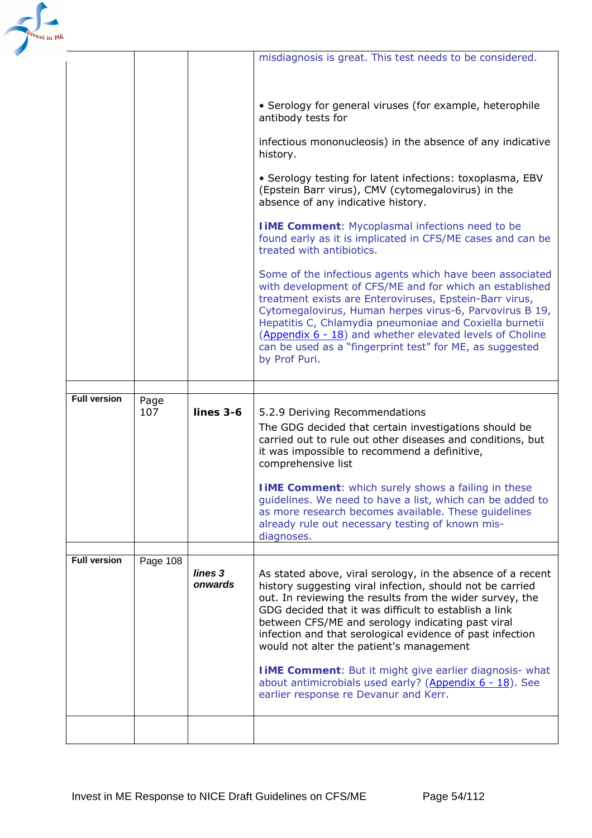

|                     |             |                               | misdiagnosis is great. This test needs to be considered.                                                                                                                                                                                                                                                                                                                                                                                                                                                                                                                              |
|---------------------|-------------|-------------------------------|---------------------------------------------------------------------------------------------------------------------------------------------------------------------------------------------------------------------------------------------------------------------------------------------------------------------------------------------------------------------------------------------------------------------------------------------------------------------------------------------------------------------------------------------------------------------------------------|
|                     |             |                               |                                                                                                                                                                                                                                                                                                                                                                                                                                                                                                                                                                                       |
|                     |             |                               |                                                                                                                                                                                                                                                                                                                                                                                                                                                                                                                                                                                       |
|                     |             |                               | • Serology for general viruses (for example, heterophile<br>antibody tests for                                                                                                                                                                                                                                                                                                                                                                                                                                                                                                        |
|                     |             |                               | infectious mononucleosis) in the absence of any indicative<br>history.                                                                                                                                                                                                                                                                                                                                                                                                                                                                                                                |
|                     |             |                               | • Serology testing for latent infections: toxoplasma, EBV<br>(Epstein Barr virus), CMV (cytomegalovirus) in the<br>absence of any indicative history.                                                                                                                                                                                                                                                                                                                                                                                                                                 |
|                     |             |                               | <b>I iME Comment: Mycoplasmal infections need to be</b><br>found early as it is implicated in CFS/ME cases and can be<br>treated with antibiotics.                                                                                                                                                                                                                                                                                                                                                                                                                                    |
|                     |             |                               | Some of the infectious agents which have been associated<br>with development of CFS/ME and for which an established<br>treatment exists are Enteroviruses, Epstein-Barr virus,<br>Cytomegalovirus, Human herpes virus-6, Parvovirus B 19,<br>Hepatitis C, Chlamydia pneumoniae and Coxiella burnetii<br>(Appendix 6 - 18) and whether elevated levels of Choline<br>can be used as a "fingerprint test" for ME, as suggested<br>by Prof Puri.                                                                                                                                         |
|                     |             |                               |                                                                                                                                                                                                                                                                                                                                                                                                                                                                                                                                                                                       |
| <b>Full version</b> | Page<br>107 | $lines$ 3-6                   | 5.2.9 Deriving Recommendations<br>The GDG decided that certain investigations should be<br>carried out to rule out other diseases and conditions, but<br>it was impossible to recommend a definitive,<br>comprehensive list                                                                                                                                                                                                                                                                                                                                                           |
|                     |             |                               | <b>I iME Comment:</b> which surely shows a failing in these<br>guidelines. We need to have a list, which can be added to<br>as more research becomes available. These quidelines<br>already rule out necessary testing of known mis-<br>diagnoses.                                                                                                                                                                                                                                                                                                                                    |
|                     |             |                               |                                                                                                                                                                                                                                                                                                                                                                                                                                                                                                                                                                                       |
| <b>Full version</b> | Page 108    | lines <sub>3</sub><br>onwards | As stated above, viral serology, in the absence of a recent<br>history suggesting viral infection, should not be carried<br>out. In reviewing the results from the wider survey, the<br>GDG decided that it was difficult to establish a link<br>between CFS/ME and serology indicating past viral<br>infection and that serological evidence of past infection<br>would not alter the patient's management<br><b>I iME Comment:</b> But it might give earlier diagnosis- what<br>about antimicrobials used early? (Appendix $6 - 18$ ). See<br>earlier response re Devanur and Kerr. |
|                     |             |                               |                                                                                                                                                                                                                                                                                                                                                                                                                                                                                                                                                                                       |
|                     |             |                               |                                                                                                                                                                                                                                                                                                                                                                                                                                                                                                                                                                                       |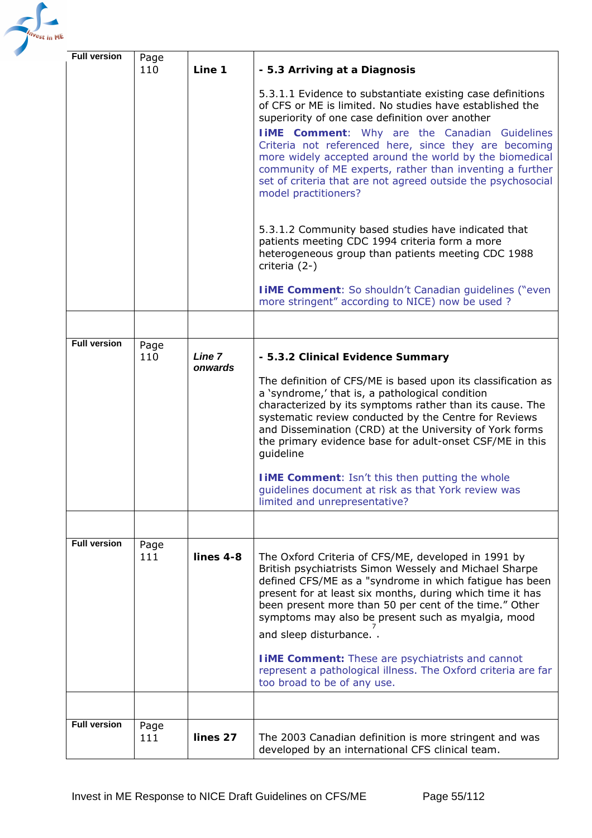

| <b>Full version</b> | Page<br>110 | Line 1            | - 5.3 Arriving at a Diagnosis                                                                                                                                                                                                                                                                                                                                                                                                                                                                                |  |
|---------------------|-------------|-------------------|--------------------------------------------------------------------------------------------------------------------------------------------------------------------------------------------------------------------------------------------------------------------------------------------------------------------------------------------------------------------------------------------------------------------------------------------------------------------------------------------------------------|--|
|                     |             |                   | 5.3.1.1 Evidence to substantiate existing case definitions<br>of CFS or ME is limited. No studies have established the<br>superiority of one case definition over another<br><b>TIME Comment:</b> Why are the Canadian<br>Guidelines<br>Criteria not referenced here, since they are becoming<br>more widely accepted around the world by the biomedical<br>community of ME experts, rather than inventing a further<br>set of criteria that are not agreed outside the psychosocial<br>model practitioners? |  |
|                     |             |                   | 5.3.1.2 Community based studies have indicated that<br>patients meeting CDC 1994 criteria form a more<br>heterogeneous group than patients meeting CDC 1988<br>criteria (2-)                                                                                                                                                                                                                                                                                                                                 |  |
|                     |             |                   | <b>IIME Comment:</b> So shouldn't Canadian guidelines ("even"<br>more stringent" according to NICE) now be used?                                                                                                                                                                                                                                                                                                                                                                                             |  |
|                     |             |                   |                                                                                                                                                                                                                                                                                                                                                                                                                                                                                                              |  |
| <b>Full version</b> | Page<br>110 | Line 7<br>onwards | - 5.3.2 Clinical Evidence Summary<br>The definition of CFS/ME is based upon its classification as                                                                                                                                                                                                                                                                                                                                                                                                            |  |
|                     |             |                   | a 'syndrome,' that is, a pathological condition<br>characterized by its symptoms rather than its cause. The<br>systematic review conducted by the Centre for Reviews<br>and Dissemination (CRD) at the University of York forms<br>the primary evidence base for adult-onset CSF/ME in this<br>guideline                                                                                                                                                                                                     |  |
|                     |             |                   | I iME Comment: Isn't this then putting the whole<br>guidelines document at risk as that York review was<br>limited and unrepresentative?                                                                                                                                                                                                                                                                                                                                                                     |  |
|                     |             |                   |                                                                                                                                                                                                                                                                                                                                                                                                                                                                                                              |  |
| <b>Full version</b> | Page<br>111 | lines 4-8         | The Oxford Criteria of CFS/ME, developed in 1991 by<br>British psychiatrists Simon Wessely and Michael Sharpe<br>defined CFS/ME as a "syndrome in which fatigue has been<br>present for at least six months, during which time it has<br>been present more than 50 per cent of the time." Other<br>symptoms may also be present such as myalgia, mood<br>and sleep disturbance                                                                                                                               |  |
|                     |             |                   | <b>I iME Comment:</b> These are psychiatrists and cannot<br>represent a pathological illness. The Oxford criteria are far<br>too broad to be of any use.                                                                                                                                                                                                                                                                                                                                                     |  |
|                     |             |                   |                                                                                                                                                                                                                                                                                                                                                                                                                                                                                                              |  |
| <b>Full version</b> | Page<br>111 | lines 27          | The 2003 Canadian definition is more stringent and was<br>developed by an international CFS clinical team.                                                                                                                                                                                                                                                                                                                                                                                                   |  |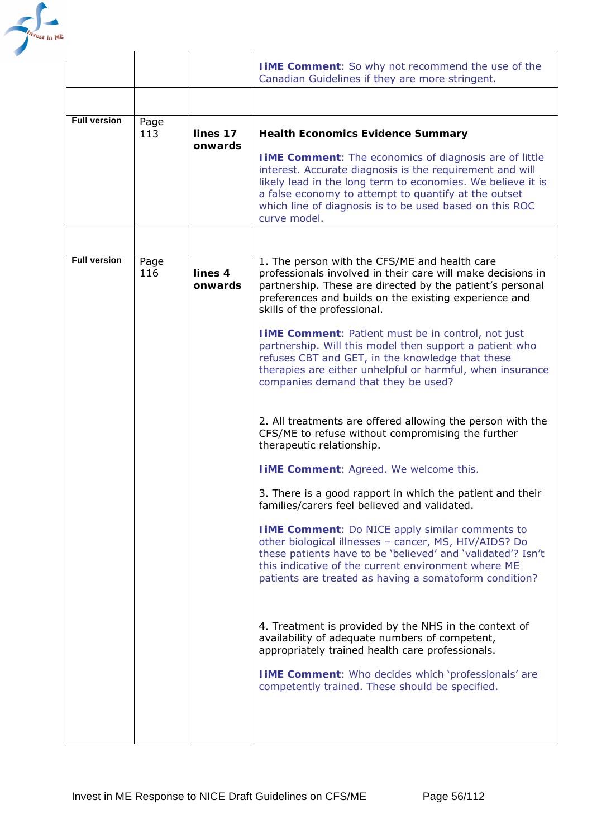

|                     |             |                     | <b>TIME Comment:</b> So why not recommend the use of the<br>Canadian Guidelines if they are more stringent.                                                                                                                                                                                                                                                                                                                                                                                                                                                                                                                                                                                                                                                                                                                                                                                                                                                                                                                                                                                                                                                                                                                                                                                                                                                                                                                                            |
|---------------------|-------------|---------------------|--------------------------------------------------------------------------------------------------------------------------------------------------------------------------------------------------------------------------------------------------------------------------------------------------------------------------------------------------------------------------------------------------------------------------------------------------------------------------------------------------------------------------------------------------------------------------------------------------------------------------------------------------------------------------------------------------------------------------------------------------------------------------------------------------------------------------------------------------------------------------------------------------------------------------------------------------------------------------------------------------------------------------------------------------------------------------------------------------------------------------------------------------------------------------------------------------------------------------------------------------------------------------------------------------------------------------------------------------------------------------------------------------------------------------------------------------------|
|                     |             |                     |                                                                                                                                                                                                                                                                                                                                                                                                                                                                                                                                                                                                                                                                                                                                                                                                                                                                                                                                                                                                                                                                                                                                                                                                                                                                                                                                                                                                                                                        |
| <b>Full version</b> | Page<br>113 | lines 17<br>onwards | <b>Health Economics Evidence Summary</b><br><b>I IME Comment:</b> The economics of diagnosis are of little<br>interest. Accurate diagnosis is the requirement and will<br>likely lead in the long term to economies. We believe it is<br>a false economy to attempt to quantify at the outset<br>which line of diagnosis is to be used based on this ROC<br>curve model.                                                                                                                                                                                                                                                                                                                                                                                                                                                                                                                                                                                                                                                                                                                                                                                                                                                                                                                                                                                                                                                                               |
|                     |             |                     |                                                                                                                                                                                                                                                                                                                                                                                                                                                                                                                                                                                                                                                                                                                                                                                                                                                                                                                                                                                                                                                                                                                                                                                                                                                                                                                                                                                                                                                        |
| <b>Full version</b> | Page<br>116 | lines 4<br>onwards  | 1. The person with the CFS/ME and health care<br>professionals involved in their care will make decisions in<br>partnership. These are directed by the patient's personal<br>preferences and builds on the existing experience and<br>skills of the professional.<br><b>I IME Comment:</b> Patient must be in control, not just<br>partnership. Will this model then support a patient who<br>refuses CBT and GET, in the knowledge that these<br>therapies are either unhelpful or harmful, when insurance<br>companies demand that they be used?<br>2. All treatments are offered allowing the person with the<br>CFS/ME to refuse without compromising the further<br>therapeutic relationship.<br><b>I iME Comment: Agreed. We welcome this.</b><br>3. There is a good rapport in which the patient and their<br>families/carers feel believed and validated.<br><b>I IME Comment:</b> Do NICE apply similar comments to<br>other biological illnesses - cancer, MS, HIV/AIDS? Do<br>these patients have to be 'believed' and 'validated'? Isn't<br>this indicative of the current environment where ME<br>patients are treated as having a somatoform condition?<br>4. Treatment is provided by the NHS in the context of<br>availability of adequate numbers of competent,<br>appropriately trained health care professionals.<br><b>I iME Comment:</b> Who decides which 'professionals' are<br>competently trained. These should be specified. |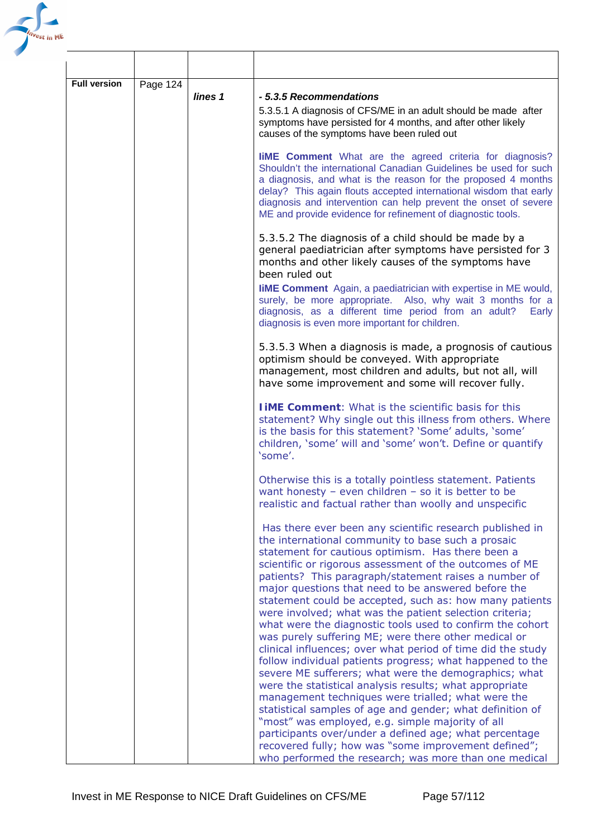

| <b>Full version</b> | Page 124 | lines 1 | - 5.3.5 Recommendations<br>5.3.5.1 A diagnosis of CFS/ME in an adult should be made after<br>symptoms have persisted for 4 months, and after other likely<br>causes of the symptoms have been ruled out                                                                                                                                                                                                                                                                                                                                                                                                                                                                                                                                                                                                                                                                                                                                                                                                                                                                                                                            |
|---------------------|----------|---------|------------------------------------------------------------------------------------------------------------------------------------------------------------------------------------------------------------------------------------------------------------------------------------------------------------------------------------------------------------------------------------------------------------------------------------------------------------------------------------------------------------------------------------------------------------------------------------------------------------------------------------------------------------------------------------------------------------------------------------------------------------------------------------------------------------------------------------------------------------------------------------------------------------------------------------------------------------------------------------------------------------------------------------------------------------------------------------------------------------------------------------|
|                     |          |         | <b>liME</b> Comment What are the agreed criteria for diagnosis?<br>Shouldn't the international Canadian Guidelines be used for such<br>a diagnosis, and what is the reason for the proposed 4 months<br>delay? This again flouts accepted international wisdom that early<br>diagnosis and intervention can help prevent the onset of severe<br>ME and provide evidence for refinement of diagnostic tools.                                                                                                                                                                                                                                                                                                                                                                                                                                                                                                                                                                                                                                                                                                                        |
|                     |          |         | 5.3.5.2 The diagnosis of a child should be made by a<br>general paediatrician after symptoms have persisted for 3<br>months and other likely causes of the symptoms have<br>been ruled out                                                                                                                                                                                                                                                                                                                                                                                                                                                                                                                                                                                                                                                                                                                                                                                                                                                                                                                                         |
|                     |          |         | <b>IIME Comment</b> Again, a paediatrician with expertise in ME would,<br>surely, be more appropriate. Also, why wait 3 months for a<br>diagnosis, as a different time period from an adult?<br>Early<br>diagnosis is even more important for children.                                                                                                                                                                                                                                                                                                                                                                                                                                                                                                                                                                                                                                                                                                                                                                                                                                                                            |
|                     |          |         | 5.3.5.3 When a diagnosis is made, a prognosis of cautious<br>optimism should be conveyed. With appropriate<br>management, most children and adults, but not all, will<br>have some improvement and some will recover fully.                                                                                                                                                                                                                                                                                                                                                                                                                                                                                                                                                                                                                                                                                                                                                                                                                                                                                                        |
|                     |          |         | <b>TIME Comment:</b> What is the scientific basis for this<br>statement? Why single out this illness from others. Where<br>is the basis for this statement? 'Some' adults, 'some'<br>children, 'some' will and 'some' won't. Define or quantify<br>'some'.                                                                                                                                                                                                                                                                                                                                                                                                                                                                                                                                                                                                                                                                                                                                                                                                                                                                         |
|                     |          |         | Otherwise this is a totally pointless statement. Patients<br>want honesty - even children - so it is better to be<br>realistic and factual rather than woolly and unspecific                                                                                                                                                                                                                                                                                                                                                                                                                                                                                                                                                                                                                                                                                                                                                                                                                                                                                                                                                       |
|                     |          |         | Has there ever been any scientific research published in<br>the international community to base such a prosaic<br>statement for cautious optimism. Has there been a<br>scientific or rigorous assessment of the outcomes of ME<br>patients? This paragraph/statement raises a number of<br>major questions that need to be answered before the<br>statement could be accepted, such as: how many patients<br>were involved; what was the patient selection criteria;<br>what were the diagnostic tools used to confirm the cohort<br>was purely suffering ME; were there other medical or<br>clinical influences; over what period of time did the study<br>follow individual patients progress; what happened to the<br>severe ME sufferers; what were the demographics; what<br>were the statistical analysis results; what appropriate<br>management techniques were trialled; what were the<br>statistical samples of age and gender; what definition of<br>"most" was employed, e.g. simple majority of all<br>participants over/under a defined age; what percentage<br>recovered fully; how was "some improvement defined"; |
|                     |          |         | who performed the research; was more than one medical                                                                                                                                                                                                                                                                                                                                                                                                                                                                                                                                                                                                                                                                                                                                                                                                                                                                                                                                                                                                                                                                              |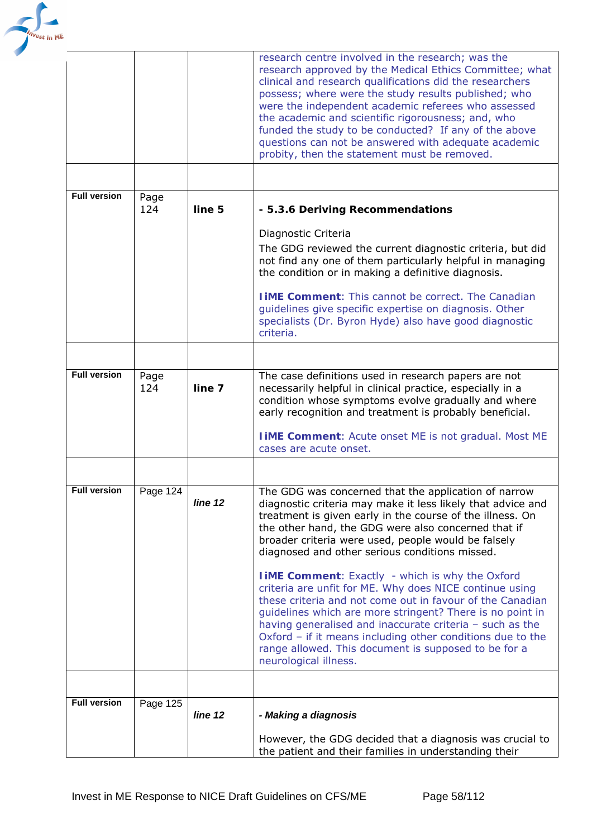

|                     |             |         | research centre involved in the research; was the<br>research approved by the Medical Ethics Committee; what<br>clinical and research qualifications did the researchers<br>possess; where were the study results published; who<br>were the independent academic referees who assessed<br>the academic and scientific rigorousness; and, who<br>funded the study to be conducted? If any of the above<br>questions can not be answered with adequate academic<br>probity, then the statement must be removed. |
|---------------------|-------------|---------|----------------------------------------------------------------------------------------------------------------------------------------------------------------------------------------------------------------------------------------------------------------------------------------------------------------------------------------------------------------------------------------------------------------------------------------------------------------------------------------------------------------|
| <b>Full version</b> |             |         |                                                                                                                                                                                                                                                                                                                                                                                                                                                                                                                |
|                     | Page<br>124 | line 5  | - 5.3.6 Deriving Recommendations                                                                                                                                                                                                                                                                                                                                                                                                                                                                               |
|                     |             |         | Diagnostic Criteria<br>The GDG reviewed the current diagnostic criteria, but did<br>not find any one of them particularly helpful in managing<br>the condition or in making a definitive diagnosis.                                                                                                                                                                                                                                                                                                            |
|                     |             |         | <b>TIME Comment:</b> This cannot be correct. The Canadian<br>guidelines give specific expertise on diagnosis. Other<br>specialists (Dr. Byron Hyde) also have good diagnostic<br>criteria.                                                                                                                                                                                                                                                                                                                     |
|                     |             |         |                                                                                                                                                                                                                                                                                                                                                                                                                                                                                                                |
| <b>Full version</b> | Page<br>124 | line 7  | The case definitions used in research papers are not<br>necessarily helpful in clinical practice, especially in a<br>condition whose symptoms evolve gradually and where<br>early recognition and treatment is probably beneficial.                                                                                                                                                                                                                                                                            |
|                     |             |         | <b>I iME Comment:</b> Acute onset ME is not gradual. Most ME<br>cases are acute onset.                                                                                                                                                                                                                                                                                                                                                                                                                         |
|                     |             |         |                                                                                                                                                                                                                                                                                                                                                                                                                                                                                                                |
| <b>Full version</b> | Page 124    | line 12 | The GDG was concerned that the application of narrow<br>diagnostic criteria may make it less likely that advice and<br>treatment is given early in the course of the illness. On<br>the other hand, the GDG were also concerned that if<br>broader criteria were used, people would be falsely<br>diagnosed and other serious conditions missed.                                                                                                                                                               |
|                     |             |         | <b>I iME Comment:</b> Exactly - which is why the Oxford<br>criteria are unfit for ME. Why does NICE continue using<br>these criteria and not come out in favour of the Canadian<br>guidelines which are more stringent? There is no point in<br>having generalised and inaccurate criteria - such as the<br>Oxford - if it means including other conditions due to the<br>range allowed. This document is supposed to be for a<br>neurological illness.                                                        |
|                     |             |         |                                                                                                                                                                                                                                                                                                                                                                                                                                                                                                                |
| <b>Full version</b> | Page 125    | line 12 | - Making a diagnosis                                                                                                                                                                                                                                                                                                                                                                                                                                                                                           |
|                     |             |         | However, the GDG decided that a diagnosis was crucial to<br>the patient and their families in understanding their                                                                                                                                                                                                                                                                                                                                                                                              |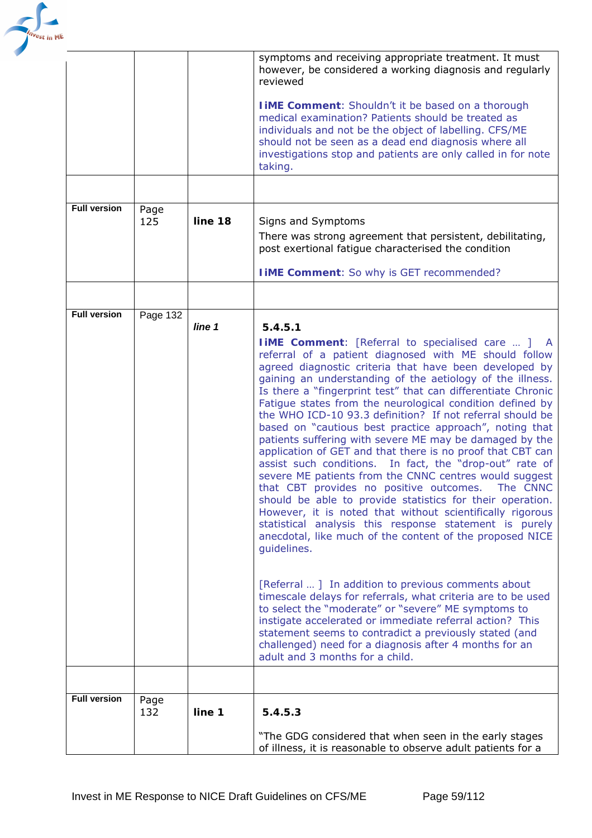

|                     |             |         | symptoms and receiving appropriate treatment. It must<br>however, be considered a working diagnosis and regularly<br>reviewed                                                                                                                                                                                                                                                                                                                                                                                                                                                                                                                                                                                                                         |
|---------------------|-------------|---------|-------------------------------------------------------------------------------------------------------------------------------------------------------------------------------------------------------------------------------------------------------------------------------------------------------------------------------------------------------------------------------------------------------------------------------------------------------------------------------------------------------------------------------------------------------------------------------------------------------------------------------------------------------------------------------------------------------------------------------------------------------|
|                     |             |         | <b>I IME Comment:</b> Shouldn't it be based on a thorough<br>medical examination? Patients should be treated as<br>individuals and not be the object of labelling. CFS/ME<br>should not be seen as a dead end diagnosis where all<br>investigations stop and patients are only called in for note<br>taking.                                                                                                                                                                                                                                                                                                                                                                                                                                          |
|                     |             |         |                                                                                                                                                                                                                                                                                                                                                                                                                                                                                                                                                                                                                                                                                                                                                       |
| <b>Full version</b> | Page<br>125 | line 18 | Signs and Symptoms<br>There was strong agreement that persistent, debilitating,                                                                                                                                                                                                                                                                                                                                                                                                                                                                                                                                                                                                                                                                       |
|                     |             |         | post exertional fatigue characterised the condition                                                                                                                                                                                                                                                                                                                                                                                                                                                                                                                                                                                                                                                                                                   |
|                     |             |         | <b>I iME Comment:</b> So why is GET recommended?                                                                                                                                                                                                                                                                                                                                                                                                                                                                                                                                                                                                                                                                                                      |
|                     |             |         |                                                                                                                                                                                                                                                                                                                                                                                                                                                                                                                                                                                                                                                                                                                                                       |
| <b>Full version</b> | Page 132    |         |                                                                                                                                                                                                                                                                                                                                                                                                                                                                                                                                                                                                                                                                                                                                                       |
|                     |             | line 1  | 5.4.5.1                                                                                                                                                                                                                                                                                                                                                                                                                                                                                                                                                                                                                                                                                                                                               |
|                     |             |         | <b>IIME Comment:</b> [Referral to specialised care  ] A                                                                                                                                                                                                                                                                                                                                                                                                                                                                                                                                                                                                                                                                                               |
|                     |             |         | referral of a patient diagnosed with ME should follow                                                                                                                                                                                                                                                                                                                                                                                                                                                                                                                                                                                                                                                                                                 |
|                     |             |         | agreed diagnostic criteria that have been developed by                                                                                                                                                                                                                                                                                                                                                                                                                                                                                                                                                                                                                                                                                                |
|                     |             |         | gaining an understanding of the aetiology of the illness.<br>Is there a "fingerprint test" that can differentiate Chronic                                                                                                                                                                                                                                                                                                                                                                                                                                                                                                                                                                                                                             |
|                     |             |         | Fatigue states from the neurological condition defined by<br>the WHO ICD-10 93.3 definition? If not referral should be<br>based on "cautious best practice approach", noting that<br>patients suffering with severe ME may be damaged by the<br>application of GET and that there is no proof that CBT can<br>In fact, the "drop-out" rate of<br>assist such conditions.<br>severe ME patients from the CNNC centres would suggest<br>that CBT provides no positive outcomes. The CNNC<br>should be able to provide statistics for their operation.<br>However, it is noted that without scientifically rigorous<br>statistical analysis this response statement is purely<br>anecdotal, like much of the content of the proposed NICE<br>guidelines. |
|                     |             |         | [Referral ] In addition to previous comments about<br>timescale delays for referrals, what criteria are to be used<br>to select the "moderate" or "severe" ME symptoms to<br>instigate accelerated or immediate referral action? This<br>statement seems to contradict a previously stated (and<br>challenged) need for a diagnosis after 4 months for an<br>adult and 3 months for a child.                                                                                                                                                                                                                                                                                                                                                          |
|                     |             |         |                                                                                                                                                                                                                                                                                                                                                                                                                                                                                                                                                                                                                                                                                                                                                       |
| <b>Full version</b> | Page<br>132 | line 1  | 5.4.5.3                                                                                                                                                                                                                                                                                                                                                                                                                                                                                                                                                                                                                                                                                                                                               |
|                     |             |         | "The GDG considered that when seen in the early stages<br>of illness, it is reasonable to observe adult patients for a                                                                                                                                                                                                                                                                                                                                                                                                                                                                                                                                                                                                                                |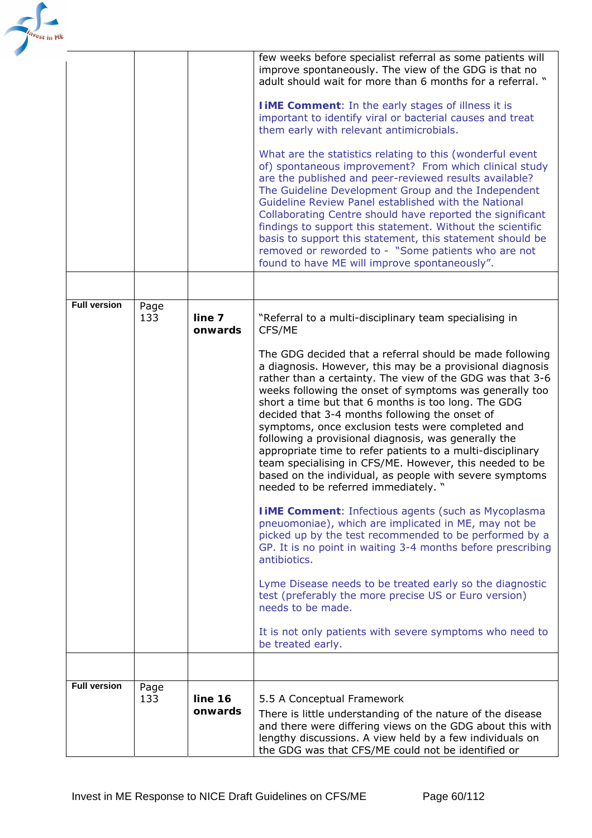| <sup>est</sup> in ME |                     |             |                    |                                                                                                                                                                                                                                                                                                                                                                                                                                                                                                                                                                                                                                                                                                 |
|----------------------|---------------------|-------------|--------------------|-------------------------------------------------------------------------------------------------------------------------------------------------------------------------------------------------------------------------------------------------------------------------------------------------------------------------------------------------------------------------------------------------------------------------------------------------------------------------------------------------------------------------------------------------------------------------------------------------------------------------------------------------------------------------------------------------|
|                      |                     |             |                    | few weeks before specialist referral as some patients will<br>improve spontaneously. The view of the GDG is that no<br>adult should wait for more than 6 months for a referral. "                                                                                                                                                                                                                                                                                                                                                                                                                                                                                                               |
|                      |                     |             |                    | <b>I iME Comment:</b> In the early stages of illness it is<br>important to identify viral or bacterial causes and treat<br>them early with relevant antimicrobials.                                                                                                                                                                                                                                                                                                                                                                                                                                                                                                                             |
|                      |                     |             |                    | What are the statistics relating to this (wonderful event<br>of) spontaneous improvement? From which clinical study<br>are the published and peer-reviewed results available?<br>The Guideline Development Group and the Independent<br>Guideline Review Panel established with the National<br>Collaborating Centre should have reported the significant<br>findings to support this statement. Without the scientific<br>basis to support this statement, this statement should be<br>removed or reworded to - "Some patients who are not<br>found to have ME will improve spontaneously".                                                                                                    |
|                      |                     |             |                    |                                                                                                                                                                                                                                                                                                                                                                                                                                                                                                                                                                                                                                                                                                 |
|                      | <b>Full version</b> | Page<br>133 | line 7<br>onwards  | "Referral to a multi-disciplinary team specialising in<br>CFS/ME                                                                                                                                                                                                                                                                                                                                                                                                                                                                                                                                                                                                                                |
|                      |                     |             |                    | The GDG decided that a referral should be made following<br>a diagnosis. However, this may be a provisional diagnosis<br>rather than a certainty. The view of the GDG was that 3-6<br>weeks following the onset of symptoms was generally too<br>short a time but that 6 months is too long. The GDG<br>decided that 3-4 months following the onset of<br>symptoms, once exclusion tests were completed and<br>following a provisional diagnosis, was generally the<br>appropriate time to refer patients to a multi-disciplinary<br>team specialising in CFS/ME. However, this needed to be<br>based on the individual, as people with severe symptoms<br>needed to be referred immediately. " |
|                      |                     |             |                    | <b>IIME Comment: Infectious agents (such as Mycoplasma)</b><br>pneuomoniae), which are implicated in ME, may not be<br>picked up by the test recommended to be performed by a<br>GP. It is no point in waiting 3-4 months before prescribing<br>antibiotics.                                                                                                                                                                                                                                                                                                                                                                                                                                    |
|                      |                     |             |                    | Lyme Disease needs to be treated early so the diagnostic<br>test (preferably the more precise US or Euro version)<br>needs to be made.                                                                                                                                                                                                                                                                                                                                                                                                                                                                                                                                                          |
|                      |                     |             |                    | It is not only patients with severe symptoms who need to<br>be treated early.                                                                                                                                                                                                                                                                                                                                                                                                                                                                                                                                                                                                                   |
|                      |                     |             |                    |                                                                                                                                                                                                                                                                                                                                                                                                                                                                                                                                                                                                                                                                                                 |
|                      | <b>Full version</b> | Page<br>133 | line 16<br>onwards | 5.5 A Conceptual Framework<br>There is little understanding of the nature of the disease<br>and there were differing views on the GDG about this with<br>lengthy discussions. A view held by a few individuals on<br>the GDG was that CFS/ME could not be identified or                                                                                                                                                                                                                                                                                                                                                                                                                         |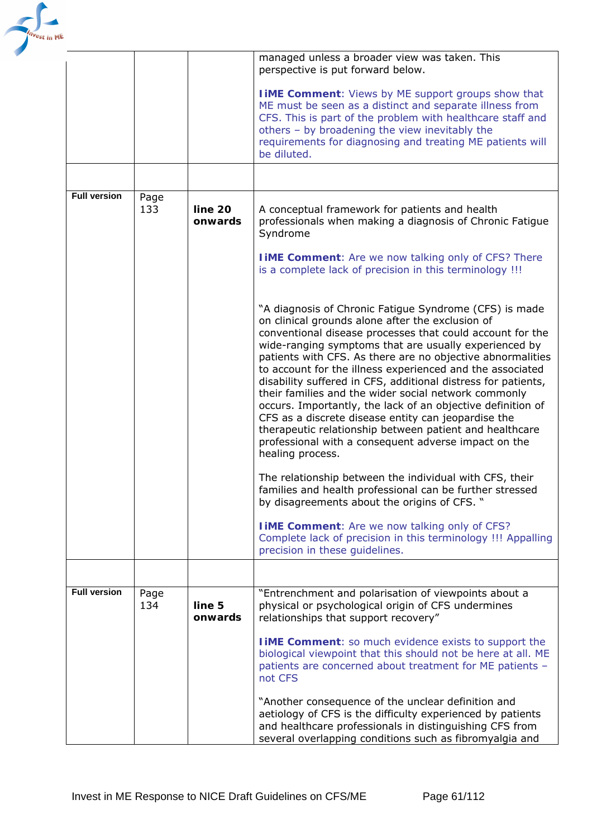

|                     |             |                    | managed unless a broader view was taken. This<br>perspective is put forward below.                                                                                                                                                                                                                                                                                                                                                                                                                                                                                                                                                                                                                                                                |
|---------------------|-------------|--------------------|---------------------------------------------------------------------------------------------------------------------------------------------------------------------------------------------------------------------------------------------------------------------------------------------------------------------------------------------------------------------------------------------------------------------------------------------------------------------------------------------------------------------------------------------------------------------------------------------------------------------------------------------------------------------------------------------------------------------------------------------------|
|                     |             |                    | <b>I iME Comment:</b> Views by ME support groups show that<br>ME must be seen as a distinct and separate illness from<br>CFS. This is part of the problem with healthcare staff and<br>others - by broadening the view inevitably the<br>requirements for diagnosing and treating ME patients will<br>be diluted.                                                                                                                                                                                                                                                                                                                                                                                                                                 |
|                     |             |                    |                                                                                                                                                                                                                                                                                                                                                                                                                                                                                                                                                                                                                                                                                                                                                   |
| <b>Full version</b> | Page<br>133 | line 20<br>onwards | A conceptual framework for patients and health<br>professionals when making a diagnosis of Chronic Fatigue<br>Syndrome                                                                                                                                                                                                                                                                                                                                                                                                                                                                                                                                                                                                                            |
|                     |             |                    | <b>I iME Comment:</b> Are we now talking only of CFS? There<br>is a complete lack of precision in this terminology !!!                                                                                                                                                                                                                                                                                                                                                                                                                                                                                                                                                                                                                            |
|                     |             |                    | "A diagnosis of Chronic Fatigue Syndrome (CFS) is made<br>on clinical grounds alone after the exclusion of<br>conventional disease processes that could account for the<br>wide-ranging symptoms that are usually experienced by<br>patients with CFS. As there are no objective abnormalities<br>to account for the illness experienced and the associated<br>disability suffered in CFS, additional distress for patients,<br>their families and the wider social network commonly<br>occurs. Importantly, the lack of an objective definition of<br>CFS as a discrete disease entity can jeopardise the<br>therapeutic relationship between patient and healthcare<br>professional with a consequent adverse impact on the<br>healing process. |
|                     |             |                    | The relationship between the individual with CFS, their<br>families and health professional can be further stressed<br>by disagreements about the origins of CFS. "                                                                                                                                                                                                                                                                                                                                                                                                                                                                                                                                                                               |
|                     |             |                    | <b>I iME Comment:</b> Are we now talking only of CFS?<br>Complete lack of precision in this terminology !!! Appalling<br>precision in these guidelines.                                                                                                                                                                                                                                                                                                                                                                                                                                                                                                                                                                                           |
|                     |             |                    |                                                                                                                                                                                                                                                                                                                                                                                                                                                                                                                                                                                                                                                                                                                                                   |
| <b>Full version</b> | Page<br>134 | line 5<br>onwards  | "Entrenchment and polarisation of viewpoints about a<br>physical or psychological origin of CFS undermines<br>relationships that support recovery"                                                                                                                                                                                                                                                                                                                                                                                                                                                                                                                                                                                                |
|                     |             |                    | <b>IIME Comment:</b> so much evidence exists to support the<br>biological viewpoint that this should not be here at all. ME<br>patients are concerned about treatment for ME patients -<br>not CFS                                                                                                                                                                                                                                                                                                                                                                                                                                                                                                                                                |
|                     |             |                    | "Another consequence of the unclear definition and<br>aetiology of CFS is the difficulty experienced by patients<br>and healthcare professionals in distinguishing CFS from<br>several overlapping conditions such as fibromyalgia and                                                                                                                                                                                                                                                                                                                                                                                                                                                                                                            |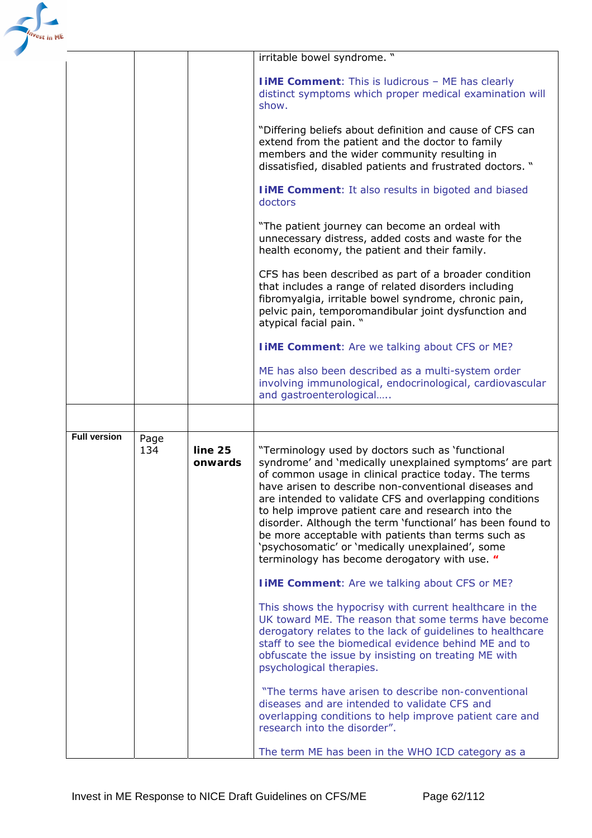| <sup>e</sup> st in ME |                     |             |                    |                                                                                                                                                                                                                                                                                                                                                                                                                                                                                                                                                                          |
|-----------------------|---------------------|-------------|--------------------|--------------------------------------------------------------------------------------------------------------------------------------------------------------------------------------------------------------------------------------------------------------------------------------------------------------------------------------------------------------------------------------------------------------------------------------------------------------------------------------------------------------------------------------------------------------------------|
|                       |                     |             |                    | irritable bowel syndrome. "                                                                                                                                                                                                                                                                                                                                                                                                                                                                                                                                              |
|                       |                     |             |                    | <b>I iME Comment:</b> This is ludicrous - ME has clearly<br>distinct symptoms which proper medical examination will<br>show.                                                                                                                                                                                                                                                                                                                                                                                                                                             |
|                       |                     |             |                    | "Differing beliefs about definition and cause of CFS can<br>extend from the patient and the doctor to family<br>members and the wider community resulting in<br>dissatisfied, disabled patients and frustrated doctors. "                                                                                                                                                                                                                                                                                                                                                |
|                       |                     |             |                    | <b>I iME Comment:</b> It also results in bigoted and biased<br>doctors                                                                                                                                                                                                                                                                                                                                                                                                                                                                                                   |
|                       |                     |             |                    | "The patient journey can become an ordeal with<br>unnecessary distress, added costs and waste for the<br>health economy, the patient and their family.                                                                                                                                                                                                                                                                                                                                                                                                                   |
|                       |                     |             |                    | CFS has been described as part of a broader condition<br>that includes a range of related disorders including<br>fibromyalgia, irritable bowel syndrome, chronic pain,<br>pelvic pain, temporomandibular joint dysfunction and<br>atypical facial pain. "                                                                                                                                                                                                                                                                                                                |
|                       |                     |             |                    | <b>I iME Comment:</b> Are we talking about CFS or ME?                                                                                                                                                                                                                                                                                                                                                                                                                                                                                                                    |
|                       |                     |             |                    | ME has also been described as a multi-system order<br>involving immunological, endocrinological, cardiovascular<br>and gastroenterological                                                                                                                                                                                                                                                                                                                                                                                                                               |
|                       |                     |             |                    |                                                                                                                                                                                                                                                                                                                                                                                                                                                                                                                                                                          |
|                       | <b>Full version</b> | Page<br>134 | line 25<br>onwards | "Terminology used by doctors such as 'functional<br>syndrome' and 'medically unexplained symptoms' are part<br>of common usage in clinical practice today. The terms<br>have arisen to describe non-conventional diseases and<br>are intended to validate CFS and overlapping conditions<br>to help improve patient care and research into the<br>disorder. Although the term 'functional' has been found to<br>be more acceptable with patients than terms such as<br>'psychosomatic' or 'medically unexplained', some<br>terminology has become derogatory with use. " |
|                       |                     |             |                    | <b>I iME Comment:</b> Are we talking about CFS or ME?                                                                                                                                                                                                                                                                                                                                                                                                                                                                                                                    |
|                       |                     |             |                    | This shows the hypocrisy with current healthcare in the<br>UK toward ME. The reason that some terms have become<br>derogatory relates to the lack of guidelines to healthcare<br>staff to see the biomedical evidence behind ME and to<br>obfuscate the issue by insisting on treating ME with<br>psychological therapies.                                                                                                                                                                                                                                               |
|                       |                     |             |                    | "The terms have arisen to describe non-conventional<br>diseases and are intended to validate CFS and<br>overlapping conditions to help improve patient care and<br>research into the disorder".                                                                                                                                                                                                                                                                                                                                                                          |
|                       |                     |             |                    | The term ME has been in the WHO ICD category as a                                                                                                                                                                                                                                                                                                                                                                                                                                                                                                                        |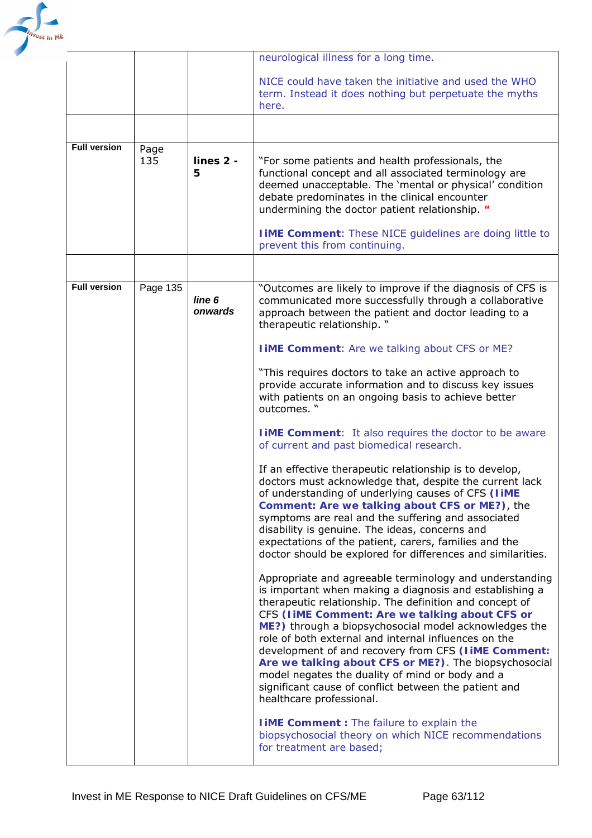

|                     |             |                   | neurological illness for a long time.                                                                                                                                                                                                                                                                                                                                                                                                                                                                                                                                                                    |
|---------------------|-------------|-------------------|----------------------------------------------------------------------------------------------------------------------------------------------------------------------------------------------------------------------------------------------------------------------------------------------------------------------------------------------------------------------------------------------------------------------------------------------------------------------------------------------------------------------------------------------------------------------------------------------------------|
|                     |             |                   | NICE could have taken the initiative and used the WHO<br>term. Instead it does nothing but perpetuate the myths<br>here.                                                                                                                                                                                                                                                                                                                                                                                                                                                                                 |
|                     |             |                   |                                                                                                                                                                                                                                                                                                                                                                                                                                                                                                                                                                                                          |
| <b>Full version</b> | Page<br>135 | lines 2 -<br>5    | "For some patients and health professionals, the<br>functional concept and all associated terminology are<br>deemed unacceptable. The 'mental or physical' condition<br>debate predominates in the clinical encounter<br>undermining the doctor patient relationship. "<br><b>I iME Comment:</b> These NICE guidelines are doing little to<br>prevent this from continuing.                                                                                                                                                                                                                              |
|                     |             |                   |                                                                                                                                                                                                                                                                                                                                                                                                                                                                                                                                                                                                          |
| <b>Full version</b> | Page 135    | line 6<br>onwards | "Outcomes are likely to improve if the diagnosis of CFS is<br>communicated more successfully through a collaborative<br>approach between the patient and doctor leading to a<br>therapeutic relationship. "                                                                                                                                                                                                                                                                                                                                                                                              |
|                     |             |                   | <b>I IME Comment:</b> Are we talking about CFS or ME?                                                                                                                                                                                                                                                                                                                                                                                                                                                                                                                                                    |
|                     |             |                   | "This requires doctors to take an active approach to<br>provide accurate information and to discuss key issues<br>with patients on an ongoing basis to achieve better<br>outcomes. "                                                                                                                                                                                                                                                                                                                                                                                                                     |
|                     |             |                   | <b>IIME Comment:</b> It also requires the doctor to be aware<br>of current and past biomedical research.                                                                                                                                                                                                                                                                                                                                                                                                                                                                                                 |
|                     |             |                   | If an effective therapeutic relationship is to develop,<br>doctors must acknowledge that, despite the current lack<br>of understanding of underlying causes of CFS (liME<br>Comment: Are we talking about CFS or ME?), the<br>symptoms are real and the suffering and associated<br>disability is genuine. The ideas, concerns and<br>expectations of the patient, carers, families and the<br>doctor should be explored for differences and similarities.                                                                                                                                               |
|                     |             |                   | Appropriate and agreeable terminology and understanding<br>is important when making a diagnosis and establishing a<br>therapeutic relationship. The definition and concept of<br>CFS (IIME Comment: Are we talking about CFS or<br>ME?) through a biopsychosocial model acknowledges the<br>role of both external and internal influences on the<br>development of and recovery from CFS (liME Comment:<br>Are we talking about CFS or ME?). The biopsychosocial<br>model negates the duality of mind or body and a<br>significant cause of conflict between the patient and<br>healthcare professional. |
|                     |             |                   | <b>I iME Comment</b> : The failure to explain the<br>biopsychosocial theory on which NICE recommendations<br>for treatment are based;                                                                                                                                                                                                                                                                                                                                                                                                                                                                    |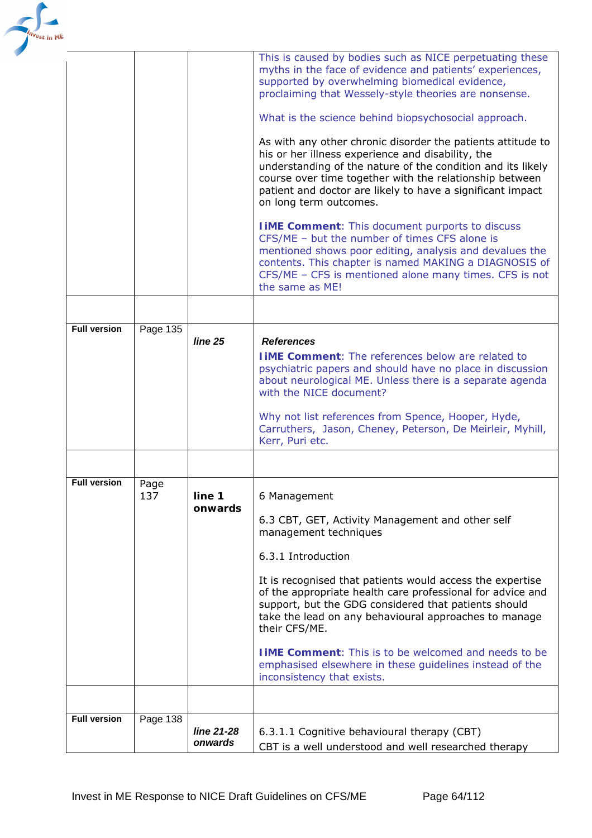| 'est in ME |                     |          |                       |                                                                                                                                                                                                                                                                                                                                    |
|------------|---------------------|----------|-----------------------|------------------------------------------------------------------------------------------------------------------------------------------------------------------------------------------------------------------------------------------------------------------------------------------------------------------------------------|
|            |                     |          |                       | This is caused by bodies such as NICE perpetuating these<br>myths in the face of evidence and patients' experiences,<br>supported by overwhelming biomedical evidence,<br>proclaiming that Wessely-style theories are nonsense.<br>What is the science behind biopsychosocial approach.                                            |
|            |                     |          |                       | As with any other chronic disorder the patients attitude to<br>his or her illness experience and disability, the<br>understanding of the nature of the condition and its likely<br>course over time together with the relationship between<br>patient and doctor are likely to have a significant impact<br>on long term outcomes. |
|            |                     |          |                       | <b>I iME Comment:</b> This document purports to discuss<br>CFS/ME - but the number of times CFS alone is<br>mentioned shows poor editing, analysis and devalues the<br>contents. This chapter is named MAKING a DIAGNOSIS of<br>CFS/ME - CFS is mentioned alone many times. CFS is not<br>the same as ME!                          |
|            |                     |          |                       |                                                                                                                                                                                                                                                                                                                                    |
|            | <b>Full version</b> | Page 135 |                       |                                                                                                                                                                                                                                                                                                                                    |
|            |                     |          | line 25               | <b>References</b><br><b>I IME Comment:</b> The references below are related to<br>psychiatric papers and should have no place in discussion<br>about neurological ME. Unless there is a separate agenda<br>with the NICE document?<br>Why not list references from Spence, Hooper, Hyde,                                           |
|            |                     |          |                       | Carruthers, Jason, Cheney, Peterson, De Meirleir, Myhill,<br>Kerr, Puri etc.                                                                                                                                                                                                                                                       |
|            |                     |          |                       |                                                                                                                                                                                                                                                                                                                                    |
|            | <b>Full version</b> | Page     |                       |                                                                                                                                                                                                                                                                                                                                    |
|            |                     | 137      | line 1                | 6 Management                                                                                                                                                                                                                                                                                                                       |
|            |                     |          | onwards               | 6.3 CBT, GET, Activity Management and other self<br>management techniques                                                                                                                                                                                                                                                          |
|            |                     |          |                       | 6.3.1 Introduction                                                                                                                                                                                                                                                                                                                 |
|            |                     |          |                       | It is recognised that patients would access the expertise<br>of the appropriate health care professional for advice and<br>support, but the GDG considered that patients should<br>take the lead on any behavioural approaches to manage<br>their CFS/ME.                                                                          |
|            |                     |          |                       | <b>TIME Comment:</b> This is to be welcomed and needs to be<br>emphasised elsewhere in these guidelines instead of the<br>inconsistency that exists.                                                                                                                                                                               |
|            |                     |          |                       |                                                                                                                                                                                                                                                                                                                                    |
|            | <b>Full version</b> | Page 138 |                       |                                                                                                                                                                                                                                                                                                                                    |
|            |                     |          | line 21-28<br>onwards | 6.3.1.1 Cognitive behavioural therapy (CBT)<br>CBT is a well understood and well researched therapy                                                                                                                                                                                                                                |
|            |                     |          |                       |                                                                                                                                                                                                                                                                                                                                    |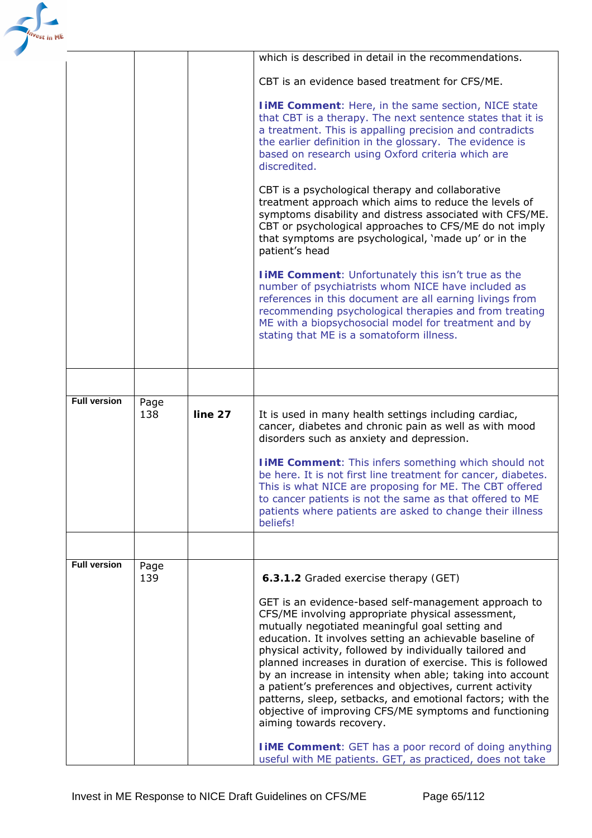| est in ME |                     |             |         |                                                                                                                                                                                                                                                                                                                                                                                                                                                                                                                                                                                                                                                                                                    |
|-----------|---------------------|-------------|---------|----------------------------------------------------------------------------------------------------------------------------------------------------------------------------------------------------------------------------------------------------------------------------------------------------------------------------------------------------------------------------------------------------------------------------------------------------------------------------------------------------------------------------------------------------------------------------------------------------------------------------------------------------------------------------------------------------|
|           |                     |             |         | which is described in detail in the recommendations.                                                                                                                                                                                                                                                                                                                                                                                                                                                                                                                                                                                                                                               |
|           |                     |             |         | CBT is an evidence based treatment for CFS/ME.                                                                                                                                                                                                                                                                                                                                                                                                                                                                                                                                                                                                                                                     |
|           |                     |             |         | <b>I iME Comment:</b> Here, in the same section, NICE state<br>that CBT is a therapy. The next sentence states that it is<br>a treatment. This is appalling precision and contradicts<br>the earlier definition in the glossary. The evidence is<br>based on research using Oxford criteria which are<br>discredited.                                                                                                                                                                                                                                                                                                                                                                              |
|           |                     |             |         | CBT is a psychological therapy and collaborative<br>treatment approach which aims to reduce the levels of<br>symptoms disability and distress associated with CFS/ME.<br>CBT or psychological approaches to CFS/ME do not imply<br>that symptoms are psychological, 'made up' or in the<br>patient's head                                                                                                                                                                                                                                                                                                                                                                                          |
|           |                     |             |         | <b>I IME Comment:</b> Unfortunately this isn't true as the<br>number of psychiatrists whom NICE have included as<br>references in this document are all earning livings from<br>recommending psychological therapies and from treating<br>ME with a biopsychosocial model for treatment and by<br>stating that ME is a somatoform illness.                                                                                                                                                                                                                                                                                                                                                         |
|           |                     |             |         |                                                                                                                                                                                                                                                                                                                                                                                                                                                                                                                                                                                                                                                                                                    |
|           | <b>Full version</b> | Page<br>138 | line 27 | It is used in many health settings including cardiac,<br>cancer, diabetes and chronic pain as well as with mood<br>disorders such as anxiety and depression.<br><b>I IME Comment:</b> This infers something which should not<br>be here. It is not first line treatment for cancer, diabetes.<br>This is what NICE are proposing for ME. The CBT offered<br>to cancer patients is not the same as that offered to ME<br>patients where patients are asked to change their illness<br>beliefs!                                                                                                                                                                                                      |
|           |                     |             |         |                                                                                                                                                                                                                                                                                                                                                                                                                                                                                                                                                                                                                                                                                                    |
|           | <b>Full version</b> | Page<br>139 |         | 6.3.1.2 Graded exercise therapy (GET)                                                                                                                                                                                                                                                                                                                                                                                                                                                                                                                                                                                                                                                              |
|           |                     |             |         | GET is an evidence-based self-management approach to<br>CFS/ME involving appropriate physical assessment,<br>mutually negotiated meaningful goal setting and<br>education. It involves setting an achievable baseline of<br>physical activity, followed by individually tailored and<br>planned increases in duration of exercise. This is followed<br>by an increase in intensity when able; taking into account<br>a patient's preferences and objectives, current activity<br>patterns, sleep, setbacks, and emotional factors; with the<br>objective of improving CFS/ME symptoms and functioning<br>aiming towards recovery.<br><b>I iME Comment:</b> GET has a poor record of doing anything |
|           |                     |             |         | useful with ME patients. GET, as practiced, does not take                                                                                                                                                                                                                                                                                                                                                                                                                                                                                                                                                                                                                                          |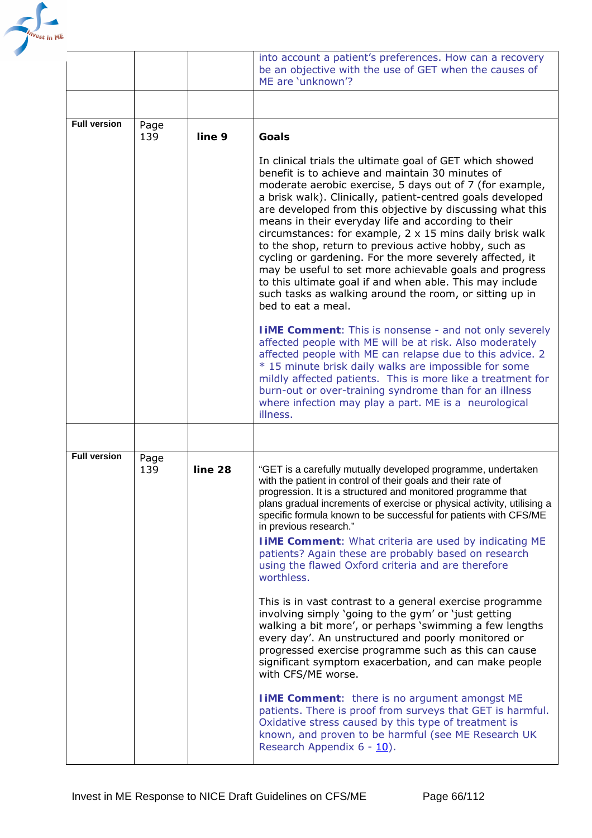

|                     |             |         | into account a patient's preferences. How can a recovery<br>be an objective with the use of GET when the causes of<br>ME are 'unknown'?                                                                                                                                                                                                                                                                                                                                                                                                                                                                                                                                                                                                                    |
|---------------------|-------------|---------|------------------------------------------------------------------------------------------------------------------------------------------------------------------------------------------------------------------------------------------------------------------------------------------------------------------------------------------------------------------------------------------------------------------------------------------------------------------------------------------------------------------------------------------------------------------------------------------------------------------------------------------------------------------------------------------------------------------------------------------------------------|
|                     |             |         |                                                                                                                                                                                                                                                                                                                                                                                                                                                                                                                                                                                                                                                                                                                                                            |
| <b>Full version</b> | Page<br>139 | line 9  | Goals                                                                                                                                                                                                                                                                                                                                                                                                                                                                                                                                                                                                                                                                                                                                                      |
|                     |             |         | In clinical trials the ultimate goal of GET which showed<br>benefit is to achieve and maintain 30 minutes of<br>moderate aerobic exercise, 5 days out of 7 (for example,<br>a brisk walk). Clinically, patient-centred goals developed<br>are developed from this objective by discussing what this<br>means in their everyday life and according to their<br>circumstances: for example, $2 \times 15$ mins daily brisk walk<br>to the shop, return to previous active hobby, such as<br>cycling or gardening. For the more severely affected, it<br>may be useful to set more achievable goals and progress<br>to this ultimate goal if and when able. This may include<br>such tasks as walking around the room, or sitting up in<br>bed to eat a meal. |
|                     |             |         | <b>I iME Comment:</b> This is nonsense - and not only severely<br>affected people with ME will be at risk. Also moderately<br>affected people with ME can relapse due to this advice. 2<br>* 15 minute brisk daily walks are impossible for some<br>mildly affected patients. This is more like a treatment for<br>burn-out or over-training syndrome than for an illness<br>where infection may play a part. ME is a neurological<br>illness.                                                                                                                                                                                                                                                                                                             |
|                     |             |         |                                                                                                                                                                                                                                                                                                                                                                                                                                                                                                                                                                                                                                                                                                                                                            |
| <b>Full version</b> | Page<br>139 | line 28 | "GET is a carefully mutually developed programme, undertaken<br>with the patient in control of their goals and their rate of<br>progression. It is a structured and monitored programme that<br>plans gradual increments of exercise or physical activity, utilising a<br>specific formula known to be successful for patients with CFS/ME<br>in previous research."<br><b>I iME Comment:</b> What criteria are used by indicating ME<br>patients? Again these are probably based on research<br>using the flawed Oxford criteria and are therefore<br>worthless.                                                                                                                                                                                          |
|                     |             |         | This is in vast contrast to a general exercise programme<br>involving simply 'going to the gym' or 'just getting<br>walking a bit more', or perhaps 'swimming a few lengths<br>every day'. An unstructured and poorly monitored or<br>progressed exercise programme such as this can cause<br>significant symptom exacerbation, and can make people<br>with CFS/ME worse.                                                                                                                                                                                                                                                                                                                                                                                  |
|                     |             |         | <b>I iME Comment:</b> there is no argument amongst ME<br>patients. There is proof from surveys that GET is harmful.<br>Oxidative stress caused by this type of treatment is<br>known, and proven to be harmful (see ME Research UK<br>Research Appendix 6 - 10).                                                                                                                                                                                                                                                                                                                                                                                                                                                                                           |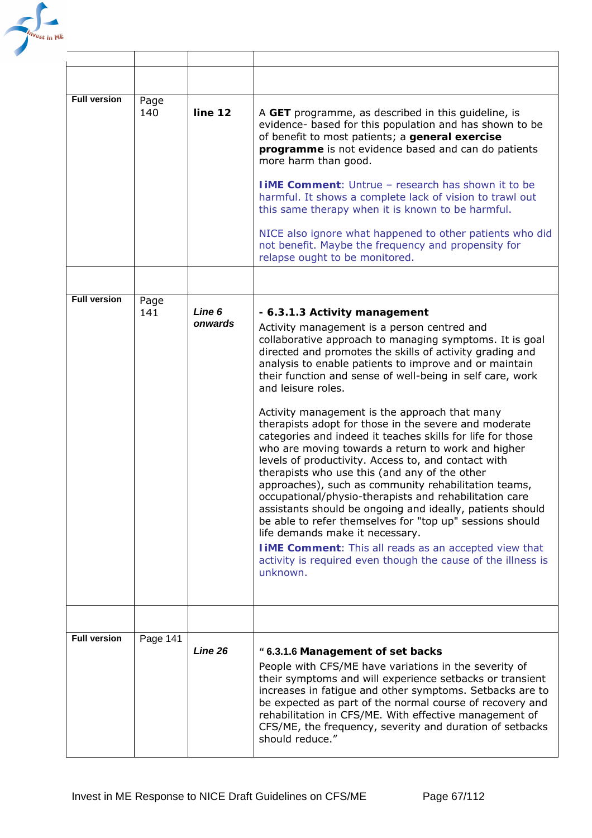

| <b>Full version</b> | Page<br>140 | line 12           | A GET programme, as described in this guideline, is<br>evidence- based for this population and has shown to be<br>of benefit to most patients; a <i>general exercise</i><br><i>programme</i> is not evidence based and can do patients<br>more harm than good.<br><b>I iME Comment:</b> Untrue - research has shown it to be<br>harmful. It shows a complete lack of vision to trawl out<br>this same therapy when it is known to be harmful.                                                                                                                                                                                                                                                                                                                                                                                                                                                                                                                                                                                                                                                                     |
|---------------------|-------------|-------------------|-------------------------------------------------------------------------------------------------------------------------------------------------------------------------------------------------------------------------------------------------------------------------------------------------------------------------------------------------------------------------------------------------------------------------------------------------------------------------------------------------------------------------------------------------------------------------------------------------------------------------------------------------------------------------------------------------------------------------------------------------------------------------------------------------------------------------------------------------------------------------------------------------------------------------------------------------------------------------------------------------------------------------------------------------------------------------------------------------------------------|
|                     |             |                   | NICE also ignore what happened to other patients who did<br>not benefit. Maybe the frequency and propensity for<br>relapse ought to be monitored.                                                                                                                                                                                                                                                                                                                                                                                                                                                                                                                                                                                                                                                                                                                                                                                                                                                                                                                                                                 |
|                     |             |                   |                                                                                                                                                                                                                                                                                                                                                                                                                                                                                                                                                                                                                                                                                                                                                                                                                                                                                                                                                                                                                                                                                                                   |
| <b>Full version</b> | Page<br>141 | Line 6<br>onwards | - 6.3.1.3 Activity management<br>Activity management is a person centred and<br>collaborative approach to managing symptoms. It is goal<br>directed and promotes the skills of activity grading and<br>analysis to enable patients to improve and or maintain<br>their function and sense of well-being in self care, work<br>and leisure roles.<br>Activity management is the approach that many<br>therapists adopt for those in the severe and moderate<br>categories and indeed it teaches skills for life for those<br>who are moving towards a return to work and higher<br>levels of productivity. Access to, and contact with<br>therapists who use this (and any of the other<br>approaches), such as community rehabilitation teams,<br>occupational/physio-therapists and rehabilitation care<br>assistants should be ongoing and ideally, patients should<br>be able to refer themselves for "top up" sessions should<br>life demands make it necessary.<br><b>I iME Comment:</b> This all reads as an accepted view that<br>activity is required even though the cause of the illness is<br>unknown. |
| <b>Full version</b> | Page 141    |                   |                                                                                                                                                                                                                                                                                                                                                                                                                                                                                                                                                                                                                                                                                                                                                                                                                                                                                                                                                                                                                                                                                                                   |
|                     |             | Line 26           | "6.3.1.6 Management of set backs<br>People with CFS/ME have variations in the severity of<br>their symptoms and will experience setbacks or transient<br>increases in fatigue and other symptoms. Setbacks are to<br>be expected as part of the normal course of recovery and<br>rehabilitation in CFS/ME. With effective management of<br>CFS/ME, the frequency, severity and duration of setbacks<br>should reduce."                                                                                                                                                                                                                                                                                                                                                                                                                                                                                                                                                                                                                                                                                            |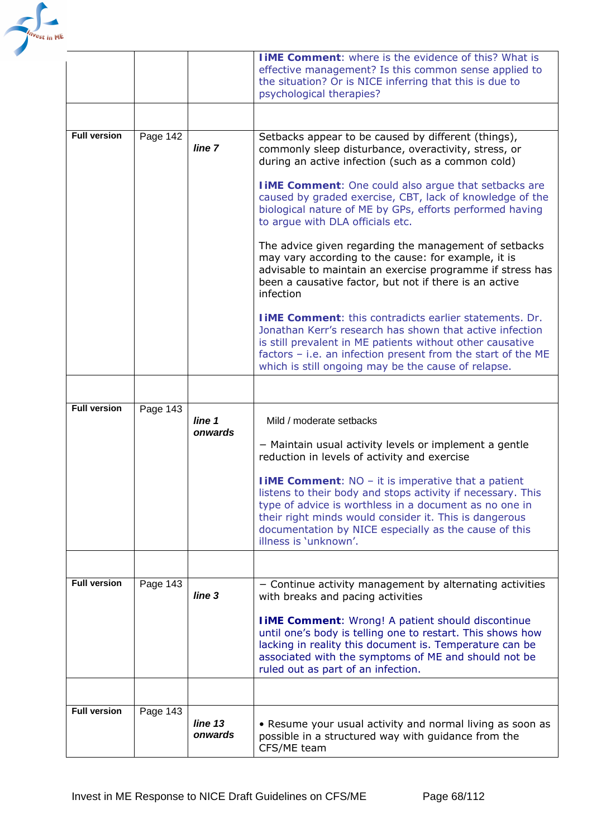

| <b>Full version</b> | Page 143 | line 13<br>onwards | • Resume your usual activity and normal living as soon as<br>possible in a structured way with guidance from the<br>CFS/ME team                                                                                                                                                                                                                                                                                                                                                                                                                                                                                                                                                                                                                                                                                                                                                                                                                                    |
|---------------------|----------|--------------------|--------------------------------------------------------------------------------------------------------------------------------------------------------------------------------------------------------------------------------------------------------------------------------------------------------------------------------------------------------------------------------------------------------------------------------------------------------------------------------------------------------------------------------------------------------------------------------------------------------------------------------------------------------------------------------------------------------------------------------------------------------------------------------------------------------------------------------------------------------------------------------------------------------------------------------------------------------------------|
|                     |          |                    | until one's body is telling one to restart. This shows how<br>lacking in reality this document is. Temperature can be<br>associated with the symptoms of ME and should not be<br>ruled out as part of an infection.                                                                                                                                                                                                                                                                                                                                                                                                                                                                                                                                                                                                                                                                                                                                                |
| <b>Full version</b> | Page 143 | line <sub>3</sub>  | - Continue activity management by alternating activities<br>with breaks and pacing activities<br><b>I iME Comment:</b> Wrong! A patient should discontinue                                                                                                                                                                                                                                                                                                                                                                                                                                                                                                                                                                                                                                                                                                                                                                                                         |
|                     |          | line 1<br>onwards  | Mild / moderate setbacks<br>- Maintain usual activity levels or implement a gentle<br>reduction in levels of activity and exercise<br><b>IIME Comment:</b> $NO - it$ is imperative that a patient<br>listens to their body and stops activity if necessary. This<br>type of advice is worthless in a document as no one in<br>their right minds would consider it. This is dangerous<br>documentation by NICE especially as the cause of this<br>illness is 'unknown'.                                                                                                                                                                                                                                                                                                                                                                                                                                                                                             |
| <b>Full version</b> | Page 143 |                    |                                                                                                                                                                                                                                                                                                                                                                                                                                                                                                                                                                                                                                                                                                                                                                                                                                                                                                                                                                    |
|                     | Page 142 | line 7             | Setbacks appear to be caused by different (things),<br>commonly sleep disturbance, overactivity, stress, or<br>during an active infection (such as a common cold)<br><b>I iME Comment:</b> One could also argue that setbacks are<br>caused by graded exercise, CBT, lack of knowledge of the<br>biological nature of ME by GPs, efforts performed having<br>to argue with DLA officials etc.<br>The advice given regarding the management of setbacks<br>may vary according to the cause: for example, it is<br>advisable to maintain an exercise programme if stress has<br>been a causative factor, but not if there is an active<br>infection<br><b>TIME Comment:</b> this contradicts earlier statements. Dr.<br>Jonathan Kerr's research has shown that active infection<br>is still prevalent in ME patients without other causative<br>factors - i.e. an infection present from the start of the ME<br>which is still ongoing may be the cause of relapse. |
| <b>Full version</b> |          |                    |                                                                                                                                                                                                                                                                                                                                                                                                                                                                                                                                                                                                                                                                                                                                                                                                                                                                                                                                                                    |
|                     |          |                    | <b>TIME Comment:</b> where is the evidence of this? What is<br>effective management? Is this common sense applied to<br>the situation? Or is NICE inferring that this is due to<br>psychological therapies?                                                                                                                                                                                                                                                                                                                                                                                                                                                                                                                                                                                                                                                                                                                                                        |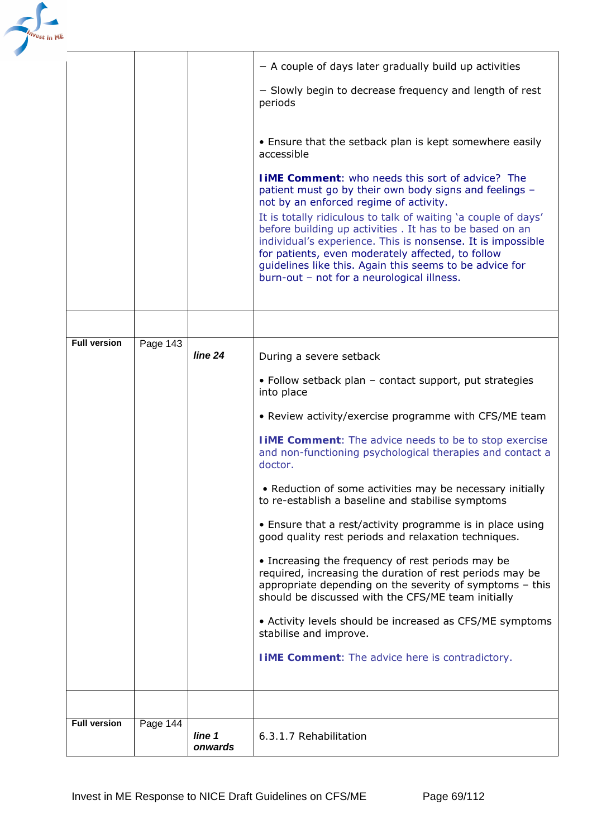

|                     |          |                   | - A couple of days later gradually build up activities                                                                                                                                                                                                                                                                                                                                                                                                                                                                  |
|---------------------|----------|-------------------|-------------------------------------------------------------------------------------------------------------------------------------------------------------------------------------------------------------------------------------------------------------------------------------------------------------------------------------------------------------------------------------------------------------------------------------------------------------------------------------------------------------------------|
|                     |          |                   | - Slowly begin to decrease frequency and length of rest<br>periods                                                                                                                                                                                                                                                                                                                                                                                                                                                      |
|                     |          |                   | • Ensure that the setback plan is kept somewhere easily<br>accessible                                                                                                                                                                                                                                                                                                                                                                                                                                                   |
|                     |          |                   | <b>I iME Comment:</b> who needs this sort of advice? The<br>patient must go by their own body signs and feelings -<br>not by an enforced regime of activity.<br>It is totally ridiculous to talk of waiting 'a couple of days'<br>before building up activities . It has to be based on an<br>individual's experience. This is nonsense. It is impossible<br>for patients, even moderately affected, to follow<br>guidelines like this. Again this seems to be advice for<br>burn-out - not for a neurological illness. |
|                     |          |                   |                                                                                                                                                                                                                                                                                                                                                                                                                                                                                                                         |
| <b>Full version</b> | Page 143 | line 24           | During a severe setback                                                                                                                                                                                                                                                                                                                                                                                                                                                                                                 |
|                     |          |                   | • Follow setback plan - contact support, put strategies<br>into place                                                                                                                                                                                                                                                                                                                                                                                                                                                   |
|                     |          |                   | • Review activity/exercise programme with CFS/ME team                                                                                                                                                                                                                                                                                                                                                                                                                                                                   |
|                     |          |                   | <b>I iME Comment:</b> The advice needs to be to stop exercise<br>and non-functioning psychological therapies and contact a<br>doctor.                                                                                                                                                                                                                                                                                                                                                                                   |
|                     |          |                   | • Reduction of some activities may be necessary initially<br>to re-establish a baseline and stabilise symptoms                                                                                                                                                                                                                                                                                                                                                                                                          |
|                     |          |                   | • Ensure that a rest/activity programme is in place using<br>good quality rest periods and relaxation techniques.                                                                                                                                                                                                                                                                                                                                                                                                       |
|                     |          |                   | • Increasing the frequency of rest periods may be<br>required, increasing the duration of rest periods may be<br>appropriate depending on the severity of symptoms - this<br>should be discussed with the CFS/ME team initially                                                                                                                                                                                                                                                                                         |
|                     |          |                   | • Activity levels should be increased as CFS/ME symptoms<br>stabilise and improve.                                                                                                                                                                                                                                                                                                                                                                                                                                      |
|                     |          |                   | <b>I IME Comment:</b> The advice here is contradictory.                                                                                                                                                                                                                                                                                                                                                                                                                                                                 |
|                     |          |                   |                                                                                                                                                                                                                                                                                                                                                                                                                                                                                                                         |
| <b>Full version</b> | Page 144 |                   |                                                                                                                                                                                                                                                                                                                                                                                                                                                                                                                         |
|                     |          | line 1<br>onwards | 6.3.1.7 Rehabilitation                                                                                                                                                                                                                                                                                                                                                                                                                                                                                                  |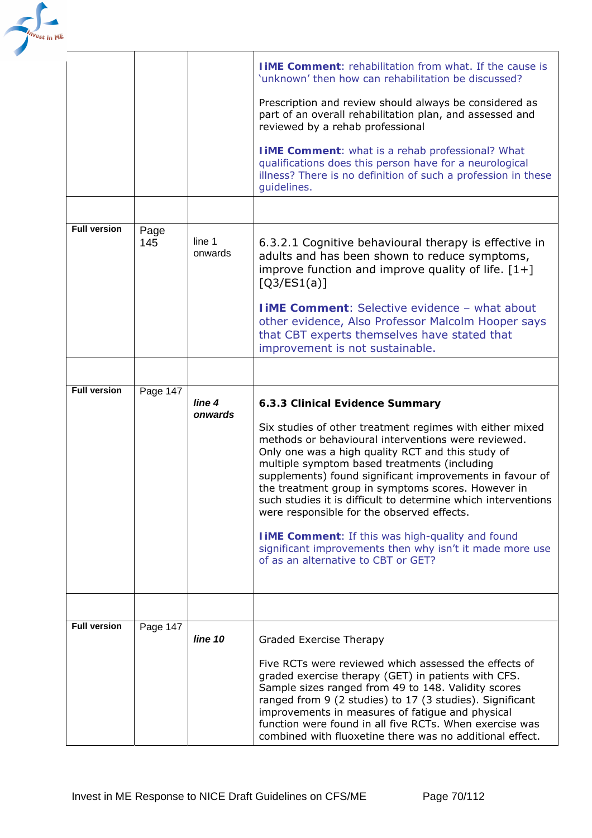

|                     |             |                              | <b>I IME Comment:</b> rehabilitation from what. If the cause is<br>'unknown' then how can rehabilitation be discussed?<br>Prescription and review should always be considered as<br>part of an overall rehabilitation plan, and assessed and<br>reviewed by a rehab professional<br>IiME Comment: what is a rehab professional? What<br>qualifications does this person have for a neurological<br>illness? There is no definition of such a profession in these<br>guidelines.                                                                                                                                                                         |
|---------------------|-------------|------------------------------|---------------------------------------------------------------------------------------------------------------------------------------------------------------------------------------------------------------------------------------------------------------------------------------------------------------------------------------------------------------------------------------------------------------------------------------------------------------------------------------------------------------------------------------------------------------------------------------------------------------------------------------------------------|
|                     |             |                              |                                                                                                                                                                                                                                                                                                                                                                                                                                                                                                                                                                                                                                                         |
| <b>Full version</b> | Page<br>145 | line 1<br>onwards            | 6.3.2.1 Cognitive behavioural therapy is effective in<br>adults and has been shown to reduce symptoms,<br>improve function and improve quality of life. $[1+]$<br>[Q3/ES1(a)]                                                                                                                                                                                                                                                                                                                                                                                                                                                                           |
|                     |             |                              | <b>I IME Comment: Selective evidence - what about</b><br>other evidence, Also Professor Malcolm Hooper says<br>that CBT experts themselves have stated that<br>improvement is not sustainable.                                                                                                                                                                                                                                                                                                                                                                                                                                                          |
|                     |             |                              |                                                                                                                                                                                                                                                                                                                                                                                                                                                                                                                                                                                                                                                         |
| <b>Full version</b> | Page 147    | line <sub>4</sub><br>onwards | 6.3.3 Clinical Evidence Summary<br>Six studies of other treatment regimes with either mixed<br>methods or behavioural interventions were reviewed.<br>Only one was a high quality RCT and this study of<br>multiple symptom based treatments (including<br>supplements) found significant improvements in favour of<br>the treatment group in symptoms scores. However in<br>such studies it is difficult to determine which interventions<br>were responsible for the observed effects.<br><b>I IME Comment:</b> If this was high-quality and found<br>significant improvements then why isn't it made more use<br>of as an alternative to CBT or GET? |
|                     |             |                              |                                                                                                                                                                                                                                                                                                                                                                                                                                                                                                                                                                                                                                                         |
| <b>Full version</b> | Page 147    | line 10                      | Graded Exercise Therapy<br>Five RCTs were reviewed which assessed the effects of<br>graded exercise therapy (GET) in patients with CFS.<br>Sample sizes ranged from 49 to 148. Validity scores<br>ranged from 9 (2 studies) to 17 (3 studies). Significant<br>improvements in measures of fatigue and physical<br>function were found in all five RCTs. When exercise was<br>combined with fluoxetine there was no additional effect.                                                                                                                                                                                                                   |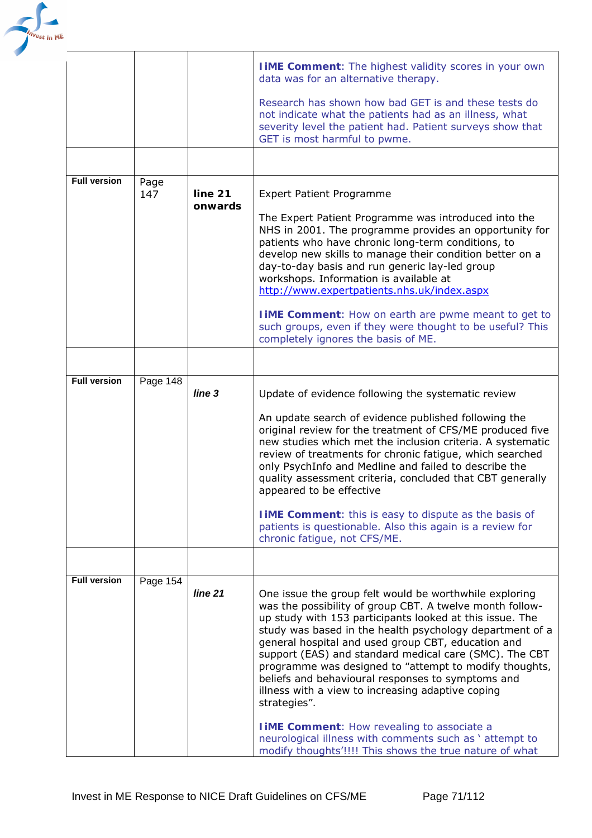

|                     |             |                    | <b>I iME Comment:</b> The highest validity scores in your own<br>data was for an alternative therapy.                                                                                                                                                                                                                                                                                                                                                                                                                                          |
|---------------------|-------------|--------------------|------------------------------------------------------------------------------------------------------------------------------------------------------------------------------------------------------------------------------------------------------------------------------------------------------------------------------------------------------------------------------------------------------------------------------------------------------------------------------------------------------------------------------------------------|
|                     |             |                    | Research has shown how bad GET is and these tests do<br>not indicate what the patients had as an illness, what<br>severity level the patient had. Patient surveys show that<br>GET is most harmful to pwme.                                                                                                                                                                                                                                                                                                                                    |
|                     |             |                    |                                                                                                                                                                                                                                                                                                                                                                                                                                                                                                                                                |
| <b>Full version</b> | Page<br>147 | line 21<br>onwards | <b>Expert Patient Programme</b><br>The Expert Patient Programme was introduced into the                                                                                                                                                                                                                                                                                                                                                                                                                                                        |
|                     |             |                    | NHS in 2001. The programme provides an opportunity for<br>patients who have chronic long-term conditions, to<br>develop new skills to manage their condition better on a<br>day-to-day basis and run generic lay-led group<br>workshops. Information is available at<br>http://www.expertpatients.nhs.uk/index.aspx                                                                                                                                                                                                                            |
|                     |             |                    | <b>IIME Comment:</b> How on earth are pwme meant to get to<br>such groups, even if they were thought to be useful? This<br>completely ignores the basis of ME.                                                                                                                                                                                                                                                                                                                                                                                 |
|                     |             |                    |                                                                                                                                                                                                                                                                                                                                                                                                                                                                                                                                                |
| <b>Full version</b> | Page $148$  | line <sub>3</sub>  | Update of evidence following the systematic review                                                                                                                                                                                                                                                                                                                                                                                                                                                                                             |
|                     |             |                    | An update search of evidence published following the<br>original review for the treatment of CFS/ME produced five<br>new studies which met the inclusion criteria. A systematic<br>review of treatments for chronic fatigue, which searched<br>only PsychInfo and Medline and failed to describe the<br>quality assessment criteria, concluded that CBT generally<br>appeared to be effective                                                                                                                                                  |
|                     |             |                    | <b>I iME Comment:</b> this is easy to dispute as the basis of<br>patients is questionable. Also this again is a review for<br>chronic fatigue, not CFS/ME.                                                                                                                                                                                                                                                                                                                                                                                     |
|                     |             |                    |                                                                                                                                                                                                                                                                                                                                                                                                                                                                                                                                                |
| <b>Full version</b> | Page 154    | line 21            | One issue the group felt would be worthwhile exploring<br>was the possibility of group CBT. A twelve month follow-<br>up study with 153 participants looked at this issue. The<br>study was based in the health psychology department of a<br>general hospital and used group CBT, education and<br>support (EAS) and standard medical care (SMC). The CBT<br>programme was designed to "attempt to modify thoughts,<br>beliefs and behavioural responses to symptoms and<br>illness with a view to increasing adaptive coping<br>strategies". |
|                     |             |                    | <b>IIME Comment:</b> How revealing to associate a<br>neurological illness with comments such as ' attempt to<br>modify thoughts'!!!! This shows the true nature of what                                                                                                                                                                                                                                                                                                                                                                        |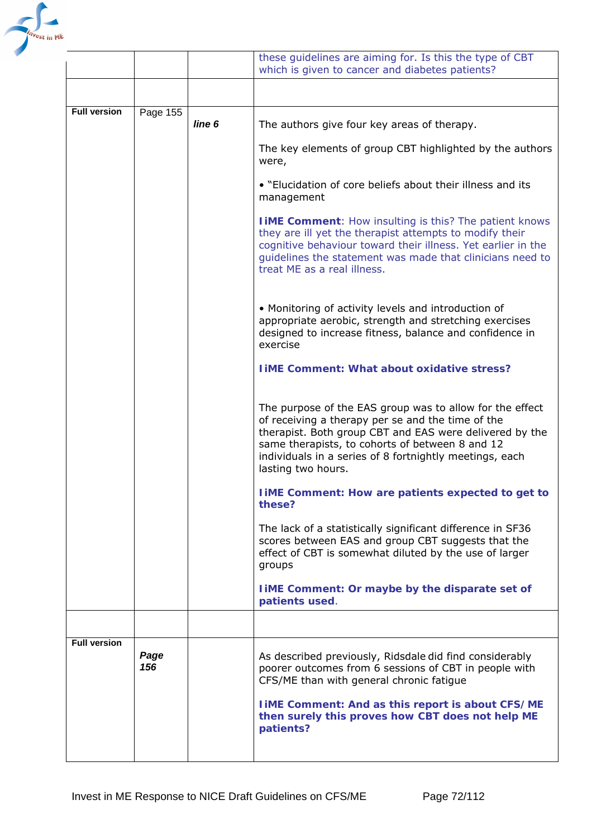

|                     |             |                   | these guidelines are aiming for. Is this the type of CBT<br>which is given to cancer and diabetes patients?                                                                                                                                                                                                  |
|---------------------|-------------|-------------------|--------------------------------------------------------------------------------------------------------------------------------------------------------------------------------------------------------------------------------------------------------------------------------------------------------------|
|                     |             |                   |                                                                                                                                                                                                                                                                                                              |
| <b>Full version</b> | Page 155    | line <sub>6</sub> | The authors give four key areas of therapy.                                                                                                                                                                                                                                                                  |
|                     |             |                   | The key elements of group CBT highlighted by the authors<br>were,                                                                                                                                                                                                                                            |
|                     |             |                   | • "Elucidation of core beliefs about their illness and its<br>management                                                                                                                                                                                                                                     |
|                     |             |                   | <b>I IME Comment:</b> How insulting is this? The patient knows<br>they are ill yet the therapist attempts to modify their<br>cognitive behaviour toward their illness. Yet earlier in the<br>guidelines the statement was made that clinicians need to<br>treat ME as a real illness.                        |
|                     |             |                   | • Monitoring of activity levels and introduction of<br>appropriate aerobic, strength and stretching exercises<br>designed to increase fitness, balance and confidence in<br>exercise                                                                                                                         |
|                     |             |                   | <b>IIME Comment: What about oxidative stress?</b>                                                                                                                                                                                                                                                            |
|                     |             |                   | The purpose of the EAS group was to allow for the effect<br>of receiving a therapy per se and the time of the<br>therapist. Both group CBT and EAS were delivered by the<br>same therapists, to cohorts of between 8 and 12<br>individuals in a series of 8 fortnightly meetings, each<br>lasting two hours. |
|                     |             |                   | <b>IIME Comment: How are patients expected to get to</b><br>these?                                                                                                                                                                                                                                           |
|                     |             |                   | The lack of a statistically significant difference in SF36<br>scores between EAS and group CBT suggests that the<br>effect of CBT is somewhat diluted by the use of larger<br>groups                                                                                                                         |
|                     |             |                   | liME Comment: Or maybe by the disparate set of<br>patients used.                                                                                                                                                                                                                                             |
|                     |             |                   |                                                                                                                                                                                                                                                                                                              |
| <b>Full version</b> | Page<br>156 |                   | As described previously, Ridsdale did find considerably<br>poorer outcomes from 6 sessions of CBT in people with<br>CFS/ME than with general chronic fatigue                                                                                                                                                 |
|                     |             |                   | <b>IIME Comment: And as this report is about CFS/ME</b><br>then surely this proves how CBT does not help ME<br>patients?                                                                                                                                                                                     |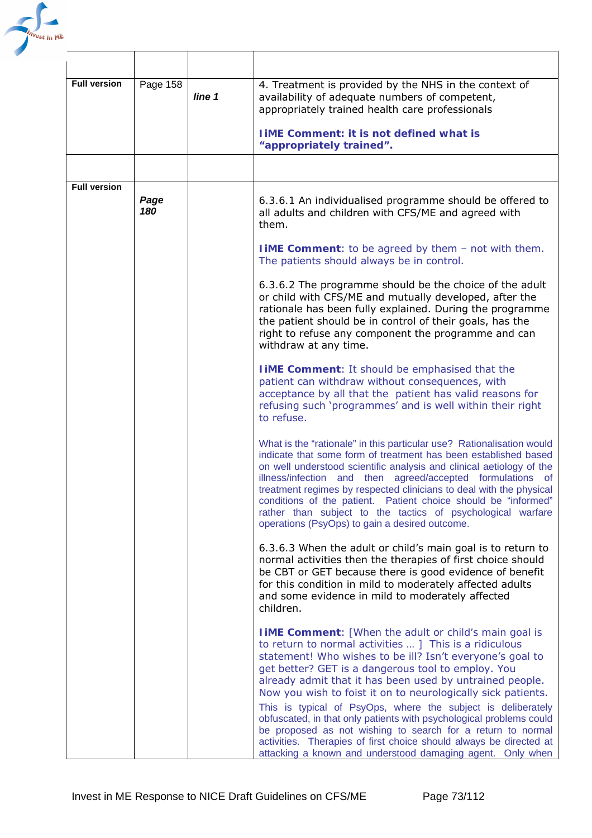

| <b>Full version</b> | Page 158    | line 1 | 4. Treatment is provided by the NHS in the context of<br>availability of adequate numbers of competent,<br>appropriately trained health care professionals                                                                                                                                                                                                                                                                                                                                                                                                                                                                                                                                                       |
|---------------------|-------------|--------|------------------------------------------------------------------------------------------------------------------------------------------------------------------------------------------------------------------------------------------------------------------------------------------------------------------------------------------------------------------------------------------------------------------------------------------------------------------------------------------------------------------------------------------------------------------------------------------------------------------------------------------------------------------------------------------------------------------|
|                     |             |        | <b>IIME Comment: it is not defined what is</b><br>"appropriately trained".                                                                                                                                                                                                                                                                                                                                                                                                                                                                                                                                                                                                                                       |
|                     |             |        |                                                                                                                                                                                                                                                                                                                                                                                                                                                                                                                                                                                                                                                                                                                  |
| <b>Full version</b> | Page<br>180 |        | 6.3.6.1 An individualised programme should be offered to<br>all adults and children with CFS/ME and agreed with<br>them.                                                                                                                                                                                                                                                                                                                                                                                                                                                                                                                                                                                         |
|                     |             |        | <b>IIME Comment:</b> to be agreed by them - not with them.<br>The patients should always be in control.                                                                                                                                                                                                                                                                                                                                                                                                                                                                                                                                                                                                          |
|                     |             |        | 6.3.6.2 The programme should be the choice of the adult<br>or child with CFS/ME and mutually developed, after the<br>rationale has been fully explained. During the programme<br>the patient should be in control of their goals, has the<br>right to refuse any component the programme and can<br>withdraw at any time.                                                                                                                                                                                                                                                                                                                                                                                        |
|                     |             |        | <b>I IME Comment:</b> It should be emphasised that the<br>patient can withdraw without consequences, with<br>acceptance by all that the patient has valid reasons for<br>refusing such 'programmes' and is well within their right<br>to refuse.                                                                                                                                                                                                                                                                                                                                                                                                                                                                 |
|                     |             |        | What is the "rationale" in this particular use? Rationalisation would<br>indicate that some form of treatment has been established based<br>on well understood scientific analysis and clinical aetiology of the<br>illness/infection and then agreed/accepted formulations of<br>treatment regimes by respected clinicians to deal with the physical<br>conditions of the patient. Patient choice should be "informed"<br>rather than subject to the tactics of psychological warfare<br>operations (PsyOps) to gain a desired outcome.                                                                                                                                                                         |
|                     |             |        | 6.3.6.3 When the adult or child's main goal is to return to<br>normal activities then the therapies of first choice should<br>be CBT or GET because there is good evidence of benefit<br>for this condition in mild to moderately affected adults<br>and some evidence in mild to moderately affected<br>children.                                                                                                                                                                                                                                                                                                                                                                                               |
|                     |             |        | <b>I iME Comment:</b> [When the adult or child's main goal is<br>to return to normal activities  ] This is a ridiculous<br>statement! Who wishes to be ill? Isn't everyone's goal to<br>get better? GET is a dangerous tool to employ. You<br>already admit that it has been used by untrained people.<br>Now you wish to foist it on to neurologically sick patients.<br>This is typical of PsyOps, where the subject is deliberately<br>obfuscated, in that only patients with psychological problems could<br>be proposed as not wishing to search for a return to normal<br>activities. Therapies of first choice should always be directed at<br>attacking a known and understood damaging agent. Only when |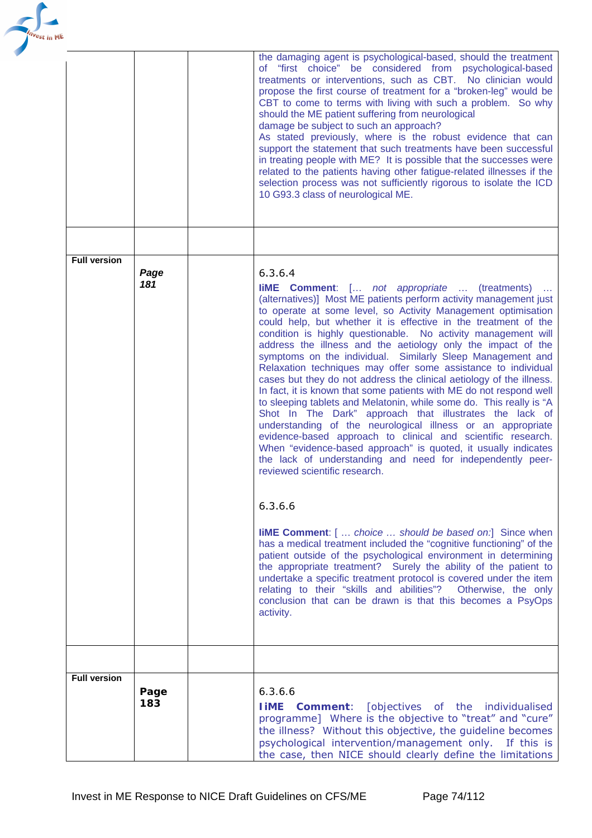

|                     |             | the damaging agent is psychological-based, should the treatment<br>of "first choice" be considered from psychological-based<br>treatments or interventions, such as CBT. No clinician would<br>propose the first course of treatment for a "broken-leg" would be<br>CBT to come to terms with living with such a problem. So why<br>should the ME patient suffering from neurological<br>damage be subject to such an approach?<br>As stated previously, where is the robust evidence that can<br>support the statement that such treatments have been successful<br>in treating people with ME? It is possible that the successes were<br>related to the patients having other fatigue-related illnesses if the<br>selection process was not sufficiently rigorous to isolate the ICD<br>10 G93.3 class of neurological ME.                                                                                                                                                                                                                                                                                                                                                                                                                                                                                                                                                                                                                                                                                                                                                                                                                  |
|---------------------|-------------|-----------------------------------------------------------------------------------------------------------------------------------------------------------------------------------------------------------------------------------------------------------------------------------------------------------------------------------------------------------------------------------------------------------------------------------------------------------------------------------------------------------------------------------------------------------------------------------------------------------------------------------------------------------------------------------------------------------------------------------------------------------------------------------------------------------------------------------------------------------------------------------------------------------------------------------------------------------------------------------------------------------------------------------------------------------------------------------------------------------------------------------------------------------------------------------------------------------------------------------------------------------------------------------------------------------------------------------------------------------------------------------------------------------------------------------------------------------------------------------------------------------------------------------------------------------------------------------------------------------------------------------------------|
|                     |             |                                                                                                                                                                                                                                                                                                                                                                                                                                                                                                                                                                                                                                                                                                                                                                                                                                                                                                                                                                                                                                                                                                                                                                                                                                                                                                                                                                                                                                                                                                                                                                                                                                               |
| <b>Full version</b> |             |                                                                                                                                                                                                                                                                                                                                                                                                                                                                                                                                                                                                                                                                                                                                                                                                                                                                                                                                                                                                                                                                                                                                                                                                                                                                                                                                                                                                                                                                                                                                                                                                                                               |
|                     | Page<br>181 | 6.3.6.4<br><b>liME Comment</b> : [ <i>not appropriate </i> (treatments)<br>(alternatives)] Most ME patients perform activity management just<br>to operate at some level, so Activity Management optimisation<br>could help, but whether it is effective in the treatment of the<br>condition is highly questionable. No activity management will<br>address the illness and the aetiology only the impact of the<br>symptoms on the individual. Similarly Sleep Management and<br>Relaxation techniques may offer some assistance to individual<br>cases but they do not address the clinical aetiology of the illness.<br>In fact, it is known that some patients with ME do not respond well<br>to sleeping tablets and Melatonin, while some do. This really is "A<br>Shot In The Dark" approach that illustrates the lack of<br>understanding of the neurological illness or an appropriate<br>evidence-based approach to clinical and scientific research.<br>When "evidence-based approach" is quoted, it usually indicates<br>the lack of understanding and need for independently peer-<br>reviewed scientific research.<br>6.3.6.6<br><b>liME Comment:</b> [  choice  should be based on:] Since when<br>has a medical treatment included the "cognitive functioning" of the<br>patient outside of the psychological environment in determining<br>the appropriate treatment? Surely the ability of the patient to<br>undertake a specific treatment protocol is covered under the item<br>relating to their "skills and abilities"? Otherwise, the only<br>conclusion that can be drawn is that this becomes a PsyOps<br>activity. |
|                     |             |                                                                                                                                                                                                                                                                                                                                                                                                                                                                                                                                                                                                                                                                                                                                                                                                                                                                                                                                                                                                                                                                                                                                                                                                                                                                                                                                                                                                                                                                                                                                                                                                                                               |
| <b>Full version</b> | Page<br>183 | 6.3.6.6<br><b>IIME Comment:</b> [objectives of the individualised<br>programme] Where is the objective to "treat" and "cure"<br>the illness? Without this objective, the guideline becomes<br>psychological intervention/management only. If this is<br>the case, then NICE should clearly define the limitations                                                                                                                                                                                                                                                                                                                                                                                                                                                                                                                                                                                                                                                                                                                                                                                                                                                                                                                                                                                                                                                                                                                                                                                                                                                                                                                             |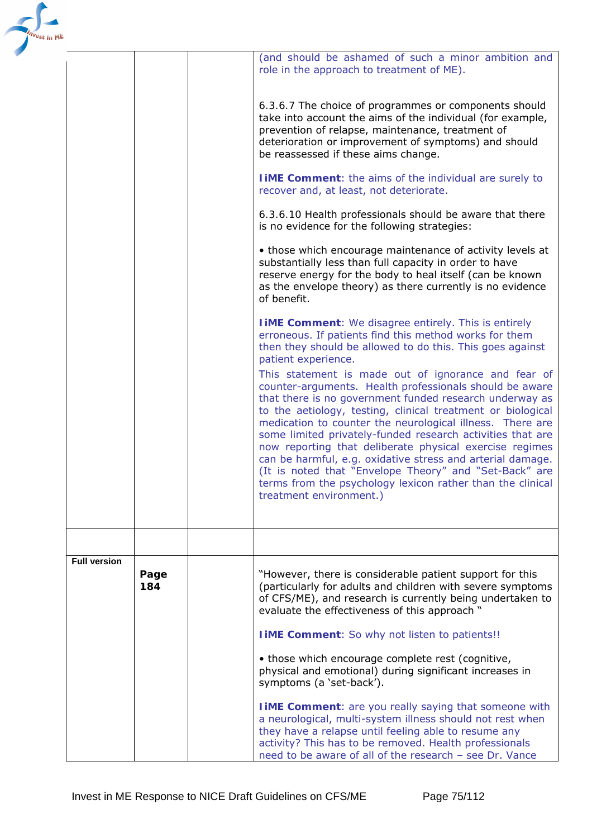| <sup>est</sup> in ME |                     |             |                                                                                                                                                                                                                                                                                                                                                                                                                                                                                                                                                                                                                                              |
|----------------------|---------------------|-------------|----------------------------------------------------------------------------------------------------------------------------------------------------------------------------------------------------------------------------------------------------------------------------------------------------------------------------------------------------------------------------------------------------------------------------------------------------------------------------------------------------------------------------------------------------------------------------------------------------------------------------------------------|
|                      |                     |             | (and should be ashamed of such a minor ambition and<br>role in the approach to treatment of ME).                                                                                                                                                                                                                                                                                                                                                                                                                                                                                                                                             |
|                      |                     |             | 6.3.6.7 The choice of programmes or components should<br>take into account the aims of the individual (for example,<br>prevention of relapse, maintenance, treatment of<br>deterioration or improvement of symptoms) and should<br>be reassessed if these aims change.                                                                                                                                                                                                                                                                                                                                                                       |
|                      |                     |             | <b>TIME Comment:</b> the aims of the individual are surely to<br>recover and, at least, not deteriorate.                                                                                                                                                                                                                                                                                                                                                                                                                                                                                                                                     |
|                      |                     |             | 6.3.6.10 Health professionals should be aware that there<br>is no evidence for the following strategies:                                                                                                                                                                                                                                                                                                                                                                                                                                                                                                                                     |
|                      |                     |             | • those which encourage maintenance of activity levels at<br>substantially less than full capacity in order to have<br>reserve energy for the body to heal itself (can be known<br>as the envelope theory) as there currently is no evidence<br>of benefit.                                                                                                                                                                                                                                                                                                                                                                                  |
|                      |                     |             | <b>I iME Comment:</b> We disagree entirely. This is entirely<br>erroneous. If patients find this method works for them<br>then they should be allowed to do this. This goes against<br>patient experience.<br>This statement is made out of ignorance and fear of<br>counter-arguments. Health professionals should be aware<br>that there is no government funded research underway as<br>to the aetiology, testing, clinical treatment or biological<br>medication to counter the neurological illness. There are<br>some limited privately-funded research activities that are<br>now reporting that deliberate physical exercise regimes |
|                      |                     |             | can be harmful, e.g. oxidative stress and arterial damage.<br>(It is noted that "Envelope Theory" and "Set-Back" are<br>terms from the psychology lexicon rather than the clinical<br>treatment environment.)                                                                                                                                                                                                                                                                                                                                                                                                                                |
|                      |                     |             |                                                                                                                                                                                                                                                                                                                                                                                                                                                                                                                                                                                                                                              |
|                      | <b>Full version</b> | Page<br>184 | "However, there is considerable patient support for this<br>(particularly for adults and children with severe symptoms<br>of CFS/ME), and research is currently being undertaken to<br>evaluate the effectiveness of this approach "                                                                                                                                                                                                                                                                                                                                                                                                         |
|                      |                     |             | <b>I iME Comment:</b> So why not listen to patients!!                                                                                                                                                                                                                                                                                                                                                                                                                                                                                                                                                                                        |
|                      |                     |             | • those which encourage complete rest (cognitive,<br>physical and emotional) during significant increases in<br>symptoms (a 'set-back').                                                                                                                                                                                                                                                                                                                                                                                                                                                                                                     |
|                      |                     |             | <b>I iME Comment:</b> are you really saying that someone with<br>a neurological, multi-system illness should not rest when<br>they have a relapse until feeling able to resume any<br>activity? This has to be removed. Health professionals<br>need to be aware of all of the research - see Dr. Vance                                                                                                                                                                                                                                                                                                                                      |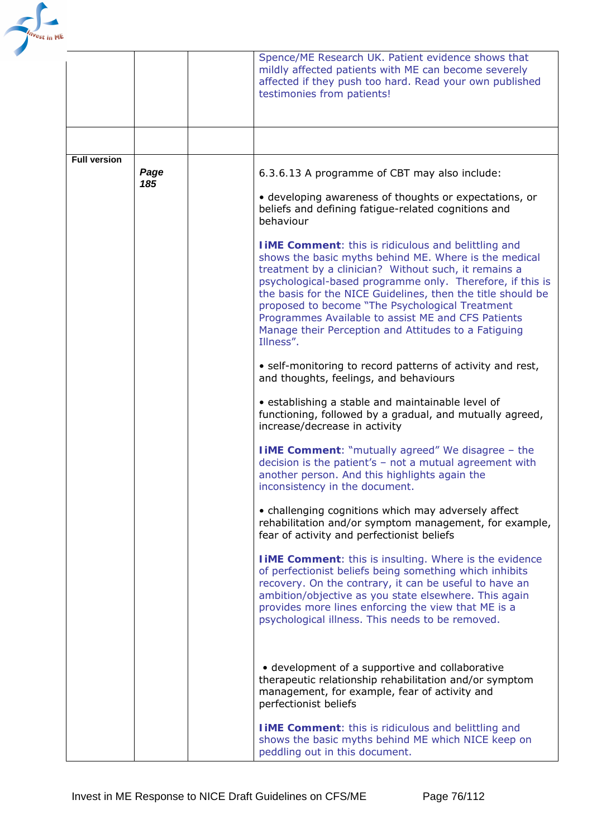

|                     |             | Spence/ME Research UK. Patient evidence shows that<br>mildly affected patients with ME can become severely<br>affected if they push too hard. Read your own published<br>testimonies from patients!                                                                                                                                                                                                                                                                                                                                                                                                                                                                                                                                                                                                                                                                                                                                                                                                                                                                                                                                                                                                                                                                                                                                                                                                                                                                                                                                                                                                               |
|---------------------|-------------|-------------------------------------------------------------------------------------------------------------------------------------------------------------------------------------------------------------------------------------------------------------------------------------------------------------------------------------------------------------------------------------------------------------------------------------------------------------------------------------------------------------------------------------------------------------------------------------------------------------------------------------------------------------------------------------------------------------------------------------------------------------------------------------------------------------------------------------------------------------------------------------------------------------------------------------------------------------------------------------------------------------------------------------------------------------------------------------------------------------------------------------------------------------------------------------------------------------------------------------------------------------------------------------------------------------------------------------------------------------------------------------------------------------------------------------------------------------------------------------------------------------------------------------------------------------------------------------------------------------------|
|                     |             |                                                                                                                                                                                                                                                                                                                                                                                                                                                                                                                                                                                                                                                                                                                                                                                                                                                                                                                                                                                                                                                                                                                                                                                                                                                                                                                                                                                                                                                                                                                                                                                                                   |
| <b>Full version</b> | Page<br>185 | 6.3.6.13 A programme of CBT may also include:<br>• developing awareness of thoughts or expectations, or<br>beliefs and defining fatigue-related cognitions and<br>behaviour<br><b>I iME Comment:</b> this is ridiculous and belittling and<br>shows the basic myths behind ME. Where is the medical<br>treatment by a clinician? Without such, it remains a<br>psychological-based programme only. Therefore, if this is<br>the basis for the NICE Guidelines, then the title should be<br>proposed to become "The Psychological Treatment<br>Programmes Available to assist ME and CFS Patients<br>Manage their Perception and Attitudes to a Fatiguing<br>Illness".<br>• self-monitoring to record patterns of activity and rest,<br>and thoughts, feelings, and behaviours<br>• establishing a stable and maintainable level of<br>functioning, followed by a gradual, and mutually agreed,<br>increase/decrease in activity<br><b>I iME Comment:</b> "mutually agreed" We disagree - the<br>decision is the patient's $-$ not a mutual agreement with<br>another person. And this highlights again the<br>inconsistency in the document.<br>• challenging cognitions which may adversely affect<br>rehabilitation and/or symptom management, for example,<br>fear of activity and perfectionist beliefs<br><b>TIME Comment:</b> this is insulting. Where is the evidence<br>of perfectionist beliefs being something which inhibits<br>recovery. On the contrary, it can be useful to have an<br>ambition/objective as you state elsewhere. This again<br>provides more lines enforcing the view that ME is a |
|                     |             | psychological illness. This needs to be removed.<br>• development of a supportive and collaborative<br>therapeutic relationship rehabilitation and/or symptom<br>management, for example, fear of activity and<br>perfectionist beliefs<br><b>I iME Comment:</b> this is ridiculous and belittling and<br>shows the basic myths behind ME which NICE keep on<br>peddling out in this document.                                                                                                                                                                                                                                                                                                                                                                                                                                                                                                                                                                                                                                                                                                                                                                                                                                                                                                                                                                                                                                                                                                                                                                                                                    |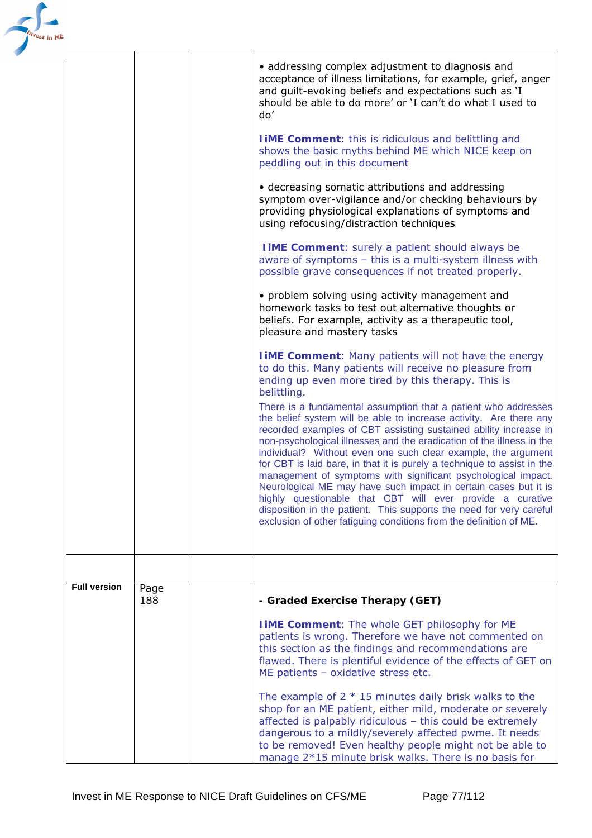| <sup>est</sup> in ME |                     |             |                                                                                                                                                                                                                                                                                                                                                                                                                                                                                                                                                                                                                                                                                                                                                                             |
|----------------------|---------------------|-------------|-----------------------------------------------------------------------------------------------------------------------------------------------------------------------------------------------------------------------------------------------------------------------------------------------------------------------------------------------------------------------------------------------------------------------------------------------------------------------------------------------------------------------------------------------------------------------------------------------------------------------------------------------------------------------------------------------------------------------------------------------------------------------------|
|                      |                     |             | • addressing complex adjustment to diagnosis and<br>acceptance of illness limitations, for example, grief, anger<br>and guilt-evoking beliefs and expectations such as 'I<br>should be able to do more' or 'I can't do what I used to<br>do'                                                                                                                                                                                                                                                                                                                                                                                                                                                                                                                                |
|                      |                     |             | <b>I iME Comment:</b> this is ridiculous and belittling and<br>shows the basic myths behind ME which NICE keep on<br>peddling out in this document                                                                                                                                                                                                                                                                                                                                                                                                                                                                                                                                                                                                                          |
|                      |                     |             | • decreasing somatic attributions and addressing<br>symptom over-vigilance and/or checking behaviours by<br>providing physiological explanations of symptoms and<br>using refocusing/distraction techniques                                                                                                                                                                                                                                                                                                                                                                                                                                                                                                                                                                 |
|                      |                     |             | <b>I IME Comment:</b> surely a patient should always be<br>aware of symptoms - this is a multi-system illness with<br>possible grave consequences if not treated properly.                                                                                                                                                                                                                                                                                                                                                                                                                                                                                                                                                                                                  |
|                      |                     |             | • problem solving using activity management and<br>homework tasks to test out alternative thoughts or<br>beliefs. For example, activity as a therapeutic tool,<br>pleasure and mastery tasks                                                                                                                                                                                                                                                                                                                                                                                                                                                                                                                                                                                |
|                      |                     |             | <b>I iME Comment:</b> Many patients will not have the energy<br>to do this. Many patients will receive no pleasure from<br>ending up even more tired by this therapy. This is<br>belittling.                                                                                                                                                                                                                                                                                                                                                                                                                                                                                                                                                                                |
|                      |                     |             | There is a fundamental assumption that a patient who addresses<br>the belief system will be able to increase activity. Are there any<br>recorded examples of CBT assisting sustained ability increase in<br>non-psychological illnesses and the eradication of the illness in the<br>individual? Without even one such clear example, the argument<br>for CBT is laid bare, in that it is purely a technique to assist in the<br>management of symptoms with significant psychological impact.<br>Neurological ME may have such impact in certain cases but it is<br>highly questionable that CBT will ever provide a curative<br>disposition in the patient. This supports the need for very careful<br>exclusion of other fatiguing conditions from the definition of ME. |
|                      |                     |             |                                                                                                                                                                                                                                                                                                                                                                                                                                                                                                                                                                                                                                                                                                                                                                             |
|                      | <b>Full version</b> | Page<br>188 | - Graded Exercise Therapy (GET)                                                                                                                                                                                                                                                                                                                                                                                                                                                                                                                                                                                                                                                                                                                                             |
|                      |                     |             | <b>I IME Comment:</b> The whole GET philosophy for ME<br>patients is wrong. Therefore we have not commented on<br>this section as the findings and recommendations are<br>flawed. There is plentiful evidence of the effects of GET on<br>ME patients - oxidative stress etc.                                                                                                                                                                                                                                                                                                                                                                                                                                                                                               |
|                      |                     |             | The example of $2 * 15$ minutes daily brisk walks to the<br>shop for an ME patient, either mild, moderate or severely<br>affected is palpably ridiculous - this could be extremely<br>dangerous to a mildly/severely affected pwme. It needs<br>to be removed! Even healthy people might not be able to<br>manage 2*15 minute brisk walks. There is no basis for                                                                                                                                                                                                                                                                                                                                                                                                            |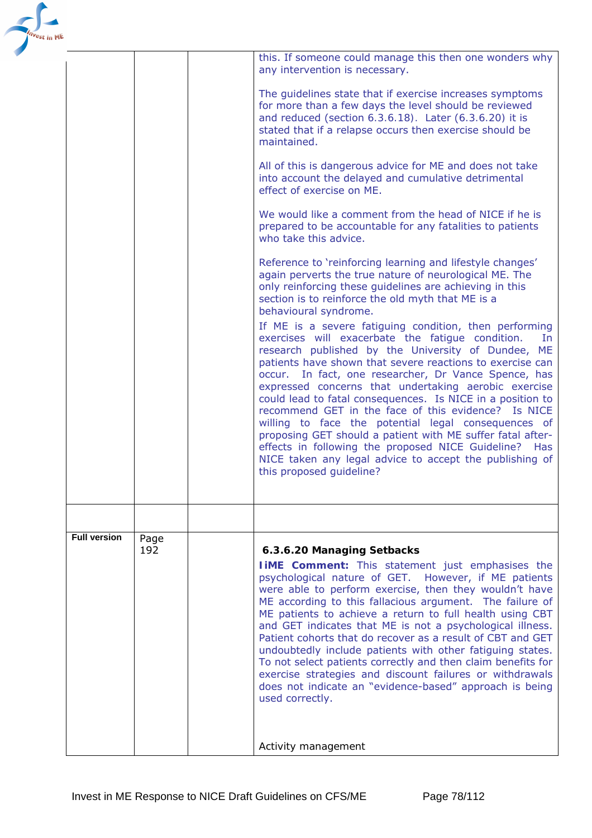|                     |             | this. If someone could manage this then one wonders why<br>any intervention is necessary.                                                                                                                                                                                                                                                                                                                                                                                                                                                                                                                                                                                                                                                      |
|---------------------|-------------|------------------------------------------------------------------------------------------------------------------------------------------------------------------------------------------------------------------------------------------------------------------------------------------------------------------------------------------------------------------------------------------------------------------------------------------------------------------------------------------------------------------------------------------------------------------------------------------------------------------------------------------------------------------------------------------------------------------------------------------------|
|                     |             | The guidelines state that if exercise increases symptoms<br>for more than a few days the level should be reviewed<br>and reduced (section 6.3.6.18). Later (6.3.6.20) it is<br>stated that if a relapse occurs then exercise should be<br>maintained.                                                                                                                                                                                                                                                                                                                                                                                                                                                                                          |
|                     |             | All of this is dangerous advice for ME and does not take<br>into account the delayed and cumulative detrimental<br>effect of exercise on ME.                                                                                                                                                                                                                                                                                                                                                                                                                                                                                                                                                                                                   |
|                     |             | We would like a comment from the head of NICE if he is<br>prepared to be accountable for any fatalities to patients<br>who take this advice.                                                                                                                                                                                                                                                                                                                                                                                                                                                                                                                                                                                                   |
|                     |             | Reference to 'reinforcing learning and lifestyle changes'<br>again perverts the true nature of neurological ME. The<br>only reinforcing these guidelines are achieving in this<br>section is to reinforce the old myth that ME is a<br>behavioural syndrome.                                                                                                                                                                                                                                                                                                                                                                                                                                                                                   |
|                     |             | If ME is a severe fatiguing condition, then performing<br>exercises will exacerbate the fatigue condition.<br>In.<br>research published by the University of Dundee, ME<br>patients have shown that severe reactions to exercise can<br>occur. In fact, one researcher, Dr Vance Spence, has<br>expressed concerns that undertaking aerobic exercise<br>could lead to fatal consequences. Is NICE in a position to<br>recommend GET in the face of this evidence? Is NICE<br>willing to face the potential legal consequences of<br>proposing GET should a patient with ME suffer fatal after-<br>effects in following the proposed NICE Guideline? Has<br>NICE taken any legal advice to accept the publishing of<br>this proposed guideline? |
|                     |             |                                                                                                                                                                                                                                                                                                                                                                                                                                                                                                                                                                                                                                                                                                                                                |
| <b>Full version</b> | Page<br>192 | 6.3.6.20 Managing Setbacks<br><b>IIME Comment:</b> This statement just emphasises the<br>psychological nature of GET. However, if ME patients<br>were able to perform exercise, then they wouldn't have<br>ME according to this fallacious argument. The failure of<br>ME patients to achieve a return to full health using CBT<br>and GET indicates that ME is not a psychological illness.<br>Patient cohorts that do recover as a result of CBT and GET<br>undoubtedly include patients with other fatiguing states.<br>To not select patients correctly and then claim benefits for<br>exercise strategies and discount failures or withdrawals<br>does not indicate an "evidence-based" approach is being<br>used correctly.              |
|                     |             | Activity management                                                                                                                                                                                                                                                                                                                                                                                                                                                                                                                                                                                                                                                                                                                            |
|                     |             |                                                                                                                                                                                                                                                                                                                                                                                                                                                                                                                                                                                                                                                                                                                                                |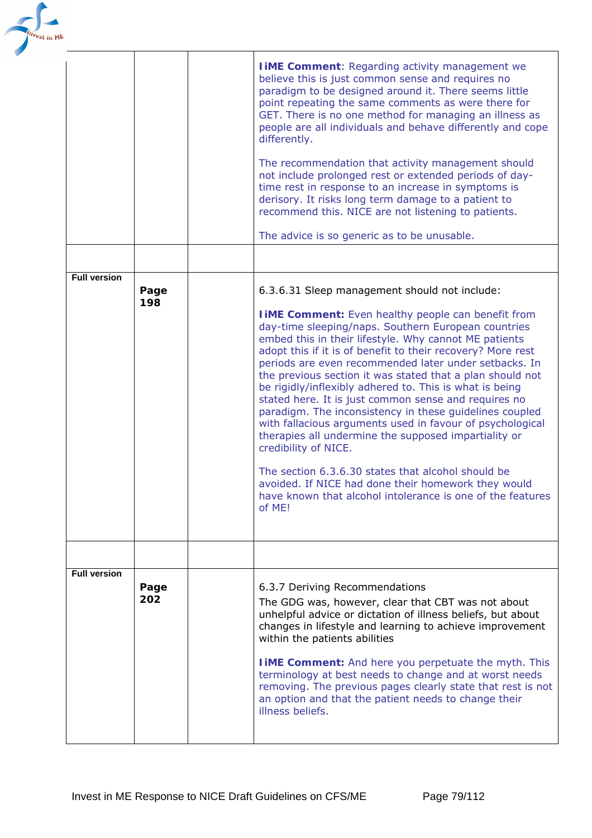

|                     |             | <b>I IME Comment: Regarding activity management we</b><br>believe this is just common sense and requires no<br>paradigm to be designed around it. There seems little<br>point repeating the same comments as were there for<br>GET. There is no one method for managing an illness as<br>people are all individuals and behave differently and cope<br>differently.<br>The recommendation that activity management should<br>not include prolonged rest or extended periods of day-<br>time rest in response to an increase in symptoms is<br>derisory. It risks long term damage to a patient to<br>recommend this. NICE are not listening to patients.<br>The advice is so generic as to be unusable.                                                                                                                                                                                                                          |
|---------------------|-------------|----------------------------------------------------------------------------------------------------------------------------------------------------------------------------------------------------------------------------------------------------------------------------------------------------------------------------------------------------------------------------------------------------------------------------------------------------------------------------------------------------------------------------------------------------------------------------------------------------------------------------------------------------------------------------------------------------------------------------------------------------------------------------------------------------------------------------------------------------------------------------------------------------------------------------------|
| <b>Full version</b> |             |                                                                                                                                                                                                                                                                                                                                                                                                                                                                                                                                                                                                                                                                                                                                                                                                                                                                                                                                  |
|                     | Page<br>198 | 6.3.6.31 Sleep management should not include:<br><b>I iME Comment:</b> Even healthy people can benefit from<br>day-time sleeping/naps. Southern European countries<br>embed this in their lifestyle. Why cannot ME patients<br>adopt this if it is of benefit to their recovery? More rest<br>periods are even recommended later under setbacks. In<br>the previous section it was stated that a plan should not<br>be rigidly/inflexibly adhered to. This is what is being<br>stated here. It is just common sense and requires no<br>paradigm. The inconsistency in these guidelines coupled<br>with fallacious arguments used in favour of psychological<br>therapies all undermine the supposed impartiality or<br>credibility of NICE.<br>The section 6.3.6.30 states that alcohol should be<br>avoided. If NICE had done their homework they would<br>have known that alcohol intolerance is one of the features<br>of ME! |
|                     |             |                                                                                                                                                                                                                                                                                                                                                                                                                                                                                                                                                                                                                                                                                                                                                                                                                                                                                                                                  |
| <b>Full version</b> | Page<br>202 | 6.3.7 Deriving Recommendations<br>The GDG was, however, clear that CBT was not about<br>unhelpful advice or dictation of illness beliefs, but about<br>changes in lifestyle and learning to achieve improvement<br>within the patients abilities<br><b>I iME Comment:</b> And here you perpetuate the myth. This<br>terminology at best needs to change and at worst needs<br>removing. The previous pages clearly state that rest is not<br>an option and that the patient needs to change their<br>illness beliefs.                                                                                                                                                                                                                                                                                                                                                                                                            |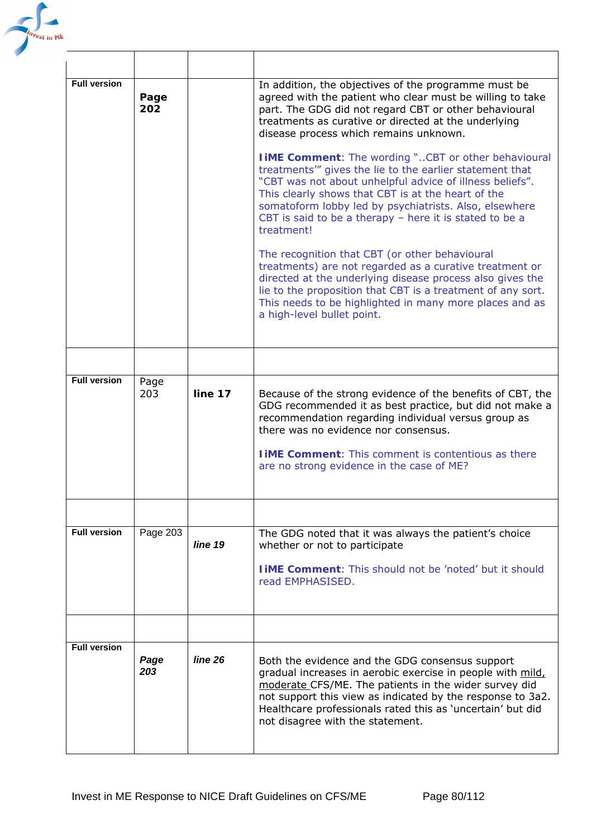

| <b>Full version</b> | Page<br>202 |         | In addition, the objectives of the programme must be<br>agreed with the patient who clear must be willing to take<br>part. The GDG did not regard CBT or other behavioural<br>treatments as curative or directed at the underlying<br>disease process which remains unknown.<br><b>I iME Comment:</b> The wording "CBT or other behavioural<br>treatments" gives the lie to the earlier statement that<br>"CBT was not about unhelpful advice of illness beliefs".<br>This clearly shows that CBT is at the heart of the<br>somatoform lobby led by psychiatrists. Also, elsewhere<br>CBT is said to be a therapy - here it is stated to be a<br>treatment!<br>The recognition that CBT (or other behavioural<br>treatments) are not regarded as a curative treatment or<br>directed at the underlying disease process also gives the<br>lie to the proposition that CBT is a treatment of any sort.<br>This needs to be highlighted in many more places and as<br>a high-level bullet point. |
|---------------------|-------------|---------|-----------------------------------------------------------------------------------------------------------------------------------------------------------------------------------------------------------------------------------------------------------------------------------------------------------------------------------------------------------------------------------------------------------------------------------------------------------------------------------------------------------------------------------------------------------------------------------------------------------------------------------------------------------------------------------------------------------------------------------------------------------------------------------------------------------------------------------------------------------------------------------------------------------------------------------------------------------------------------------------------|
|                     |             |         |                                                                                                                                                                                                                                                                                                                                                                                                                                                                                                                                                                                                                                                                                                                                                                                                                                                                                                                                                                                               |
| <b>Full version</b> | Page<br>203 | line 17 | Because of the strong evidence of the benefits of CBT, the<br>GDG recommended it as best practice, but did not make a<br>recommendation regarding individual versus group as<br>there was no evidence nor consensus.<br><b>TIME Comment:</b> This comment is contentious as there<br>are no strong evidence in the case of ME?                                                                                                                                                                                                                                                                                                                                                                                                                                                                                                                                                                                                                                                                |
|                     |             |         |                                                                                                                                                                                                                                                                                                                                                                                                                                                                                                                                                                                                                                                                                                                                                                                                                                                                                                                                                                                               |
| <b>Full version</b> | Page 203    | line 19 | The GDG noted that it was always the patient's choice<br>whether or not to participate<br><b>LIME Comment:</b> This should not be 'noted' but it should<br>read EMPHASISED.                                                                                                                                                                                                                                                                                                                                                                                                                                                                                                                                                                                                                                                                                                                                                                                                                   |
|                     |             |         |                                                                                                                                                                                                                                                                                                                                                                                                                                                                                                                                                                                                                                                                                                                                                                                                                                                                                                                                                                                               |
| <b>Full version</b> | Page<br>203 | line 26 | Both the evidence and the GDG consensus support<br>gradual increases in aerobic exercise in people with mild,<br>moderate CFS/ME. The patients in the wider survey did<br>not support this view as indicated by the response to 3a2.<br>Healthcare professionals rated this as 'uncertain' but did<br>not disagree with the statement.                                                                                                                                                                                                                                                                                                                                                                                                                                                                                                                                                                                                                                                        |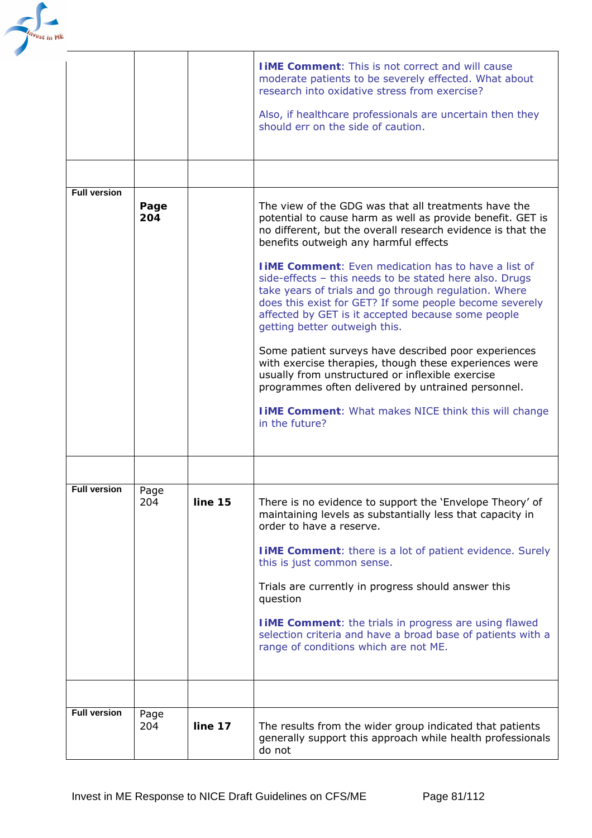

|                     |             |         | <b>TIME Comment:</b> This is not correct and will cause<br>moderate patients to be severely effected. What about<br>research into oxidative stress from exercise?<br>Also, if healthcare professionals are uncertain then they<br>should err on the side of caution.                                                                                                                                                                                                                                                                                                                                                                                                                                                                                                                                                                                                        |
|---------------------|-------------|---------|-----------------------------------------------------------------------------------------------------------------------------------------------------------------------------------------------------------------------------------------------------------------------------------------------------------------------------------------------------------------------------------------------------------------------------------------------------------------------------------------------------------------------------------------------------------------------------------------------------------------------------------------------------------------------------------------------------------------------------------------------------------------------------------------------------------------------------------------------------------------------------|
|                     |             |         |                                                                                                                                                                                                                                                                                                                                                                                                                                                                                                                                                                                                                                                                                                                                                                                                                                                                             |
| <b>Full version</b> | Page<br>204 |         | The view of the GDG was that all treatments have the<br>potential to cause harm as well as provide benefit. GET is<br>no different, but the overall research evidence is that the<br>benefits outweigh any harmful effects<br><b>TIME Comment:</b> Even medication has to have a list of<br>side-effects - this needs to be stated here also. Drugs<br>take years of trials and go through regulation. Where<br>does this exist for GET? If some people become severely<br>affected by GET is it accepted because some people<br>getting better outweigh this.<br>Some patient surveys have described poor experiences<br>with exercise therapies, though these experiences were<br>usually from unstructured or inflexible exercise<br>programmes often delivered by untrained personnel.<br><b>TIME Comment:</b> What makes NICE think this will change<br>in the future? |
|                     |             |         |                                                                                                                                                                                                                                                                                                                                                                                                                                                                                                                                                                                                                                                                                                                                                                                                                                                                             |
| <b>Full version</b> | Page<br>204 | line 15 | There is no evidence to support the 'Envelope Theory' of<br>maintaining levels as substantially less that capacity in<br>order to have a reserve.<br><b>I iME Comment:</b> there is a lot of patient evidence. Surely<br>this is just common sense.<br>Trials are currently in progress should answer this<br>question<br><b>I iME Comment:</b> the trials in progress are using flawed<br>selection criteria and have a broad base of patients with a<br>range of conditions which are not ME.                                                                                                                                                                                                                                                                                                                                                                             |
|                     |             |         |                                                                                                                                                                                                                                                                                                                                                                                                                                                                                                                                                                                                                                                                                                                                                                                                                                                                             |
| <b>Full version</b> | Page<br>204 | line 17 | The results from the wider group indicated that patients<br>generally support this approach while health professionals<br>do not                                                                                                                                                                                                                                                                                                                                                                                                                                                                                                                                                                                                                                                                                                                                            |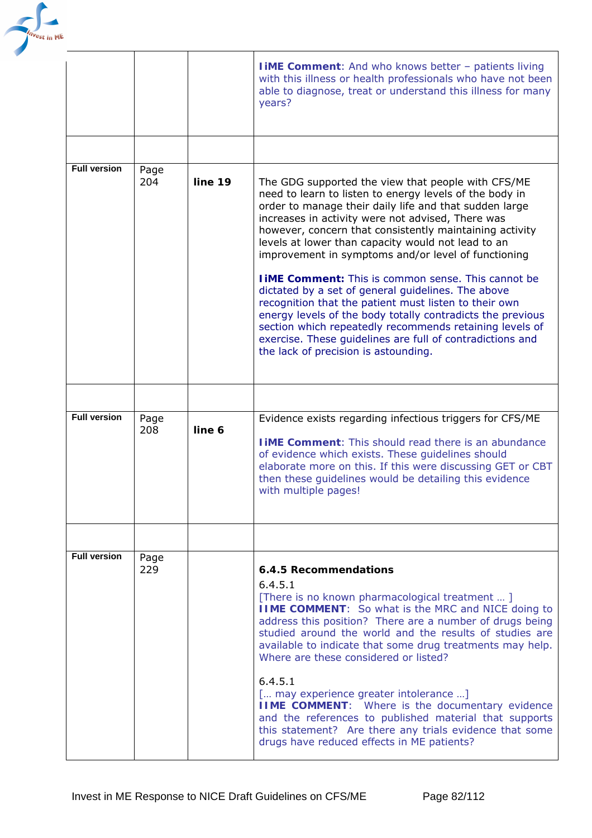

|                     |             |         | <b>I iME Comment:</b> And who knows better - patients living<br>with this illness or health professionals who have not been<br>able to diagnose, treat or understand this illness for many<br>years?                                                                                                                                                                                                                                                                                                                                                                                                                                                                                                                                                                                                           |
|---------------------|-------------|---------|----------------------------------------------------------------------------------------------------------------------------------------------------------------------------------------------------------------------------------------------------------------------------------------------------------------------------------------------------------------------------------------------------------------------------------------------------------------------------------------------------------------------------------------------------------------------------------------------------------------------------------------------------------------------------------------------------------------------------------------------------------------------------------------------------------------|
|                     |             |         |                                                                                                                                                                                                                                                                                                                                                                                                                                                                                                                                                                                                                                                                                                                                                                                                                |
| <b>Full version</b> | Page<br>204 | line 19 | The GDG supported the view that people with CFS/ME<br>need to learn to listen to energy levels of the body in<br>order to manage their daily life and that sudden large<br>increases in activity were not advised, There was<br>however, concern that consistently maintaining activity<br>levels at lower than capacity would not lead to an<br>improvement in symptoms and/or level of functioning<br><b>TIME Comment:</b> This is common sense. This cannot be<br>dictated by a set of general guidelines. The above<br>recognition that the patient must listen to their own<br>energy levels of the body totally contradicts the previous<br>section which repeatedly recommends retaining levels of<br>exercise. These guidelines are full of contradictions and<br>the lack of precision is astounding. |
|                     |             |         |                                                                                                                                                                                                                                                                                                                                                                                                                                                                                                                                                                                                                                                                                                                                                                                                                |
| <b>Full version</b> | Page<br>208 | line 6  | Evidence exists regarding infectious triggers for CFS/ME<br><b>I IME Comment:</b> This should read there is an abundance<br>of evidence which exists. These guidelines should<br>elaborate more on this. If this were discussing GET or CBT<br>then these guidelines would be detailing this evidence<br>with multiple pages!                                                                                                                                                                                                                                                                                                                                                                                                                                                                                  |
|                     |             |         |                                                                                                                                                                                                                                                                                                                                                                                                                                                                                                                                                                                                                                                                                                                                                                                                                |
| <b>Full version</b> | Page<br>229 |         | 6.4.5 Recommendations<br>6.4.5.1<br>[There is no known pharmacological treatment ]<br><b>IIME COMMENT:</b> So what is the MRC and NICE doing to<br>address this position? There are a number of drugs being<br>studied around the world and the results of studies are<br>available to indicate that some drug treatments may help.<br>Where are these considered or listed?<br>6.4.5.1<br>[ may experience greater intolerance ]<br><b>IIME COMMENT:</b> Where is the documentary evidence<br>and the references to published material that supports<br>this statement? Are there any trials evidence that some<br>drugs have reduced effects in ME patients?                                                                                                                                                 |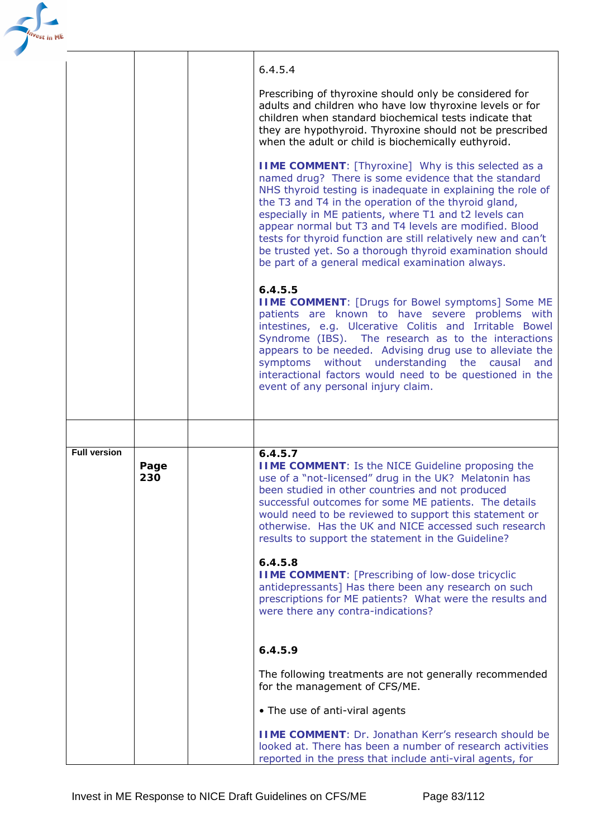| <sup>e</sup> st in Mt |                     |             |                                                                                                                                                                                                                                                                                                                                                                                                                                                                                                                                                        |
|-----------------------|---------------------|-------------|--------------------------------------------------------------------------------------------------------------------------------------------------------------------------------------------------------------------------------------------------------------------------------------------------------------------------------------------------------------------------------------------------------------------------------------------------------------------------------------------------------------------------------------------------------|
|                       |                     |             | 6.4.5.4                                                                                                                                                                                                                                                                                                                                                                                                                                                                                                                                                |
|                       |                     |             | Prescribing of thyroxine should only be considered for<br>adults and children who have low thyroxine levels or for<br>children when standard biochemical tests indicate that<br>they are hypothyroid. Thyroxine should not be prescribed<br>when the adult or child is biochemically euthyroid.                                                                                                                                                                                                                                                        |
|                       |                     |             | <b>IIME COMMENT:</b> [ <i>Thyroxine</i> ] Why is this selected as a<br>named drug? There is some evidence that the standard<br>NHS thyroid testing is inadequate in explaining the role of<br>the T3 and T4 in the operation of the thyroid gland,<br>especially in ME patients, where T1 and t2 levels can<br>appear normal but T3 and T4 levels are modified. Blood<br>tests for thyroid function are still relatively new and can't<br>be trusted yet. So a thorough thyroid examination should<br>be part of a general medical examination always. |
|                       |                     |             | 6.4.5.5<br><b>IIME COMMENT:</b> [Drugs for Bowel symptoms] Some ME<br>patients are known to have severe problems with<br>intestines, e.g. Ulcerative Colitis and Irritable Bowel<br>Syndrome (IBS). The research as to the interactions<br>appears to be needed. Advising drug use to alleviate the<br>symptoms without understanding the causal<br>and<br>interactional factors would need to be questioned in the<br>event of any personal injury claim.                                                                                             |
|                       |                     |             |                                                                                                                                                                                                                                                                                                                                                                                                                                                                                                                                                        |
|                       | <b>Full version</b> | Page<br>230 | 6.4.5.7<br><b>IIME COMMENT:</b> Is the NICE Guideline proposing the<br>use of a "not-licensed" drug in the UK? Melatonin has<br>been studied in other countries and not produced<br>successful outcomes for some ME patients. The details<br>would need to be reviewed to support this statement or<br>otherwise. Has the UK and NICE accessed such research<br>results to support the statement in the Guideline?                                                                                                                                     |
|                       |                     |             | 6.4.5.8<br><b>IIME COMMENT:</b> [Prescribing of low-dose tricyclic<br>antidepressants] Has there been any research on such<br>prescriptions for ME patients? What were the results and<br>were there any contra-indications?                                                                                                                                                                                                                                                                                                                           |
|                       |                     |             | 6.4.5.9                                                                                                                                                                                                                                                                                                                                                                                                                                                                                                                                                |
|                       |                     |             | The following treatments are not generally recommended<br>for the management of CFS/ME.                                                                                                                                                                                                                                                                                                                                                                                                                                                                |
|                       |                     |             | • The use of anti-viral agents                                                                                                                                                                                                                                                                                                                                                                                                                                                                                                                         |
|                       |                     |             | <b>IIME COMMENT: Dr. Jonathan Kerr's research should be</b><br>looked at. There has been a number of research activities<br>reported in the press that include anti-viral agents, for                                                                                                                                                                                                                                                                                                                                                                  |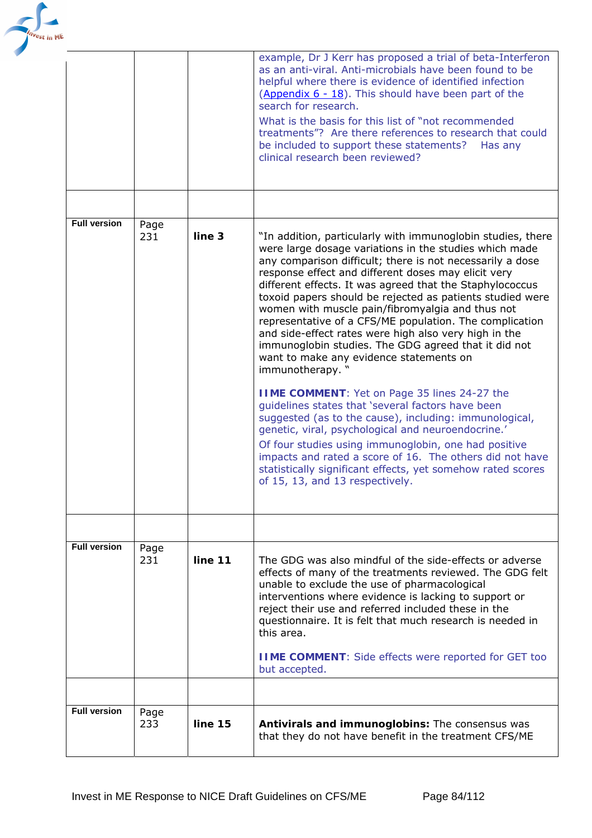

|                     |             |         | example, Dr J Kerr has proposed a trial of beta-Interferon<br>as an anti-viral. Anti-microbials have been found to be<br>helpful where there is evidence of identified infection<br>(Appendix 6 - 18). This should have been part of the<br>search for research.<br>What is the basis for this list of "not recommended<br>treatments"? Are there references to research that could<br>be included to support these statements?<br>Has any<br>clinical research been reviewed?                                                                                                                                                                                                                                                                                                                                                                                                                                                                                                                                                                                                                                      |
|---------------------|-------------|---------|---------------------------------------------------------------------------------------------------------------------------------------------------------------------------------------------------------------------------------------------------------------------------------------------------------------------------------------------------------------------------------------------------------------------------------------------------------------------------------------------------------------------------------------------------------------------------------------------------------------------------------------------------------------------------------------------------------------------------------------------------------------------------------------------------------------------------------------------------------------------------------------------------------------------------------------------------------------------------------------------------------------------------------------------------------------------------------------------------------------------|
|                     |             |         |                                                                                                                                                                                                                                                                                                                                                                                                                                                                                                                                                                                                                                                                                                                                                                                                                                                                                                                                                                                                                                                                                                                     |
| <b>Full version</b> | Page<br>231 | line 3  | "In addition, particularly with immunoglobin studies, there<br>were large dosage variations in the studies which made<br>any comparison difficult; there is not necessarily a dose<br>response effect and different doses may elicit very<br>different effects. It was agreed that the Staphylococcus<br>toxoid papers should be rejected as patients studied were<br>women with muscle pain/fibromyalgia and thus not<br>representative of a CFS/ME population. The complication<br>and side-effect rates were high also very high in the<br>immunoglobin studies. The GDG agreed that it did not<br>want to make any evidence statements on<br>immunotherapy. "<br><b>IIME COMMENT:</b> Yet on Page 35 lines 24-27 the<br>guidelines states that 'several factors have been<br>suggested (as to the cause), including: immunological,<br>genetic, viral, psychological and neuroendocrine.'<br>Of four studies using immunoglobin, one had positive<br>impacts and rated a score of 16. The others did not have<br>statistically significant effects, yet somehow rated scores<br>of 15, 13, and 13 respectively. |
|                     |             |         |                                                                                                                                                                                                                                                                                                                                                                                                                                                                                                                                                                                                                                                                                                                                                                                                                                                                                                                                                                                                                                                                                                                     |
| <b>Full version</b> | Page<br>231 | line 11 | The GDG was also mindful of the side-effects or adverse<br>effects of many of the treatments reviewed. The GDG felt<br>unable to exclude the use of pharmacological<br>interventions where evidence is lacking to support or<br>reject their use and referred included these in the<br>questionnaire. It is felt that much research is needed in<br>this area.<br><b>IIME COMMENT:</b> Side effects were reported for GET too<br>but accepted.                                                                                                                                                                                                                                                                                                                                                                                                                                                                                                                                                                                                                                                                      |
|                     |             |         |                                                                                                                                                                                                                                                                                                                                                                                                                                                                                                                                                                                                                                                                                                                                                                                                                                                                                                                                                                                                                                                                                                                     |
| <b>Full version</b> | Page<br>233 | line 15 | Antivirals and immunoglobins: The consensus was<br>that they do not have benefit in the treatment CFS/ME                                                                                                                                                                                                                                                                                                                                                                                                                                                                                                                                                                                                                                                                                                                                                                                                                                                                                                                                                                                                            |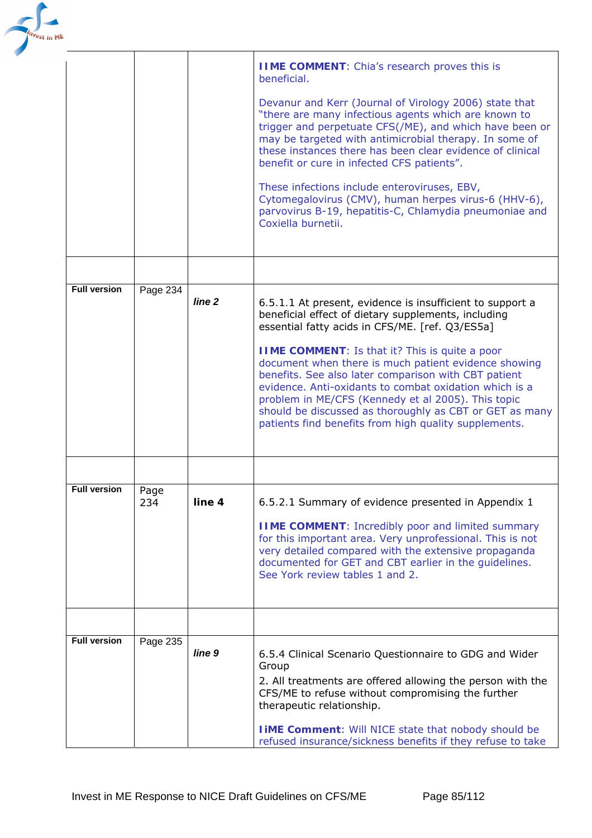

|                     |             |                   | <b>IIME COMMENT:</b> Chia's research proves this is<br>beneficial.                                                                                                                                                                                                                                                                                                                                                                                                                                                                                                               |
|---------------------|-------------|-------------------|----------------------------------------------------------------------------------------------------------------------------------------------------------------------------------------------------------------------------------------------------------------------------------------------------------------------------------------------------------------------------------------------------------------------------------------------------------------------------------------------------------------------------------------------------------------------------------|
|                     |             |                   | Devanur and Kerr (Journal of Virology 2006) state that<br>"there are many infectious agents which are known to<br>trigger and perpetuate CFS(/ME), and which have been or<br>may be targeted with antimicrobial therapy. In some of<br>these instances there has been clear evidence of clinical<br>benefit or cure in infected CFS patients".                                                                                                                                                                                                                                   |
|                     |             |                   | These infections include enteroviruses, EBV,<br>Cytomegalovirus (CMV), human herpes virus-6 (HHV-6),<br>parvovirus B-19, hepatitis-C, Chlamydia pneumoniae and<br>Coxiella burnetii.                                                                                                                                                                                                                                                                                                                                                                                             |
|                     |             |                   |                                                                                                                                                                                                                                                                                                                                                                                                                                                                                                                                                                                  |
| <b>Full version</b> | Page 234    | line <sub>2</sub> | 6.5.1.1 At present, evidence is insufficient to support a<br>beneficial effect of dietary supplements, including<br>essential fatty acids in CFS/ME. [ref. Q3/ES5a]<br><b>IIME COMMENT:</b> Is that it? This is quite a poor<br>document when there is much patient evidence showing<br>benefits. See also later comparison with CBT patient<br>evidence. Anti-oxidants to combat oxidation which is a<br>problem in ME/CFS (Kennedy et al 2005). This topic<br>should be discussed as thoroughly as CBT or GET as many<br>patients find benefits from high quality supplements. |
|                     |             |                   |                                                                                                                                                                                                                                                                                                                                                                                                                                                                                                                                                                                  |
| <b>Full version</b> | Page<br>234 | line 4            | 6.5.2.1 Summary of evidence presented in Appendix 1<br><b>IIME COMMENT:</b> Incredibly poor and limited summary<br>for this important area. Very unprofessional. This is not<br>very detailed compared with the extensive propaganda<br>documented for GET and CBT earlier in the guidelines.<br>See York review tables 1 and 2.                                                                                                                                                                                                                                                 |
|                     |             |                   |                                                                                                                                                                                                                                                                                                                                                                                                                                                                                                                                                                                  |
| <b>Full version</b> | Page 235    | line <sub>9</sub> | 6.5.4 Clinical Scenario Questionnaire to GDG and Wider<br>Group<br>2. All treatments are offered allowing the person with the<br>CFS/ME to refuse without compromising the further<br>therapeutic relationship.                                                                                                                                                                                                                                                                                                                                                                  |
|                     |             |                   | <b>TIME Comment:</b> Will NICE state that nobody should be<br>refused insurance/sickness benefits if they refuse to take                                                                                                                                                                                                                                                                                                                                                                                                                                                         |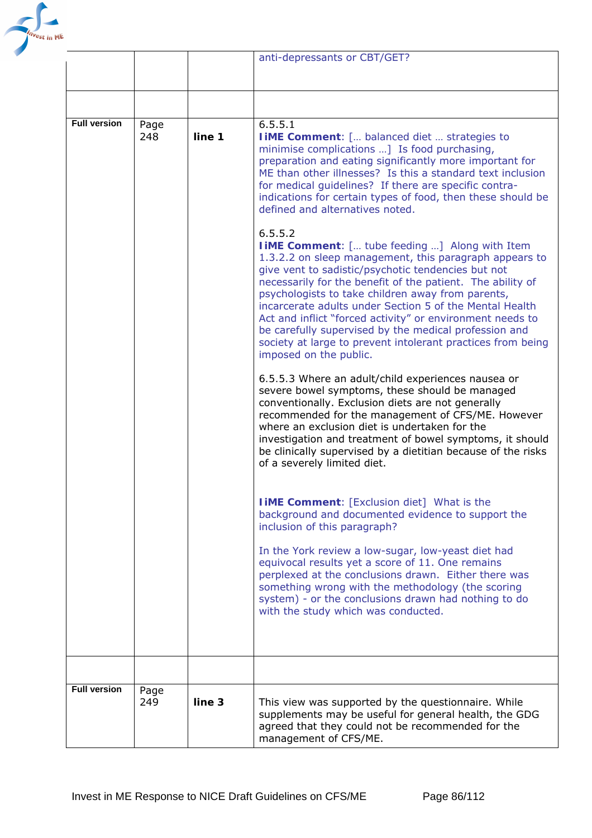

|                     |             |        | anti-depressants or CBT/GET?                                                                                                                                                                                                                                                                                                                                                                                                                                                                                                                                                          |
|---------------------|-------------|--------|---------------------------------------------------------------------------------------------------------------------------------------------------------------------------------------------------------------------------------------------------------------------------------------------------------------------------------------------------------------------------------------------------------------------------------------------------------------------------------------------------------------------------------------------------------------------------------------|
|                     |             |        |                                                                                                                                                                                                                                                                                                                                                                                                                                                                                                                                                                                       |
|                     |             |        |                                                                                                                                                                                                                                                                                                                                                                                                                                                                                                                                                                                       |
| <b>Full version</b> | Page<br>248 | line 1 | 6.5.5.1<br><b>I iME Comment:</b> [ balanced diet  strategies to<br>minimise complications ] Is food purchasing,<br>preparation and eating significantly more important for<br>ME than other illnesses? Is this a standard text inclusion<br>for medical guidelines? If there are specific contra-<br>indications for certain types of food, then these should be<br>defined and alternatives noted.                                                                                                                                                                                   |
|                     |             |        | 6.5.5.2<br><b>I iME Comment:</b> [ <i>tube feeding</i> ] Along with Item<br>1.3.2.2 on sleep management, this paragraph appears to<br>give vent to sadistic/psychotic tendencies but not<br>necessarily for the benefit of the patient. The ability of<br>psychologists to take children away from parents,<br>incarcerate adults under Section 5 of the Mental Health<br>Act and inflict "forced activity" or environment needs to<br>be carefully supervised by the medical profession and<br>society at large to prevent intolerant practices from being<br>imposed on the public. |
|                     |             |        | 6.5.5.3 Where an adult/child experiences nausea or<br>severe bowel symptoms, these should be managed<br>conventionally. Exclusion diets are not generally<br>recommended for the management of CFS/ME. However<br>where an exclusion diet is undertaken for the<br>investigation and treatment of bowel symptoms, it should<br>be clinically supervised by a dietitian because of the risks<br>of a severely limited diet.                                                                                                                                                            |
|                     |             |        | <b>I iME Comment:</b> [Exclusion diet] What is the<br>background and documented evidence to support the<br>inclusion of this paragraph?                                                                                                                                                                                                                                                                                                                                                                                                                                               |
|                     |             |        | In the York review a low-sugar, low-yeast diet had<br>equivocal results yet a score of 11. One remains<br>perplexed at the conclusions drawn. Either there was<br>something wrong with the methodology (the scoring<br>system) - or the conclusions drawn had nothing to do<br>with the study which was conducted.                                                                                                                                                                                                                                                                    |
|                     |             |        |                                                                                                                                                                                                                                                                                                                                                                                                                                                                                                                                                                                       |
| <b>Full version</b> | Page<br>249 | line 3 | This view was supported by the questionnaire. While<br>supplements may be useful for general health, the GDG<br>agreed that they could not be recommended for the<br>management of CFS/ME.                                                                                                                                                                                                                                                                                                                                                                                            |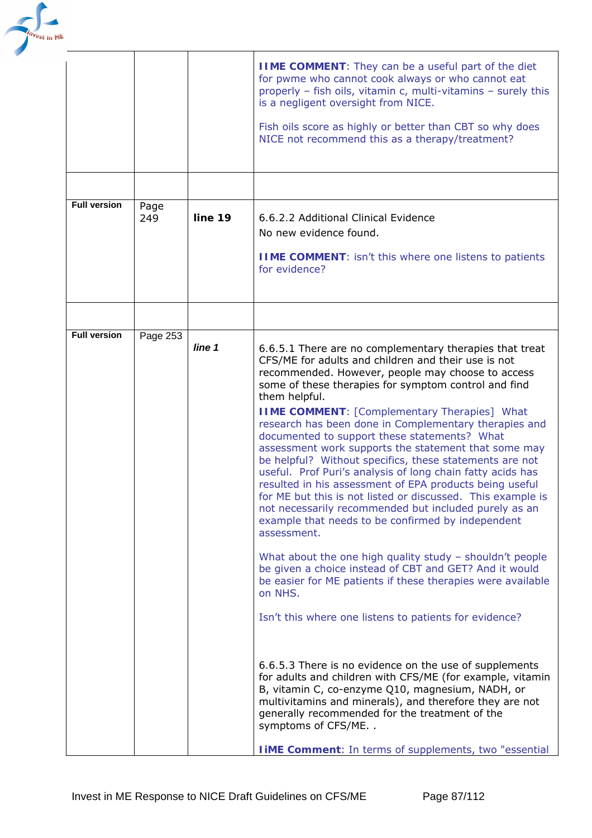

|                     |             |         | <b>IIME COMMENT:</b> They can be a useful part of the diet<br>for pwme who cannot cook always or who cannot eat<br>properly - fish oils, vitamin c, multi-vitamins - surely this<br>is a negligent oversight from NICE.<br>Fish oils score as highly or better than CBT so why does<br>NICE not recommend this as a therapy/treatment?                                                                                                                                                                                                                                                                                                                                                                                                                                                                                                                                                                                                                                                                                                                                                                                                                                                                                                                                                                                                                                                                                                                                                          |
|---------------------|-------------|---------|-------------------------------------------------------------------------------------------------------------------------------------------------------------------------------------------------------------------------------------------------------------------------------------------------------------------------------------------------------------------------------------------------------------------------------------------------------------------------------------------------------------------------------------------------------------------------------------------------------------------------------------------------------------------------------------------------------------------------------------------------------------------------------------------------------------------------------------------------------------------------------------------------------------------------------------------------------------------------------------------------------------------------------------------------------------------------------------------------------------------------------------------------------------------------------------------------------------------------------------------------------------------------------------------------------------------------------------------------------------------------------------------------------------------------------------------------------------------------------------------------|
|                     |             |         |                                                                                                                                                                                                                                                                                                                                                                                                                                                                                                                                                                                                                                                                                                                                                                                                                                                                                                                                                                                                                                                                                                                                                                                                                                                                                                                                                                                                                                                                                                 |
| <b>Full version</b> | Page<br>249 | line 19 | 6.6.2.2 Additional Clinical Evidence<br>No new evidence found.<br><b>IIME COMMENT:</b> isn't this where one listens to patients<br>for evidence?                                                                                                                                                                                                                                                                                                                                                                                                                                                                                                                                                                                                                                                                                                                                                                                                                                                                                                                                                                                                                                                                                                                                                                                                                                                                                                                                                |
|                     |             |         |                                                                                                                                                                                                                                                                                                                                                                                                                                                                                                                                                                                                                                                                                                                                                                                                                                                                                                                                                                                                                                                                                                                                                                                                                                                                                                                                                                                                                                                                                                 |
| <b>Full version</b> | Page 253    | line 1  | 6.6.5.1 There are no complementary therapies that treat<br>CFS/ME for adults and children and their use is not<br>recommended. However, people may choose to access<br>some of these therapies for symptom control and find<br>them helpful.<br><b>IIME COMMENT:</b> [Complementary Therapies] What<br>research has been done in Complementary therapies and<br>documented to support these statements? What<br>assessment work supports the statement that some may<br>be helpful? Without specifics, these statements are not<br>useful. Prof Puri's analysis of long chain fatty acids has<br>resulted in his assessment of EPA products being useful<br>for ME but this is not listed or discussed. This example is<br>not necessarily recommended but included purely as an<br>example that needs to be confirmed by independent<br>assessment.<br>What about the one high quality study $-$ shouldn't people<br>be given a choice instead of CBT and GET? And it would<br>be easier for ME patients if these therapies were available<br>on NHS.<br>Isn't this where one listens to patients for evidence?<br>6.6.5.3 There is no evidence on the use of supplements<br>for adults and children with CFS/ME (for example, vitamin<br>B, vitamin C, co-enzyme Q10, magnesium, NADH, or<br>multivitamins and minerals), and therefore they are not<br>generally recommended for the treatment of the<br>symptoms of CFS/ME<br><b>I iME Comment:</b> In terms of supplements, two "essential |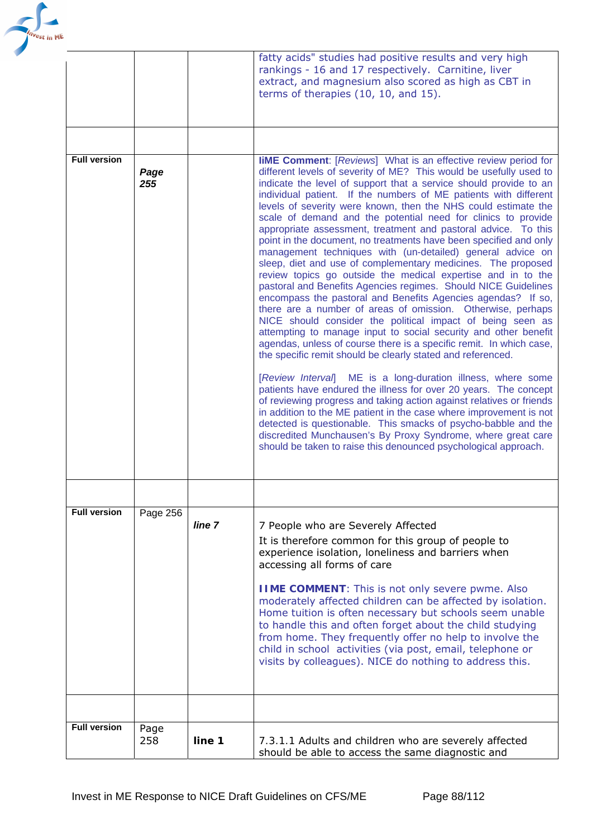

|                     |             |        | fatty acids" studies had positive results and very high<br>rankings - 16 and 17 respectively. Carnitine, liver<br>extract, and magnesium also scored as high as CBT in<br>terms of therapies (10, 10, and 15).                                                                                                                                                                                                                                                                                                                                                                                                                                                                                                                                                                                                                                                                                                                                                                                                                                                                                                                                                                                                                                                                                                                                                                                                                                                                                                                                                                                                                                                                                                             |
|---------------------|-------------|--------|----------------------------------------------------------------------------------------------------------------------------------------------------------------------------------------------------------------------------------------------------------------------------------------------------------------------------------------------------------------------------------------------------------------------------------------------------------------------------------------------------------------------------------------------------------------------------------------------------------------------------------------------------------------------------------------------------------------------------------------------------------------------------------------------------------------------------------------------------------------------------------------------------------------------------------------------------------------------------------------------------------------------------------------------------------------------------------------------------------------------------------------------------------------------------------------------------------------------------------------------------------------------------------------------------------------------------------------------------------------------------------------------------------------------------------------------------------------------------------------------------------------------------------------------------------------------------------------------------------------------------------------------------------------------------------------------------------------------------|
|                     |             |        |                                                                                                                                                                                                                                                                                                                                                                                                                                                                                                                                                                                                                                                                                                                                                                                                                                                                                                                                                                                                                                                                                                                                                                                                                                                                                                                                                                                                                                                                                                                                                                                                                                                                                                                            |
| <b>Full version</b> | Page<br>255 |        | <b>liME Comment:</b> [Reviews] What is an effective review period for<br>different levels of severity of ME? This would be usefully used to<br>indicate the level of support that a service should provide to an<br>individual patient. If the numbers of ME patients with different<br>levels of severity were known, then the NHS could estimate the<br>scale of demand and the potential need for clinics to provide<br>appropriate assessment, treatment and pastoral advice. To this<br>point in the document, no treatments have been specified and only<br>management techniques with (un-detailed) general advice on<br>sleep, diet and use of complementary medicines. The proposed<br>review topics go outside the medical expertise and in to the<br>pastoral and Benefits Agencies regimes. Should NICE Guidelines<br>encompass the pastoral and Benefits Agencies agendas? If so,<br>there are a number of areas of omission. Otherwise, perhaps<br>NICE should consider the political impact of being seen as<br>attempting to manage input to social security and other benefit<br>agendas, unless of course there is a specific remit. In which case,<br>the specific remit should be clearly stated and referenced.<br>[Review Interval] ME is a long-duration illness, where some<br>patients have endured the illness for over 20 years. The concept<br>of reviewing progress and taking action against relatives or friends<br>in addition to the ME patient in the case where improvement is not<br>detected is questionable. This smacks of psycho-babble and the<br>discredited Munchausen's By Proxy Syndrome, where great care<br>should be taken to raise this denounced psychological approach. |
|                     |             |        |                                                                                                                                                                                                                                                                                                                                                                                                                                                                                                                                                                                                                                                                                                                                                                                                                                                                                                                                                                                                                                                                                                                                                                                                                                                                                                                                                                                                                                                                                                                                                                                                                                                                                                                            |
| <b>Full version</b> | Page 256    | line 7 | 7 People who are Severely Affected<br>It is therefore common for this group of people to<br>experience isolation, loneliness and barriers when<br>accessing all forms of care<br><b>IIME COMMENT:</b> This is not only severe pwme. Also<br>moderately affected children can be affected by isolation.<br>Home tuition is often necessary but schools seem unable<br>to handle this and often forget about the child studying<br>from home. They frequently offer no help to involve the<br>child in school activities (via post, email, telephone or<br>visits by colleagues). NICE do nothing to address this.                                                                                                                                                                                                                                                                                                                                                                                                                                                                                                                                                                                                                                                                                                                                                                                                                                                                                                                                                                                                                                                                                                           |
|                     |             |        |                                                                                                                                                                                                                                                                                                                                                                                                                                                                                                                                                                                                                                                                                                                                                                                                                                                                                                                                                                                                                                                                                                                                                                                                                                                                                                                                                                                                                                                                                                                                                                                                                                                                                                                            |
| <b>Full version</b> | Page<br>258 | line 1 | 7.3.1.1 Adults and children who are severely affected<br>should be able to access the same diagnostic and                                                                                                                                                                                                                                                                                                                                                                                                                                                                                                                                                                                                                                                                                                                                                                                                                                                                                                                                                                                                                                                                                                                                                                                                                                                                                                                                                                                                                                                                                                                                                                                                                  |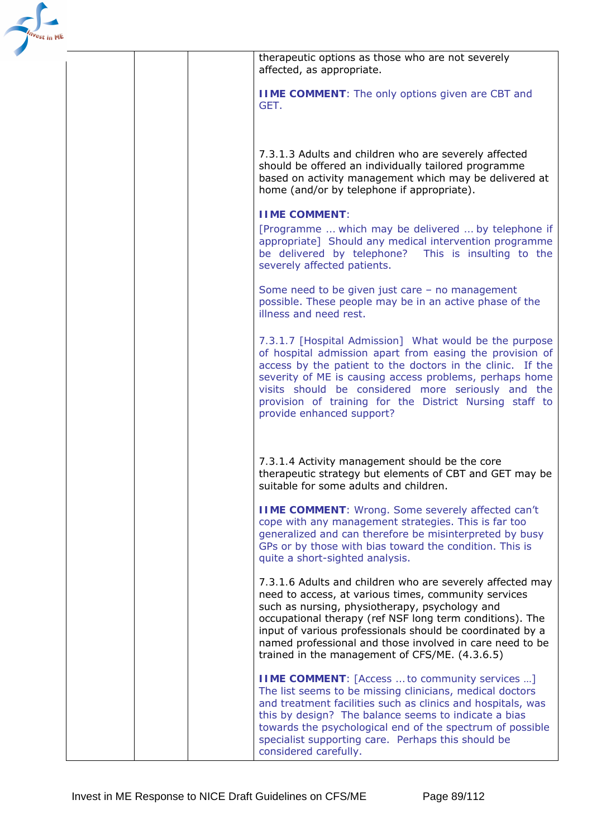

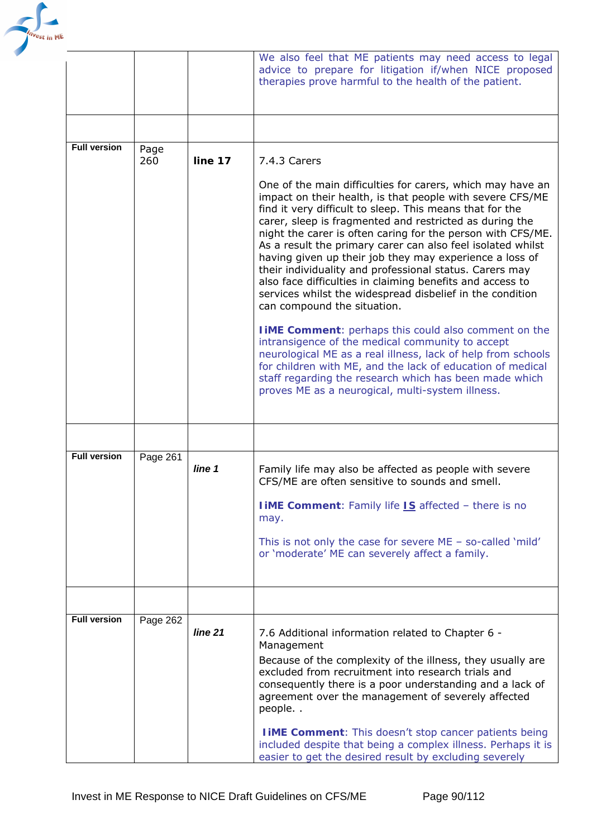

|                     |             |         | We also feel that ME patients may need access to legal<br>advice to prepare for litigation if/when NICE proposed<br>therapies prove harmful to the health of the patient.                                                                                                                                                                                                                                                                                                                                                                                                                                                                                                                                                                                                                                                                                                                                                                                                                                                                  |
|---------------------|-------------|---------|--------------------------------------------------------------------------------------------------------------------------------------------------------------------------------------------------------------------------------------------------------------------------------------------------------------------------------------------------------------------------------------------------------------------------------------------------------------------------------------------------------------------------------------------------------------------------------------------------------------------------------------------------------------------------------------------------------------------------------------------------------------------------------------------------------------------------------------------------------------------------------------------------------------------------------------------------------------------------------------------------------------------------------------------|
|                     |             |         |                                                                                                                                                                                                                                                                                                                                                                                                                                                                                                                                                                                                                                                                                                                                                                                                                                                                                                                                                                                                                                            |
| <b>Full version</b> | Page<br>260 | line 17 | 7.4.3 Carers<br>One of the main difficulties for carers, which may have an<br>impact on their health, is that people with severe CFS/ME<br>find it very difficult to sleep. This means that for the<br>carer, sleep is fragmented and restricted as during the<br>night the carer is often caring for the person with CFS/ME.<br>As a result the primary carer can also feel isolated whilst<br>having given up their job they may experience a loss of<br>their individuality and professional status. Carers may<br>also face difficulties in claiming benefits and access to<br>services whilst the widespread disbelief in the condition<br>can compound the situation.<br><b>TIME Comment:</b> perhaps this could also comment on the<br>intransigence of the medical community to accept<br>neurological ME as a real illness, lack of help from schools<br>for children with ME, and the lack of education of medical<br>staff regarding the research which has been made which<br>proves ME as a neurogical, multi-system illness. |
|                     |             |         |                                                                                                                                                                                                                                                                                                                                                                                                                                                                                                                                                                                                                                                                                                                                                                                                                                                                                                                                                                                                                                            |
| <b>Full version</b> | Page 261    | line 1  | Family life may also be affected as people with severe<br>CFS/ME are often sensitive to sounds and smell.<br><b>I iME Comment:</b> Family life <b>IS</b> affected - there is no<br>may.<br>This is not only the case for severe $ME - so-called 'mild'$<br>or 'moderate' ME can severely affect a family.                                                                                                                                                                                                                                                                                                                                                                                                                                                                                                                                                                                                                                                                                                                                  |
|                     |             |         |                                                                                                                                                                                                                                                                                                                                                                                                                                                                                                                                                                                                                                                                                                                                                                                                                                                                                                                                                                                                                                            |
| <b>Full version</b> | Page 262    | line 21 | 7.6 Additional information related to Chapter 6 -<br>Management<br>Because of the complexity of the illness, they usually are<br>excluded from recruitment into research trials and<br>consequently there is a poor understanding and a lack of<br>agreement over the management of severely affected<br>people<br><b>I IME Comment:</b> This doesn't stop cancer patients being<br>included despite that being a complex illness. Perhaps it is<br>easier to get the desired result by excluding severely                                                                                                                                                                                                                                                                                                                                                                                                                                                                                                                                 |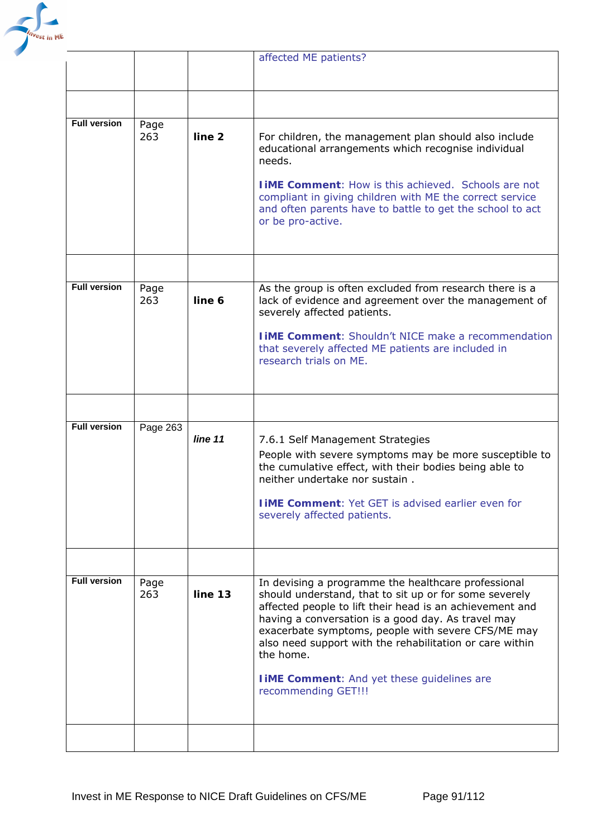

|                     |             |                   | affected ME patients?                                                                                                                                                                                                                                                                                                                                                                                                                       |
|---------------------|-------------|-------------------|---------------------------------------------------------------------------------------------------------------------------------------------------------------------------------------------------------------------------------------------------------------------------------------------------------------------------------------------------------------------------------------------------------------------------------------------|
|                     |             |                   |                                                                                                                                                                                                                                                                                                                                                                                                                                             |
|                     |             |                   |                                                                                                                                                                                                                                                                                                                                                                                                                                             |
| <b>Full version</b> | Page<br>263 | line <sub>2</sub> | For children, the management plan should also include<br>educational arrangements which recognise individual<br>needs.                                                                                                                                                                                                                                                                                                                      |
|                     |             |                   | <b>TIME Comment:</b> How is this achieved. Schools are not<br>compliant in giving children with ME the correct service<br>and often parents have to battle to get the school to act<br>or be pro-active.                                                                                                                                                                                                                                    |
|                     |             |                   |                                                                                                                                                                                                                                                                                                                                                                                                                                             |
| <b>Full version</b> | Page<br>263 | line 6            | As the group is often excluded from research there is a<br>lack of evidence and agreement over the management of<br>severely affected patients.                                                                                                                                                                                                                                                                                             |
|                     |             |                   | <b>I IME Comment: Shouldn't NICE make a recommendation</b><br>that severely affected ME patients are included in<br>research trials on ME.                                                                                                                                                                                                                                                                                                  |
|                     |             |                   |                                                                                                                                                                                                                                                                                                                                                                                                                                             |
| <b>Full version</b> | Page 263    | line 11           | 7.6.1 Self Management Strategies<br>People with severe symptoms may be more susceptible to<br>the cumulative effect, with their bodies being able to<br>neither undertake nor sustain.                                                                                                                                                                                                                                                      |
|                     |             |                   | <b>LIME Comment: Yet GET is advised earlier even for</b><br>severely affected patients.                                                                                                                                                                                                                                                                                                                                                     |
|                     |             |                   |                                                                                                                                                                                                                                                                                                                                                                                                                                             |
| <b>Full version</b> | Page<br>263 | line 13           | In devising a programme the healthcare professional<br>should understand, that to sit up or for some severely<br>affected people to lift their head is an achievement and<br>having a conversation is a good day. As travel may<br>exacerbate symptoms, people with severe CFS/ME may<br>also need support with the rehabilitation or care within<br>the home.<br><b>I iME Comment:</b> And yet these guidelines are<br>recommending GET!!! |
|                     |             |                   |                                                                                                                                                                                                                                                                                                                                                                                                                                             |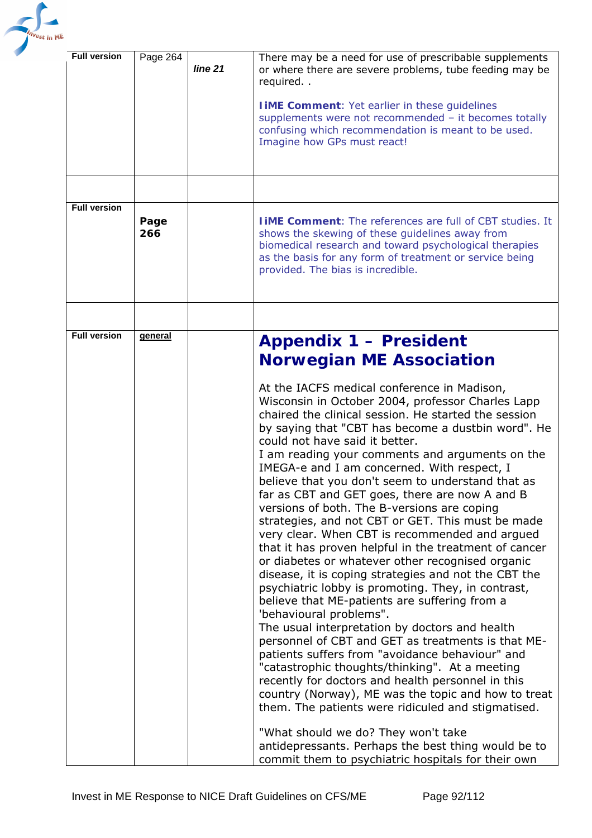

| <b>Full version</b> | Page 264       | line 21 | There may be a need for use of prescribable supplements<br>or where there are severe problems, tube feeding may be<br>required<br><b>I iME Comment: Yet earlier in these guidelines</b><br>supplements were not recommended - it becomes totally<br>confusing which recommendation is meant to be used.<br>Imagine how GPs must react!                                                                                                                                                                                                                                                                                                                                                                                                                                                                                                                                                                                                                                                                                                                                                                                                                                                                                                                                                                |
|---------------------|----------------|---------|-------------------------------------------------------------------------------------------------------------------------------------------------------------------------------------------------------------------------------------------------------------------------------------------------------------------------------------------------------------------------------------------------------------------------------------------------------------------------------------------------------------------------------------------------------------------------------------------------------------------------------------------------------------------------------------------------------------------------------------------------------------------------------------------------------------------------------------------------------------------------------------------------------------------------------------------------------------------------------------------------------------------------------------------------------------------------------------------------------------------------------------------------------------------------------------------------------------------------------------------------------------------------------------------------------|
|                     |                |         |                                                                                                                                                                                                                                                                                                                                                                                                                                                                                                                                                                                                                                                                                                                                                                                                                                                                                                                                                                                                                                                                                                                                                                                                                                                                                                       |
| <b>Full version</b> | Page<br>266    |         | <b>TIME Comment:</b> The references are full of CBT studies. It<br>shows the skewing of these guidelines away from<br>biomedical research and toward psychological therapies<br>as the basis for any form of treatment or service being<br>provided. The bias is incredible.                                                                                                                                                                                                                                                                                                                                                                                                                                                                                                                                                                                                                                                                                                                                                                                                                                                                                                                                                                                                                          |
|                     |                |         |                                                                                                                                                                                                                                                                                                                                                                                                                                                                                                                                                                                                                                                                                                                                                                                                                                                                                                                                                                                                                                                                                                                                                                                                                                                                                                       |
| <b>Full version</b> | <b>general</b> |         | <b>Appendix 1 - President</b><br><b>Norwegian ME Association</b>                                                                                                                                                                                                                                                                                                                                                                                                                                                                                                                                                                                                                                                                                                                                                                                                                                                                                                                                                                                                                                                                                                                                                                                                                                      |
|                     |                |         | At the IACFS medical conference in Madison,<br>Wisconsin in October 2004, professor Charles Lapp<br>chaired the clinical session. He started the session<br>by saying that "CBT has become a dustbin word". He<br>could not have said it better.<br>I am reading your comments and arguments on the<br>IMEGA-e and I am concerned. With respect, I<br>believe that you don't seem to understand that as<br>far as CBT and GET goes, there are now A and B<br>versions of both. The B-versions are coping<br>strategies, and not CBT or GET. This must be made<br>very clear. When CBT is recommended and argued<br>that it has proven helpful in the treatment of cancer<br>or diabetes or whatever other recognised organic<br>disease, it is coping strategies and not the CBT the<br>psychiatric lobby is promoting. They, in contrast,<br>believe that ME-patients are suffering from a<br>'behavioural problems".<br>The usual interpretation by doctors and health<br>personnel of CBT and GET as treatments is that ME-<br>patients suffers from "avoidance behaviour" and<br>"catastrophic thoughts/thinking". At a meeting<br>recently for doctors and health personnel in this<br>country (Norway), ME was the topic and how to treat<br>them. The patients were ridiculed and stigmatised. |
|                     |                |         | "What should we do? They won't take<br>antidepressants. Perhaps the best thing would be to<br>commit them to psychiatric hospitals for their own                                                                                                                                                                                                                                                                                                                                                                                                                                                                                                                                                                                                                                                                                                                                                                                                                                                                                                                                                                                                                                                                                                                                                      |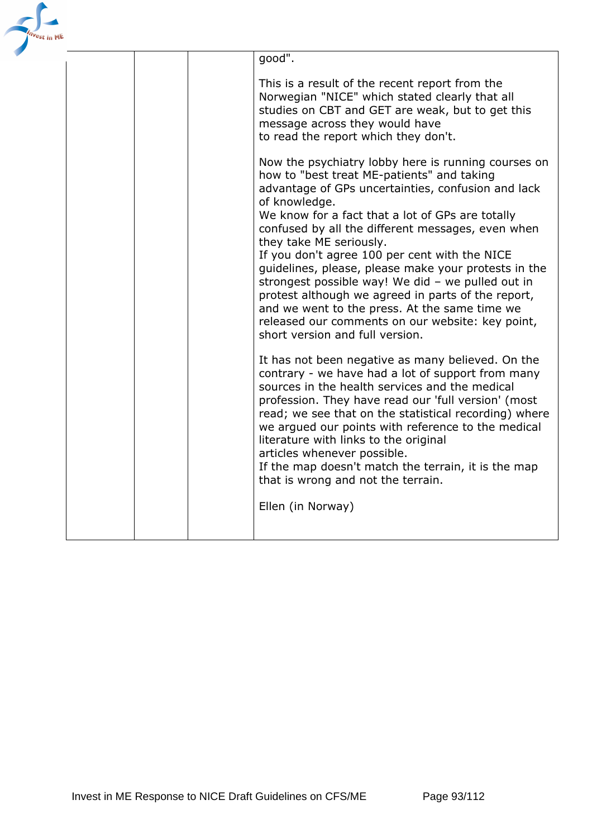| <sup>est</sup> in ME |  |                                                                                                                                                                                                                                                                                                                                                                                                                                                                                                                                                                                                                                                                                                                                                                                                                                                                                                                                                                                                                                                                                                                                                                                                                                                                                                                                                                                                                                                  |
|----------------------|--|--------------------------------------------------------------------------------------------------------------------------------------------------------------------------------------------------------------------------------------------------------------------------------------------------------------------------------------------------------------------------------------------------------------------------------------------------------------------------------------------------------------------------------------------------------------------------------------------------------------------------------------------------------------------------------------------------------------------------------------------------------------------------------------------------------------------------------------------------------------------------------------------------------------------------------------------------------------------------------------------------------------------------------------------------------------------------------------------------------------------------------------------------------------------------------------------------------------------------------------------------------------------------------------------------------------------------------------------------------------------------------------------------------------------------------------------------|
|                      |  | good".<br>This is a result of the recent report from the<br>Norwegian "NICE" which stated clearly that all<br>studies on CBT and GET are weak, but to get this<br>message across they would have<br>to read the report which they don't.<br>Now the psychiatry lobby here is running courses on<br>how to "best treat ME-patients" and taking<br>advantage of GPs uncertainties, confusion and lack<br>of knowledge.<br>We know for a fact that a lot of GPs are totally<br>confused by all the different messages, even when<br>they take ME seriously.<br>If you don't agree 100 per cent with the NICE<br>guidelines, please, please make your protests in the<br>strongest possible way! We did - we pulled out in<br>protest although we agreed in parts of the report,<br>and we went to the press. At the same time we<br>released our comments on our website: key point,<br>short version and full version.<br>It has not been negative as many believed. On the<br>contrary - we have had a lot of support from many<br>sources in the health services and the medical<br>profession. They have read our 'full version' (most<br>read; we see that on the statistical recording) where<br>we argued our points with reference to the medical<br>literature with links to the original<br>articles whenever possible.<br>If the map doesn't match the terrain, it is the map<br>that is wrong and not the terrain.<br>Ellen (in Norway) |
|                      |  |                                                                                                                                                                                                                                                                                                                                                                                                                                                                                                                                                                                                                                                                                                                                                                                                                                                                                                                                                                                                                                                                                                                                                                                                                                                                                                                                                                                                                                                  |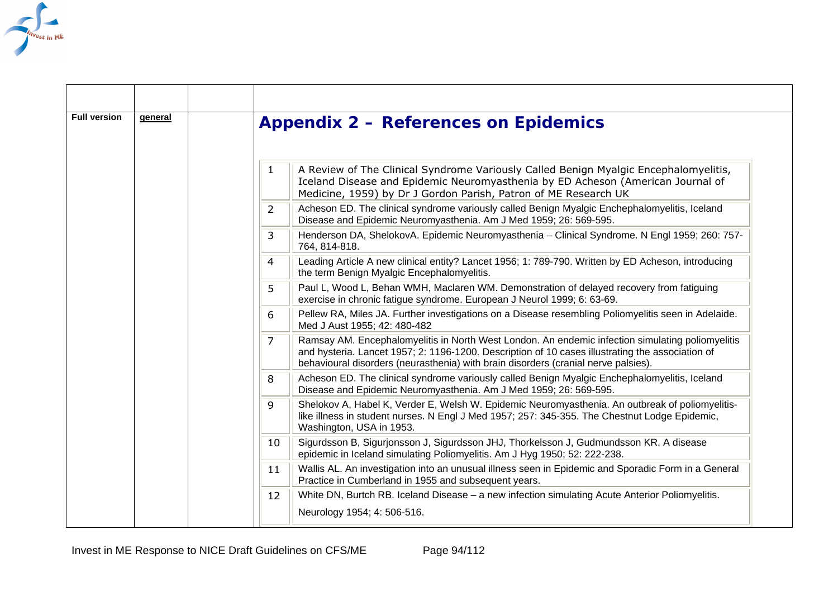

| <b>Full version</b> |  | general                                                                                                                                                                                                                                                                                         | <b>Appendix 2 – References on Epidemics</b> |
|---------------------|--|-------------------------------------------------------------------------------------------------------------------------------------------------------------------------------------------------------------------------------------------------------------------------------------------------|---------------------------------------------|
|                     |  | A Review of The Clinical Syndrome Variously Called Benign Myalgic Encephalomyelitis,<br>$\mathbf{1}$<br>Iceland Disease and Epidemic Neuromyasthenia by ED Acheson (American Journal of<br>Medicine, 1959) by Dr J Gordon Parish, Patron of ME Research UK                                      |                                             |
|                     |  | Acheson ED. The clinical syndrome variously called Benign Myalgic Enchephalomyelitis, Iceland<br>2<br>Disease and Epidemic Neuromyasthenia. Am J Med 1959; 26: 569-595.                                                                                                                         |                                             |
|                     |  | Henderson DA, ShelokovA. Epidemic Neuromyasthenia - Clinical Syndrome. N Engl 1959; 260: 757-<br>3<br>764, 814-818.                                                                                                                                                                             |                                             |
|                     |  | Leading Article A new clinical entity? Lancet 1956; 1: 789-790. Written by ED Acheson, introducing<br>4<br>the term Benign Myalgic Encephalomyelitis.                                                                                                                                           |                                             |
|                     |  | Paul L, Wood L, Behan WMH, Maclaren WM. Demonstration of delayed recovery from fatiguing<br>5.<br>exercise in chronic fatigue syndrome. European J Neurol 1999; 6: 63-69.                                                                                                                       |                                             |
|                     |  | Pellew RA, Miles JA. Further investigations on a Disease resembling Poliomyelitis seen in Adelaide.<br>6<br>Med J Aust 1955; 42: 480-482                                                                                                                                                        |                                             |
|                     |  | Ramsay AM. Encephalomyelitis in North West London. An endemic infection simulating poliomyelitis<br>7<br>and hysteria. Lancet 1957; 2: 1196-1200. Description of 10 cases illustrating the association of<br>behavioural disorders (neurasthenia) with brain disorders (cranial nerve palsies). |                                             |
|                     |  | Acheson ED. The clinical syndrome variously called Benign Myalgic Enchephalomyelitis, Iceland<br>8<br>Disease and Epidemic Neuromyasthenia. Am J Med 1959; 26: 569-595.                                                                                                                         |                                             |
|                     |  | Shelokov A, Habel K, Verder E, Welsh W. Epidemic Neuromyasthenia. An outbreak of poliomyelitis-<br>9<br>like illness in student nurses. N Engl J Med 1957; 257: 345-355. The Chestnut Lodge Epidemic,<br>Washington, USA in 1953.                                                               |                                             |
|                     |  | Sigurdsson B, Sigurjonsson J, Sigurdsson JHJ, Thorkelsson J, Gudmundsson KR. A disease<br>10<br>epidemic in Iceland simulating Poliomyelitis. Am J Hyg 1950; 52: 222-238.                                                                                                                       |                                             |
|                     |  | Wallis AL. An investigation into an unusual illness seen in Epidemic and Sporadic Form in a General<br>11<br>Practice in Cumberland in 1955 and subsequent years.                                                                                                                               |                                             |
|                     |  | White DN, Burtch RB. Iceland Disease - a new infection simulating Acute Anterior Poliomyelitis.<br>12<br>Neurology 1954; 4: 506-516.                                                                                                                                                            |                                             |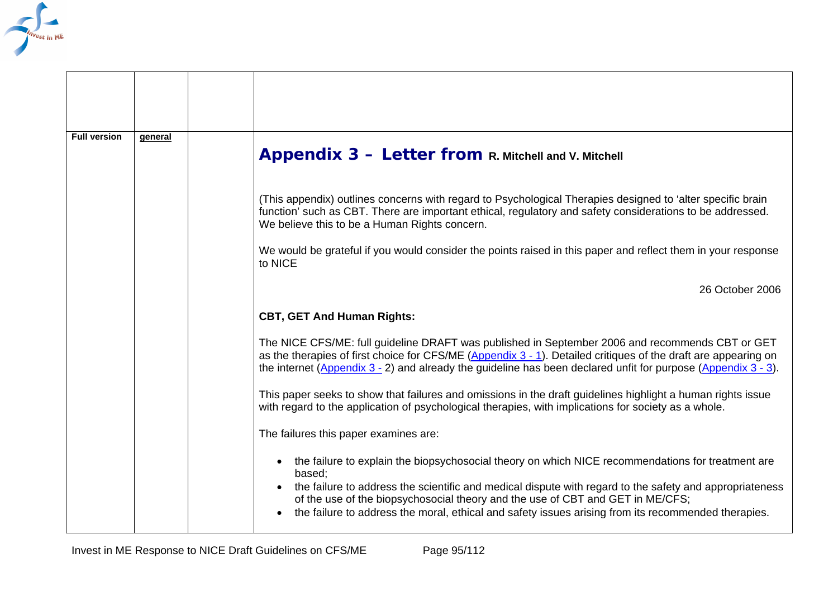

| <b>Full version</b> | general |                                                                                                                                                                                                                                                                                                                                          |
|---------------------|---------|------------------------------------------------------------------------------------------------------------------------------------------------------------------------------------------------------------------------------------------------------------------------------------------------------------------------------------------|
|                     |         | Appendix 3 - Letter from R. Mitchell and V. Mitchell                                                                                                                                                                                                                                                                                     |
|                     |         | (This appendix) outlines concerns with regard to Psychological Therapies designed to 'alter specific brain<br>function' such as CBT. There are important ethical, regulatory and safety considerations to be addressed.<br>We believe this to be a Human Rights concern.                                                                 |
|                     |         | We would be grateful if you would consider the points raised in this paper and reflect them in your response<br>to NICE                                                                                                                                                                                                                  |
|                     |         | 26 October 2006                                                                                                                                                                                                                                                                                                                          |
|                     |         | <b>CBT, GET And Human Rights:</b>                                                                                                                                                                                                                                                                                                        |
|                     |         | The NICE CFS/ME: full guideline DRAFT was published in September 2006 and recommends CBT or GET<br>as the therapies of first choice for CFS/ME (Appendix 3 - 1). Detailed critiques of the draft are appearing on<br>the internet (Appendix $3 - 2$ ) and already the guideline has been declared unfit for purpose (Appendix $3 - 3$ ). |
|                     |         | This paper seeks to show that failures and omissions in the draft guidelines highlight a human rights issue<br>with regard to the application of psychological therapies, with implications for society as a whole.                                                                                                                      |
|                     |         | The failures this paper examines are:                                                                                                                                                                                                                                                                                                    |
|                     |         | the failure to explain the biopsychosocial theory on which NICE recommendations for treatment are<br>based;                                                                                                                                                                                                                              |
|                     |         | the failure to address the scientific and medical dispute with regard to the safety and appropriateness<br>of the use of the biopsychosocial theory and the use of CBT and GET in ME/CFS;<br>the failure to address the moral, ethical and safety issues arising from its recommended therapies.                                         |
|                     |         |                                                                                                                                                                                                                                                                                                                                          |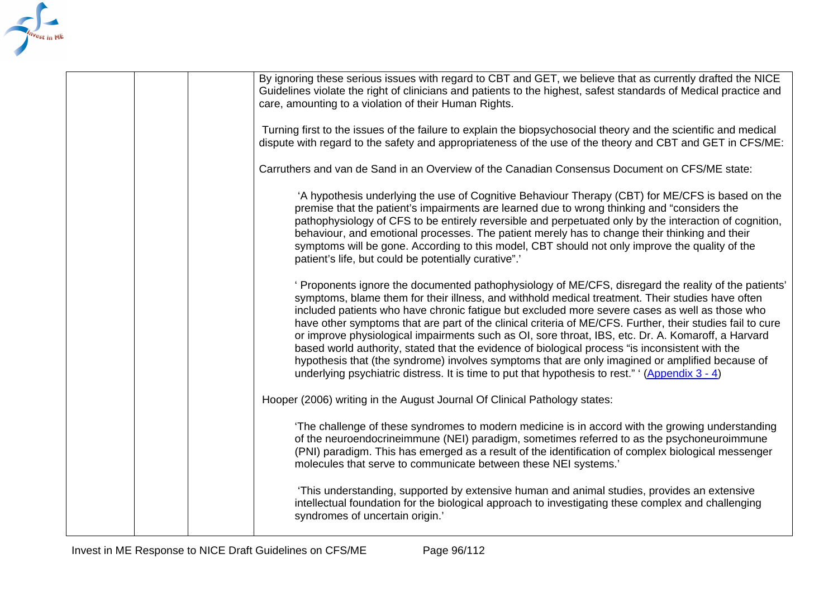

|  | By ignoring these serious issues with regard to CBT and GET, we believe that as currently drafted the NICE<br>Guidelines violate the right of clinicians and patients to the highest, safest standards of Medical practice and<br>care, amounting to a violation of their Human Rights.                                                                                                                                                                                                                                                                                                                                                                                                                                                                                                                                                |
|--|----------------------------------------------------------------------------------------------------------------------------------------------------------------------------------------------------------------------------------------------------------------------------------------------------------------------------------------------------------------------------------------------------------------------------------------------------------------------------------------------------------------------------------------------------------------------------------------------------------------------------------------------------------------------------------------------------------------------------------------------------------------------------------------------------------------------------------------|
|  | Turning first to the issues of the failure to explain the biopsychosocial theory and the scientific and medical<br>dispute with regard to the safety and appropriateness of the use of the theory and CBT and GET in CFS/ME:                                                                                                                                                                                                                                                                                                                                                                                                                                                                                                                                                                                                           |
|  | Carruthers and van de Sand in an Overview of the Canadian Consensus Document on CFS/ME state:                                                                                                                                                                                                                                                                                                                                                                                                                                                                                                                                                                                                                                                                                                                                          |
|  | 'A hypothesis underlying the use of Cognitive Behaviour Therapy (CBT) for ME/CFS is based on the<br>premise that the patient's impairments are learned due to wrong thinking and "considers the<br>pathophysiology of CFS to be entirely reversible and perpetuated only by the interaction of cognition,<br>behaviour, and emotional processes. The patient merely has to change their thinking and their<br>symptoms will be gone. According to this model, CBT should not only improve the quality of the<br>patient's life, but could be potentially curative".'                                                                                                                                                                                                                                                                   |
|  | ' Proponents ignore the documented pathophysiology of ME/CFS, disregard the reality of the patients'<br>symptoms, blame them for their illness, and withhold medical treatment. Their studies have often<br>included patients who have chronic fatigue but excluded more severe cases as well as those who<br>have other symptoms that are part of the clinical criteria of ME/CFS. Further, their studies fail to cure<br>or improve physiological impairments such as OI, sore throat, IBS, etc. Dr. A. Komaroff, a Harvard<br>based world authority, stated that the evidence of biological process "is inconsistent with the<br>hypothesis that (the syndrome) involves symptoms that are only imagined or amplified because of<br>underlying psychiatric distress. It is time to put that hypothesis to rest." $(Appendix 3 - 4)$ |
|  | Hooper (2006) writing in the August Journal Of Clinical Pathology states:                                                                                                                                                                                                                                                                                                                                                                                                                                                                                                                                                                                                                                                                                                                                                              |
|  | 'The challenge of these syndromes to modern medicine is in accord with the growing understanding<br>of the neuroendocrineimmune (NEI) paradigm, sometimes referred to as the psychoneuroimmune<br>(PNI) paradigm. This has emerged as a result of the identification of complex biological messenger<br>molecules that serve to communicate between these NEI systems.'                                                                                                                                                                                                                                                                                                                                                                                                                                                                |
|  | 'This understanding, supported by extensive human and animal studies, provides an extensive<br>intellectual foundation for the biological approach to investigating these complex and challenging<br>syndromes of uncertain origin.'                                                                                                                                                                                                                                                                                                                                                                                                                                                                                                                                                                                                   |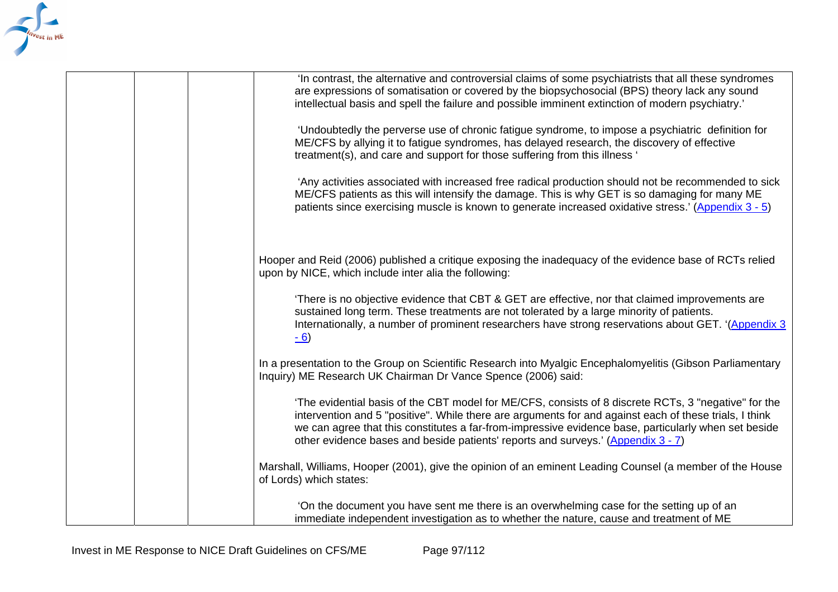

 'On the document you have sent me there is an overwhelming case for the setting up of an immediate independent investigation as to whether the nature, cause and treatment of ME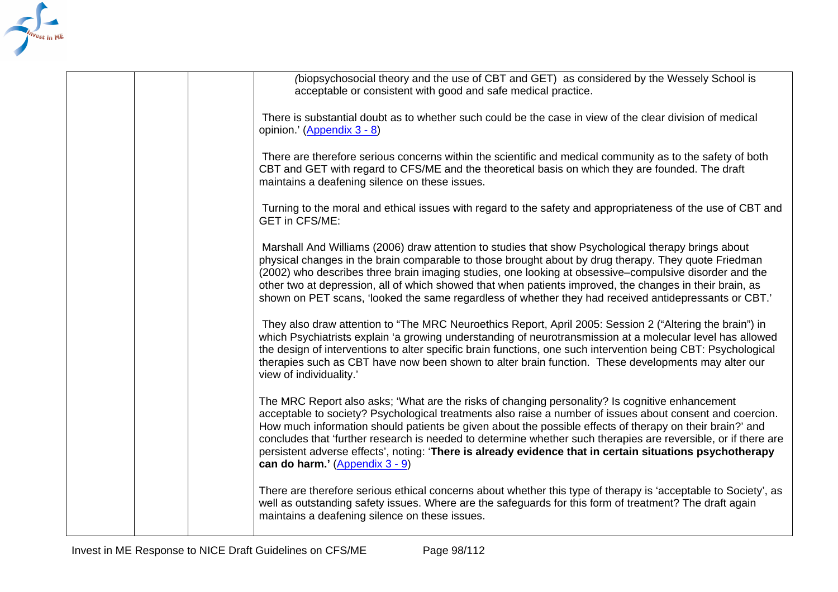

|  | (biopsychosocial theory and the use of CBT and GET) as considered by the Wessely School is<br>acceptable or consistent with good and safe medical practice.                                                                                                                                                                                                                                                                                                                                                                                                                                |
|--|--------------------------------------------------------------------------------------------------------------------------------------------------------------------------------------------------------------------------------------------------------------------------------------------------------------------------------------------------------------------------------------------------------------------------------------------------------------------------------------------------------------------------------------------------------------------------------------------|
|  | There is substantial doubt as to whether such could be the case in view of the clear division of medical<br>opinion.' (Appendix 3 - 8)                                                                                                                                                                                                                                                                                                                                                                                                                                                     |
|  | There are therefore serious concerns within the scientific and medical community as to the safety of both<br>CBT and GET with regard to CFS/ME and the theoretical basis on which they are founded. The draft<br>maintains a deafening silence on these issues.                                                                                                                                                                                                                                                                                                                            |
|  | Turning to the moral and ethical issues with regard to the safety and appropriateness of the use of CBT and<br><b>GET in CFS/ME:</b>                                                                                                                                                                                                                                                                                                                                                                                                                                                       |
|  | Marshall And Williams (2006) draw attention to studies that show Psychological therapy brings about<br>physical changes in the brain comparable to those brought about by drug therapy. They quote Friedman<br>(2002) who describes three brain imaging studies, one looking at obsessive-compulsive disorder and the<br>other two at depression, all of which showed that when patients improved, the changes in their brain, as<br>shown on PET scans, 'looked the same regardless of whether they had received antidepressants or CBT.'                                                 |
|  | They also draw attention to "The MRC Neuroethics Report, April 2005: Session 2 ("Altering the brain") in<br>which Psychiatrists explain 'a growing understanding of neurotransmission at a molecular level has allowed<br>the design of interventions to alter specific brain functions, one such intervention being CBT: Psychological<br>therapies such as CBT have now been shown to alter brain function. These developments may alter our<br>view of individuality.'                                                                                                                  |
|  | The MRC Report also asks; 'What are the risks of changing personality? Is cognitive enhancement<br>acceptable to society? Psychological treatments also raise a number of issues about consent and coercion.<br>How much information should patients be given about the possible effects of therapy on their brain?' and<br>concludes that 'further research is needed to determine whether such therapies are reversible, or if there are<br>persistent adverse effects', noting: 'There is already evidence that in certain situations psychotherapy<br>can do harm.' $(Appendix 3 - 9)$ |
|  | There are therefore serious ethical concerns about whether this type of therapy is 'acceptable to Society', as<br>well as outstanding safety issues. Where are the safeguards for this form of treatment? The draft again<br>maintains a deafening silence on these issues.                                                                                                                                                                                                                                                                                                                |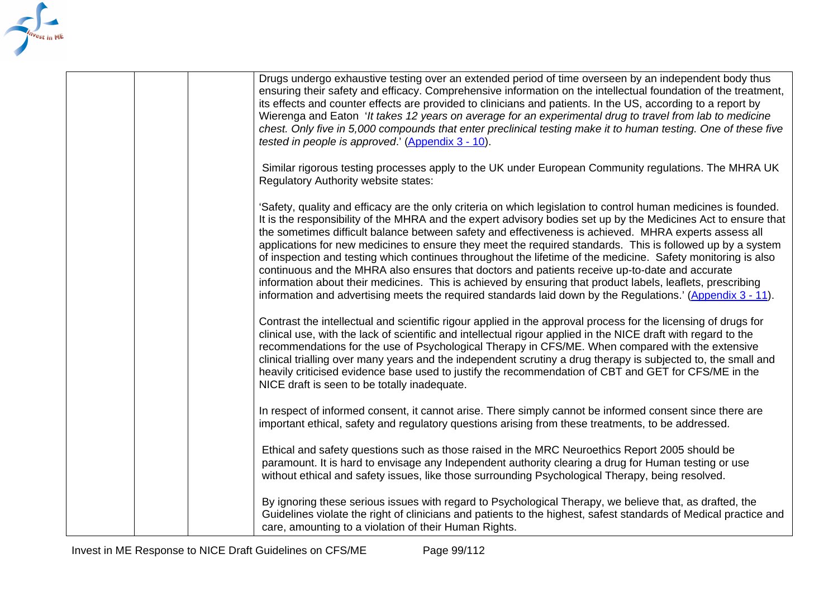

| Drugs undergo exhaustive testing over an extended period of time overseen by an independent body thus<br>ensuring their safety and efficacy. Comprehensive information on the intellectual foundation of the treatment,<br>its effects and counter effects are provided to clinicians and patients. In the US, according to a report by<br>Wierenga and Eaton 'It takes 12 years on average for an experimental drug to travel from lab to medicine<br>chest. Only five in 5,000 compounds that enter preclinical testing make it to human testing. One of these five<br>tested in people is approved.' (Appendix 3 - 10).                                                                                                                                                                                                                                                                             |
|--------------------------------------------------------------------------------------------------------------------------------------------------------------------------------------------------------------------------------------------------------------------------------------------------------------------------------------------------------------------------------------------------------------------------------------------------------------------------------------------------------------------------------------------------------------------------------------------------------------------------------------------------------------------------------------------------------------------------------------------------------------------------------------------------------------------------------------------------------------------------------------------------------|
| Similar rigorous testing processes apply to the UK under European Community regulations. The MHRA UK<br>Regulatory Authority website states:                                                                                                                                                                                                                                                                                                                                                                                                                                                                                                                                                                                                                                                                                                                                                           |
| 'Safety, quality and efficacy are the only criteria on which legislation to control human medicines is founded.<br>It is the responsibility of the MHRA and the expert advisory bodies set up by the Medicines Act to ensure that<br>the sometimes difficult balance between safety and effectiveness is achieved. MHRA experts assess all<br>applications for new medicines to ensure they meet the required standards. This is followed up by a system<br>of inspection and testing which continues throughout the lifetime of the medicine. Safety monitoring is also<br>continuous and the MHRA also ensures that doctors and patients receive up-to-date and accurate<br>information about their medicines. This is achieved by ensuring that product labels, leaflets, prescribing<br>information and advertising meets the required standards laid down by the Regulations.' (Appendix 3 - 11). |
| Contrast the intellectual and scientific rigour applied in the approval process for the licensing of drugs for<br>clinical use, with the lack of scientific and intellectual rigour applied in the NICE draft with regard to the<br>recommendations for the use of Psychological Therapy in CFS/ME. When compared with the extensive<br>clinical trialling over many years and the independent scrutiny a drug therapy is subjected to, the small and<br>heavily criticised evidence base used to justify the recommendation of CBT and GET for CFS/ME in the<br>NICE draft is seen to be totally inadequate.                                                                                                                                                                                                                                                                                          |
| In respect of informed consent, it cannot arise. There simply cannot be informed consent since there are<br>important ethical, safety and regulatory questions arising from these treatments, to be addressed.                                                                                                                                                                                                                                                                                                                                                                                                                                                                                                                                                                                                                                                                                         |
| Ethical and safety questions such as those raised in the MRC Neuroethics Report 2005 should be<br>paramount. It is hard to envisage any Independent authority clearing a drug for Human testing or use<br>without ethical and safety issues, like those surrounding Psychological Therapy, being resolved.                                                                                                                                                                                                                                                                                                                                                                                                                                                                                                                                                                                             |
| By ignoring these serious issues with regard to Psychological Therapy, we believe that, as drafted, the<br>Guidelines violate the right of clinicians and patients to the highest, safest standards of Medical practice and<br>care, amounting to a violation of their Human Rights.                                                                                                                                                                                                                                                                                                                                                                                                                                                                                                                                                                                                                   |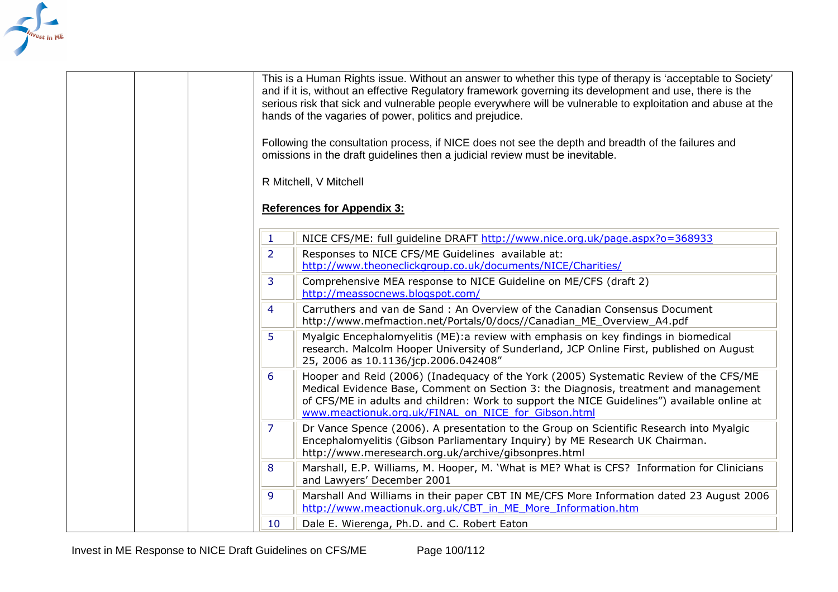<span id="page-99-0"></span>

| This is a Human Rights issue. Without an answer to whether this type of therapy is 'acceptable to Society'<br>and if it is, without an effective Regulatory framework governing its development and use, there is the<br>serious risk that sick and vulnerable people everywhere will be vulnerable to exploitation and abuse at the<br>hands of the vagaries of power, politics and prejudice.<br>Following the consultation process, if NICE does not see the depth and breadth of the failures and<br>omissions in the draft guidelines then a judicial review must be inevitable.<br>R Mitchell, V Mitchell |
|-----------------------------------------------------------------------------------------------------------------------------------------------------------------------------------------------------------------------------------------------------------------------------------------------------------------------------------------------------------------------------------------------------------------------------------------------------------------------------------------------------------------------------------------------------------------------------------------------------------------|
| <b>References for Appendix 3:</b>                                                                                                                                                                                                                                                                                                                                                                                                                                                                                                                                                                               |
| NICE CFS/ME: full guideline DRAFT http://www.nice.org.uk/page.aspx?o=368933<br>1                                                                                                                                                                                                                                                                                                                                                                                                                                                                                                                                |
| Responses to NICE CFS/ME Guidelines available at:<br>$\mathbf{2}^{\mathsf{d}}$<br>http://www.theoneclickgroup.co.uk/documents/NICE/Charities/                                                                                                                                                                                                                                                                                                                                                                                                                                                                   |
| Comprehensive MEA response to NICE Guideline on ME/CFS (draft 2)<br>3<br>http://meassocnews.blogspot.com/                                                                                                                                                                                                                                                                                                                                                                                                                                                                                                       |
| Carruthers and van de Sand: An Overview of the Canadian Consensus Document<br>$\overline{4}$<br>http://www.mefmaction.net/Portals/0/docs//Canadian ME Overview A4.pdf                                                                                                                                                                                                                                                                                                                                                                                                                                           |
| Myalgic Encephalomyelitis (ME): a review with emphasis on key findings in biomedical<br>5.<br>research. Malcolm Hooper University of Sunderland, JCP Online First, published on August<br>25, 2006 as 10.1136/jcp.2006.042408"                                                                                                                                                                                                                                                                                                                                                                                  |
| Hooper and Reid (2006) (Inadequacy of the York (2005) Systematic Review of the CFS/ME<br>6<br>Medical Evidence Base, Comment on Section 3: the Diagnosis, treatment and management<br>of CFS/ME in adults and children: Work to support the NICE Guidelines") available online at<br>www.meactionuk.org.uk/FINAL on NICE for Gibson.html                                                                                                                                                                                                                                                                        |
| $\mathcal{L}$<br>Dr Vance Spence (2006). A presentation to the Group on Scientific Research into Myalgic<br>Encephalomyelitis (Gibson Parliamentary Inquiry) by ME Research UK Chairman.<br>http://www.meresearch.org.uk/archive/gibsonpres.html                                                                                                                                                                                                                                                                                                                                                                |
| Marshall, E.P. Williams, M. Hooper, M. 'What is ME? What is CFS? Information for Clinicians<br>8<br>and Lawyers' December 2001                                                                                                                                                                                                                                                                                                                                                                                                                                                                                  |
| Marshall And Williams in their paper CBT IN ME/CFS More Information dated 23 August 2006<br>9<br>http://www.meactionuk.org.uk/CBT in ME More Information.htm                                                                                                                                                                                                                                                                                                                                                                                                                                                    |
| Dale E. Wierenga, Ph.D. and C. Robert Eaton<br>10                                                                                                                                                                                                                                                                                                                                                                                                                                                                                                                                                               |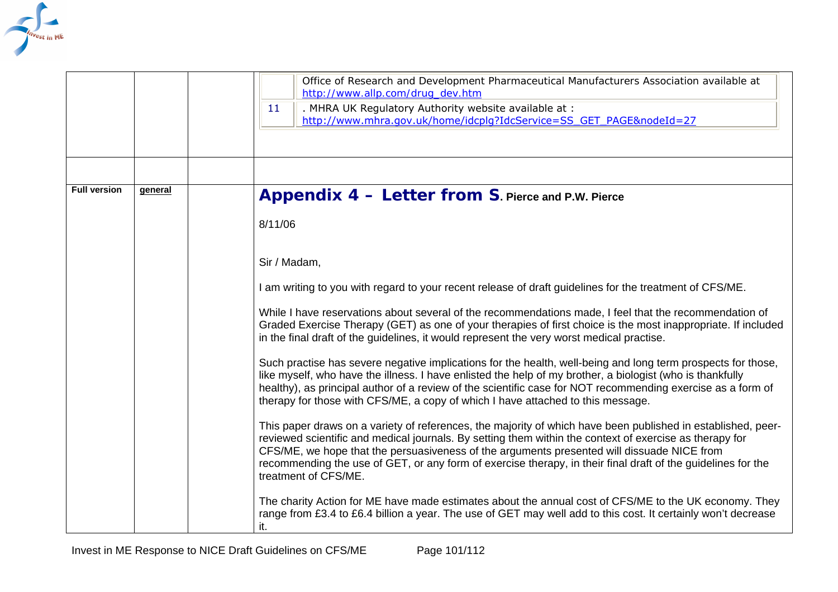<span id="page-100-0"></span>

|                     |         | Office of Research and Development Pharmaceutical Manufacturers Association available at<br>http://www.allp.com/drug_dev.htm<br>. MHRA UK Regulatory Authority website available at :<br>11<br>http://www.mhra.gov.uk/home/idcplq?IdcService=SS GET PAGE&nodeId=27                                                                                                                                                                                                                                                                                                                                                                                                                                                                                                                                                                                                                                                                                                                                                                                                                                                                                                                                                                                                                                                                                                                                                                                                                                                                                                                          |
|---------------------|---------|---------------------------------------------------------------------------------------------------------------------------------------------------------------------------------------------------------------------------------------------------------------------------------------------------------------------------------------------------------------------------------------------------------------------------------------------------------------------------------------------------------------------------------------------------------------------------------------------------------------------------------------------------------------------------------------------------------------------------------------------------------------------------------------------------------------------------------------------------------------------------------------------------------------------------------------------------------------------------------------------------------------------------------------------------------------------------------------------------------------------------------------------------------------------------------------------------------------------------------------------------------------------------------------------------------------------------------------------------------------------------------------------------------------------------------------------------------------------------------------------------------------------------------------------------------------------------------------------|
| <b>Full version</b> | general | Appendix 4 - Letter from S. Pierce and P.W. Pierce                                                                                                                                                                                                                                                                                                                                                                                                                                                                                                                                                                                                                                                                                                                                                                                                                                                                                                                                                                                                                                                                                                                                                                                                                                                                                                                                                                                                                                                                                                                                          |
|                     |         | 8/11/06<br>Sir / Madam,<br>I am writing to you with regard to your recent release of draft guidelines for the treatment of CFS/ME.<br>While I have reservations about several of the recommendations made, I feel that the recommendation of<br>Graded Exercise Therapy (GET) as one of your therapies of first choice is the most inappropriate. If included<br>in the final draft of the guidelines, it would represent the very worst medical practise.<br>Such practise has severe negative implications for the health, well-being and long term prospects for those,<br>like myself, who have the illness. I have enlisted the help of my brother, a biologist (who is thankfully<br>healthy), as principal author of a review of the scientific case for NOT recommending exercise as a form of<br>therapy for those with CFS/ME, a copy of which I have attached to this message.<br>This paper draws on a variety of references, the majority of which have been published in established, peer-<br>reviewed scientific and medical journals. By setting them within the context of exercise as therapy for<br>CFS/ME, we hope that the persuasiveness of the arguments presented will dissuade NICE from<br>recommending the use of GET, or any form of exercise therapy, in their final draft of the guidelines for the<br>treatment of CFS/ME.<br>The charity Action for ME have made estimates about the annual cost of CFS/ME to the UK economy. They<br>range from £3.4 to £6.4 billion a year. The use of GET may well add to this cost. It certainly won't decrease<br>it. |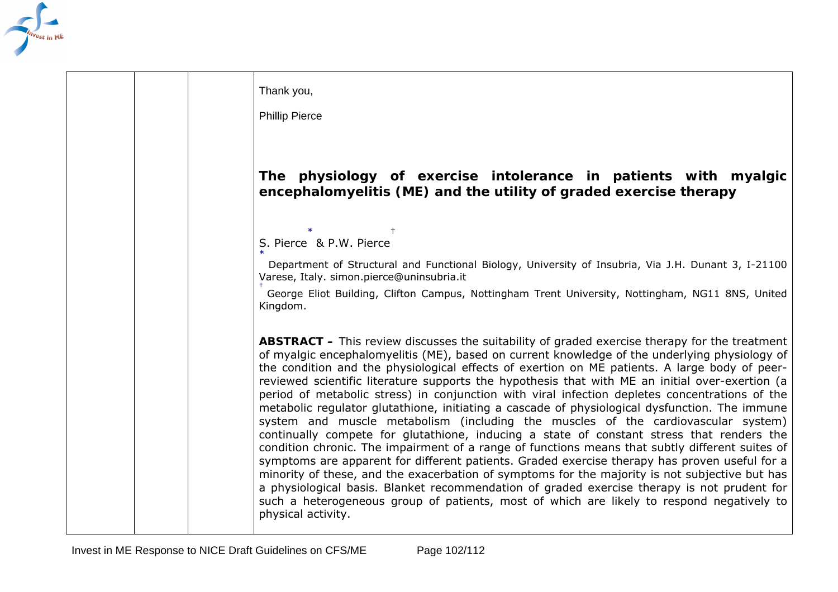

| Thank you,                                                                                                                                                                                                                                                                                                                                                                                                                                                                                                                                                                                                                                                                                                                                                                                                                                                                                                                                                                                                                                                                                                                                                                                                                                                                                                              |
|-------------------------------------------------------------------------------------------------------------------------------------------------------------------------------------------------------------------------------------------------------------------------------------------------------------------------------------------------------------------------------------------------------------------------------------------------------------------------------------------------------------------------------------------------------------------------------------------------------------------------------------------------------------------------------------------------------------------------------------------------------------------------------------------------------------------------------------------------------------------------------------------------------------------------------------------------------------------------------------------------------------------------------------------------------------------------------------------------------------------------------------------------------------------------------------------------------------------------------------------------------------------------------------------------------------------------|
| <b>Phillip Pierce</b>                                                                                                                                                                                                                                                                                                                                                                                                                                                                                                                                                                                                                                                                                                                                                                                                                                                                                                                                                                                                                                                                                                                                                                                                                                                                                                   |
|                                                                                                                                                                                                                                                                                                                                                                                                                                                                                                                                                                                                                                                                                                                                                                                                                                                                                                                                                                                                                                                                                                                                                                                                                                                                                                                         |
| The physiology of exercise intolerance in patients with myalgic<br>encephalomyelitis (ME) and the utility of graded exercise therapy                                                                                                                                                                                                                                                                                                                                                                                                                                                                                                                                                                                                                                                                                                                                                                                                                                                                                                                                                                                                                                                                                                                                                                                    |
| S. Pierce & P.W. Pierce                                                                                                                                                                                                                                                                                                                                                                                                                                                                                                                                                                                                                                                                                                                                                                                                                                                                                                                                                                                                                                                                                                                                                                                                                                                                                                 |
| Department of Structural and Functional Biology, University of Insubria, Via J.H. Dunant 3, I-21100<br>Varese, Italy. simon.pierce@uninsubria.it                                                                                                                                                                                                                                                                                                                                                                                                                                                                                                                                                                                                                                                                                                                                                                                                                                                                                                                                                                                                                                                                                                                                                                        |
| George Eliot Building, Clifton Campus, Nottingham Trent University, Nottingham, NG11 8NS, United<br>Kingdom.                                                                                                                                                                                                                                                                                                                                                                                                                                                                                                                                                                                                                                                                                                                                                                                                                                                                                                                                                                                                                                                                                                                                                                                                            |
| <b>ABSTRACT</b> – This review discusses the suitability of graded exercise therapy for the treatment<br>of myalgic encephalomyelitis (ME), based on current knowledge of the underlying physiology of<br>the condition and the physiological effects of exertion on ME patients. A large body of peer-<br>reviewed scientific literature supports the hypothesis that with ME an initial over-exertion (a<br>period of metabolic stress) in conjunction with viral infection depletes concentrations of the<br>metabolic regulator glutathione, initiating a cascade of physiological dysfunction. The immune<br>system and muscle metabolism (including the muscles of the cardiovascular system)<br>continually compete for glutathione, inducing a state of constant stress that renders the<br>condition chronic. The impairment of a range of functions means that subtly different suites of<br>symptoms are apparent for different patients. Graded exercise therapy has proven useful for a<br>minority of these, and the exacerbation of symptoms for the majority is not subjective but has<br>a physiological basis. Blanket recommendation of graded exercise therapy is not prudent for<br>such a heterogeneous group of patients, most of which are likely to respond negatively to<br>physical activity. |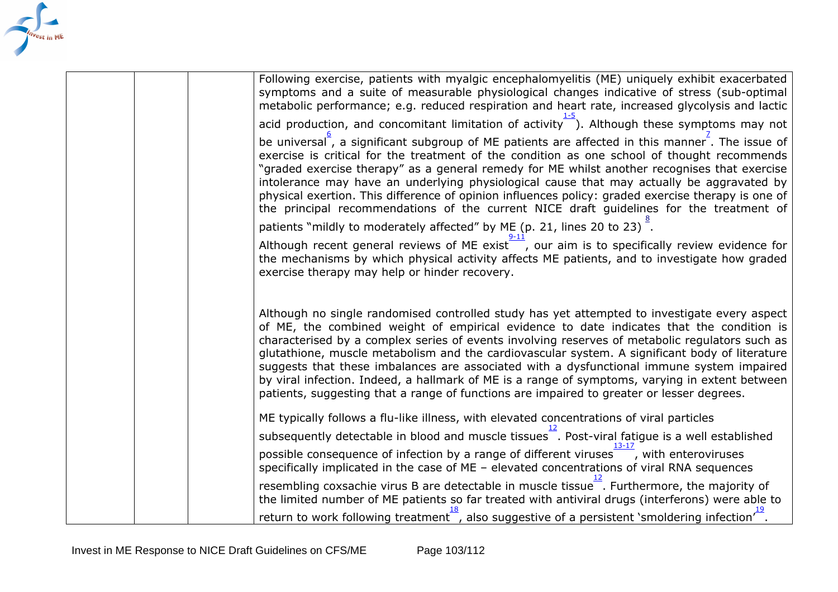

| Following exercise, patients with myalgic encephalomyelitis (ME) uniquely exhibit exacerbated<br>symptoms and a suite of measurable physiological changes indicative of stress (sub-optimal<br>metabolic performance; e.g. reduced respiration and heart rate, increased glycolysis and lactic<br>acid production, and concomitant limitation of activity $\frac{1}{x}$ ). Although these symptoms may not<br>be universal <sup>"</sup> , a significant subgroup of ME patients are affected in this manner <sup>-</sup> . The issue of<br>exercise is critical for the treatment of the condition as one school of thought recommends<br>"graded exercise therapy" as a general remedy for ME whilst another recognises that exercise |
|----------------------------------------------------------------------------------------------------------------------------------------------------------------------------------------------------------------------------------------------------------------------------------------------------------------------------------------------------------------------------------------------------------------------------------------------------------------------------------------------------------------------------------------------------------------------------------------------------------------------------------------------------------------------------------------------------------------------------------------|
| intolerance may have an underlying physiological cause that may actually be aggravated by<br>physical exertion. This difference of opinion influences policy: graded exercise therapy is one of<br>the principal recommendations of the current NICE draft guidelines for the treatment of                                                                                                                                                                                                                                                                                                                                                                                                                                             |
| patients "mildly to moderately affected" by ME (p. 21, lines 20 to 23).                                                                                                                                                                                                                                                                                                                                                                                                                                                                                                                                                                                                                                                                |
| Although recent general reviews of ME exist $\frac{1}{x}$ , our aim is to specifically review evidence for<br>the mechanisms by which physical activity affects ME patients, and to investigate how graded<br>exercise therapy may help or hinder recovery.                                                                                                                                                                                                                                                                                                                                                                                                                                                                            |
| Although no single randomised controlled study has yet attempted to investigate every aspect<br>of ME, the combined weight of empirical evidence to date indicates that the condition is<br>characterised by a complex series of events involving reserves of metabolic regulators such as<br>glutathione, muscle metabolism and the cardiovascular system. A significant body of literature<br>suggests that these imbalances are associated with a dysfunctional immune system impaired<br>by viral infection. Indeed, a hallmark of ME is a range of symptoms, varying in extent between<br>patients, suggesting that a range of functions are impaired to greater or lesser degrees.                                               |
| ME typically follows a flu-like illness, with elevated concentrations of viral particles                                                                                                                                                                                                                                                                                                                                                                                                                                                                                                                                                                                                                                               |
| subsequently detectable in blood and muscle tissues <sup>-</sup> . Post-viral fatigue is a well established                                                                                                                                                                                                                                                                                                                                                                                                                                                                                                                                                                                                                            |
| possible consequence of infection by a range of different viruses , with enteroviruses<br>specifically implicated in the case of $ME -$ elevated concentrations of viral RNA sequences                                                                                                                                                                                                                                                                                                                                                                                                                                                                                                                                                 |
| resembling coxsachie virus B are detectable in muscle tissue Furthermore, the majority of<br>the limited number of ME patients so far treated with antiviral drugs (interferons) were able to                                                                                                                                                                                                                                                                                                                                                                                                                                                                                                                                          |
| return to work following treatment, also suggestive of a persistent 'smoldering infection'.                                                                                                                                                                                                                                                                                                                                                                                                                                                                                                                                                                                                                                            |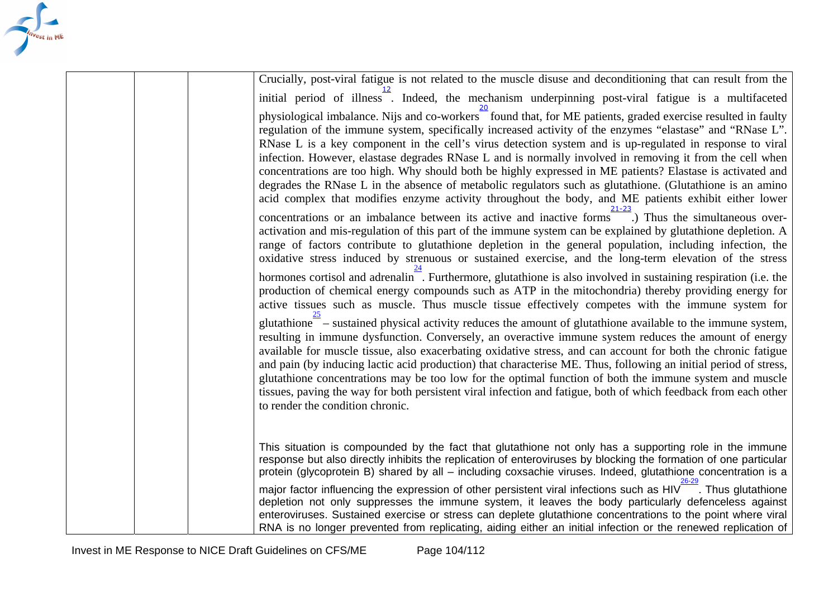| Crucially, post-viral fatigue is not related to the muscle disuse and deconditioning that can result from the                                                                                                                                                                                                                                                                                                                                                                                                                                                                                                                                                                                                                                                                        |
|--------------------------------------------------------------------------------------------------------------------------------------------------------------------------------------------------------------------------------------------------------------------------------------------------------------------------------------------------------------------------------------------------------------------------------------------------------------------------------------------------------------------------------------------------------------------------------------------------------------------------------------------------------------------------------------------------------------------------------------------------------------------------------------|
| initial period of illness. Indeed, the mechanism underpinning post-viral fatigue is a multifaceted                                                                                                                                                                                                                                                                                                                                                                                                                                                                                                                                                                                                                                                                                   |
| physiological imbalance. Nijs and co-workers found that, for ME patients, graded exercise resulted in faulty<br>regulation of the immune system, specifically increased activity of the enzymes "elastase" and "RNase L".<br>RNase L is a key component in the cell's virus detection system and is up-regulated in response to viral<br>infection. However, elastase degrades RNase L and is normally involved in removing it from the cell when<br>concentrations are too high. Why should both be highly expressed in ME patients? Elastase is activated and<br>degrades the RNase L in the absence of metabolic regulators such as glutathione. (Glutathione is an amino<br>acid complex that modifies enzyme activity throughout the body, and ME patients exhibit either lower |
| concentrations or an imbalance between its active and inactive forms. Thus the simultaneous over-<br>activation and mis-regulation of this part of the immune system can be explained by glutathione depletion. A<br>range of factors contribute to glutathione depletion in the general population, including infection, the<br>oxidative stress induced by strenuous or sustained exercise, and the long-term elevation of the stress                                                                                                                                                                                                                                                                                                                                              |
| hormones cortisol and adrenal in. Furthermore, glutathione is also involved in sustaining respiration (i.e. the<br>production of chemical energy compounds such as ATP in the mitochondria) thereby providing energy for<br>active tissues such as muscle. Thus muscle tissue effectively competes with the immune system for                                                                                                                                                                                                                                                                                                                                                                                                                                                        |
| $glutathione^-$ – sustained physical activity reduces the amount of glutathione available to the immune system,<br>resulting in immune dysfunction. Conversely, an overactive immune system reduces the amount of energy<br>available for muscle tissue, also exacerbating oxidative stress, and can account for both the chronic fatigue<br>and pain (by inducing lactic acid production) that characterise ME. Thus, following an initial period of stress,<br>glutathione concentrations may be too low for the optimal function of both the immune system and muscle<br>tissues, paving the way for both persistent viral infection and fatigue, both of which feedback from each other<br>to render the condition chronic.                                                      |
| This situation is compounded by the fact that glutathione not only has a supporting role in the immune<br>response but also directly inhibits the replication of enteroviruses by blocking the formation of one particular<br>protein (glycoprotein B) shared by all - including coxsachie viruses. Indeed, glutathione concentration is a                                                                                                                                                                                                                                                                                                                                                                                                                                           |
| major factor influencing the expression of other persistent viral infections such as HIV <sup>----</sup> . Thus glutathione<br>depletion not only suppresses the immune system, it leaves the body particularly defenceless against<br>enteroviruses. Sustained exercise or stress can deplete glutathione concentrations to the point where viral<br>RNA is no longer prevented from replicating, aiding either an initial infection or the renewed replication of                                                                                                                                                                                                                                                                                                                  |

TRIVEST IN WE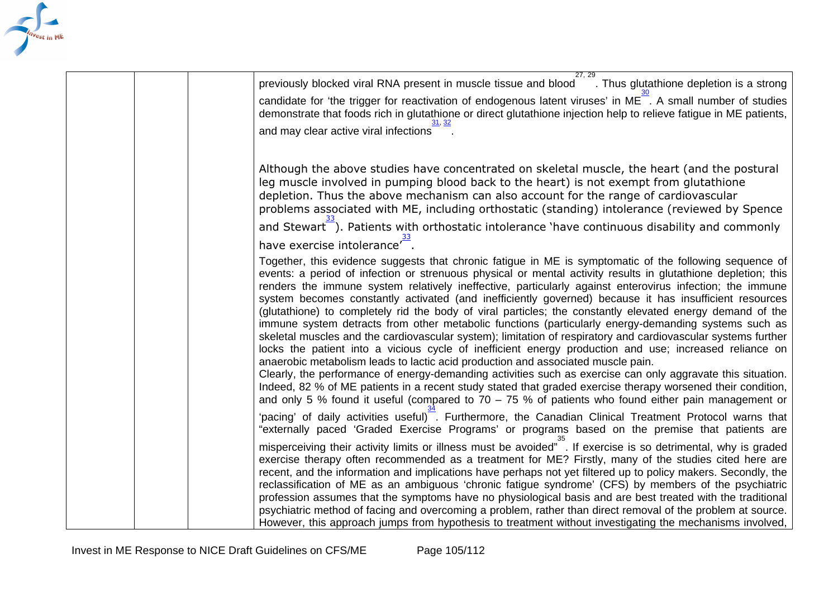

| 27.29<br>previously blocked viral RNA present in muscle tissue and blood<br>. Thus glutathione depletion is a strong<br>candidate for 'the trigger for reactivation of endogenous latent viruses' in ME <sup>-</sup> . A small number of studies<br>demonstrate that foods rich in glutathione or direct glutathione injection help to relieve fatigue in ME patients,<br>and may clear active viral infections                                                                                                                                                                                                                                                                                                                                                                                                                                                                                                                                                                                                                                                                                                                                                                                                                                                                                                                                                         |
|-------------------------------------------------------------------------------------------------------------------------------------------------------------------------------------------------------------------------------------------------------------------------------------------------------------------------------------------------------------------------------------------------------------------------------------------------------------------------------------------------------------------------------------------------------------------------------------------------------------------------------------------------------------------------------------------------------------------------------------------------------------------------------------------------------------------------------------------------------------------------------------------------------------------------------------------------------------------------------------------------------------------------------------------------------------------------------------------------------------------------------------------------------------------------------------------------------------------------------------------------------------------------------------------------------------------------------------------------------------------------|
| Although the above studies have concentrated on skeletal muscle, the heart (and the postural<br>leg muscle involved in pumping blood back to the heart) is not exempt from glutathione<br>depletion. Thus the above mechanism can also account for the range of cardiovascular<br>problems associated with ME, including orthostatic (standing) intolerance (reviewed by Spence                                                                                                                                                                                                                                                                                                                                                                                                                                                                                                                                                                                                                                                                                                                                                                                                                                                                                                                                                                                         |
| and Stewart <sup>7</sup> ). Patients with orthostatic intolerance 'have continuous disability and commonly                                                                                                                                                                                                                                                                                                                                                                                                                                                                                                                                                                                                                                                                                                                                                                                                                                                                                                                                                                                                                                                                                                                                                                                                                                                              |
| have exercise intolerance <sup>r-1</sup> .<br>Together, this evidence suggests that chronic fatigue in ME is symptomatic of the following sequence of<br>events: a period of infection or strenuous physical or mental activity results in glutathione depletion; this<br>renders the immune system relatively ineffective, particularly against enterovirus infection; the immune<br>system becomes constantly activated (and inefficiently governed) because it has insufficient resources<br>(glutathione) to completely rid the body of viral particles; the constantly elevated energy demand of the<br>immune system detracts from other metabolic functions (particularly energy-demanding systems such as<br>skeletal muscles and the cardiovascular system); limitation of respiratory and cardiovascular systems further<br>locks the patient into a vicious cycle of inefficient energy production and use; increased reliance on<br>anaerobic metabolism leads to lactic acid production and associated muscle pain.<br>Clearly, the performance of energy-demanding activities such as exercise can only aggravate this situation.<br>Indeed, 82 % of ME patients in a recent study stated that graded exercise therapy worsened their condition,<br>and only 5 % found it useful (compared to $70 - 75$ % of patients who found either pain management or |
| 'pacing' of daily activities useful). Furthermore, the Canadian Clinical Treatment Protocol warns that<br>"externally paced 'Graded Exercise Programs' or programs based on the premise that patients are                                                                                                                                                                                                                                                                                                                                                                                                                                                                                                                                                                                                                                                                                                                                                                                                                                                                                                                                                                                                                                                                                                                                                               |
| misperceiving their activity limits or illness must be avoided". If exercise is so detrimental, why is graded<br>exercise therapy often recommended as a treatment for ME? Firstly, many of the studies cited here are<br>recent, and the information and implications have perhaps not yet filtered up to policy makers. Secondly, the<br>reclassification of ME as an ambiguous 'chronic fatigue syndrome' (CFS) by members of the psychiatric<br>profession assumes that the symptoms have no physiological basis and are best treated with the traditional<br>psychiatric method of facing and overcoming a problem, rather than direct removal of the problem at source.<br>However, this approach jumps from hypothesis to treatment without investigating the mechanisms involved,                                                                                                                                                                                                                                                                                                                                                                                                                                                                                                                                                                               |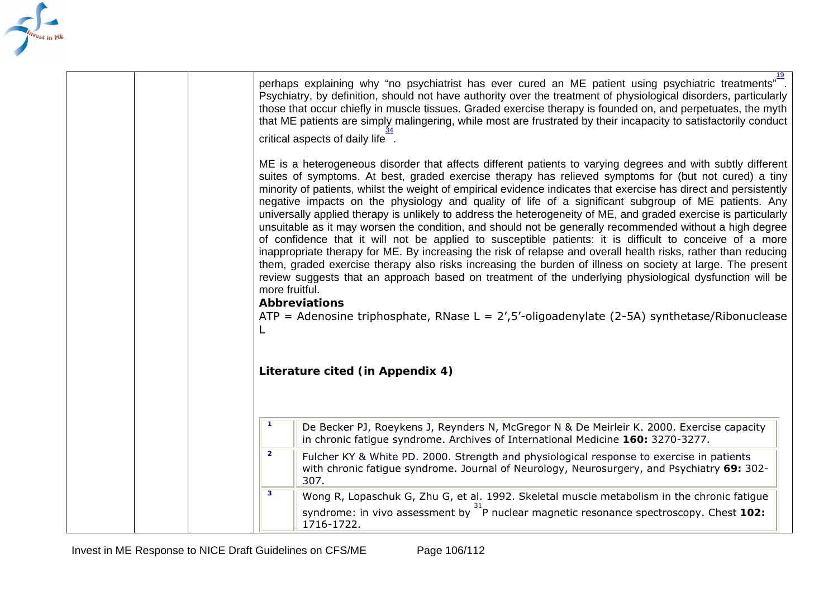<span id="page-105-0"></span>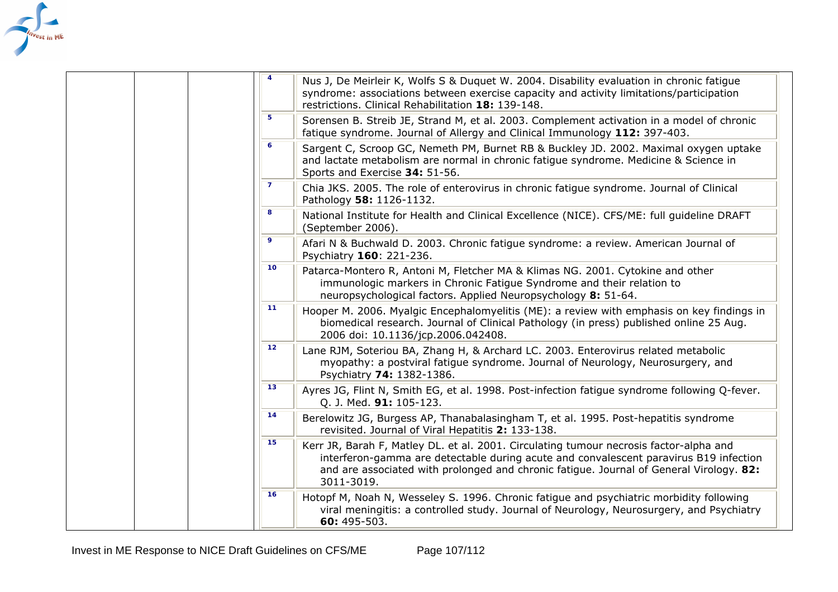<span id="page-106-0"></span>

|  | $\overline{4}$ | Nus J, De Meirleir K, Wolfs S & Duquet W. 2004. Disability evaluation in chronic fatigue<br>syndrome: associations between exercise capacity and activity limitations/participation<br>restrictions. Clinical Rehabilitation 18: 139-148.                                                |
|--|----------------|------------------------------------------------------------------------------------------------------------------------------------------------------------------------------------------------------------------------------------------------------------------------------------------|
|  | 5              | Sorensen B. Streib JE, Strand M, et al. 2003. Complement activation in a model of chronic<br>fatique syndrome. Journal of Allergy and Clinical Immunology 112: 397-403.                                                                                                                  |
|  | 6              | Sargent C, Scroop GC, Nemeth PM, Burnet RB & Buckley JD. 2002. Maximal oxygen uptake<br>and lactate metabolism are normal in chronic fatigue syndrome. Medicine & Science in<br>Sports and Exercise 34: 51-56.                                                                           |
|  | $\mathbf{7}$   | Chia JKS. 2005. The role of enterovirus in chronic fatigue syndrome. Journal of Clinical<br>Pathology 58: 1126-1132.                                                                                                                                                                     |
|  | 8              | National Institute for Health and Clinical Excellence (NICE). CFS/ME: full guideline DRAFT<br>(September 2006).                                                                                                                                                                          |
|  | 9              | Afari N & Buchwald D. 2003. Chronic fatigue syndrome: a review. American Journal of<br>Psychiatry 160: 221-236.                                                                                                                                                                          |
|  | 10             | Patarca-Montero R, Antoni M, Fletcher MA & Klimas NG. 2001. Cytokine and other<br>immunologic markers in Chronic Fatigue Syndrome and their relation to<br>neuropsychological factors. Applied Neuropsychology 8: 51-64.                                                                 |
|  | 11             | Hooper M. 2006. Myalgic Encephalomyelitis (ME): a review with emphasis on key findings in<br>biomedical research. Journal of Clinical Pathology (in press) published online 25 Aug.<br>2006 doi: 10.1136/jcp.2006.042408.                                                                |
|  | 12             | Lane RJM, Soteriou BA, Zhang H, & Archard LC. 2003. Enterovirus related metabolic<br>myopathy: a postviral fatigue syndrome. Journal of Neurology, Neurosurgery, and<br>Psychiatry 74: 1382-1386.                                                                                        |
|  | 13             | Ayres JG, Flint N, Smith EG, et al. 1998. Post-infection fatigue syndrome following Q-fever.<br>Q. J. Med. 91: 105-123.                                                                                                                                                                  |
|  | 14             | Berelowitz JG, Burgess AP, Thanabalasingham T, et al. 1995. Post-hepatitis syndrome<br>revisited. Journal of Viral Hepatitis 2: 133-138.                                                                                                                                                 |
|  | 15             | Kerr JR, Barah F, Matley DL. et al. 2001. Circulating tumour necrosis factor-alpha and<br>interferon-gamma are detectable during acute and convalescent paravirus B19 infection<br>and are associated with prolonged and chronic fatigue. Journal of General Virology. 82:<br>3011-3019. |
|  | 16             | Hotopf M, Noah N, Wesseley S. 1996. Chronic fatigue and psychiatric morbidity following<br>viral meningitis: a controlled study. Journal of Neurology, Neurosurgery, and Psychiatry<br>60: 495-503.                                                                                      |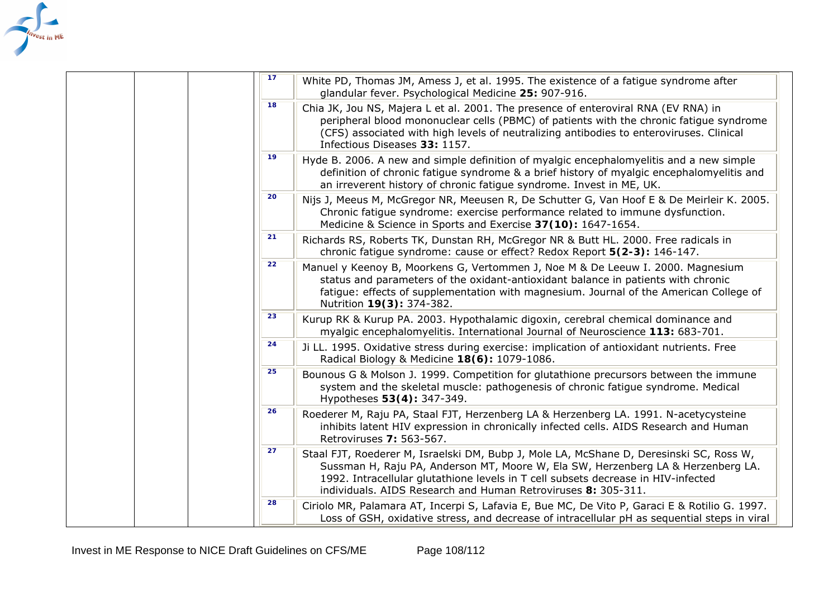<span id="page-107-0"></span>

|  | 17 | White PD, Thomas JM, Amess J, et al. 1995. The existence of a fatigue syndrome after<br>glandular fever. Psychological Medicine 25: 907-916.                                                                                                                                                                                      |
|--|----|-----------------------------------------------------------------------------------------------------------------------------------------------------------------------------------------------------------------------------------------------------------------------------------------------------------------------------------|
|  | 18 | Chia JK, Jou NS, Majera L et al. 2001. The presence of enteroviral RNA (EV RNA) in<br>peripheral blood mononuclear cells (PBMC) of patients with the chronic fatigue syndrome<br>(CFS) associated with high levels of neutralizing antibodies to enteroviruses. Clinical<br>Infectious Diseases 33: 1157.                         |
|  | 19 | Hyde B. 2006. A new and simple definition of myalgic encephalomyelitis and a new simple<br>definition of chronic fatigue syndrome & a brief history of myalgic encephalomyelitis and<br>an irreverent history of chronic fatigue syndrome. Invest in ME, UK.                                                                      |
|  | 20 | Nijs J, Meeus M, McGregor NR, Meeusen R, De Schutter G, Van Hoof E & De Meirleir K. 2005.<br>Chronic fatigue syndrome: exercise performance related to immune dysfunction.<br>Medicine & Science in Sports and Exercise 37(10): 1647-1654.                                                                                        |
|  | 21 | Richards RS, Roberts TK, Dunstan RH, McGregor NR & Butt HL. 2000. Free radicals in<br>chronic fatigue syndrome: cause or effect? Redox Report 5(2-3): 146-147.                                                                                                                                                                    |
|  | 22 | Manuel y Keenoy B, Moorkens G, Vertommen J, Noe M & De Leeuw I. 2000. Magnesium<br>status and parameters of the oxidant-antioxidant balance in patients with chronic<br>fatigue: effects of supplementation with magnesium. Journal of the American College of<br>Nutrition 19(3): 374-382.                                       |
|  | 23 | Kurup RK & Kurup PA. 2003. Hypothalamic digoxin, cerebral chemical dominance and<br>myalgic encephalomyelitis. International Journal of Neuroscience 113: 683-701.                                                                                                                                                                |
|  | 24 | Ji LL. 1995. Oxidative stress during exercise: implication of antioxidant nutrients. Free<br>Radical Biology & Medicine 18(6): 1079-1086.                                                                                                                                                                                         |
|  | 25 | Bounous G & Molson J. 1999. Competition for glutathione precursors between the immune<br>system and the skeletal muscle: pathogenesis of chronic fatigue syndrome. Medical<br>Hypotheses 53(4): 347-349.                                                                                                                          |
|  | 26 | Roederer M, Raju PA, Staal FJT, Herzenberg LA & Herzenberg LA. 1991. N-acetycysteine<br>inhibits latent HIV expression in chronically infected cells. AIDS Research and Human<br>Retroviruses 7: 563-567.                                                                                                                         |
|  | 27 | Staal FJT, Roederer M, Israelski DM, Bubp J, Mole LA, McShane D, Deresinski SC, Ross W,<br>Sussman H, Raju PA, Anderson MT, Moore W, Ela SW, Herzenberg LA & Herzenberg LA.<br>1992. Intracellular glutathione levels in T cell subsets decrease in HIV-infected<br>individuals. AIDS Research and Human Retroviruses 8: 305-311. |
|  | 28 | Ciriolo MR, Palamara AT, Incerpi S, Lafavia E, Bue MC, De Vito P, Garaci E & Rotilio G. 1997.<br>Loss of GSH, oxidative stress, and decrease of intracellular pH as sequential steps in viral                                                                                                                                     |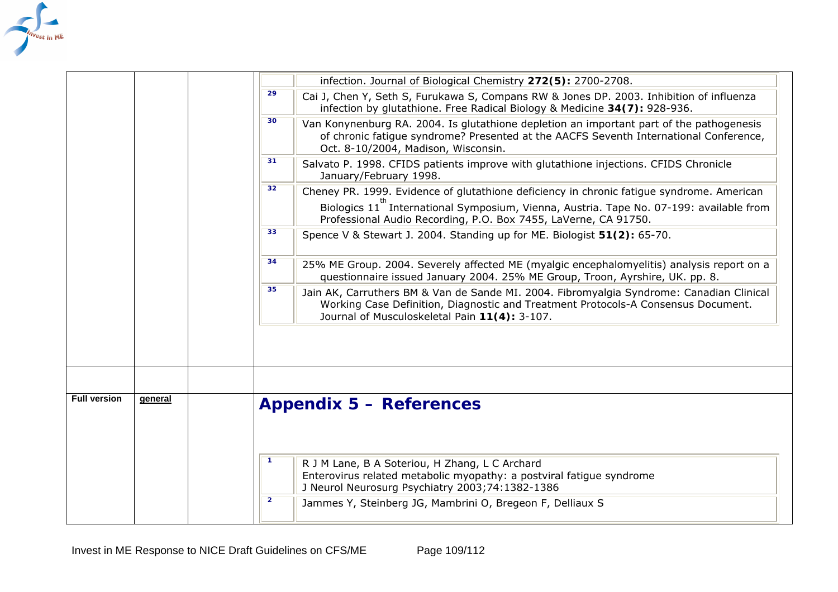

|                     |         |                | infection. Journal of Biological Chemistry 272(5): 2700-2708.                                                                                                                                                                  |  |
|---------------------|---------|----------------|--------------------------------------------------------------------------------------------------------------------------------------------------------------------------------------------------------------------------------|--|
|                     |         | 29             | Cai J, Chen Y, Seth S, Furukawa S, Compans RW & Jones DP. 2003. Inhibition of influenza<br>infection by glutathione. Free Radical Biology & Medicine 34(7): 928-936.                                                           |  |
|                     |         | 30             | Van Konynenburg RA. 2004. Is glutathione depletion an important part of the pathogenesis<br>of chronic fatigue syndrome? Presented at the AACFS Seventh International Conference,<br>Oct. 8-10/2004, Madison, Wisconsin.       |  |
|                     |         | 31             | Salvato P. 1998. CFIDS patients improve with glutathione injections. CFIDS Chronicle<br>January/February 1998.                                                                                                                 |  |
|                     |         | 32             | Cheney PR. 1999. Evidence of glutathione deficiency in chronic fatigue syndrome. American                                                                                                                                      |  |
|                     |         |                | Biologics 11 International Symposium, Vienna, Austria. Tape No. 07-199: available from<br>Professional Audio Recording, P.O. Box 7455, LaVerne, CA 91750.                                                                      |  |
|                     |         | 33             | Spence V & Stewart J. 2004. Standing up for ME. Biologist 51(2): 65-70.                                                                                                                                                        |  |
|                     |         | 34             | 25% ME Group. 2004. Severely affected ME (myalgic encephalomyelitis) analysis report on a<br>questionnaire issued January 2004. 25% ME Group, Troon, Ayrshire, UK. pp. 8.                                                      |  |
|                     |         | 35             | Jain AK, Carruthers BM & Van de Sande MI. 2004. Fibromyalgia Syndrome: Canadian Clinical<br>Working Case Definition, Diagnostic and Treatment Protocols-A Consensus Document.<br>Journal of Musculoskeletal Pain 11(4): 3-107. |  |
|                     |         |                |                                                                                                                                                                                                                                |  |
|                     |         |                |                                                                                                                                                                                                                                |  |
| <b>Full version</b> | general |                | <b>Appendix 5 - References</b>                                                                                                                                                                                                 |  |
|                     |         |                |                                                                                                                                                                                                                                |  |
|                     |         | $\mathbf 1$    | R J M Lane, B A Soteriou, H Zhang, L C Archard<br>Enterovirus related metabolic myopathy: a postviral fatigue syndrome<br>J Neurol Neurosurg Psychiatry 2003;74:1382-1386                                                      |  |
|                     |         | $\overline{2}$ | Jammes Y, Steinberg JG, Mambrini O, Bregeon F, Delliaux S                                                                                                                                                                      |  |
|                     |         |                |                                                                                                                                                                                                                                |  |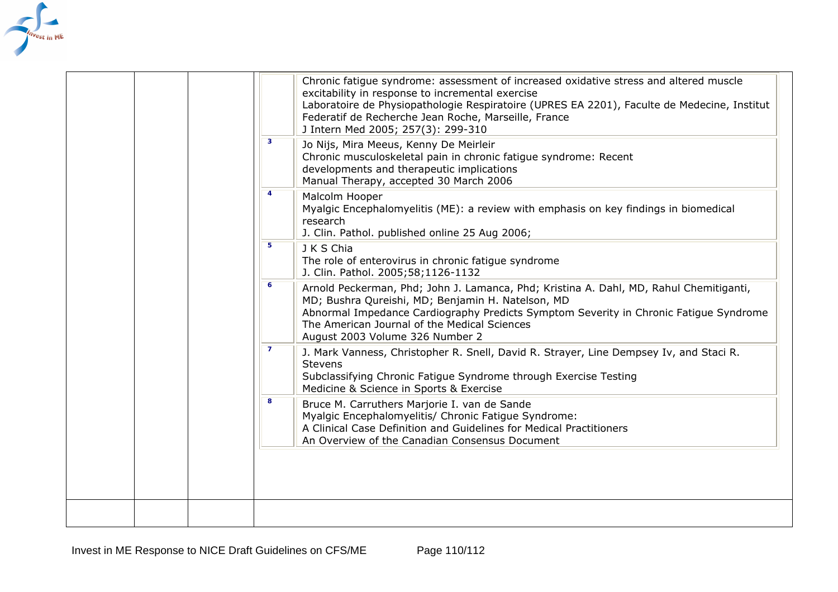

|  |                | Chronic fatigue syndrome: assessment of increased oxidative stress and altered muscle<br>excitability in response to incremental exercise<br>Laboratoire de Physiopathologie Respiratoire (UPRES EA 2201), Faculte de Medecine, Institut<br>Federatif de Recherche Jean Roche, Marseille, France<br>J Intern Med 2005; 257(3): 299-310 |
|--|----------------|----------------------------------------------------------------------------------------------------------------------------------------------------------------------------------------------------------------------------------------------------------------------------------------------------------------------------------------|
|  | $\mathbf{3}$   | Jo Nijs, Mira Meeus, Kenny De Meirleir<br>Chronic musculoskeletal pain in chronic fatigue syndrome: Recent<br>developments and therapeutic implications<br>Manual Therapy, accepted 30 March 2006                                                                                                                                      |
|  | 4              | Malcolm Hooper<br>Myalgic Encephalomyelitis (ME): a review with emphasis on key findings in biomedical<br>research<br>J. Clin. Pathol. published online 25 Aug 2006;                                                                                                                                                                   |
|  | 5              | J K S Chia<br>The role of enterovirus in chronic fatigue syndrome<br>J. Clin. Pathol. 2005;58;1126-1132                                                                                                                                                                                                                                |
|  | $\epsilon$     | Arnold Peckerman, Phd; John J. Lamanca, Phd; Kristina A. Dahl, MD, Rahul Chemitiganti,<br>MD; Bushra Qureishi, MD; Benjamin H. Natelson, MD<br>Abnormal Impedance Cardiography Predicts Symptom Severity in Chronic Fatigue Syndrome<br>The American Journal of the Medical Sciences<br>August 2003 Volume 326 Number 2                |
|  | $\overline{7}$ | J. Mark Vanness, Christopher R. Snell, David R. Strayer, Line Dempsey Iv, and Staci R.<br><b>Stevens</b><br>Subclassifying Chronic Fatigue Syndrome through Exercise Testing<br>Medicine & Science in Sports & Exercise                                                                                                                |
|  | 8              | Bruce M. Carruthers Marjorie I. van de Sande<br>Myalgic Encephalomyelitis/ Chronic Fatigue Syndrome:<br>A Clinical Case Definition and Guidelines for Medical Practitioners<br>An Overview of the Canadian Consensus Document                                                                                                          |
|  |                |                                                                                                                                                                                                                                                                                                                                        |
|  |                |                                                                                                                                                                                                                                                                                                                                        |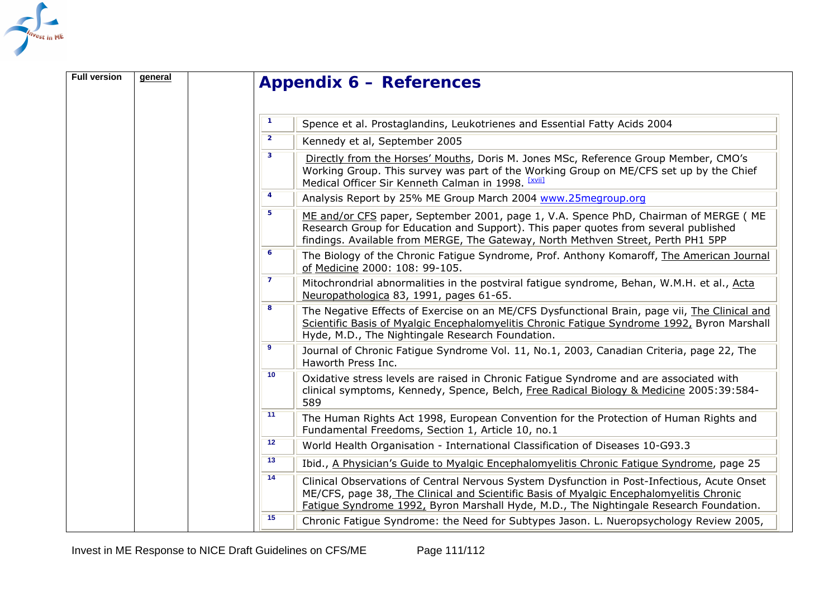

| <b>Full version</b> | general |                          | <b>Appendix 6 – References</b>                                                                                                                                                                                                                                                   |
|---------------------|---------|--------------------------|----------------------------------------------------------------------------------------------------------------------------------------------------------------------------------------------------------------------------------------------------------------------------------|
|                     |         | $\mathbf{1}$             | Spence et al. Prostaglandins, Leukotrienes and Essential Fatty Acids 2004                                                                                                                                                                                                        |
|                     |         | $\overline{2}$           | Kennedy et al, September 2005                                                                                                                                                                                                                                                    |
|                     |         | $\overline{\mathbf{3}}$  | Directly from the Horses' Mouths, Doris M. Jones MSc, Reference Group Member, CMO's<br>Working Group. This survey was part of the Working Group on ME/CFS set up by the Chief<br>Medical Officer Sir Kenneth Calman in 1998. [XVII]                                              |
|                     |         | 4                        | Analysis Report by 25% ME Group March 2004 www.25megroup.org                                                                                                                                                                                                                     |
|                     |         | 5 <sub>5</sub>           | ME and/or CFS paper, September 2001, page 1, V.A. Spence PhD, Chairman of MERGE (ME<br>Research Group for Education and Support). This paper quotes from several published<br>findings. Available from MERGE, The Gateway, North Methven Street, Perth PH1 5PP                   |
|                     |         | $\overline{6}$           | The Biology of the Chronic Fatigue Syndrome, Prof. Anthony Komaroff, The American Journal<br>of Medicine 2000: 108: 99-105.                                                                                                                                                      |
|                     |         | $\overline{7}$<br>8<br>9 | Mitochrondrial abnormalities in the postviral fatigue syndrome, Behan, W.M.H. et al., Acta<br>Neuropathologica 83, 1991, pages 61-65.                                                                                                                                            |
|                     |         |                          | The Negative Effects of Exercise on an ME/CFS Dysfunctional Brain, page vii, The Clinical and<br>Scientific Basis of Myalgic Encephalomyelitis Chronic Fatigue Syndrome 1992, Byron Marshall<br>Hyde, M.D., The Nightingale Research Foundation.                                 |
|                     |         |                          | Journal of Chronic Fatigue Syndrome Vol. 11, No.1, 2003, Canadian Criteria, page 22, The<br>Haworth Press Inc.                                                                                                                                                                   |
|                     |         | 10                       | Oxidative stress levels are raised in Chronic Fatigue Syndrome and are associated with<br>clinical symptoms, Kennedy, Spence, Belch, Free Radical Biology & Medicine 2005:39:584-<br>589                                                                                         |
|                     |         | 11                       | The Human Rights Act 1998, European Convention for the Protection of Human Rights and<br>Fundamental Freedoms, Section 1, Article 10, no.1                                                                                                                                       |
|                     |         | 12                       | World Health Organisation - International Classification of Diseases 10-G93.3                                                                                                                                                                                                    |
|                     |         | 13                       | Ibid., A Physician's Guide to Myalgic Encephalomyelitis Chronic Fatigue Syndrome, page 25                                                                                                                                                                                        |
|                     |         | 14                       | Clinical Observations of Central Nervous System Dysfunction in Post-Infectious, Acute Onset<br>ME/CFS, page 38, The Clinical and Scientific Basis of Myalgic Encephalomyelitis Chronic<br>Fatigue Syndrome 1992, Byron Marshall Hyde, M.D., The Nightingale Research Foundation. |
|                     |         | 15                       | Chronic Fatigue Syndrome: the Need for Subtypes Jason. L. Nueropsychology Review 2005,                                                                                                                                                                                           |